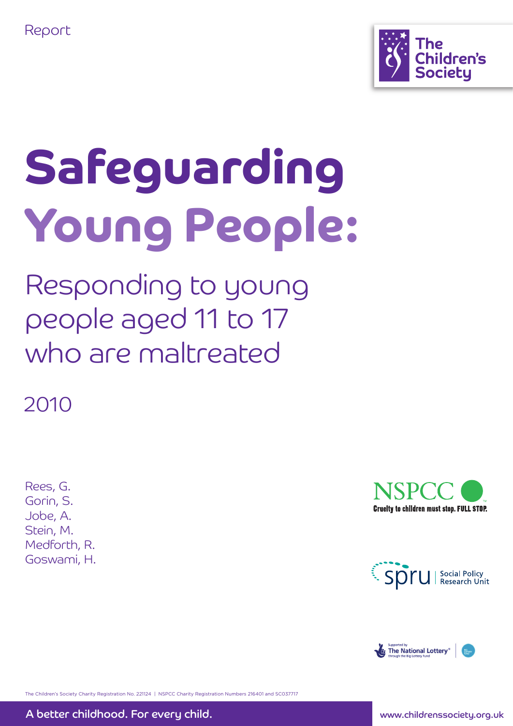



# Safeguarding Young People:

Responding to young people aged 11 to 17 who are maltreated

2010

Rees, G. Gorin, S. Jobe, A. Stein, M. Medforth, R. Goswami, H.







The Children's Society Charity Registration No. 221124 | NSPCC Charity Registration Numbers 216401 and SC037717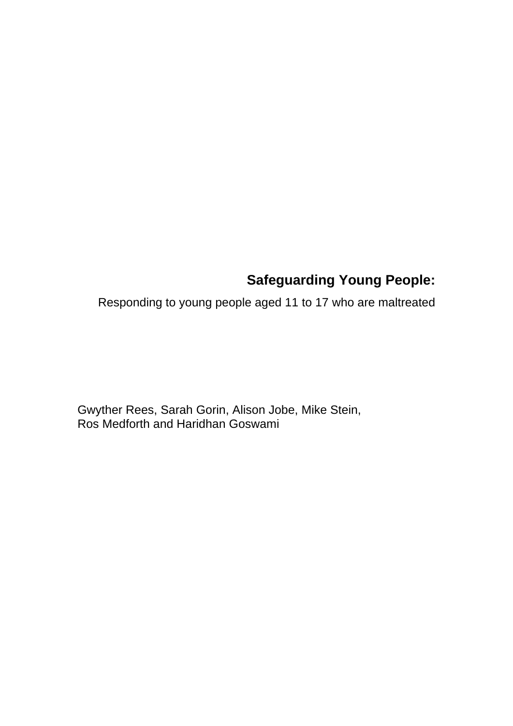# **Safeguarding Young People:**

Responding to young people aged 11 to 17 who are maltreated

Gwyther Rees, Sarah Gorin, Alison Jobe, Mike Stein, Ros Medforth and Haridhan Goswami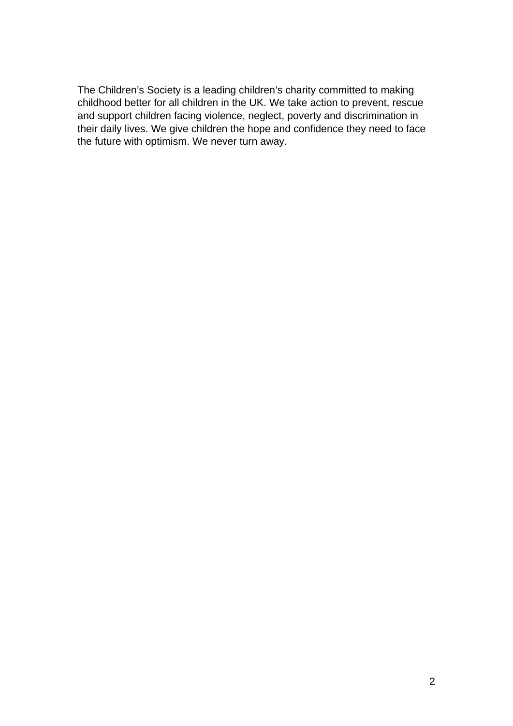The Children's Society is a leading children's charity committed to making childhood better for all children in the UK. We take action to prevent, rescue and support children facing violence, neglect, poverty and discrimination in their daily lives. We give children the hope and confidence they need to face the future with optimism. We never turn away.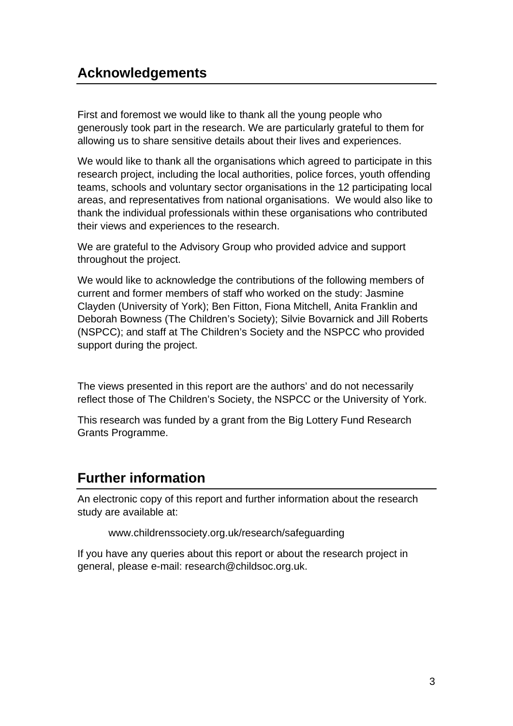# **Acknowledgements**

First and foremost we would like to thank all the young people who generously took part in the research. We are particularly grateful to them for allowing us to share sensitive details about their lives and experiences.

We would like to thank all the organisations which agreed to participate in this research project, including the local authorities, police forces, youth offending teams, schools and voluntary sector organisations in the 12 participating local areas, and representatives from national organisations. We would also like to thank the individual professionals within these organisations who contributed their views and experiences to the research.

We are grateful to the Advisory Group who provided advice and support throughout the project.

We would like to acknowledge the contributions of the following members of current and former members of staff who worked on the study: Jasmine Clayden (University of York); Ben Fitton, Fiona Mitchell, Anita Franklin and Deborah Bowness (The Children's Society); Silvie Bovarnick and Jill Roberts (NSPCC); and staff at The Children's Society and the NSPCC who provided support during the project.

The views presented in this report are the authors' and do not necessarily reflect those of The Children's Society, the NSPCC or the University of York.

This research was funded by a grant from the Big Lottery Fund Research Grants Programme.

# **Further information**

An electronic copy of this report and further information about the research study are available at:

www.childrenssociety.org.uk/research/safeguarding

If you have any queries about this report or about the research project in general, please e-mail: research@childsoc.org.uk.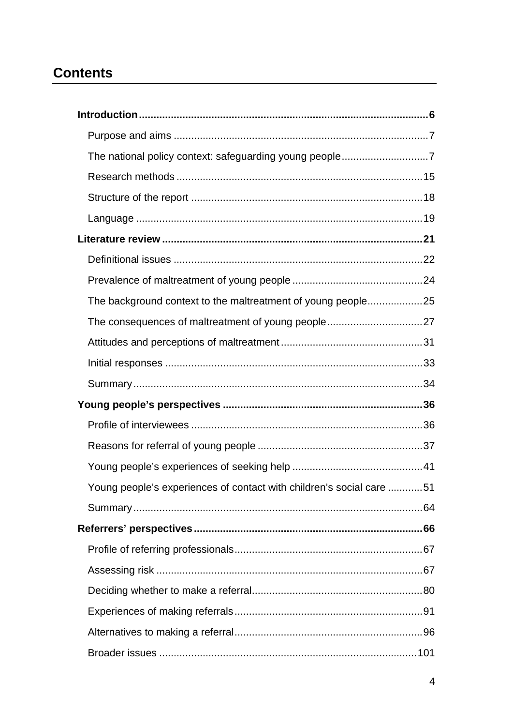# **Contents**

| The background context to the maltreatment of young people25         |  |
|----------------------------------------------------------------------|--|
|                                                                      |  |
|                                                                      |  |
|                                                                      |  |
|                                                                      |  |
|                                                                      |  |
|                                                                      |  |
|                                                                      |  |
|                                                                      |  |
| Young people's experiences of contact with children's social care 51 |  |
|                                                                      |  |
|                                                                      |  |
|                                                                      |  |
|                                                                      |  |
|                                                                      |  |
|                                                                      |  |
|                                                                      |  |
|                                                                      |  |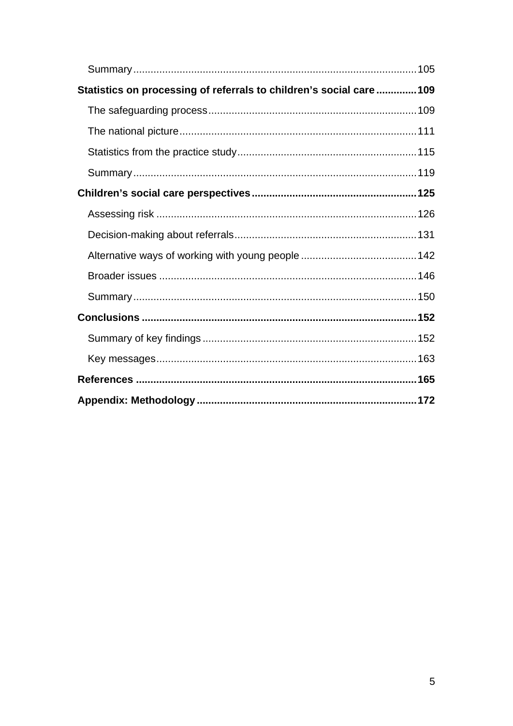| Statistics on processing of referrals to children's social care109 |  |
|--------------------------------------------------------------------|--|
|                                                                    |  |
|                                                                    |  |
|                                                                    |  |
|                                                                    |  |
|                                                                    |  |
|                                                                    |  |
|                                                                    |  |
|                                                                    |  |
|                                                                    |  |
|                                                                    |  |
|                                                                    |  |
|                                                                    |  |
|                                                                    |  |
|                                                                    |  |
|                                                                    |  |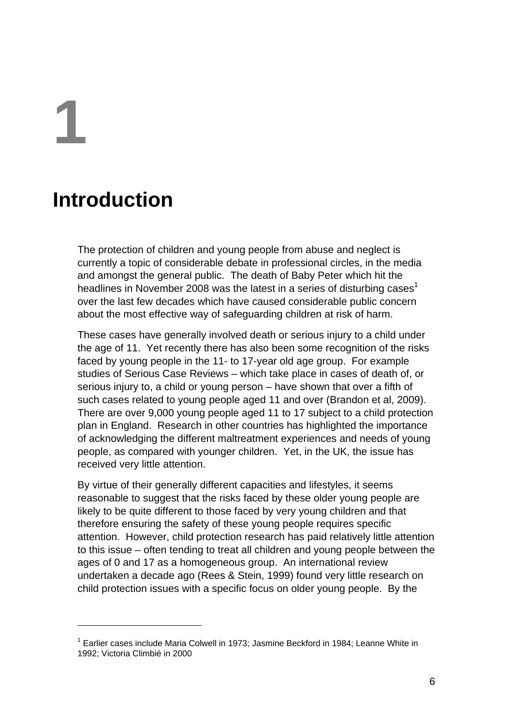**1** 

1

# **Introduction**

The protection of children and young people from abuse and neglect is currently a topic of considerable debate in professional circles, in the media and amongst the general public. The death of Baby Peter which hit the headlines in November 2008 was the latest in a series of disturbing cases<sup>1</sup> over the last few decades which have caused considerable public concern about the most effective way of safeguarding children at risk of harm.

These cases have generally involved death or serious injury to a child under the age of 11. Yet recently there has also been some recognition of the risks faced by young people in the 11- to 17-year old age group. For example studies of Serious Case Reviews – which take place in cases of death of, or serious injury to, a child or young person – have shown that over a fifth of such cases related to young people aged 11 and over (Brandon et al, 2009). There are over 9,000 young people aged 11 to 17 subject to a child protection plan in England. Research in other countries has highlighted the importance of acknowledging the different maltreatment experiences and needs of young people, as compared with younger children. Yet, in the UK, the issue has received very little attention.

By virtue of their generally different capacities and lifestyles, it seems reasonable to suggest that the risks faced by these older young people are likely to be quite different to those faced by very young children and that therefore ensuring the safety of these young people requires specific attention. However, child protection research has paid relatively little attention to this issue – often tending to treat all children and young people between the ages of 0 and 17 as a homogeneous group. An international review undertaken a decade ago (Rees & Stein, 1999) found very little research on child protection issues with a specific focus on older young people. By the

<sup>&</sup>lt;sup>1</sup> Earlier cases include Maria Colwell in 1973; Jasmine Beckford in 1984; Leanne White in 1992; Victoria Climbié in 2000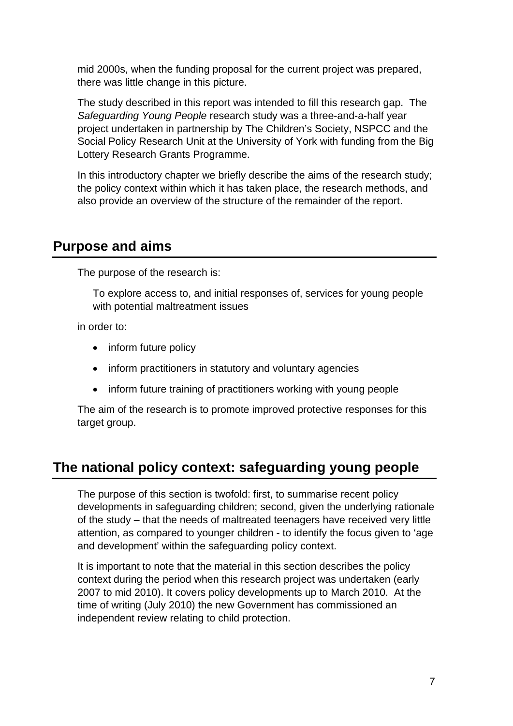mid 2000s, when the funding proposal for the current project was prepared, there was little change in this picture.

The study described in this report was intended to fill this research gap. The *Safeguarding Young People* research study was a three-and-a-half year project undertaken in partnership by The Children's Society, NSPCC and the Social Policy Research Unit at the University of York with funding from the Big Lottery Research Grants Programme.

In this introductory chapter we briefly describe the aims of the research study; the policy context within which it has taken place, the research methods, and also provide an overview of the structure of the remainder of the report.

#### **Purpose and aims**

The purpose of the research is:

To explore access to, and initial responses of, services for young people with potential maltreatment issues

in order to:

- inform future policy
- inform practitioners in statutory and voluntary agencies
- inform future training of practitioners working with young people

The aim of the research is to promote improved protective responses for this target group.

# **The national policy context: safeguarding young people**

The purpose of this section is twofold: first, to summarise recent policy developments in safeguarding children; second, given the underlying rationale of the study – that the needs of maltreated teenagers have received very little attention, as compared to younger children - to identify the focus given to 'age and development' within the safeguarding policy context.

It is important to note that the material in this section describes the policy context during the period when this research project was undertaken (early 2007 to mid 2010). It covers policy developments up to March 2010. At the time of writing (July 2010) the new Government has commissioned an independent review relating to child protection.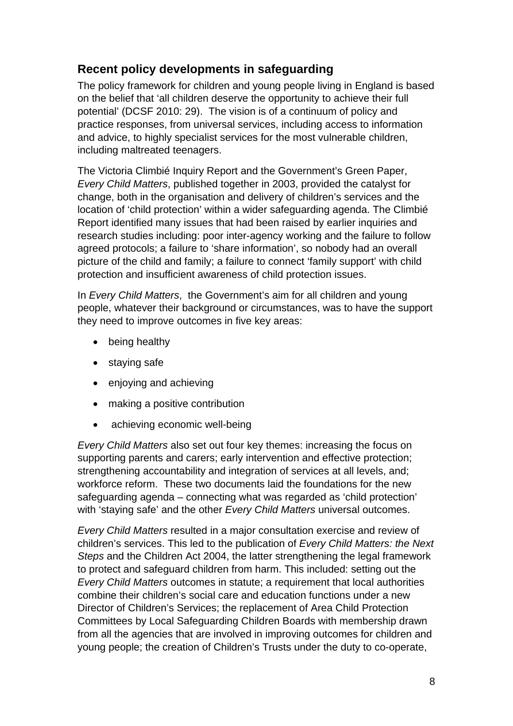#### **Recent policy developments in safeguarding**

The policy framework for children and young people living in England is based on the belief that 'all children deserve the opportunity to achieve their full potential' (DCSF 2010: 29). The vision is of a continuum of policy and practice responses, from universal services, including access to information and advice, to highly specialist services for the most vulnerable children, including maltreated teenagers.

The Victoria Climbié Inquiry Report and the Government's Green Paper, *Every Child Matters*, published together in 2003, provided the catalyst for change, both in the organisation and delivery of children's services and the location of 'child protection' within a wider safeguarding agenda. The Climbié Report identified many issues that had been raised by earlier inquiries and research studies including: poor inter-agency working and the failure to follow agreed protocols; a failure to 'share information', so nobody had an overall picture of the child and family; a failure to connect 'family support' with child protection and insufficient awareness of child protection issues.

In *Every Child Matters*, the Government's aim for all children and young people, whatever their background or circumstances, was to have the support they need to improve outcomes in five key areas:

- being healthy
- staying safe
- enjoying and achieving
- making a positive contribution
- achieving economic well-being

*Every Child Matters* also set out four key themes: increasing the focus on supporting parents and carers; early intervention and effective protection; strengthening accountability and integration of services at all levels, and; workforce reform. These two documents laid the foundations for the new safeguarding agenda – connecting what was regarded as 'child protection' with 'staying safe' and the other *Every Child Matters* universal outcomes.

*Every Child Matters* resulted in a major consultation exercise and review of children's services. This led to the publication of *Every Child Matters: the Next Steps* and the Children Act 2004, the latter strengthening the legal framework to protect and safeguard children from harm. This included: setting out the *Every Child Matters* outcomes in statute; a requirement that local authorities combine their children's social care and education functions under a new Director of Children's Services; the replacement of Area Child Protection Committees by Local Safeguarding Children Boards with membership drawn from all the agencies that are involved in improving outcomes for children and young people; the creation of Children's Trusts under the duty to co-operate,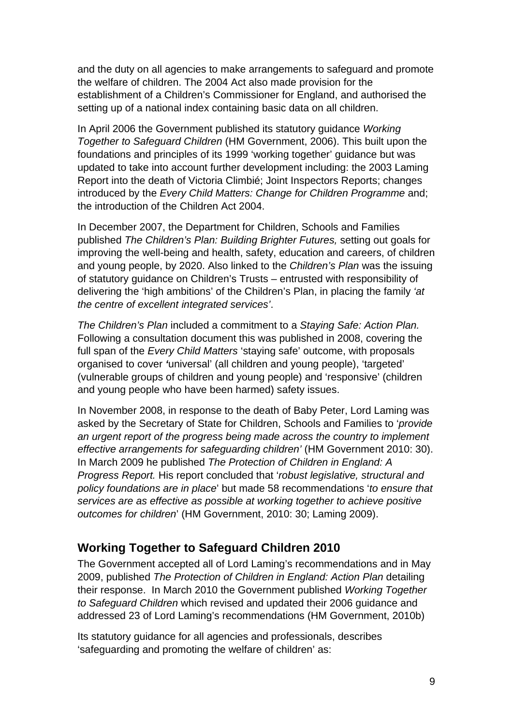and the duty on all agencies to make arrangements to safeguard and promote the welfare of children. The 2004 Act also made provision for the establishment of a Children's Commissioner for England, and authorised the setting up of a national index containing basic data on all children.

In April 2006 the Government published its statutory guidance *Working Together to Safeguard Children* (HM Government, 2006). This built upon the foundations and principles of its 1999 'working together' guidance but was updated to take into account further development including: the 2003 Laming Report into the death of Victoria Climbié; Joint Inspectors Reports; changes introduced by the *Every Child Matters: Change for Children Programme* and; the introduction of the Children Act 2004.

In December 2007, the Department for Children, Schools and Families published *The Children's Plan: Building Brighter Futures,* setting out goals for improving the well-being and health, safety, education and careers, of children and young people, by 2020. Also linked to the *Children's Plan* was the issuing of statutory guidance on Children's Trusts – entrusted with responsibility of delivering the 'high ambitions' of the Children's Plan, in placing the family *'at the centre of excellent integrated services'*.

*The Children's Plan* included a commitment to a *Staying Safe: Action Plan.*  Following a consultation document this was published in 2008, covering the full span of the *Every Child Matters* 'staying safe' outcome, with proposals organised to cover *'*universal' (all children and young people), 'targeted' (vulnerable groups of children and young people) and 'responsive' (children and young people who have been harmed) safety issues.

In November 2008, in response to the death of Baby Peter, Lord Laming was asked by the Secretary of State for Children, Schools and Families to '*provide an urgent report of the progress being made across the country to implement effective arrangements for safeguarding children'* (HM Government 2010: 30). In March 2009 he published *The Protection of Children in England: A Progress Report.* His report concluded that '*robust legislative, structural and policy foundations are in place*' but made 58 recommendations '*to ensure that services are as effective as possible at working together to achieve positive outcomes for children*' (HM Government, 2010: 30; Laming 2009).

#### **Working Together to Safeguard Children 2010**

The Government accepted all of Lord Laming's recommendations and in May 2009, published *The Protection of Children in England: Action Plan* detailing their response. In March 2010 the Government published *Working Together to Safeguard Children* which revised and updated their 2006 guidance and addressed 23 of Lord Laming's recommendations (HM Government, 2010b)

Its statutory guidance for all agencies and professionals, describes 'safeguarding and promoting the welfare of children' as: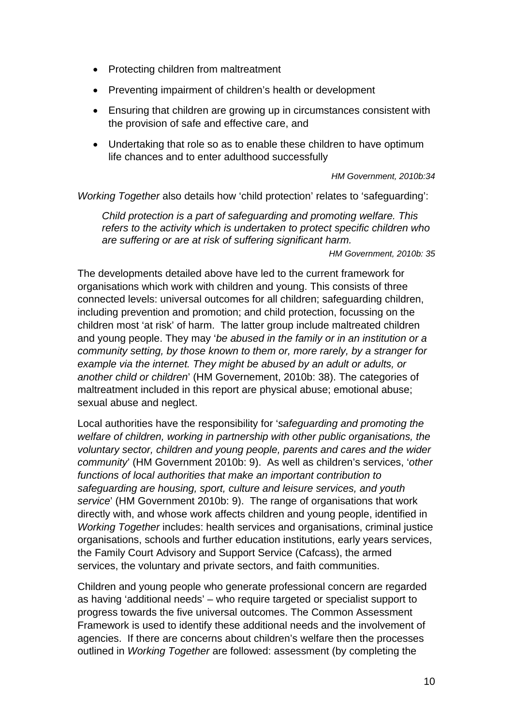- Protecting children from maltreatment
- Preventing impairment of children's health or development
- Ensuring that children are growing up in circumstances consistent with the provision of safe and effective care, and
- Undertaking that role so as to enable these children to have optimum life chances and to enter adulthood successfully

 *HM Government, 2010b:34* 

*Working Together* also details how 'child protection' relates to 'safeguarding':

*Child protection is a part of safeguarding and promoting welfare. This refers to the activity which is undertaken to protect specific children who are suffering or are at risk of suffering significant harm.*

*HM Government, 2010b: 35* 

The developments detailed above have led to the current framework for organisations which work with children and young. This consists of three connected levels: universal outcomes for all children; safeguarding children, including prevention and promotion; and child protection, focussing on the children most 'at risk' of harm. The latter group include maltreated children and young people. They may '*be abused in the family or in an institution or a community setting, by those known to them or, more rarely, by a stranger for example via the internet. They might be abused by an adult or adults, or another child or children*' (HM Governement, 2010b: 38). The categories of maltreatment included in this report are physical abuse; emotional abuse; sexual abuse and neglect.

Local authorities have the responsibility for '*safeguarding and promoting the welfare of children, working in partnership with other public organisations, the voluntary sector, children and young people, parents and cares and the wider community*' (HM Government 2010b: 9). As well as children's services, '*other functions of local authorities that make an important contribution to safeguarding are housing, sport, culture and leisure services, and youth service*' (HM Government 2010b: 9). The range of organisations that work directly with, and whose work affects children and young people, identified in *Working Together* includes: health services and organisations, criminal justice organisations, schools and further education institutions, early years services, the Family Court Advisory and Support Service (Cafcass), the armed services, the voluntary and private sectors, and faith communities.

Children and young people who generate professional concern are regarded as having 'additional needs' – who require targeted or specialist support to progress towards the five universal outcomes. The Common Assessment Framework is used to identify these additional needs and the involvement of agencies. If there are concerns about children's welfare then the processes outlined in *Working Together* are followed: assessment (by completing the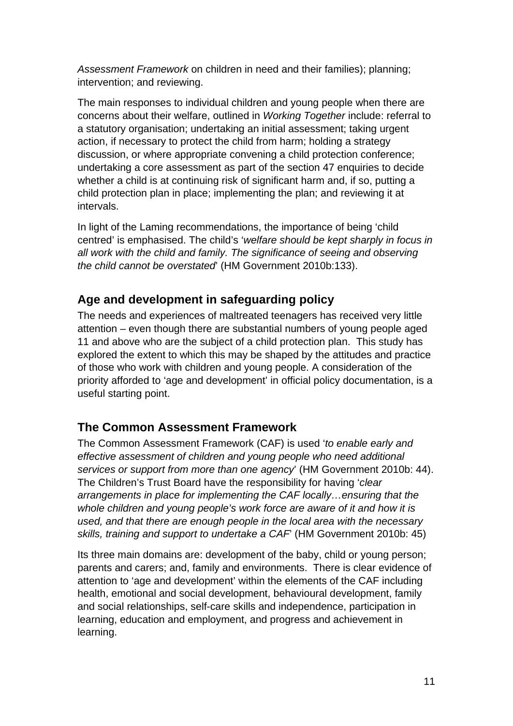*Assessment Framework* on children in need and their families); planning; intervention; and reviewing.

The main responses to individual children and young people when there are concerns about their welfare, outlined in *Working Together* include: referral to a statutory organisation; undertaking an initial assessment; taking urgent action, if necessary to protect the child from harm; holding a strategy discussion, or where appropriate convening a child protection conference; undertaking a core assessment as part of the section 47 enquiries to decide whether a child is at continuing risk of significant harm and, if so, putting a child protection plan in place; implementing the plan; and reviewing it at intervals.

In light of the Laming recommendations, the importance of being 'child centred' is emphasised. The child's '*welfare should be kept sharply in focus in all work with the child and family. The significance of seeing and observing the child cannot be overstated*' (HM Government 2010b:133).

#### **Age and development in safeguarding policy**

The needs and experiences of maltreated teenagers has received very little attention – even though there are substantial numbers of young people aged 11 and above who are the subject of a child protection plan. This study has explored the extent to which this may be shaped by the attitudes and practice of those who work with children and young people. A consideration of the priority afforded to 'age and development' in official policy documentation, is a useful starting point.

#### **The Common Assessment Framework**

The Common Assessment Framework (CAF) is used '*to enable early and effective assessment of children and young people who need additional services or support from more than one agency*' (HM Government 2010b: 44). The Children's Trust Board have the responsibility for having '*clear arrangements in place for implementing the CAF locally…ensuring that the whole children and young people's work force are aware of it and how it is used, and that there are enough people in the local area with the necessary skills, training and support to undertake a CAF*' (HM Government 2010b: 45)

Its three main domains are: development of the baby, child or young person; parents and carers; and, family and environments. There is clear evidence of attention to 'age and development' within the elements of the CAF including health, emotional and social development, behavioural development, family and social relationships, self-care skills and independence, participation in learning, education and employment, and progress and achievement in learning.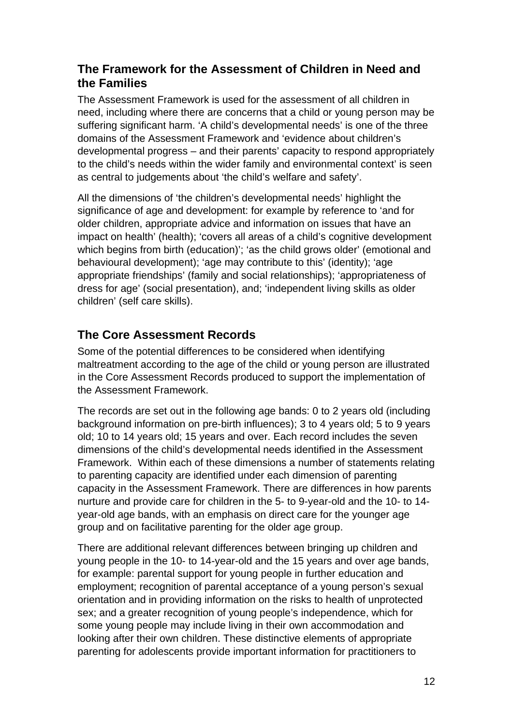#### **The Framework for the Assessment of Children in Need and the Families**

The Assessment Framework is used for the assessment of all children in need, including where there are concerns that a child or young person may be suffering significant harm. 'A child's developmental needs' is one of the three domains of the Assessment Framework and 'evidence about children's developmental progress – and their parents' capacity to respond appropriately to the child's needs within the wider family and environmental context' is seen as central to judgements about 'the child's welfare and safety'.

All the dimensions of 'the children's developmental needs' highlight the significance of age and development: for example by reference to 'and for older children, appropriate advice and information on issues that have an impact on health' (health); 'covers all areas of a child's cognitive development which begins from birth (education)'; 'as the child grows older' (emotional and behavioural development); 'age may contribute to this' (identity); 'age appropriate friendships' (family and social relationships); 'appropriateness of dress for age' (social presentation), and; 'independent living skills as older children' (self care skills).

#### **The Core Assessment Records**

Some of the potential differences to be considered when identifying maltreatment according to the age of the child or young person are illustrated in the Core Assessment Records produced to support the implementation of the Assessment Framework.

The records are set out in the following age bands: 0 to 2 years old (including background information on pre-birth influences); 3 to 4 years old; 5 to 9 years old; 10 to 14 years old; 15 years and over. Each record includes the seven dimensions of the child's developmental needs identified in the Assessment Framework. Within each of these dimensions a number of statements relating to parenting capacity are identified under each dimension of parenting capacity in the Assessment Framework. There are differences in how parents nurture and provide care for children in the 5- to 9-year-old and the 10- to 14 year-old age bands, with an emphasis on direct care for the younger age group and on facilitative parenting for the older age group.

There are additional relevant differences between bringing up children and young people in the 10- to 14-year-old and the 15 years and over age bands, for example: parental support for young people in further education and employment; recognition of parental acceptance of a young person's sexual orientation and in providing information on the risks to health of unprotected sex; and a greater recognition of young people's independence, which for some young people may include living in their own accommodation and looking after their own children. These distinctive elements of appropriate parenting for adolescents provide important information for practitioners to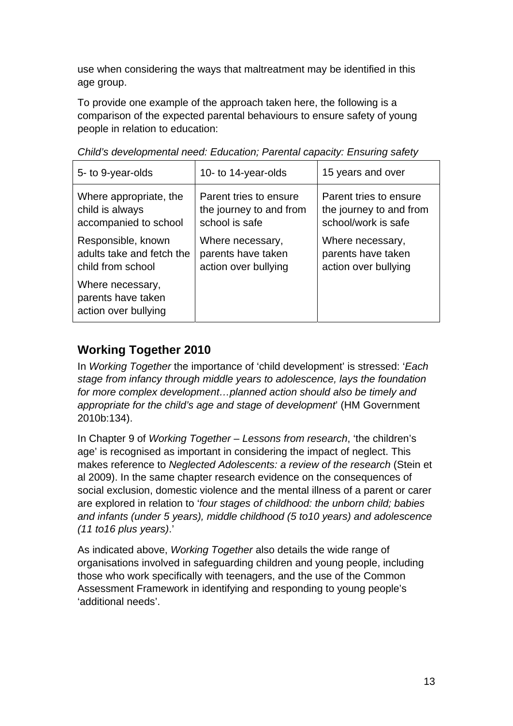use when considering the ways that maltreatment may be identified in this age group.

To provide one example of the approach taken here, the following is a comparison of the expected parental behaviours to ensure safety of young people in relation to education:

| 5- to 9-year-olds                                              | 10- to 14-year-olds     | 15 years and over       |
|----------------------------------------------------------------|-------------------------|-------------------------|
| Where appropriate, the                                         | Parent tries to ensure  | Parent tries to ensure  |
| child is always                                                | the journey to and from | the journey to and from |
| accompanied to school                                          | school is safe          | school/work is safe     |
| Responsible, known                                             | Where necessary,        | Where necessary,        |
| adults take and fetch the                                      | parents have taken      | parents have taken      |
| child from school                                              | action over bullying    | action over bullying    |
| Where necessary,<br>parents have taken<br>action over bullying |                         |                         |

*Child's developmental need: Education; Parental capacity: Ensuring safety* 

# **Working Together 2010**

In *Working Together* the importance of 'child development' is stressed: '*Each stage from infancy through middle years to adolescence, lays the foundation for more complex development…planned action should also be timely and appropriate for the child's age and stage of development*' (HM Government 2010b:134).

In Chapter 9 of *Working Together* – *Lessons from research*, 'the children's age' is recognised as important in considering the impact of neglect. This makes reference to *Neglected Adolescents: a review of the research* (Stein et al 2009). In the same chapter research evidence on the consequences of social exclusion, domestic violence and the mental illness of a parent or carer are explored in relation to '*four stages of childhood: the unborn child; babies and infants (under 5 years), middle childhood (5 to10 years) and adolescence (11 to16 plus years)*.'

As indicated above, *Working Together* also details the wide range of organisations involved in safeguarding children and young people, including those who work specifically with teenagers, and the use of the Common Assessment Framework in identifying and responding to young people's 'additional needs'.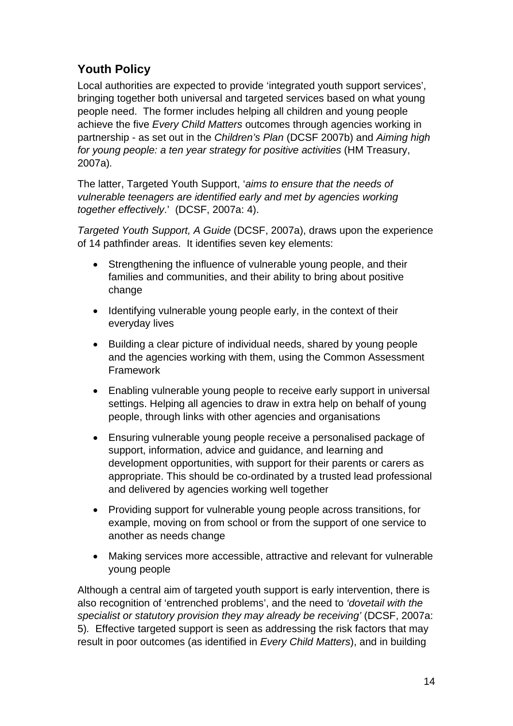### **Youth Policy**

Local authorities are expected to provide 'integrated youth support services', bringing together both universal and targeted services based on what young people need. The former includes helping all children and young people achieve the five *Every Child Matters* outcomes through agencies working in partnership - as set out in the *Children's Plan* (DCSF 2007b) and *Aiming high for young people: a ten year strategy for positive activities* (HM Treasury, 2007a)*.*

The latter, Targeted Youth Support, '*aims to ensure that the needs of vulnerable teenagers are identified early and met by agencies working together effectively*.' (DCSF, 2007a: 4).

*Targeted Youth Support, A Guide* (DCSF, 2007a), draws upon the experience of 14 pathfinder areas. It identifies seven key elements:

- Strengthening the influence of vulnerable young people, and their families and communities, and their ability to bring about positive change
- Identifying vulnerable young people early, in the context of their everyday lives
- Building a clear picture of individual needs, shared by young people and the agencies working with them, using the Common Assessment Framework
- Enabling vulnerable young people to receive early support in universal settings. Helping all agencies to draw in extra help on behalf of young people, through links with other agencies and organisations
- Ensuring vulnerable young people receive a personalised package of support, information, advice and guidance, and learning and development opportunities, with support for their parents or carers as appropriate. This should be co-ordinated by a trusted lead professional and delivered by agencies working well together
- Providing support for vulnerable young people across transitions, for example, moving on from school or from the support of one service to another as needs change
- Making services more accessible, attractive and relevant for vulnerable young people

Although a central aim of targeted youth support is early intervention, there is also recognition of 'entrenched problems', and the need to *'dovetail with the specialist or statutory provision they may already be receiving'* (DCSF, 2007a: 5)*.* Effective targeted support is seen as addressing the risk factors that may result in poor outcomes (as identified in *Every Child Matters*), and in building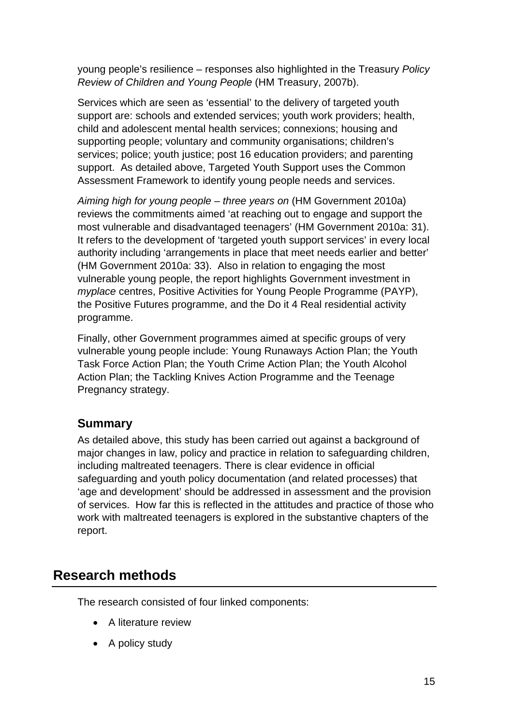young people's resilience – responses also highlighted in the Treasury *Policy Review of Children and Young People* (HM Treasury, 2007b).

Services which are seen as 'essential' to the delivery of targeted youth support are: schools and extended services; youth work providers; health, child and adolescent mental health services; connexions; housing and supporting people; voluntary and community organisations; children's services; police; youth justice; post 16 education providers; and parenting support. As detailed above, Targeted Youth Support uses the Common Assessment Framework to identify young people needs and services.

*Aiming high for young people – three years on* (HM Government 2010a) reviews the commitments aimed 'at reaching out to engage and support the most vulnerable and disadvantaged teenagers' (HM Government 2010a: 31). It refers to the development of 'targeted youth support services' in every local authority including 'arrangements in place that meet needs earlier and better' (HM Government 2010a: 33). Also in relation to engaging the most vulnerable young people, the report highlights Government investment in *myplace* centres, Positive Activities for Young People Programme (PAYP), the Positive Futures programme, and the Do it 4 Real residential activity programme.

Finally, other Government programmes aimed at specific groups of very vulnerable young people include: Young Runaways Action Plan; the Youth Task Force Action Plan; the Youth Crime Action Plan; the Youth Alcohol Action Plan; the Tackling Knives Action Programme and the Teenage Pregnancy strategy.

#### **Summary**

As detailed above, this study has been carried out against a background of major changes in law, policy and practice in relation to safeguarding children, including maltreated teenagers. There is clear evidence in official safeguarding and youth policy documentation (and related processes) that 'age and development' should be addressed in assessment and the provision of services. How far this is reflected in the attitudes and practice of those who work with maltreated teenagers is explored in the substantive chapters of the report.

# **Research methods**

The research consisted of four linked components:

- A literature review
- A policy study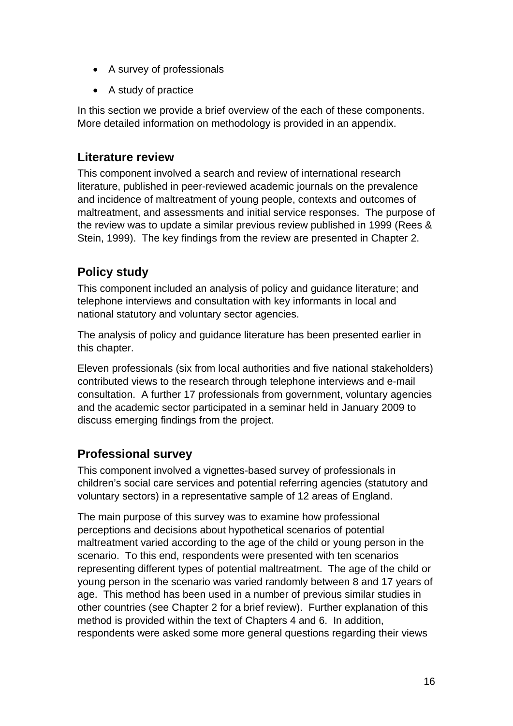- A survey of professionals
- A study of practice

In this section we provide a brief overview of the each of these components. More detailed information on methodology is provided in an appendix.

#### **Literature review**

This component involved a search and review of international research literature, published in peer-reviewed academic journals on the prevalence and incidence of maltreatment of young people, contexts and outcomes of maltreatment, and assessments and initial service responses. The purpose of the review was to update a similar previous review published in 1999 (Rees & Stein, 1999). The key findings from the review are presented in Chapter 2.

#### **Policy study**

This component included an analysis of policy and guidance literature; and telephone interviews and consultation with key informants in local and national statutory and voluntary sector agencies.

The analysis of policy and guidance literature has been presented earlier in this chapter.

Eleven professionals (six from local authorities and five national stakeholders) contributed views to the research through telephone interviews and e-mail consultation. A further 17 professionals from government, voluntary agencies and the academic sector participated in a seminar held in January 2009 to discuss emerging findings from the project.

#### **Professional survey**

This component involved a vignettes-based survey of professionals in children's social care services and potential referring agencies (statutory and voluntary sectors) in a representative sample of 12 areas of England.

The main purpose of this survey was to examine how professional perceptions and decisions about hypothetical scenarios of potential maltreatment varied according to the age of the child or young person in the scenario. To this end, respondents were presented with ten scenarios representing different types of potential maltreatment. The age of the child or young person in the scenario was varied randomly between 8 and 17 years of age. This method has been used in a number of previous similar studies in other countries (see Chapter 2 for a brief review). Further explanation of this method is provided within the text of Chapters 4 and 6. In addition, respondents were asked some more general questions regarding their views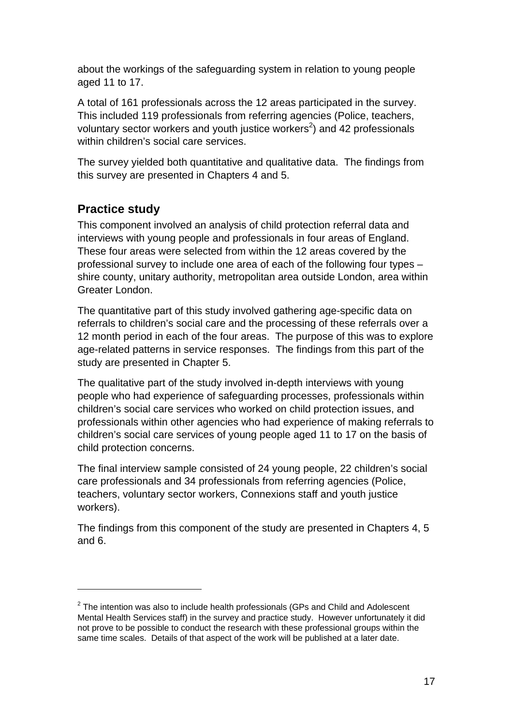about the workings of the safeguarding system in relation to young people aged 11 to 17.

A total of 161 professionals across the 12 areas participated in the survey. This included 119 professionals from referring agencies (Police, teachers, voluntary sector workers and youth justice workers<sup>2</sup>) and 42 professionals within children's social care services.

The survey yielded both quantitative and qualitative data. The findings from this survey are presented in Chapters 4 and 5.

#### **Practice study**

1

This component involved an analysis of child protection referral data and interviews with young people and professionals in four areas of England. These four areas were selected from within the 12 areas covered by the professional survey to include one area of each of the following four types – shire county, unitary authority, metropolitan area outside London, area within Greater London.

The quantitative part of this study involved gathering age-specific data on referrals to children's social care and the processing of these referrals over a 12 month period in each of the four areas. The purpose of this was to explore age-related patterns in service responses. The findings from this part of the study are presented in Chapter 5.

The qualitative part of the study involved in-depth interviews with young people who had experience of safeguarding processes, professionals within children's social care services who worked on child protection issues, and professionals within other agencies who had experience of making referrals to children's social care services of young people aged 11 to 17 on the basis of child protection concerns.

The final interview sample consisted of 24 young people, 22 children's social care professionals and 34 professionals from referring agencies (Police, teachers, voluntary sector workers, Connexions staff and youth justice workers).

The findings from this component of the study are presented in Chapters 4, 5 and 6.

 $2$  The intention was also to include health professionals (GPs and Child and Adolescent Mental Health Services staff) in the survey and practice study. However unfortunately it did not prove to be possible to conduct the research with these professional groups within the same time scales. Details of that aspect of the work will be published at a later date.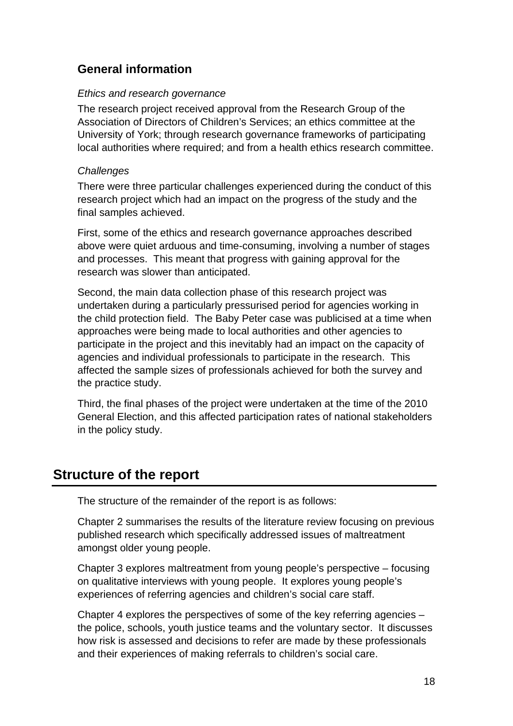#### **General information**

#### *Ethics and research governance*

The research project received approval from the Research Group of the Association of Directors of Children's Services; an ethics committee at the University of York; through research governance frameworks of participating local authorities where required; and from a health ethics research committee.

#### *Challenges*

There were three particular challenges experienced during the conduct of this research project which had an impact on the progress of the study and the final samples achieved.

First, some of the ethics and research governance approaches described above were quiet arduous and time-consuming, involving a number of stages and processes. This meant that progress with gaining approval for the research was slower than anticipated.

Second, the main data collection phase of this research project was undertaken during a particularly pressurised period for agencies working in the child protection field. The Baby Peter case was publicised at a time when approaches were being made to local authorities and other agencies to participate in the project and this inevitably had an impact on the capacity of agencies and individual professionals to participate in the research. This affected the sample sizes of professionals achieved for both the survey and the practice study.

Third, the final phases of the project were undertaken at the time of the 2010 General Election, and this affected participation rates of national stakeholders in the policy study.

#### **Structure of the report**

The structure of the remainder of the report is as follows:

Chapter 2 summarises the results of the literature review focusing on previous published research which specifically addressed issues of maltreatment amongst older young people.

Chapter 3 explores maltreatment from young people's perspective – focusing on qualitative interviews with young people. It explores young people's experiences of referring agencies and children's social care staff.

Chapter 4 explores the perspectives of some of the key referring agencies – the police, schools, youth justice teams and the voluntary sector. It discusses how risk is assessed and decisions to refer are made by these professionals and their experiences of making referrals to children's social care.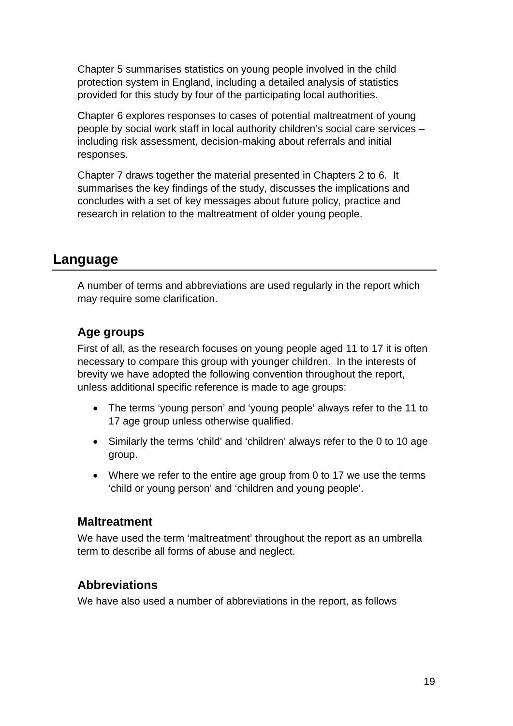Chapter 5 summarises statistics on young people involved in the child protection system in England, including a detailed analysis of statistics provided for this study by four of the participating local authorities.

Chapter 6 explores responses to cases of potential maltreatment of young people by social work staff in local authority children's social care services – including risk assessment, decision-making about referrals and initial responses.

Chapter 7 draws together the material presented in Chapters 2 to 6. It summarises the key findings of the study, discusses the implications and concludes with a set of key messages about future policy, practice and research in relation to the maltreatment of older young people.

#### **Language**

A number of terms and abbreviations are used regularly in the report which may require some clarification.

#### **Age groups**

First of all, as the research focuses on young people aged 11 to 17 it is often necessary to compare this group with younger children. In the interests of brevity we have adopted the following convention throughout the report, unless additional specific reference is made to age groups:

- The terms 'young person' and 'young people' always refer to the 11 to 17 age group unless otherwise qualified.
- Similarly the terms 'child' and 'children' always refer to the 0 to 10 age group.
- Where we refer to the entire age group from 0 to 17 we use the terms 'child or young person' and 'children and young people'.

#### **Maltreatment**

We have used the term 'maltreatment' throughout the report as an umbrella term to describe all forms of abuse and neglect.

#### **Abbreviations**

We have also used a number of abbreviations in the report, as follows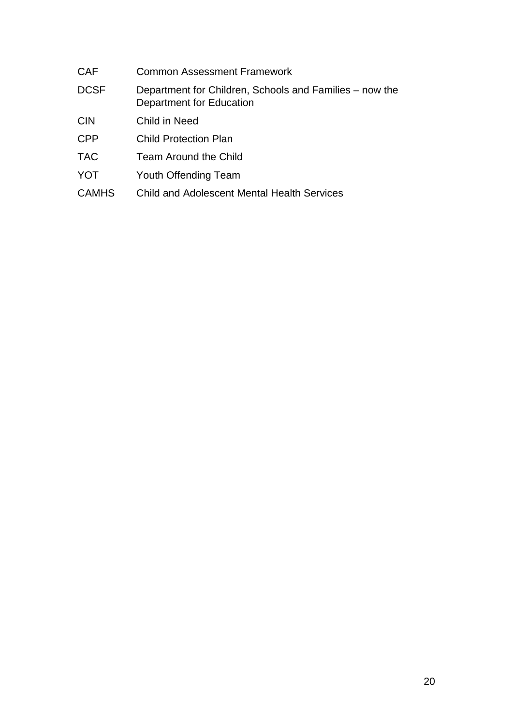| <b>CAF</b>   | <b>Common Assessment Framework</b>                                                  |
|--------------|-------------------------------------------------------------------------------------|
| <b>DCSF</b>  | Department for Children, Schools and Families – now the<br>Department for Education |
| <b>CIN</b>   | Child in Need                                                                       |
| <b>CPP</b>   | <b>Child Protection Plan</b>                                                        |
| <b>TAC</b>   | Team Around the Child                                                               |
| <b>YOT</b>   | <b>Youth Offending Team</b>                                                         |
| <b>CAMHS</b> | <b>Child and Adolescent Mental Health Services</b>                                  |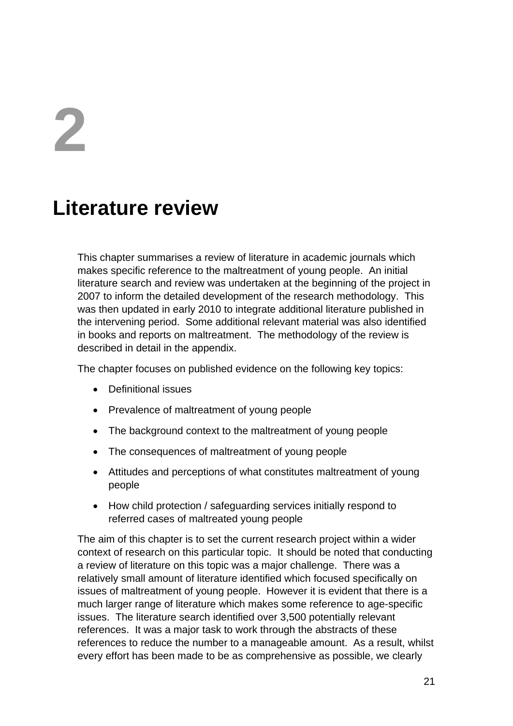# **2**

# **Literature review**

This chapter summarises a review of literature in academic journals which makes specific reference to the maltreatment of young people. An initial literature search and review was undertaken at the beginning of the project in 2007 to inform the detailed development of the research methodology. This was then updated in early 2010 to integrate additional literature published in the intervening period. Some additional relevant material was also identified in books and reports on maltreatment. The methodology of the review is described in detail in the appendix.

The chapter focuses on published evidence on the following key topics:

- Definitional issues
- Prevalence of maltreatment of young people
- The background context to the maltreatment of young people
- The consequences of maltreatment of young people
- Attitudes and perceptions of what constitutes maltreatment of young people
- How child protection / safeguarding services initially respond to referred cases of maltreated young people

The aim of this chapter is to set the current research project within a wider context of research on this particular topic. It should be noted that conducting a review of literature on this topic was a major challenge. There was a relatively small amount of literature identified which focused specifically on issues of maltreatment of young people. However it is evident that there is a much larger range of literature which makes some reference to age-specific issues. The literature search identified over 3,500 potentially relevant references. It was a major task to work through the abstracts of these references to reduce the number to a manageable amount. As a result, whilst every effort has been made to be as comprehensive as possible, we clearly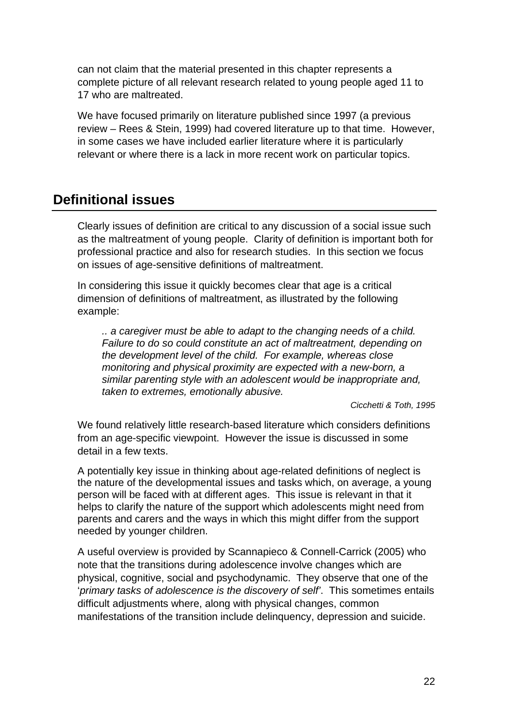can not claim that the material presented in this chapter represents a complete picture of all relevant research related to young people aged 11 to 17 who are maltreated.

We have focused primarily on literature published since 1997 (a previous review – Rees & Stein, 1999) had covered literature up to that time. However, in some cases we have included earlier literature where it is particularly relevant or where there is a lack in more recent work on particular topics.

### **Definitional issues**

Clearly issues of definition are critical to any discussion of a social issue such as the maltreatment of young people. Clarity of definition is important both for professional practice and also for research studies. In this section we focus on issues of age-sensitive definitions of maltreatment.

In considering this issue it quickly becomes clear that age is a critical dimension of definitions of maltreatment, as illustrated by the following example:

*.. a caregiver must be able to adapt to the changing needs of a child. Failure to do so could constitute an act of maltreatment, depending on the development level of the child. For example, whereas close monitoring and physical proximity are expected with a new-born, a similar parenting style with an adolescent would be inappropriate and, taken to extremes, emotionally abusive.* 

*Cicchetti & Toth, 1995* 

We found relatively little research-based literature which considers definitions from an age-specific viewpoint. However the issue is discussed in some detail in a few texts.

A potentially key issue in thinking about age-related definitions of neglect is the nature of the developmental issues and tasks which, on average, a young person will be faced with at different ages. This issue is relevant in that it helps to clarify the nature of the support which adolescents might need from parents and carers and the ways in which this might differ from the support needed by younger children.

A useful overview is provided by Scannapieco & Connell-Carrick (2005) who note that the transitions during adolescence involve changes which are physical, cognitive, social and psychodynamic. They observe that one of the '*primary tasks of adolescence is the discovery of self'*. This sometimes entails difficult adjustments where, along with physical changes, common manifestations of the transition include delinquency, depression and suicide.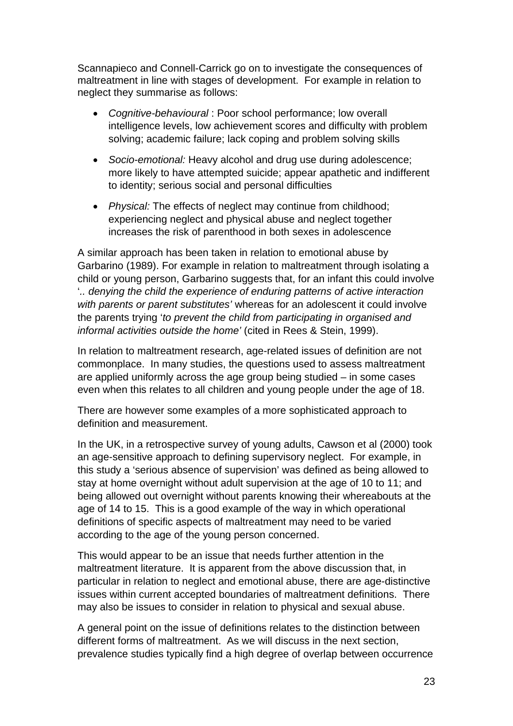Scannapieco and Connell-Carrick go on to investigate the consequences of maltreatment in line with stages of development. For example in relation to neglect they summarise as follows:

- *Cognitive-behavioural* : Poor school performance; low overall intelligence levels, low achievement scores and difficulty with problem solving; academic failure; lack coping and problem solving skills
- *Socio-emotional:* Heavy alcohol and drug use during adolescence; more likely to have attempted suicide; appear apathetic and indifferent to identity; serious social and personal difficulties
- *Physical:* The effects of neglect may continue from childhood; experiencing neglect and physical abuse and neglect together increases the risk of parenthood in both sexes in adolescence

A similar approach has been taken in relation to emotional abuse by Garbarino (1989). For example in relation to maltreatment through isolating a child or young person, Garbarino suggests that, for an infant this could involve '*.. denying the child the experience of enduring patterns of active interaction with parents or parent substitutes'* whereas for an adolescent it could involve the parents trying '*to prevent the child from participating in organised and informal activities outside the home'* (cited in Rees & Stein, 1999).

In relation to maltreatment research, age-related issues of definition are not commonplace. In many studies, the questions used to assess maltreatment are applied uniformly across the age group being studied – in some cases even when this relates to all children and young people under the age of 18.

There are however some examples of a more sophisticated approach to definition and measurement.

In the UK, in a retrospective survey of young adults, Cawson et al (2000) took an age-sensitive approach to defining supervisory neglect. For example, in this study a 'serious absence of supervision' was defined as being allowed to stay at home overnight without adult supervision at the age of 10 to 11; and being allowed out overnight without parents knowing their whereabouts at the age of 14 to 15. This is a good example of the way in which operational definitions of specific aspects of maltreatment may need to be varied according to the age of the young person concerned.

This would appear to be an issue that needs further attention in the maltreatment literature. It is apparent from the above discussion that, in particular in relation to neglect and emotional abuse, there are age-distinctive issues within current accepted boundaries of maltreatment definitions. There may also be issues to consider in relation to physical and sexual abuse.

A general point on the issue of definitions relates to the distinction between different forms of maltreatment. As we will discuss in the next section, prevalence studies typically find a high degree of overlap between occurrence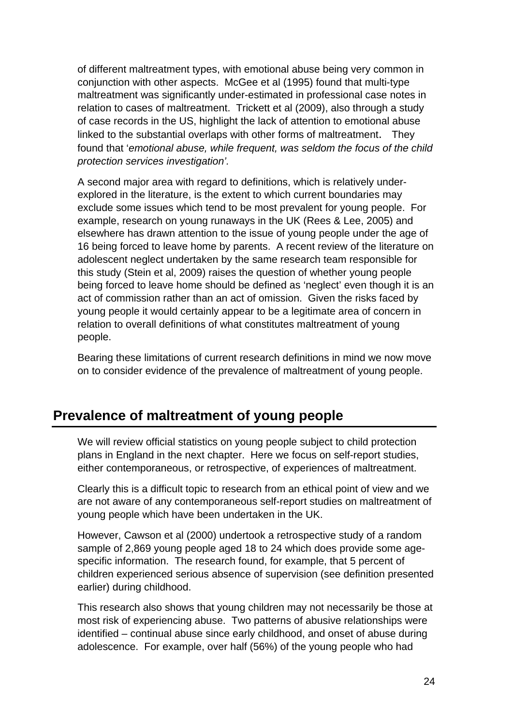of different maltreatment types, with emotional abuse being very common in conjunction with other aspects. McGee et al (1995) found that multi-type maltreatment was significantly under-estimated in professional case notes in relation to cases of maltreatment. Trickett et al (2009), also through a study of case records in the US, highlight the lack of attention to emotional abuse linked to the substantial overlaps with other forms of maltreatment. They found that '*emotional abuse, while frequent, was seldom the focus of the child protection services investigation'.* 

A second major area with regard to definitions, which is relatively underexplored in the literature, is the extent to which current boundaries may exclude some issues which tend to be most prevalent for young people. For example, research on young runaways in the UK (Rees & Lee, 2005) and elsewhere has drawn attention to the issue of young people under the age of 16 being forced to leave home by parents. A recent review of the literature on adolescent neglect undertaken by the same research team responsible for this study (Stein et al, 2009) raises the question of whether young people being forced to leave home should be defined as 'neglect' even though it is an act of commission rather than an act of omission. Given the risks faced by young people it would certainly appear to be a legitimate area of concern in relation to overall definitions of what constitutes maltreatment of young people.

Bearing these limitations of current research definitions in mind we now move on to consider evidence of the prevalence of maltreatment of young people.

# **Prevalence of maltreatment of young people**

We will review official statistics on young people subject to child protection plans in England in the next chapter. Here we focus on self-report studies, either contemporaneous, or retrospective, of experiences of maltreatment.

Clearly this is a difficult topic to research from an ethical point of view and we are not aware of any contemporaneous self-report studies on maltreatment of young people which have been undertaken in the UK.

However, Cawson et al (2000) undertook a retrospective study of a random sample of 2,869 young people aged 18 to 24 which does provide some agespecific information. The research found, for example, that 5 percent of children experienced serious absence of supervision (see definition presented earlier) during childhood.

This research also shows that young children may not necessarily be those at most risk of experiencing abuse. Two patterns of abusive relationships were identified – continual abuse since early childhood, and onset of abuse during adolescence. For example, over half (56%) of the young people who had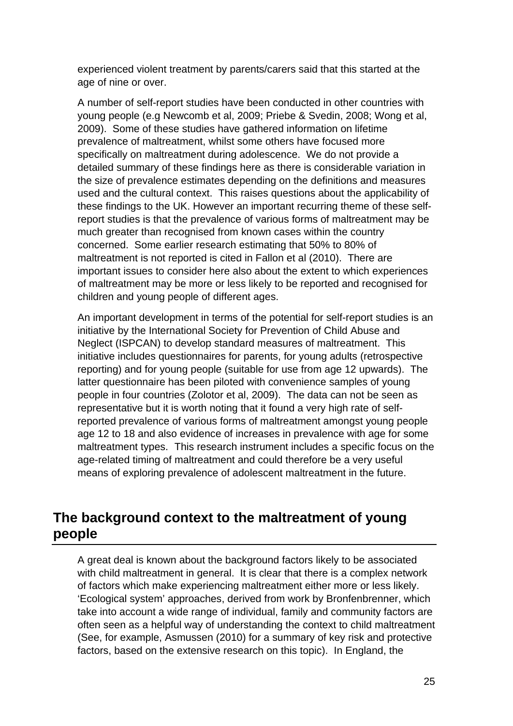experienced violent treatment by parents/carers said that this started at the age of nine or over.

A number of self-report studies have been conducted in other countries with young people (e.g Newcomb et al, 2009; Priebe & Svedin, 2008; Wong et al, 2009). Some of these studies have gathered information on lifetime prevalence of maltreatment, whilst some others have focused more specifically on maltreatment during adolescence. We do not provide a detailed summary of these findings here as there is considerable variation in the size of prevalence estimates depending on the definitions and measures used and the cultural context. This raises questions about the applicability of these findings to the UK. However an important recurring theme of these selfreport studies is that the prevalence of various forms of maltreatment may be much greater than recognised from known cases within the country concerned. Some earlier research estimating that 50% to 80% of maltreatment is not reported is cited in Fallon et al (2010). There are important issues to consider here also about the extent to which experiences of maltreatment may be more or less likely to be reported and recognised for children and young people of different ages.

An important development in terms of the potential for self-report studies is an initiative by the International Society for Prevention of Child Abuse and Neglect (ISPCAN) to develop standard measures of maltreatment. This initiative includes questionnaires for parents, for young adults (retrospective reporting) and for young people (suitable for use from age 12 upwards). The latter questionnaire has been piloted with convenience samples of young people in four countries (Zolotor et al, 2009). The data can not be seen as representative but it is worth noting that it found a very high rate of selfreported prevalence of various forms of maltreatment amongst young people age 12 to 18 and also evidence of increases in prevalence with age for some maltreatment types. This research instrument includes a specific focus on the age-related timing of maltreatment and could therefore be a very useful means of exploring prevalence of adolescent maltreatment in the future.

# **The background context to the maltreatment of young people**

A great deal is known about the background factors likely to be associated with child maltreatment in general. It is clear that there is a complex network of factors which make experiencing maltreatment either more or less likely. 'Ecological system' approaches, derived from work by Bronfenbrenner, which take into account a wide range of individual, family and community factors are often seen as a helpful way of understanding the context to child maltreatment (See, for example, Asmussen (2010) for a summary of key risk and protective factors, based on the extensive research on this topic). In England, the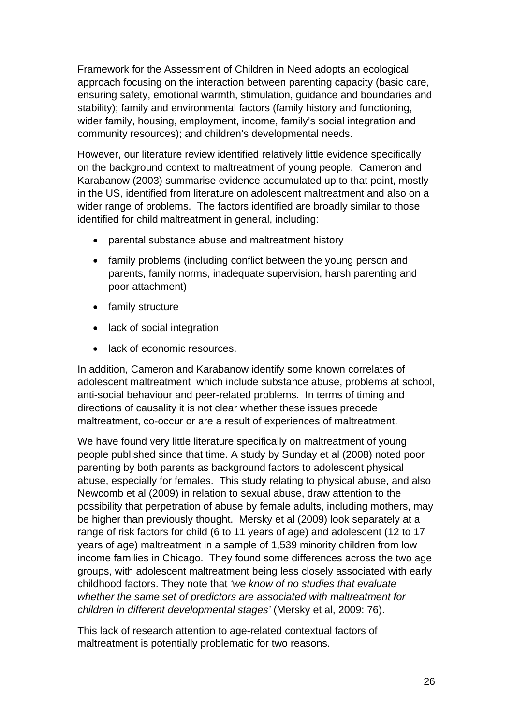Framework for the Assessment of Children in Need adopts an ecological approach focusing on the interaction between parenting capacity (basic care, ensuring safety, emotional warmth, stimulation, guidance and boundaries and stability); family and environmental factors (family history and functioning, wider family, housing, employment, income, family's social integration and community resources); and children's developmental needs.

However, our literature review identified relatively little evidence specifically on the background context to maltreatment of young people. Cameron and Karabanow (2003) summarise evidence accumulated up to that point, mostly in the US, identified from literature on adolescent maltreatment and also on a wider range of problems. The factors identified are broadly similar to those identified for child maltreatment in general, including:

- parental substance abuse and maltreatment history
- family problems (including conflict between the young person and parents, family norms, inadequate supervision, harsh parenting and poor attachment)
- family structure
- lack of social integration
- lack of economic resources.

In addition, Cameron and Karabanow identify some known correlates of adolescent maltreatment which include substance abuse, problems at school, anti-social behaviour and peer-related problems. In terms of timing and directions of causality it is not clear whether these issues precede maltreatment, co-occur or are a result of experiences of maltreatment.

We have found very little literature specifically on maltreatment of young people published since that time. A study by Sunday et al (2008) noted poor parenting by both parents as background factors to adolescent physical abuse, especially for females. This study relating to physical abuse, and also Newcomb et al (2009) in relation to sexual abuse, draw attention to the possibility that perpetration of abuse by female adults, including mothers, may be higher than previously thought. Mersky et al (2009) look separately at a range of risk factors for child (6 to 11 years of age) and adolescent (12 to 17 years of age) maltreatment in a sample of 1,539 minority children from low income families in Chicago. They found some differences across the two age groups, with adolescent maltreatment being less closely associated with early childhood factors. They note that *'we know of no studies that evaluate whether the same set of predictors are associated with maltreatment for children in different developmental stages'* (Mersky et al, 2009: 76).

This lack of research attention to age-related contextual factors of maltreatment is potentially problematic for two reasons.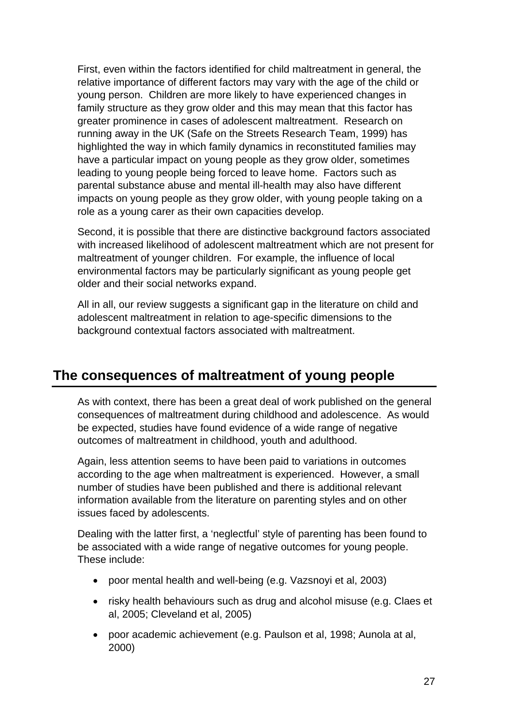First, even within the factors identified for child maltreatment in general, the relative importance of different factors may vary with the age of the child or young person. Children are more likely to have experienced changes in family structure as they grow older and this may mean that this factor has greater prominence in cases of adolescent maltreatment. Research on running away in the UK (Safe on the Streets Research Team, 1999) has highlighted the way in which family dynamics in reconstituted families may have a particular impact on young people as they grow older, sometimes leading to young people being forced to leave home. Factors such as parental substance abuse and mental ill-health may also have different impacts on young people as they grow older, with young people taking on a role as a young carer as their own capacities develop.

Second, it is possible that there are distinctive background factors associated with increased likelihood of adolescent maltreatment which are not present for maltreatment of younger children. For example, the influence of local environmental factors may be particularly significant as young people get older and their social networks expand.

All in all, our review suggests a significant gap in the literature on child and adolescent maltreatment in relation to age-specific dimensions to the background contextual factors associated with maltreatment.

# **The consequences of maltreatment of young people**

As with context, there has been a great deal of work published on the general consequences of maltreatment during childhood and adolescence. As would be expected, studies have found evidence of a wide range of negative outcomes of maltreatment in childhood, youth and adulthood.

Again, less attention seems to have been paid to variations in outcomes according to the age when maltreatment is experienced. However, a small number of studies have been published and there is additional relevant information available from the literature on parenting styles and on other issues faced by adolescents.

Dealing with the latter first, a 'neglectful' style of parenting has been found to be associated with a wide range of negative outcomes for young people. These include:

- poor mental health and well-being (e.g. Vazsnoyi et al, 2003)
- risky health behaviours such as drug and alcohol misuse (e.g. Claes et al, 2005; Cleveland et al, 2005)
- poor academic achievement (e.g. Paulson et al, 1998; Aunola at al, 2000)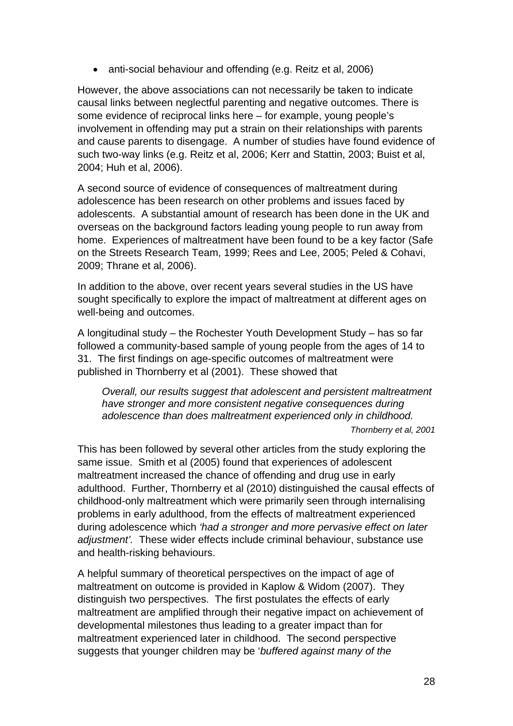• anti-social behaviour and offending (e.g. Reitz et al, 2006)

However, the above associations can not necessarily be taken to indicate causal links between neglectful parenting and negative outcomes. There is some evidence of reciprocal links here – for example, young people's involvement in offending may put a strain on their relationships with parents and cause parents to disengage. A number of studies have found evidence of such two-way links (e.g. Reitz et al, 2006; Kerr and Stattin, 2003; Buist et al, 2004; Huh et al, 2006).

A second source of evidence of consequences of maltreatment during adolescence has been research on other problems and issues faced by adolescents. A substantial amount of research has been done in the UK and overseas on the background factors leading young people to run away from home. Experiences of maltreatment have been found to be a key factor (Safe on the Streets Research Team, 1999; Rees and Lee, 2005; Peled & Cohavi, 2009; Thrane et al, 2006).

In addition to the above, over recent years several studies in the US have sought specifically to explore the impact of maltreatment at different ages on well-being and outcomes.

A longitudinal study – the Rochester Youth Development Study – has so far followed a community-based sample of young people from the ages of 14 to 31. The first findings on age-specific outcomes of maltreatment were published in Thornberry et al (2001). These showed that

*Overall, our results suggest that adolescent and persistent maltreatment have stronger and more consistent negative consequences during adolescence than does maltreatment experienced only in childhood. Thornberry et al, 2001* 

This has been followed by several other articles from the study exploring the same issue. Smith et al (2005) found that experiences of adolescent maltreatment increased the chance of offending and drug use in early adulthood. Further, Thornberry et al (2010) distinguished the causal effects of childhood-only maltreatment which were primarily seen through internalising problems in early adulthood, from the effects of maltreatment experienced during adolescence which *'had a stronger and more pervasive effect on later adjustment'.* These wider effects include criminal behaviour, substance use and health-risking behaviours.

A helpful summary of theoretical perspectives on the impact of age of maltreatment on outcome is provided in Kaplow & Widom (2007). They distinguish two perspectives. The first postulates the effects of early maltreatment are amplified through their negative impact on achievement of developmental milestones thus leading to a greater impact than for maltreatment experienced later in childhood. The second perspective suggests that younger children may be '*buffered against many of the*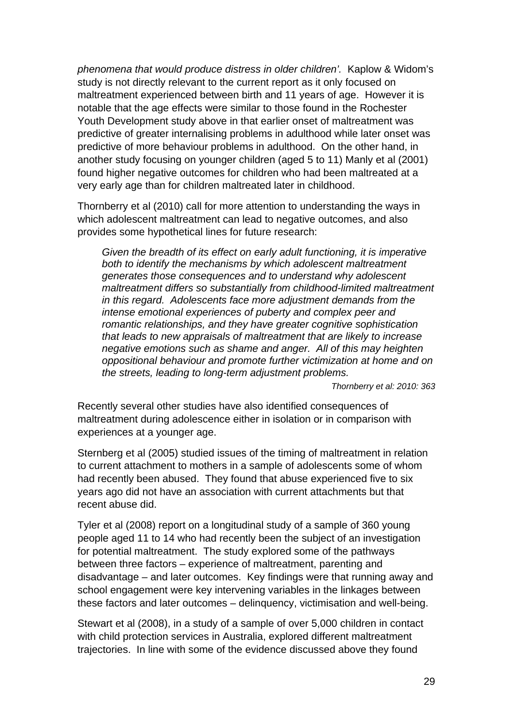*phenomena that would produce distress in older children'.* Kaplow & Widom's study is not directly relevant to the current report as it only focused on maltreatment experienced between birth and 11 years of age. However it is notable that the age effects were similar to those found in the Rochester Youth Development study above in that earlier onset of maltreatment was predictive of greater internalising problems in adulthood while later onset was predictive of more behaviour problems in adulthood. On the other hand, in another study focusing on younger children (aged 5 to 11) Manly et al (2001) found higher negative outcomes for children who had been maltreated at a very early age than for children maltreated later in childhood.

Thornberry et al (2010) call for more attention to understanding the ways in which adolescent maltreatment can lead to negative outcomes, and also provides some hypothetical lines for future research:

*Given the breadth of its effect on early adult functioning, it is imperative both to identify the mechanisms by which adolescent maltreatment generates those consequences and to understand why adolescent maltreatment differs so substantially from childhood-limited maltreatment in this regard. Adolescents face more adjustment demands from the intense emotional experiences of puberty and complex peer and romantic relationships, and they have greater cognitive sophistication that leads to new appraisals of maltreatment that are likely to increase negative emotions such as shame and anger. All of this may heighten oppositional behaviour and promote further victimization at home and on the streets, leading to long-term adjustment problems.* 

*Thornberry et al: 2010: 363* 

Recently several other studies have also identified consequences of maltreatment during adolescence either in isolation or in comparison with experiences at a younger age.

Sternberg et al (2005) studied issues of the timing of maltreatment in relation to current attachment to mothers in a sample of adolescents some of whom had recently been abused. They found that abuse experienced five to six years ago did not have an association with current attachments but that recent abuse did.

Tyler et al (2008) report on a longitudinal study of a sample of 360 young people aged 11 to 14 who had recently been the subject of an investigation for potential maltreatment. The study explored some of the pathways between three factors – experience of maltreatment, parenting and disadvantage – and later outcomes. Key findings were that running away and school engagement were key intervening variables in the linkages between these factors and later outcomes – delinquency, victimisation and well-being.

Stewart et al (2008), in a study of a sample of over 5,000 children in contact with child protection services in Australia, explored different maltreatment trajectories. In line with some of the evidence discussed above they found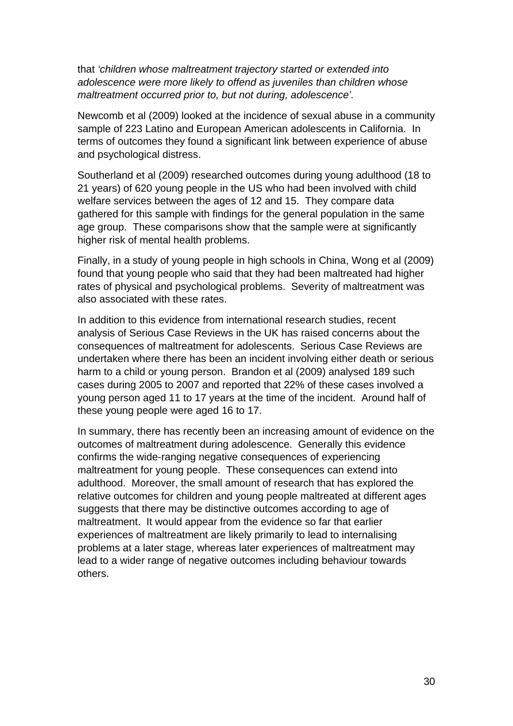that *'children whose maltreatment trajectory started or extended into adolescence were more likely to offend as juveniles than children whose maltreatment occurred prior to, but not during, adolescence'.* 

Newcomb et al (2009) looked at the incidence of sexual abuse in a community sample of 223 Latino and European American adolescents in California. In terms of outcomes they found a significant link between experience of abuse and psychological distress.

Southerland et al (2009) researched outcomes during young adulthood (18 to 21 years) of 620 young people in the US who had been involved with child welfare services between the ages of 12 and 15. They compare data gathered for this sample with findings for the general population in the same age group. These comparisons show that the sample were at significantly higher risk of mental health problems.

Finally, in a study of young people in high schools in China, Wong et al (2009) found that young people who said that they had been maltreated had higher rates of physical and psychological problems. Severity of maltreatment was also associated with these rates.

In addition to this evidence from international research studies, recent analysis of Serious Case Reviews in the UK has raised concerns about the consequences of maltreatment for adolescents. Serious Case Reviews are undertaken where there has been an incident involving either death or serious harm to a child or young person. Brandon et al (2009) analysed 189 such cases during 2005 to 2007 and reported that 22% of these cases involved a young person aged 11 to 17 years at the time of the incident. Around half of these young people were aged 16 to 17.

In summary, there has recently been an increasing amount of evidence on the outcomes of maltreatment during adolescence. Generally this evidence confirms the wide-ranging negative consequences of experiencing maltreatment for young people. These consequences can extend into adulthood. Moreover, the small amount of research that has explored the relative outcomes for children and young people maltreated at different ages suggests that there may be distinctive outcomes according to age of maltreatment. It would appear from the evidence so far that earlier experiences of maltreatment are likely primarily to lead to internalising problems at a later stage, whereas later experiences of maltreatment may lead to a wider range of negative outcomes including behaviour towards others.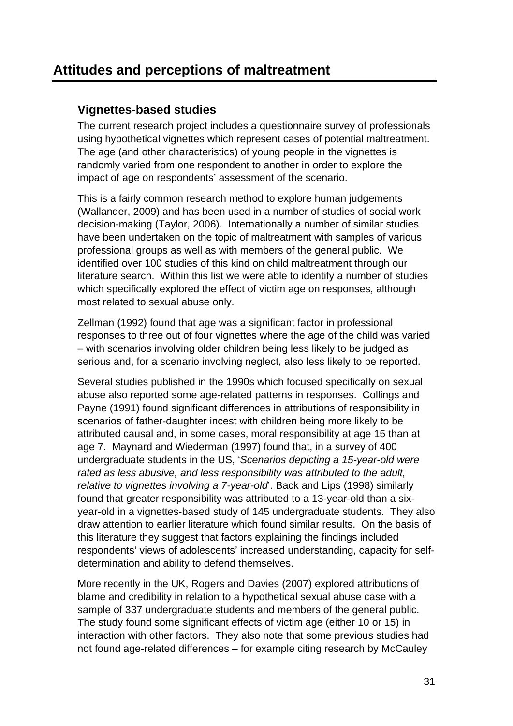# **Attitudes and perceptions of maltreatment**

#### **Vignettes-based studies**

The current research project includes a questionnaire survey of professionals using hypothetical vignettes which represent cases of potential maltreatment. The age (and other characteristics) of young people in the vignettes is randomly varied from one respondent to another in order to explore the impact of age on respondents' assessment of the scenario.

This is a fairly common research method to explore human judgements (Wallander, 2009) and has been used in a number of studies of social work decision-making (Taylor, 2006). Internationally a number of similar studies have been undertaken on the topic of maltreatment with samples of various professional groups as well as with members of the general public. We identified over 100 studies of this kind on child maltreatment through our literature search. Within this list we were able to identify a number of studies which specifically explored the effect of victim age on responses, although most related to sexual abuse only.

Zellman (1992) found that age was a significant factor in professional responses to three out of four vignettes where the age of the child was varied – with scenarios involving older children being less likely to be judged as serious and, for a scenario involving neglect, also less likely to be reported.

Several studies published in the 1990s which focused specifically on sexual abuse also reported some age-related patterns in responses. Collings and Payne (1991) found significant differences in attributions of responsibility in scenarios of father-daughter incest with children being more likely to be attributed causal and, in some cases, moral responsibility at age 15 than at age 7. Maynard and Wiederman (1997) found that, in a survey of 400 undergraduate students in the US, '*Scenarios depicting a 15-year-old were rated as less abusive, and less responsibility was attributed to the adult, relative to vignettes involving a 7-year-old*'. Back and Lips (1998) similarly found that greater responsibility was attributed to a 13-year-old than a sixyear-old in a vignettes-based study of 145 undergraduate students. They also draw attention to earlier literature which found similar results. On the basis of this literature they suggest that factors explaining the findings included respondents' views of adolescents' increased understanding, capacity for selfdetermination and ability to defend themselves.

More recently in the UK, Rogers and Davies (2007) explored attributions of blame and credibility in relation to a hypothetical sexual abuse case with a sample of 337 undergraduate students and members of the general public. The study found some significant effects of victim age (either 10 or 15) in interaction with other factors. They also note that some previous studies had not found age-related differences – for example citing research by McCauley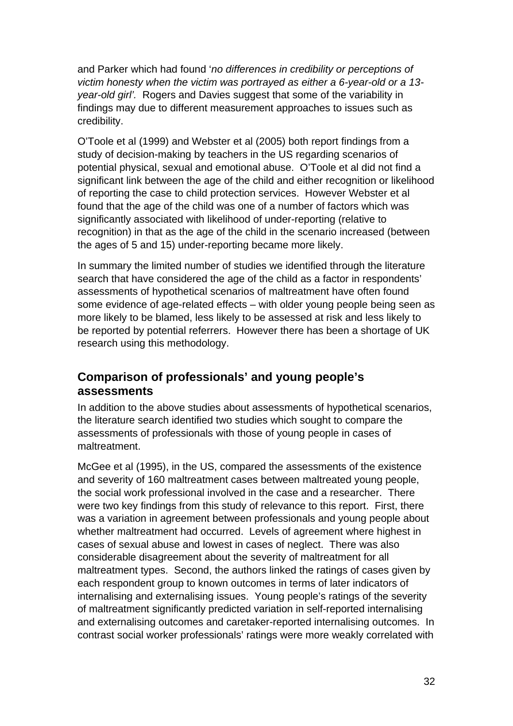and Parker which had found '*no differences in credibility or perceptions of victim honesty when the victim was portrayed as either a 6-year-old or a 13 year-old girl'.* Rogers and Davies suggest that some of the variability in findings may due to different measurement approaches to issues such as credibility.

O'Toole et al (1999) and Webster et al (2005) both report findings from a study of decision-making by teachers in the US regarding scenarios of potential physical, sexual and emotional abuse. O'Toole et al did not find a significant link between the age of the child and either recognition or likelihood of reporting the case to child protection services. However Webster et al found that the age of the child was one of a number of factors which was significantly associated with likelihood of under-reporting (relative to recognition) in that as the age of the child in the scenario increased (between the ages of 5 and 15) under-reporting became more likely.

In summary the limited number of studies we identified through the literature search that have considered the age of the child as a factor in respondents' assessments of hypothetical scenarios of maltreatment have often found some evidence of age-related effects – with older young people being seen as more likely to be blamed, less likely to be assessed at risk and less likely to be reported by potential referrers. However there has been a shortage of UK research using this methodology.

#### **Comparison of professionals' and young people's assessments**

In addition to the above studies about assessments of hypothetical scenarios, the literature search identified two studies which sought to compare the assessments of professionals with those of young people in cases of maltreatment.

McGee et al (1995), in the US, compared the assessments of the existence and severity of 160 maltreatment cases between maltreated young people, the social work professional involved in the case and a researcher. There were two key findings from this study of relevance to this report. First, there was a variation in agreement between professionals and young people about whether maltreatment had occurred. Levels of agreement where highest in cases of sexual abuse and lowest in cases of neglect. There was also considerable disagreement about the severity of maltreatment for all maltreatment types. Second, the authors linked the ratings of cases given by each respondent group to known outcomes in terms of later indicators of internalising and externalising issues. Young people's ratings of the severity of maltreatment significantly predicted variation in self-reported internalising and externalising outcomes and caretaker-reported internalising outcomes. In contrast social worker professionals' ratings were more weakly correlated with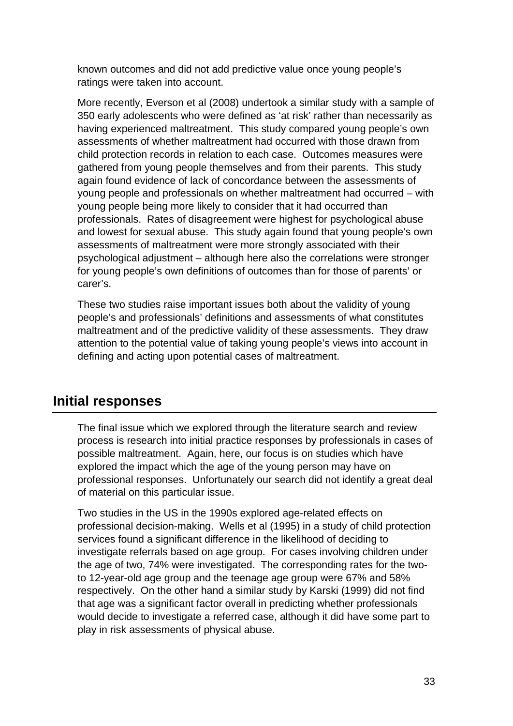known outcomes and did not add predictive value once young people's ratings were taken into account.

More recently, Everson et al (2008) undertook a similar study with a sample of 350 early adolescents who were defined as 'at risk' rather than necessarily as having experienced maltreatment. This study compared young people's own assessments of whether maltreatment had occurred with those drawn from child protection records in relation to each case. Outcomes measures were gathered from young people themselves and from their parents. This study again found evidence of lack of concordance between the assessments of young people and professionals on whether maltreatment had occurred – with young people being more likely to consider that it had occurred than professionals. Rates of disagreement were highest for psychological abuse and lowest for sexual abuse. This study again found that young people's own assessments of maltreatment were more strongly associated with their psychological adjustment – although here also the correlations were stronger for young people's own definitions of outcomes than for those of parents' or carer's.

These two studies raise important issues both about the validity of young people's and professionals' definitions and assessments of what constitutes maltreatment and of the predictive validity of these assessments. They draw attention to the potential value of taking young people's views into account in defining and acting upon potential cases of maltreatment.

# **Initial responses**

The final issue which we explored through the literature search and review process is research into initial practice responses by professionals in cases of possible maltreatment. Again, here, our focus is on studies which have explored the impact which the age of the young person may have on professional responses. Unfortunately our search did not identify a great deal of material on this particular issue.

Two studies in the US in the 1990s explored age-related effects on professional decision-making. Wells et al (1995) in a study of child protection services found a significant difference in the likelihood of deciding to investigate referrals based on age group. For cases involving children under the age of two, 74% were investigated. The corresponding rates for the twoto 12-year-old age group and the teenage age group were 67% and 58% respectively. On the other hand a similar study by Karski (1999) did not find that age was a significant factor overall in predicting whether professionals would decide to investigate a referred case, although it did have some part to play in risk assessments of physical abuse.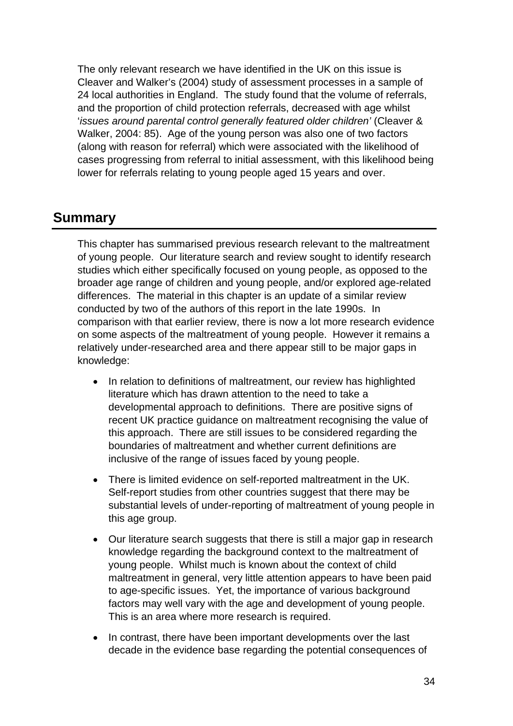The only relevant research we have identified in the UK on this issue is Cleaver and Walker's (2004) study of assessment processes in a sample of 24 local authorities in England. The study found that the volume of referrals, and the proportion of child protection referrals, decreased with age whilst '*issues around parental control generally featured older children'* (Cleaver & Walker, 2004: 85). Age of the young person was also one of two factors (along with reason for referral) which were associated with the likelihood of cases progressing from referral to initial assessment, with this likelihood being lower for referrals relating to young people aged 15 years and over.

#### **Summary**

This chapter has summarised previous research relevant to the maltreatment of young people. Our literature search and review sought to identify research studies which either specifically focused on young people, as opposed to the broader age range of children and young people, and/or explored age-related differences. The material in this chapter is an update of a similar review conducted by two of the authors of this report in the late 1990s. In comparison with that earlier review, there is now a lot more research evidence on some aspects of the maltreatment of young people. However it remains a relatively under-researched area and there appear still to be major gaps in knowledge:

- In relation to definitions of maltreatment, our review has highlighted literature which has drawn attention to the need to take a developmental approach to definitions. There are positive signs of recent UK practice guidance on maltreatment recognising the value of this approach. There are still issues to be considered regarding the boundaries of maltreatment and whether current definitions are inclusive of the range of issues faced by young people.
- There is limited evidence on self-reported maltreatment in the UK. Self-report studies from other countries suggest that there may be substantial levels of under-reporting of maltreatment of young people in this age group.
- Our literature search suggests that there is still a major gap in research knowledge regarding the background context to the maltreatment of young people. Whilst much is known about the context of child maltreatment in general, very little attention appears to have been paid to age-specific issues. Yet, the importance of various background factors may well vary with the age and development of young people. This is an area where more research is required.
- In contrast, there have been important developments over the last decade in the evidence base regarding the potential consequences of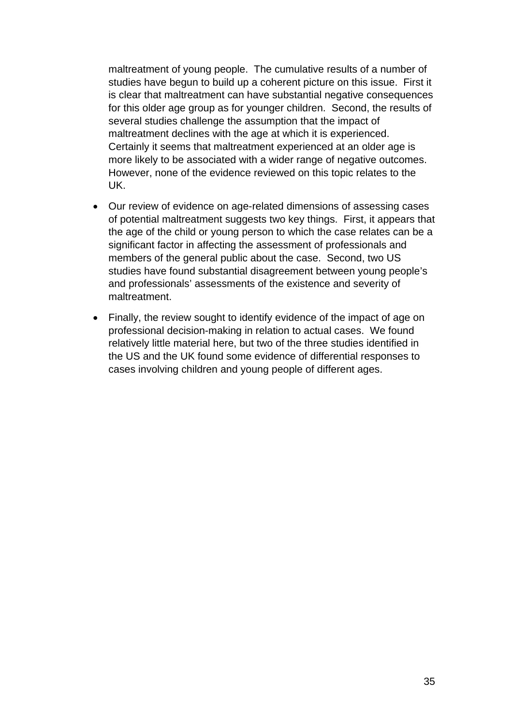maltreatment of young people. The cumulative results of a number of studies have begun to build up a coherent picture on this issue. First it is clear that maltreatment can have substantial negative consequences for this older age group as for younger children. Second, the results of several studies challenge the assumption that the impact of maltreatment declines with the age at which it is experienced. Certainly it seems that maltreatment experienced at an older age is more likely to be associated with a wider range of negative outcomes. However, none of the evidence reviewed on this topic relates to the UK.

- Our review of evidence on age-related dimensions of assessing cases of potential maltreatment suggests two key things. First, it appears that the age of the child or young person to which the case relates can be a significant factor in affecting the assessment of professionals and members of the general public about the case. Second, two US studies have found substantial disagreement between young people's and professionals' assessments of the existence and severity of maltreatment.
- Finally, the review sought to identify evidence of the impact of age on professional decision-making in relation to actual cases. We found relatively little material here, but two of the three studies identified in the US and the UK found some evidence of differential responses to cases involving children and young people of different ages.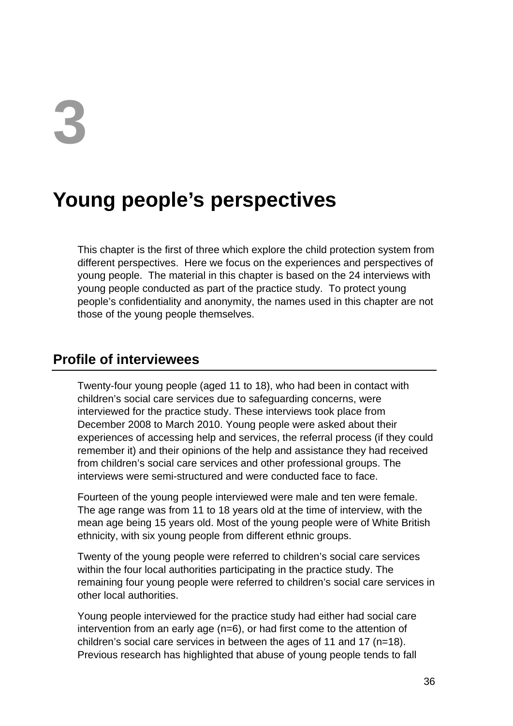# **3**

# **Young people's perspectives**

This chapter is the first of three which explore the child protection system from different perspectives. Here we focus on the experiences and perspectives of young people. The material in this chapter is based on the 24 interviews with young people conducted as part of the practice study. To protect young people's confidentiality and anonymity, the names used in this chapter are not those of the young people themselves.

# **Profile of interviewees**

Twenty-four young people (aged 11 to 18), who had been in contact with children's social care services due to safeguarding concerns, were interviewed for the practice study. These interviews took place from December 2008 to March 2010. Young people were asked about their experiences of accessing help and services, the referral process (if they could remember it) and their opinions of the help and assistance they had received from children's social care services and other professional groups. The interviews were semi-structured and were conducted face to face.

Fourteen of the young people interviewed were male and ten were female. The age range was from 11 to 18 years old at the time of interview, with the mean age being 15 years old. Most of the young people were of White British ethnicity, with six young people from different ethnic groups.

Twenty of the young people were referred to children's social care services within the four local authorities participating in the practice study. The remaining four young people were referred to children's social care services in other local authorities.

Young people interviewed for the practice study had either had social care intervention from an early age (n=6), or had first come to the attention of children's social care services in between the ages of 11 and 17 (n=18). Previous research has highlighted that abuse of young people tends to fall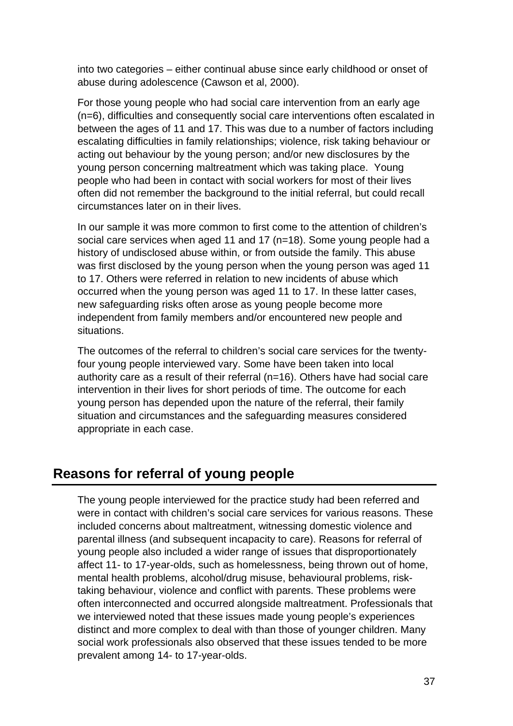into two categories – either continual abuse since early childhood or onset of abuse during adolescence (Cawson et al, 2000).

For those young people who had social care intervention from an early age (n=6), difficulties and consequently social care interventions often escalated in between the ages of 11 and 17. This was due to a number of factors including escalating difficulties in family relationships; violence, risk taking behaviour or acting out behaviour by the young person; and/or new disclosures by the young person concerning maltreatment which was taking place. Young people who had been in contact with social workers for most of their lives often did not remember the background to the initial referral, but could recall circumstances later on in their lives.

In our sample it was more common to first come to the attention of children's social care services when aged 11 and 17 (n=18). Some young people had a history of undisclosed abuse within, or from outside the family. This abuse was first disclosed by the young person when the young person was aged 11 to 17. Others were referred in relation to new incidents of abuse which occurred when the young person was aged 11 to 17. In these latter cases, new safeguarding risks often arose as young people become more independent from family members and/or encountered new people and situations.

The outcomes of the referral to children's social care services for the twentyfour young people interviewed vary. Some have been taken into local authority care as a result of their referral (n=16). Others have had social care intervention in their lives for short periods of time. The outcome for each young person has depended upon the nature of the referral, their family situation and circumstances and the safeguarding measures considered appropriate in each case.

# **Reasons for referral of young people**

The young people interviewed for the practice study had been referred and were in contact with children's social care services for various reasons. These included concerns about maltreatment, witnessing domestic violence and parental illness (and subsequent incapacity to care). Reasons for referral of young people also included a wider range of issues that disproportionately affect 11- to 17-year-olds, such as homelessness, being thrown out of home, mental health problems, alcohol/drug misuse, behavioural problems, risktaking behaviour, violence and conflict with parents. These problems were often interconnected and occurred alongside maltreatment. Professionals that we interviewed noted that these issues made young people's experiences distinct and more complex to deal with than those of younger children. Many social work professionals also observed that these issues tended to be more prevalent among 14- to 17-year-olds.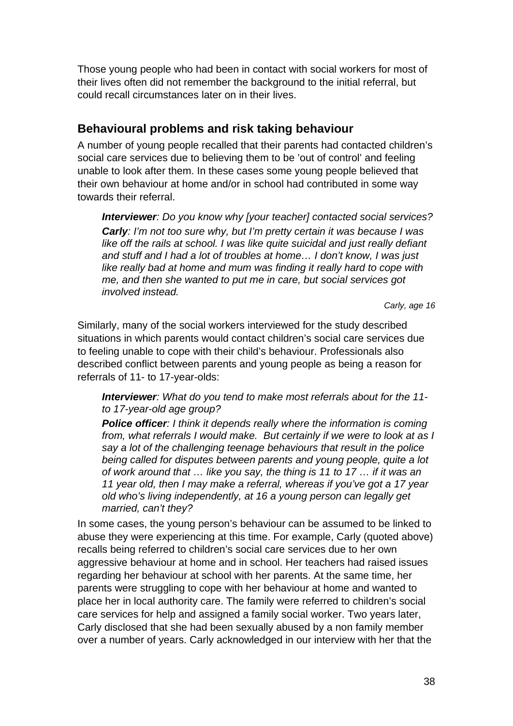Those young people who had been in contact with social workers for most of their lives often did not remember the background to the initial referral, but could recall circumstances later on in their lives.

# **Behavioural problems and risk taking behaviour**

A number of young people recalled that their parents had contacted children's social care services due to believing them to be 'out of control' and feeling unable to look after them. In these cases some young people believed that their own behaviour at home and/or in school had contributed in some way towards their referral.

*Interviewer: Do you know why [your teacher] contacted social services? Carly: I'm not too sure why, but I'm pretty certain it was because I was*  like off the rails at school. I was like quite suicidal and just really defiant *and stuff and I had a lot of troubles at home… I don't know, I was just like really bad at home and mum was finding it really hard to cope with me, and then she wanted to put me in care, but social services got involved instead.* 

*Carly, age 16* 

Similarly, many of the social workers interviewed for the study described situations in which parents would contact children's social care services due to feeling unable to cope with their child's behaviour. Professionals also described conflict between parents and young people as being a reason for referrals of 11- to 17-year-olds:

*Interviewer: What do you tend to make most referrals about for the 11 to 17-year-old age group?* 

*Police officer: I think it depends really where the information is coming from, what referrals I would make. But certainly if we were to look at as I say a lot of the challenging teenage behaviours that result in the police being called for disputes between parents and young people, quite a lot of work around that … like you say, the thing is 11 to 17 … if it was an 11 year old, then I may make a referral, whereas if you've got a 17 year old who's living independently, at 16 a young person can legally get married, can't they?* 

In some cases, the young person's behaviour can be assumed to be linked to abuse they were experiencing at this time. For example, Carly (quoted above) recalls being referred to children's social care services due to her own aggressive behaviour at home and in school. Her teachers had raised issues regarding her behaviour at school with her parents. At the same time, her parents were struggling to cope with her behaviour at home and wanted to place her in local authority care. The family were referred to children's social care services for help and assigned a family social worker. Two years later, Carly disclosed that she had been sexually abused by a non family member over a number of years. Carly acknowledged in our interview with her that the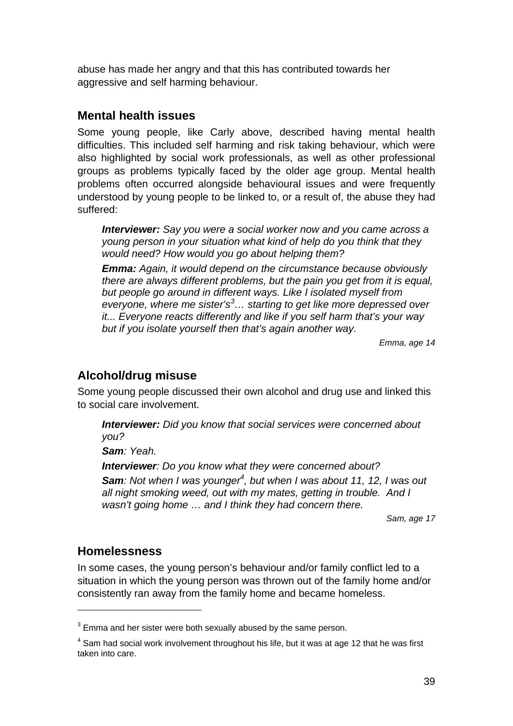abuse has made her angry and that this has contributed towards her aggressive and self harming behaviour.

### **Mental health issues**

Some young people, like Carly above, described having mental health difficulties. This included self harming and risk taking behaviour, which were also highlighted by social work professionals, as well as other professional groups as problems typically faced by the older age group. Mental health problems often occurred alongside behavioural issues and were frequently understood by young people to be linked to, or a result of, the abuse they had suffered:

*Interviewer: Say you were a social worker now and you came across a young person in your situation what kind of help do you think that they would need? How would you go about helping them?* 

*Emma: Again, it would depend on the circumstance because obviously there are always different problems, but the pain you get from it is equal, but people go around in different ways. Like I isolated myself from everyone, where me sister's<sup>3</sup> … starting to get like more depressed over it... Everyone reacts differently and like if you self harm that's your way but if you isolate yourself then that's again another way.* 

*Emma, age 14* 

# **Alcohol/drug misuse**

Some young people discussed their own alcohol and drug use and linked this to social care involvement.

*Interviewer: Did you know that social services were concerned about you?* 

*Sam: Yeah.* 

*Interviewer: Do you know what they were concerned about?*  Sam: Not when I was younger<sup>4</sup>, but when I was about 11, 12, I was out *all night smoking weed, out with my mates, getting in trouble. And I wasn't going home … and I think they had concern there.* 

*Sam, age 17* 

#### **Homelessness**

1

In some cases, the young person's behaviour and/or family conflict led to a situation in which the young person was thrown out of the family home and/or consistently ran away from the family home and became homeless.

 $3$  Emma and her sister were both sexually abused by the same person.

 $<sup>4</sup>$  Sam had social work involvement throughout his life, but it was at age 12 that he was first</sup> taken into care.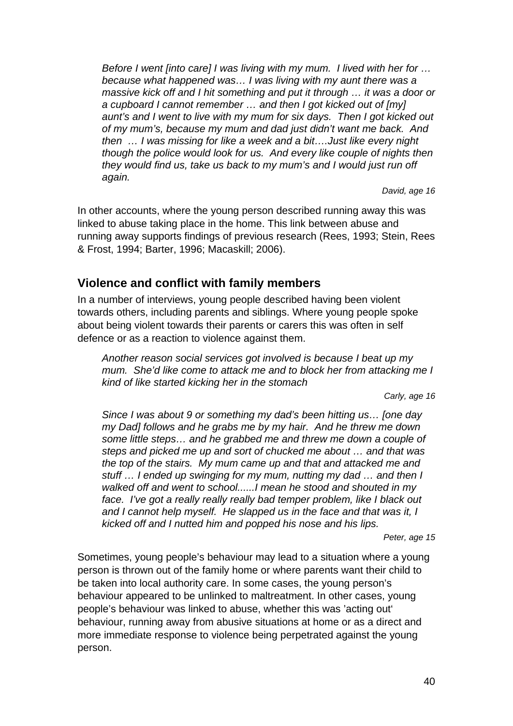*Before I went [into care] I was living with my mum. I lived with her for … because what happened was… I was living with my aunt there was a massive kick off and I hit something and put it through ... it was a door or a cupboard I cannot remember … and then I got kicked out of [my] aunt's and I went to live with my mum for six days. Then I got kicked out of my mum's, because my mum and dad just didn't want me back. And then … I was missing for like a week and a bit….Just like every night though the police would look for us. And every like couple of nights then they would find us, take us back to my mum's and I would just run off again.* 

*David, age 16* 

In other accounts, where the young person described running away this was linked to abuse taking place in the home. This link between abuse and running away supports findings of previous research (Rees, 1993; Stein, Rees & Frost, 1994; Barter, 1996; Macaskill; 2006).

# **Violence and conflict with family members**

In a number of interviews, young people described having been violent towards others, including parents and siblings. Where young people spoke about being violent towards their parents or carers this was often in self defence or as a reaction to violence against them.

*Another reason social services got involved is because I beat up my mum. She'd like come to attack me and to block her from attacking me I kind of like started kicking her in the stomach* 

*Carly, age 16* 

*Since I was about 9 or something my dad's been hitting us… [one day my Dad] follows and he grabs me by my hair. And he threw me down some little steps… and he grabbed me and threw me down a couple of steps and picked me up and sort of chucked me about … and that was the top of the stairs. My mum came up and that and attacked me and stuff … I ended up swinging for my mum, nutting my dad … and then I walked off and went to school......I mean he stood and shouted in my*  face. I've got a really really really bad temper problem, like I black out *and I cannot help myself. He slapped us in the face and that was it, I kicked off and I nutted him and popped his nose and his lips.* 

*Peter, age 15* 

Sometimes, young people's behaviour may lead to a situation where a young person is thrown out of the family home or where parents want their child to be taken into local authority care. In some cases, the young person's behaviour appeared to be unlinked to maltreatment. In other cases, young people's behaviour was linked to abuse, whether this was 'acting out' behaviour, running away from abusive situations at home or as a direct and more immediate response to violence being perpetrated against the young person.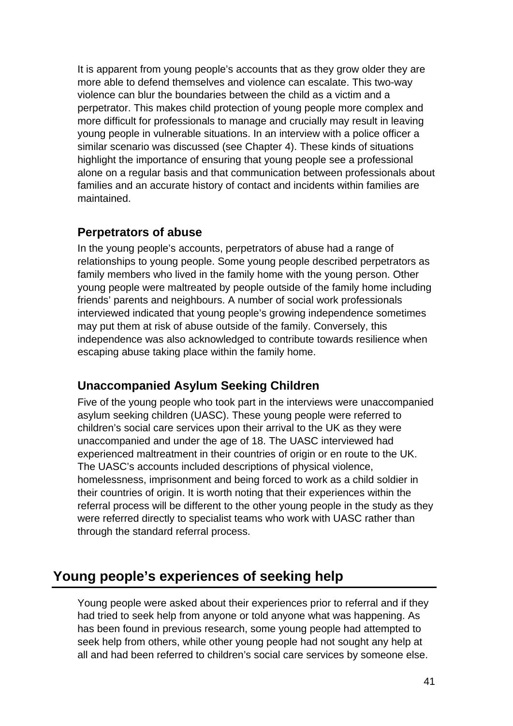It is apparent from young people's accounts that as they grow older they are more able to defend themselves and violence can escalate. This two-way violence can blur the boundaries between the child as a victim and a perpetrator. This makes child protection of young people more complex and more difficult for professionals to manage and crucially may result in leaving young people in vulnerable situations. In an interview with a police officer a similar scenario was discussed (see Chapter 4). These kinds of situations highlight the importance of ensuring that young people see a professional alone on a regular basis and that communication between professionals about families and an accurate history of contact and incidents within families are maintained.

# **Perpetrators of abuse**

In the young people's accounts, perpetrators of abuse had a range of relationships to young people. Some young people described perpetrators as family members who lived in the family home with the young person. Other young people were maltreated by people outside of the family home including friends' parents and neighbours. A number of social work professionals interviewed indicated that young people's growing independence sometimes may put them at risk of abuse outside of the family. Conversely, this independence was also acknowledged to contribute towards resilience when escaping abuse taking place within the family home.

# **Unaccompanied Asylum Seeking Children**

Five of the young people who took part in the interviews were unaccompanied asylum seeking children (UASC). These young people were referred to children's social care services upon their arrival to the UK as they were unaccompanied and under the age of 18. The UASC interviewed had experienced maltreatment in their countries of origin or en route to the UK. The UASC's accounts included descriptions of physical violence, homelessness, imprisonment and being forced to work as a child soldier in their countries of origin. It is worth noting that their experiences within the referral process will be different to the other young people in the study as they were referred directly to specialist teams who work with UASC rather than through the standard referral process.

# **Young people's experiences of seeking help**

Young people were asked about their experiences prior to referral and if they had tried to seek help from anyone or told anyone what was happening. As has been found in previous research, some young people had attempted to seek help from others, while other young people had not sought any help at all and had been referred to children's social care services by someone else.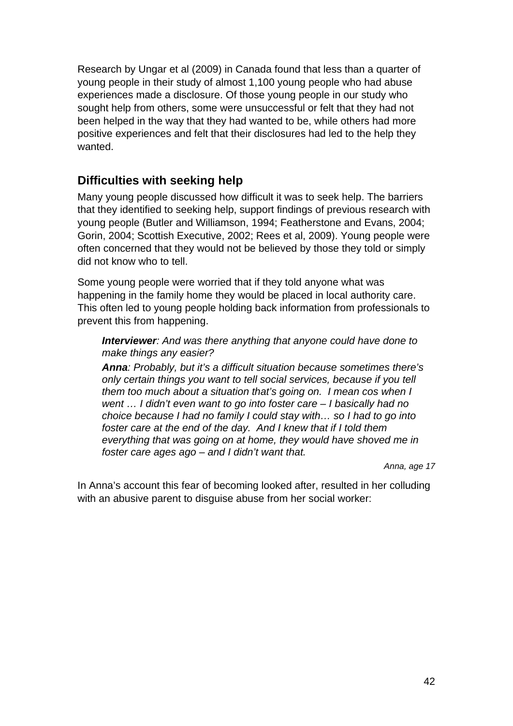Research by Ungar et al (2009) in Canada found that less than a quarter of young people in their study of almost 1,100 young people who had abuse experiences made a disclosure. Of those young people in our study who sought help from others, some were unsuccessful or felt that they had not been helped in the way that they had wanted to be, while others had more positive experiences and felt that their disclosures had led to the help they wanted.

# **Difficulties with seeking help**

Many young people discussed how difficult it was to seek help. The barriers that they identified to seeking help, support findings of previous research with young people (Butler and Williamson, 1994; Featherstone and Evans, 2004; Gorin, 2004; Scottish Executive, 2002; Rees et al, 2009). Young people were often concerned that they would not be believed by those they told or simply did not know who to tell.

Some young people were worried that if they told anyone what was happening in the family home they would be placed in local authority care. This often led to young people holding back information from professionals to prevent this from happening.

*Interviewer: And was there anything that anyone could have done to make things any easier?* 

*Anna: Probably, but it's a difficult situation because sometimes there's only certain things you want to tell social services, because if you tell them too much about a situation that's going on. I mean cos when I went … I didn't even want to go into foster care – I basically had no choice because I had no family I could stay with… so I had to go into foster care at the end of the day. And I knew that if I told them everything that was going on at home, they would have shoved me in foster care ages ago – and I didn't want that.* 

 *Anna, age 17* 

In Anna's account this fear of becoming looked after, resulted in her colluding with an abusive parent to disguise abuse from her social worker: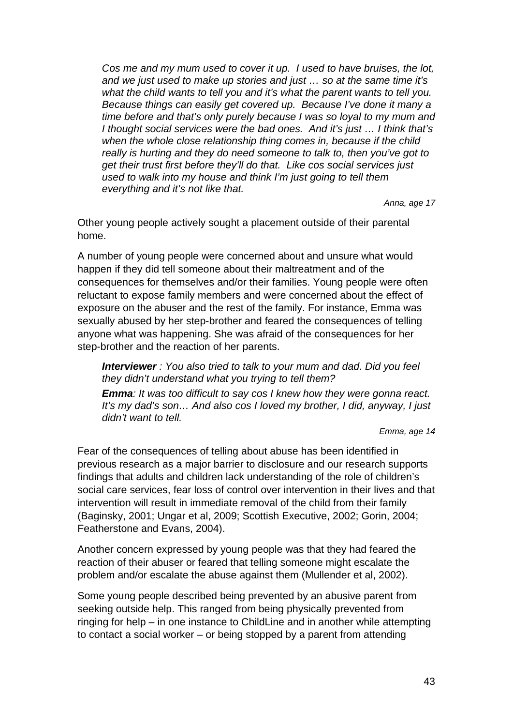*Cos me and my mum used to cover it up. I used to have bruises, the lot, and we just used to make up stories and just … so at the same time it's what the child wants to tell you and it's what the parent wants to tell you. Because things can easily get covered up. Because I've done it many a time before and that's only purely because I was so loyal to my mum and I thought social services were the bad ones. And it's just … I think that's when the whole close relationship thing comes in, because if the child really is hurting and they do need someone to talk to, then you've got to get their trust first before they'll do that. Like cos social services just used to walk into my house and think I'm just going to tell them everything and it's not like that.* 

*Anna, age 17* 

Other young people actively sought a placement outside of their parental home.

A number of young people were concerned about and unsure what would happen if they did tell someone about their maltreatment and of the consequences for themselves and/or their families. Young people were often reluctant to expose family members and were concerned about the effect of exposure on the abuser and the rest of the family. For instance, Emma was sexually abused by her step-brother and feared the consequences of telling anyone what was happening. She was afraid of the consequences for her step-brother and the reaction of her parents.

*Interviewer : You also tried to talk to your mum and dad. Did you feel they didn't understand what you trying to tell them?* 

*Emma: It was too difficult to say cos I knew how they were gonna react. It's my dad's son… And also cos I loved my brother, I did, anyway, I just didn't want to tell.* 

*Emma, age 14* 

Fear of the consequences of telling about abuse has been identified in previous research as a major barrier to disclosure and our research supports findings that adults and children lack understanding of the role of children's social care services, fear loss of control over intervention in their lives and that intervention will result in immediate removal of the child from their family (Baginsky, 2001; Ungar et al, 2009; Scottish Executive, 2002; Gorin, 2004; Featherstone and Evans, 2004).

Another concern expressed by young people was that they had feared the reaction of their abuser or feared that telling someone might escalate the problem and/or escalate the abuse against them (Mullender et al, 2002).

Some young people described being prevented by an abusive parent from seeking outside help. This ranged from being physically prevented from ringing for help – in one instance to ChildLine and in another while attempting to contact a social worker – or being stopped by a parent from attending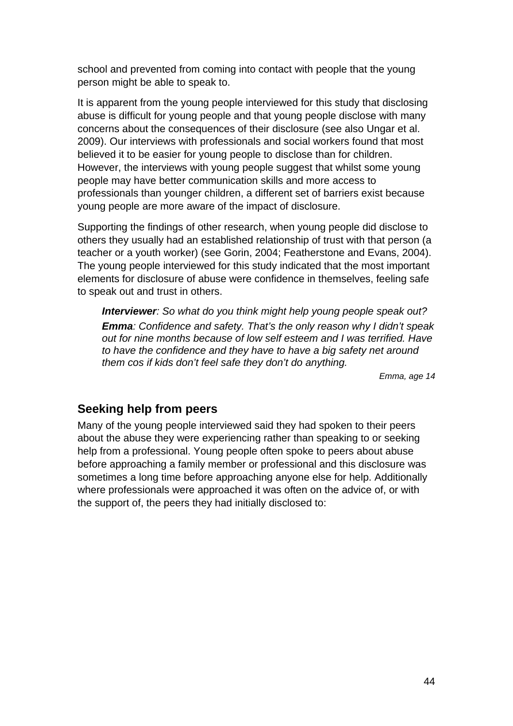school and prevented from coming into contact with people that the young person might be able to speak to.

It is apparent from the young people interviewed for this study that disclosing abuse is difficult for young people and that young people disclose with many concerns about the consequences of their disclosure (see also Ungar et al. 2009). Our interviews with professionals and social workers found that most believed it to be easier for young people to disclose than for children. However, the interviews with young people suggest that whilst some young people may have better communication skills and more access to professionals than younger children, a different set of barriers exist because young people are more aware of the impact of disclosure.

Supporting the findings of other research, when young people did disclose to others they usually had an established relationship of trust with that person (a teacher or a youth worker) (see Gorin, 2004; Featherstone and Evans, 2004). The young people interviewed for this study indicated that the most important elements for disclosure of abuse were confidence in themselves, feeling safe to speak out and trust in others.

*Interviewer: So what do you think might help young people speak out? Emma: Confidence and safety. That's the only reason why I didn't speak out for nine months because of low self esteem and I was terrified. Have to have the confidence and they have to have a big safety net around them cos if kids don't feel safe they don't do anything.* 

*Emma, age 14* 

#### **Seeking help from peers**

Many of the young people interviewed said they had spoken to their peers about the abuse they were experiencing rather than speaking to or seeking help from a professional. Young people often spoke to peers about abuse before approaching a family member or professional and this disclosure was sometimes a long time before approaching anyone else for help. Additionally where professionals were approached it was often on the advice of, or with the support of, the peers they had initially disclosed to: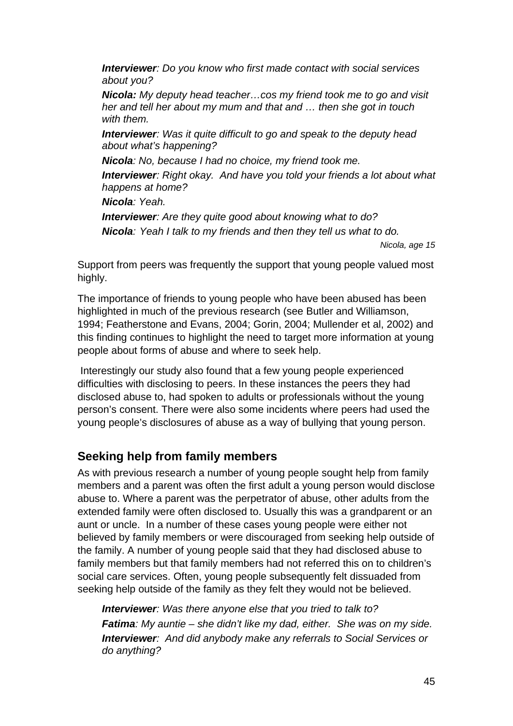*Interviewer: Do you know who first made contact with social services about you?* 

*Nicola: My deputy head teacher…cos my friend took me to go and visit her and tell her about my mum and that and … then she got in touch with them.* 

*Interviewer: Was it quite difficult to go and speak to the deputy head about what's happening?* 

*Nicola: No, because I had no choice, my friend took me.* 

*Interviewer: Right okay. And have you told your friends a lot about what happens at home?* 

*Nicola: Yeah.* 

*Interviewer: Are they quite good about knowing what to do? Nicola: Yeah I talk to my friends and then they tell us what to do.* 

*Nicola, age 15* 

Support from peers was frequently the support that young people valued most highly.

The importance of friends to young people who have been abused has been highlighted in much of the previous research (see Butler and Williamson, 1994; Featherstone and Evans, 2004; Gorin, 2004; Mullender et al, 2002) and this finding continues to highlight the need to target more information at young people about forms of abuse and where to seek help.

 Interestingly our study also found that a few young people experienced difficulties with disclosing to peers. In these instances the peers they had disclosed abuse to, had spoken to adults or professionals without the young person's consent. There were also some incidents where peers had used the young people's disclosures of abuse as a way of bullying that young person.

# **Seeking help from family members**

As with previous research a number of young people sought help from family members and a parent was often the first adult a young person would disclose abuse to. Where a parent was the perpetrator of abuse, other adults from the extended family were often disclosed to. Usually this was a grandparent or an aunt or uncle. In a number of these cases young people were either not believed by family members or were discouraged from seeking help outside of the family. A number of young people said that they had disclosed abuse to family members but that family members had not referred this on to children's social care services. Often, young people subsequently felt dissuaded from seeking help outside of the family as they felt they would not be believed.

*Interviewer: Was there anyone else that you tried to talk to? Fatima: My auntie – she didn't like my dad, either. She was on my side. Interviewer: And did anybody make any referrals to Social Services or do anything?*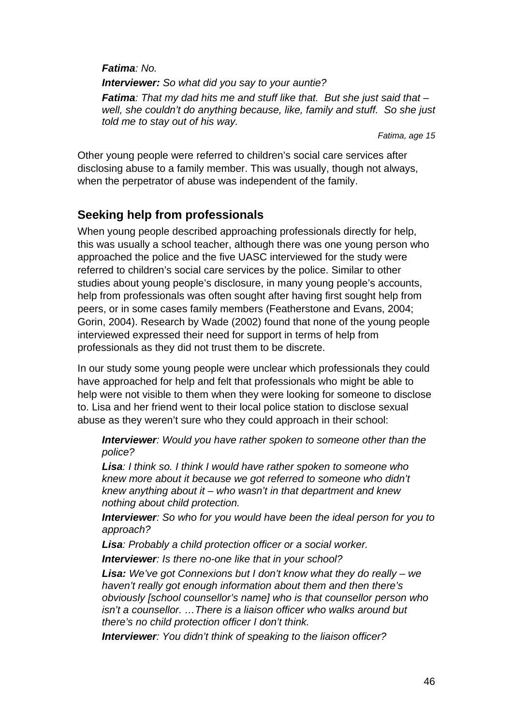*Fatima: No.* 

*Interviewer: So what did you say to your auntie? Fatima: That my dad hits me and stuff like that. But she just said that – well, she couldn't do anything because, like, family and stuff. So she just told me to stay out of his way.* 

*Fatima, age 15* 

Other young people were referred to children's social care services after disclosing abuse to a family member. This was usually, though not always, when the perpetrator of abuse was independent of the family.

# **Seeking help from professionals**

When young people described approaching professionals directly for help. this was usually a school teacher, although there was one young person who approached the police and the five UASC interviewed for the study were referred to children's social care services by the police. Similar to other studies about young people's disclosure, in many young people's accounts, help from professionals was often sought after having first sought help from peers, or in some cases family members (Featherstone and Evans, 2004; Gorin, 2004). Research by Wade (2002) found that none of the young people interviewed expressed their need for support in terms of help from professionals as they did not trust them to be discrete.

In our study some young people were unclear which professionals they could have approached for help and felt that professionals who might be able to help were not visible to them when they were looking for someone to disclose to. Lisa and her friend went to their local police station to disclose sexual abuse as they weren't sure who they could approach in their school:

*Interviewer: Would you have rather spoken to someone other than the police?* 

*Lisa: I think so. I think I would have rather spoken to someone who knew more about it because we got referred to someone who didn't knew anything about it – who wasn't in that department and knew nothing about child protection.* 

*Interviewer: So who for you would have been the ideal person for you to approach?* 

*Lisa: Probably a child protection officer or a social worker.* 

*Interviewer: Is there no-one like that in your school?* 

*Lisa: We've got Connexions but I don't know what they do really – we haven't really got enough information about them and then there's obviously [school counsellor's name] who is that counsellor person who isn't a counsellor. …There is a liaison officer who walks around but there's no child protection officer I don't think.* 

*Interviewer: You didn't think of speaking to the liaison officer?*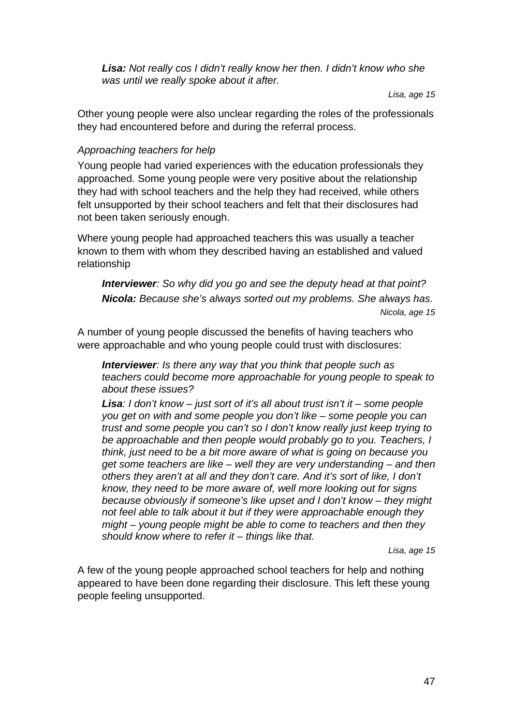*Lisa: Not really cos I didn't really know her then. I didn't know who she was until we really spoke about it after.* 

*Lisa, age 15* 

Other young people were also unclear regarding the roles of the professionals they had encountered before and during the referral process.

#### *Approaching teachers for help*

Young people had varied experiences with the education professionals they approached. Some young people were very positive about the relationship they had with school teachers and the help they had received, while others felt unsupported by their school teachers and felt that their disclosures had not been taken seriously enough.

Where young people had approached teachers this was usually a teacher known to them with whom they described having an established and valued relationship

*Interviewer: So why did you go and see the deputy head at that point? Nicola: Because she's always sorted out my problems. She always has. Nicola, age 15* 

A number of young people discussed the benefits of having teachers who were approachable and who young people could trust with disclosures:

*Interviewer: Is there any way that you think that people such as teachers could become more approachable for young people to speak to about these issues?* 

*Lisa: I don't know – just sort of it's all about trust isn't it – some people you get on with and some people you don't like – some people you can trust and some people you can't so I don't know really just keep trying to be approachable and then people would probably go to you. Teachers, I think, just need to be a bit more aware of what is going on because you get some teachers are like – well they are very understanding – and then others they aren't at all and they don't care. And it's sort of like, I don't know, they need to be more aware of, well more looking out for signs because obviously if someone's like upset and I don't know – they might not feel able to talk about it but if they were approachable enough they might – young people might be able to come to teachers and then they should know where to refer it – things like that.* 

*Lisa, age 15* 

A few of the young people approached school teachers for help and nothing appeared to have been done regarding their disclosure. This left these young people feeling unsupported.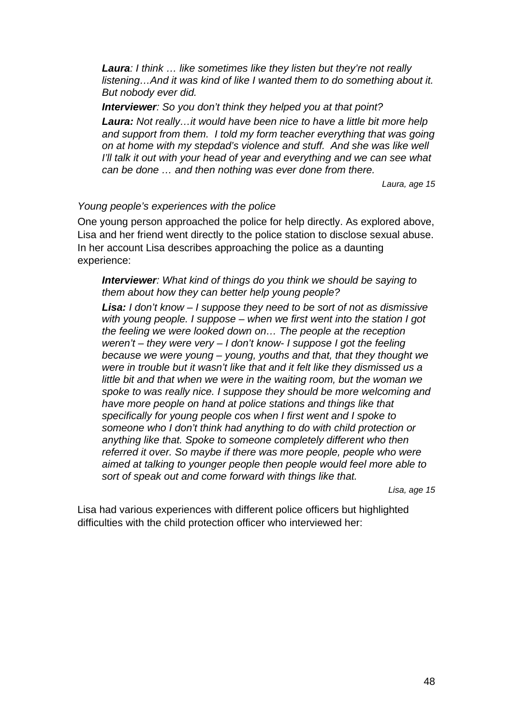*Laura: I think … like sometimes like they listen but they're not really listening…And it was kind of like I wanted them to do something about it. But nobody ever did.* 

*Interviewer: So you don't think they helped you at that point?* 

*Laura: Not really…it would have been nice to have a little bit more help and support from them. I told my form teacher everything that was going on at home with my stepdad's violence and stuff. And she was like well I'll talk it out with your head of year and everything and we can see what can be done … and then nothing was ever done from there.* 

 *Laura, age 15* 

#### *Young people's experiences with the police*

One young person approached the police for help directly. As explored above, Lisa and her friend went directly to the police station to disclose sexual abuse. In her account Lisa describes approaching the police as a daunting experience:

*Interviewer: What kind of things do you think we should be saying to them about how they can better help young people?* 

*Lisa: I don't know – I suppose they need to be sort of not as dismissive with young people. I suppose – when we first went into the station I got the feeling we were looked down on… The people at the reception weren't – they were very – I don't know- I suppose I got the feeling because we were young – young, youths and that, that they thought we were in trouble but it wasn't like that and it felt like they dismissed us a little bit and that when we were in the waiting room, but the woman we spoke to was really nice. I suppose they should be more welcoming and have more people on hand at police stations and things like that specifically for young people cos when I first went and I spoke to someone who I don't think had anything to do with child protection or anything like that. Spoke to someone completely different who then referred it over. So maybe if there was more people, people who were aimed at talking to younger people then people would feel more able to sort of speak out and come forward with things like that.* 

*Lisa, age 15* 

Lisa had various experiences with different police officers but highlighted difficulties with the child protection officer who interviewed her: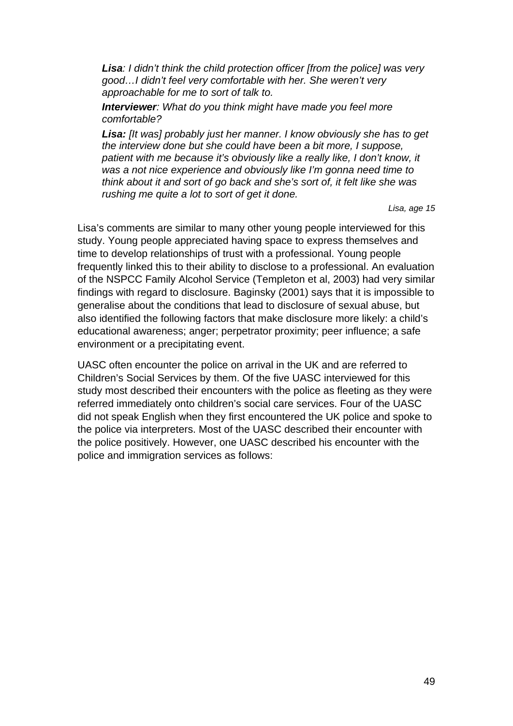*Lisa: I didn't think the child protection officer [from the police] was very good…I didn't feel very comfortable with her. She weren't very approachable for me to sort of talk to.* 

*Interviewer: What do you think might have made you feel more comfortable?* 

*Lisa: [It was] probably just her manner. I know obviously she has to get the interview done but she could have been a bit more, I suppose,*  patient with me because it's obviously like a really like, I don't know, it *was a not nice experience and obviously like I'm gonna need time to think about it and sort of go back and she's sort of, it felt like she was rushing me quite a lot to sort of get it done.* 

*Lisa, age 15* 

Lisa's comments are similar to many other young people interviewed for this study. Young people appreciated having space to express themselves and time to develop relationships of trust with a professional. Young people frequently linked this to their ability to disclose to a professional. An evaluation of the NSPCC Family Alcohol Service (Templeton et al, 2003) had very similar findings with regard to disclosure. Baginsky (2001) says that it is impossible to generalise about the conditions that lead to disclosure of sexual abuse, but also identified the following factors that make disclosure more likely: a child's educational awareness; anger; perpetrator proximity; peer influence; a safe environment or a precipitating event.

UASC often encounter the police on arrival in the UK and are referred to Children's Social Services by them. Of the five UASC interviewed for this study most described their encounters with the police as fleeting as they were referred immediately onto children's social care services. Four of the UASC did not speak English when they first encountered the UK police and spoke to the police via interpreters. Most of the UASC described their encounter with the police positively. However, one UASC described his encounter with the police and immigration services as follows: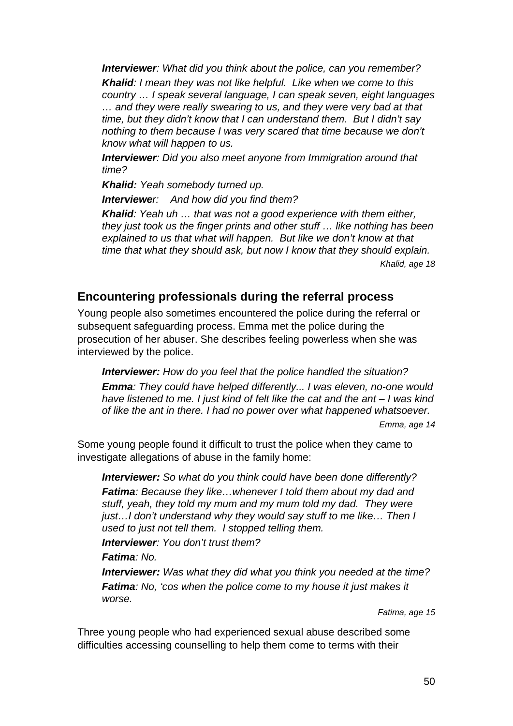*Interviewer: What did you think about the police, can you remember?* 

*Khalid: I mean they was not like helpful. Like when we come to this country … I speak several language, I can speak seven, eight languages … and they were really swearing to us, and they were very bad at that time, but they didn't know that I can understand them. But I didn't say nothing to them because I was very scared that time because we don't know what will happen to us.* 

*Interviewer: Did you also meet anyone from Immigration around that time?* 

*Khalid: Yeah somebody turned up.* 

*Interviewer: And how did you find them?* 

*Khalid: Yeah uh … that was not a good experience with them either, they just took us the finger prints and other stuff … like nothing has been explained to us that what will happen. But like we don't know at that time that what they should ask, but now I know that they should explain. Khalid, age 18* 

# **Encountering professionals during the referral process**

Young people also sometimes encountered the police during the referral or subsequent safeguarding process. Emma met the police during the prosecution of her abuser. She describes feeling powerless when she was interviewed by the police.

*Interviewer: How do you feel that the police handled the situation? Emma: They could have helped differently... I was eleven, no-one would*  have listened to me. I just kind of felt like the cat and the ant – I was kind *of like the ant in there. I had no power over what happened whatsoever. Emma, age 14* 

Some young people found it difficult to trust the police when they came to investigate allegations of abuse in the family home:

*Interviewer: So what do you think could have been done differently? Fatima: Because they like…whenever I told them about my dad and stuff, yeah, they told my mum and my mum told my dad. They were just…I don't understand why they would say stuff to me like… Then I used to just not tell them. I stopped telling them.* 

*Interviewer: You don't trust them?* 

*Fatima: No.* 

*Interviewer: Was what they did what you think you needed at the time? Fatima: No, 'cos when the police come to my house it just makes it worse.* 

*Fatima, age 15* 

Three young people who had experienced sexual abuse described some difficulties accessing counselling to help them come to terms with their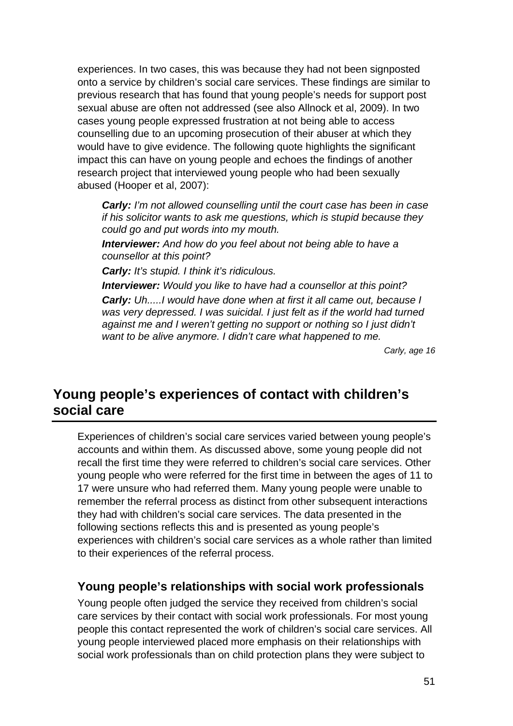experiences. In two cases, this was because they had not been signposted onto a service by children's social care services. These findings are similar to previous research that has found that young people's needs for support post sexual abuse are often not addressed (see also Allnock et al, 2009). In two cases young people expressed frustration at not being able to access counselling due to an upcoming prosecution of their abuser at which they would have to give evidence. The following quote highlights the significant impact this can have on young people and echoes the findings of another research project that interviewed young people who had been sexually abused (Hooper et al, 2007):

*Carly: I'm not allowed counselling until the court case has been in case if his solicitor wants to ask me questions, which is stupid because they could go and put words into my mouth.* 

*Interviewer: And how do you feel about not being able to have a counsellor at this point?* 

*Carly: It's stupid. I think it's ridiculous.* 

*Interviewer: Would you like to have had a counsellor at this point? Carly: Uh.....I would have done when at first it all came out, because I*  was very depressed. I was suicidal. I just felt as if the world had turned *against me and I weren't getting no support or nothing so I just didn't want to be alive anymore. I didn't care what happened to me.* 

*Carly, age 16* 

# **Young people's experiences of contact with children's social care**

Experiences of children's social care services varied between young people's accounts and within them. As discussed above, some young people did not recall the first time they were referred to children's social care services. Other young people who were referred for the first time in between the ages of 11 to 17 were unsure who had referred them. Many young people were unable to remember the referral process as distinct from other subsequent interactions they had with children's social care services. The data presented in the following sections reflects this and is presented as young people's experiences with children's social care services as a whole rather than limited to their experiences of the referral process.

# **Young people's relationships with social work professionals**

Young people often judged the service they received from children's social care services by their contact with social work professionals. For most young people this contact represented the work of children's social care services. All young people interviewed placed more emphasis on their relationships with social work professionals than on child protection plans they were subject to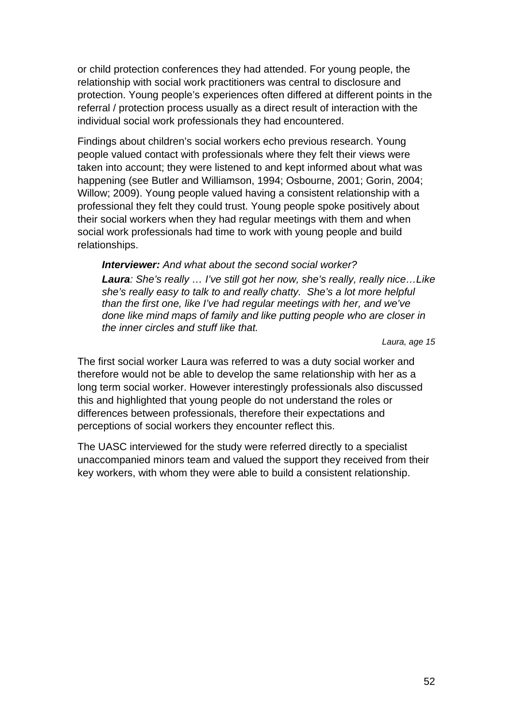or child protection conferences they had attended. For young people, the relationship with social work practitioners was central to disclosure and protection. Young people's experiences often differed at different points in the referral / protection process usually as a direct result of interaction with the individual social work professionals they had encountered.

Findings about children's social workers echo previous research. Young people valued contact with professionals where they felt their views were taken into account; they were listened to and kept informed about what was happening (see Butler and Williamson, 1994; Osbourne, 2001; Gorin, 2004; Willow; 2009). Young people valued having a consistent relationship with a professional they felt they could trust. Young people spoke positively about their social workers when they had regular meetings with them and when social work professionals had time to work with young people and build relationships.

*Interviewer: And what about the second social worker?* 

*Laura: She's really … I've still got her now, she's really, really nice…Like she's really easy to talk to and really chatty. She's a lot more helpful than the first one, like I've had regular meetings with her, and we've done like mind maps of family and like putting people who are closer in the inner circles and stuff like that.* 

*Laura, age 15* 

The first social worker Laura was referred to was a duty social worker and therefore would not be able to develop the same relationship with her as a long term social worker. However interestingly professionals also discussed this and highlighted that young people do not understand the roles or differences between professionals, therefore their expectations and perceptions of social workers they encounter reflect this.

The UASC interviewed for the study were referred directly to a specialist unaccompanied minors team and valued the support they received from their key workers, with whom they were able to build a consistent relationship.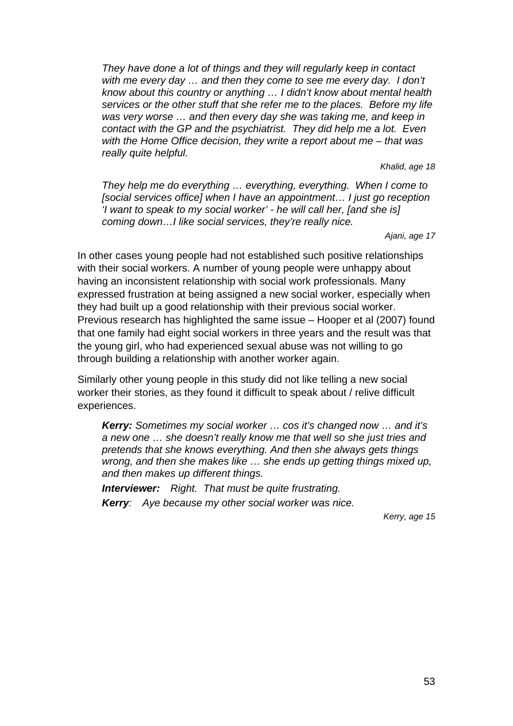*They have done a lot of things and they will regularly keep in contact with me every day … and then they come to see me every day. I don't know about this country or anything … I didn't know about mental health services or the other stuff that she refer me to the places. Before my life was very worse … and then every day she was taking me, and keep in contact with the GP and the psychiatrist. They did help me a lot. Even with the Home Office decision, they write a report about me – that was really quite helpful.* 

*Khalid, age 18* 

*They help me do everything … everything, everything. When I come to [social services office] when I have an appointment… I just go reception 'I want to speak to my social worker' - he will call her, [and she is] coming down…I like social services, they're really nice.* 

*Ajani, age 17* 

In other cases young people had not established such positive relationships with their social workers. A number of young people were unhappy about having an inconsistent relationship with social work professionals. Many expressed frustration at being assigned a new social worker, especially when they had built up a good relationship with their previous social worker. Previous research has highlighted the same issue – Hooper et al (2007) found that one family had eight social workers in three years and the result was that the young girl, who had experienced sexual abuse was not willing to go through building a relationship with another worker again.

Similarly other young people in this study did not like telling a new social worker their stories, as they found it difficult to speak about / relive difficult experiences.

*Kerry: Sometimes my social worker … cos it's changed now … and it's a new one … she doesn't really know me that well so she just tries and pretends that she knows everything. And then she always gets things wrong, and then she makes like … she ends up getting things mixed up, and then makes up different things.* 

*Interviewer: Right. That must be quite frustrating. Kerry: Aye because my other social worker was nice.* 

*Kerry, age 15*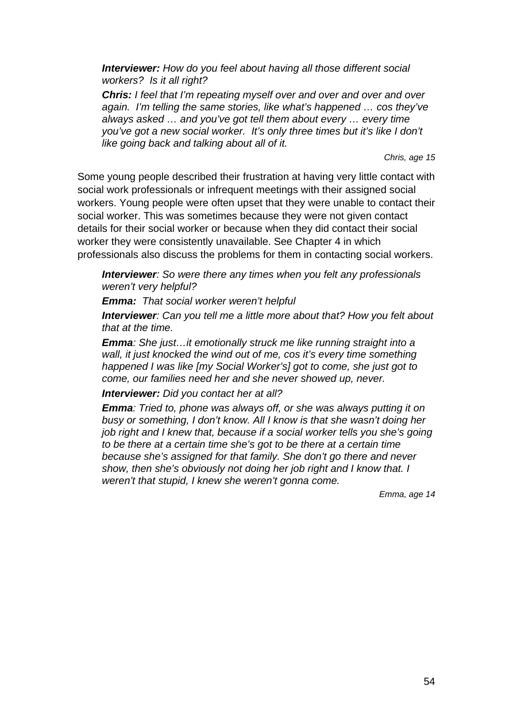*Interviewer: How do you feel about having all those different social workers? Is it all right?* 

*Chris: I feel that I'm repeating myself over and over and over and over again. I'm telling the same stories, like what's happened … cos they've always asked … and you've got tell them about every … every time you've got a new social worker. It's only three times but it's like I don't like going back and talking about all of it.* 

*Chris, age 15* 

Some young people described their frustration at having very little contact with social work professionals or infrequent meetings with their assigned social workers. Young people were often upset that they were unable to contact their social worker. This was sometimes because they were not given contact details for their social worker or because when they did contact their social worker they were consistently unavailable. See Chapter 4 in which professionals also discuss the problems for them in contacting social workers.

*Interviewer: So were there any times when you felt any professionals weren't very helpful?* 

*Emma: That social worker weren't helpful* 

*Interviewer: Can you tell me a little more about that? How you felt about that at the time.* 

*Emma: She just…it emotionally struck me like running straight into a wall, it just knocked the wind out of me, cos it's every time something happened I was like [my Social Worker's] got to come, she just got to come, our families need her and she never showed up, never.* 

*Interviewer: Did you contact her at all?* 

*Emma: Tried to, phone was always off, or she was always putting it on busy or something, I don't know. All I know is that she wasn't doing her job right and I knew that, because if a social worker tells you she's going to be there at a certain time she's got to be there at a certain time because she's assigned for that family. She don't go there and never show, then she's obviously not doing her job right and I know that. I weren't that stupid, I knew she weren't gonna come.* 

*Emma, age 14*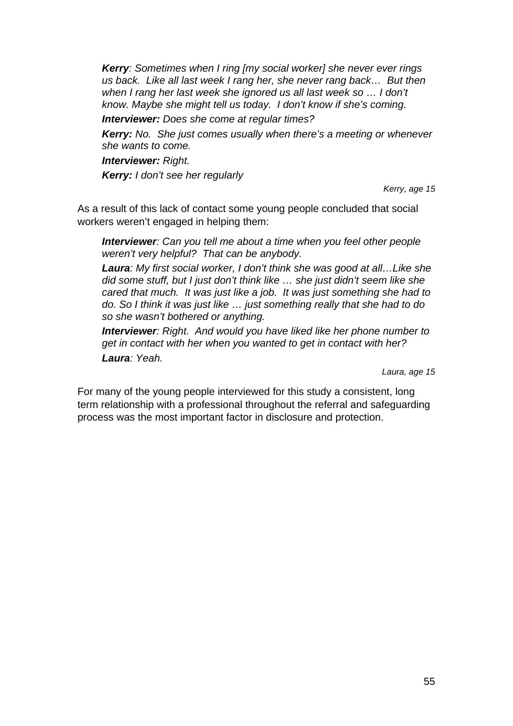*Kerry: Sometimes when I ring [my social worker] she never ever rings us back. Like all last week I rang her, she never rang back… But then when I rang her last week she ignored us all last week so … I don't know. Maybe she might tell us today. I don't know if she's coming.* 

*Interviewer: Does she come at regular times?* 

*Kerry: No. She just comes usually when there's a meeting or whenever she wants to come.* 

*Interviewer: Right.* 

*Kerry: I don't see her regularly* 

*Kerry, age 15* 

As a result of this lack of contact some young people concluded that social workers weren't engaged in helping them:

*Interviewer: Can you tell me about a time when you feel other people weren't very helpful? That can be anybody.* 

*Laura: My first social worker, I don't think she was good at all…Like she did some stuff, but I just don't think like … she just didn't seem like she cared that much. It was just like a job. It was just something she had to do. So I think it was just like … just something really that she had to do so she wasn't bothered or anything.* 

*Interviewer: Right. And would you have liked like her phone number to get in contact with her when you wanted to get in contact with her? Laura: Yeah.* 

*Laura, age 15* 

For many of the young people interviewed for this study a consistent, long term relationship with a professional throughout the referral and safeguarding process was the most important factor in disclosure and protection.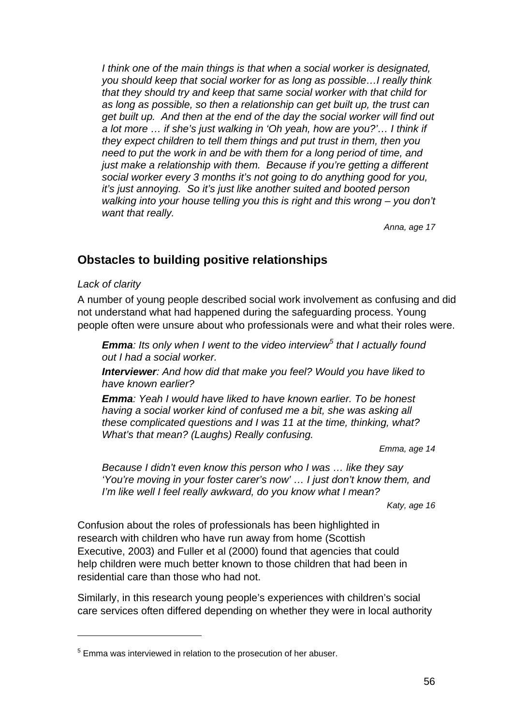I think one of the main things is that when a social worker is designated, *you should keep that social worker for as long as possible…I really think that they should try and keep that same social worker with that child for as long as possible, so then a relationship can get built up, the trust can get built up. And then at the end of the day the social worker will find out a lot more … if she's just walking in 'Oh yeah, how are you?'… I think if they expect children to tell them things and put trust in them, then you need to put the work in and be with them for a long period of time, and just make a relationship with them. Because if you're getting a different social worker every 3 months it's not going to do anything good for you, it's just annoying. So it's just like another suited and booted person walking into your house telling you this is right and this wrong – you don't want that really.* 

*Anna, age 17* 

# **Obstacles to building positive relationships**

#### *Lack of clarity*

1

A number of young people described social work involvement as confusing and did not understand what had happened during the safeguarding process. Young people often were unsure about who professionals were and what their roles were.

*Emma: Its only when I went to the video interview<sup>5</sup> that I actually found out I had a social worker.* 

*Interviewer: And how did that make you feel? Would you have liked to have known earlier?* 

*Emma: Yeah I would have liked to have known earlier. To be honest having a social worker kind of confused me a bit, she was asking all these complicated questions and I was 11 at the time, thinking, what? What's that mean? (Laughs) Really confusing.* 

*Emma, age 14* 

*Because I didn't even know this person who I was … like they say 'You're moving in your foster carer's now' … I just don't know them, and I'm like well I feel really awkward, do you know what I mean?* 

*Katy, age 16* 

Confusion about the roles of professionals has been highlighted in research with children who have run away from home (Scottish Executive, 2003) and Fuller et al (2000) found that agencies that could help children were much better known to those children that had been in residential care than those who had not.

Similarly, in this research young people's experiences with children's social care services often differed depending on whether they were in local authority

<sup>&</sup>lt;sup>5</sup> Emma was interviewed in relation to the prosecution of her abuser.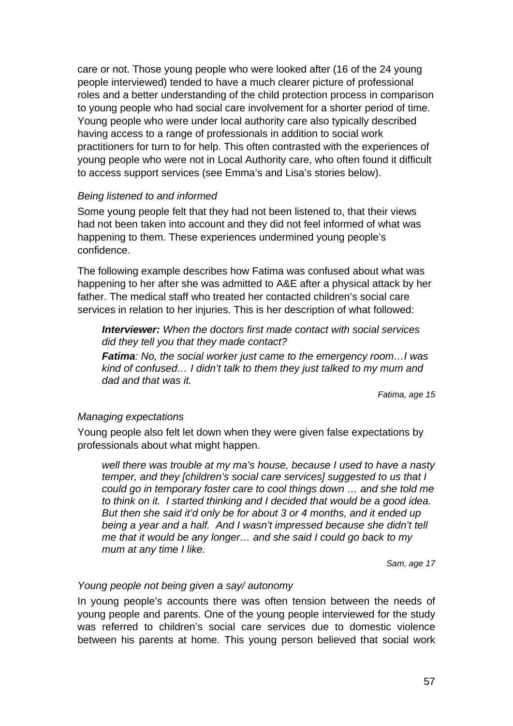care or not. Those young people who were looked after (16 of the 24 young people interviewed) tended to have a much clearer picture of professional roles and a better understanding of the child protection process in comparison to young people who had social care involvement for a shorter period of time. Young people who were under local authority care also typically described having access to a range of professionals in addition to social work practitioners for turn to for help. This often contrasted with the experiences of young people who were not in Local Authority care, who often found it difficult to access support services (see Emma's and Lisa's stories below).

#### *Being listened to and informed*

Some young people felt that they had not been listened to, that their views had not been taken into account and they did not feel informed of what was happening to them. These experiences undermined young people's confidence.

The following example describes how Fatima was confused about what was happening to her after she was admitted to A&E after a physical attack by her father. The medical staff who treated her contacted children's social care services in relation to her injuries. This is her description of what followed:

*Interviewer: When the doctors first made contact with social services did they tell you that they made contact?* 

*Fatima: No, the social worker just came to the emergency room…I was kind of confused… I didn't talk to them they just talked to my mum and dad and that was it.* 

*Fatima, age 15* 

#### *Managing expectations*

Young people also felt let down when they were given false expectations by professionals about what might happen.

*well there was trouble at my ma's house, because I used to have a nasty temper, and they [children's social care services] suggested to us that I could go in temporary foster care to cool things down … and she told me to think on it. I started thinking and I decided that would be a good idea. But then she said it'd only be for about 3 or 4 months, and it ended up being a year and a half. And I wasn't impressed because she didn't tell me that it would be any longer… and she said I could go back to my mum at any time I like.* 

*Sam, age 17* 

#### *Young people not being given a say/ autonomy*

In young people's accounts there was often tension between the needs of young people and parents. One of the young people interviewed for the study was referred to children's social care services due to domestic violence between his parents at home. This young person believed that social work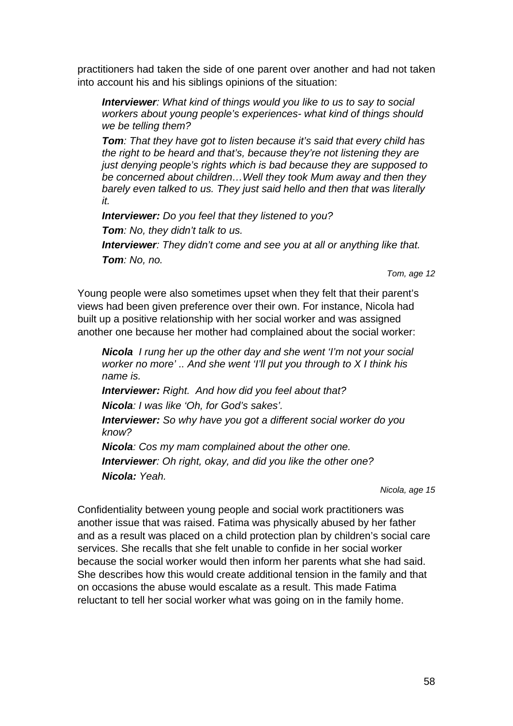practitioners had taken the side of one parent over another and had not taken into account his and his siblings opinions of the situation:

*Interviewer: What kind of things would you like to us to say to social workers about young people's experiences- what kind of things should we be telling them?* 

*Tom: That they have got to listen because it's said that every child has the right to be heard and that's, because they're not listening they are just denying people's rights which is bad because they are supposed to be concerned about children…Well they took Mum away and then they barely even talked to us. They just said hello and then that was literally it.* 

*Interviewer: Do you feel that they listened to you? Tom: No, they didn't talk to us. Interviewer: They didn't come and see you at all or anything like that. Tom: No, no.* 

*Tom, age 12* 

Young people were also sometimes upset when they felt that their parent's views had been given preference over their own. For instance, Nicola had built up a positive relationship with her social worker and was assigned another one because her mother had complained about the social worker:

*Nicola I rung her up the other day and she went 'I'm not your social worker no more' .. And she went 'I'll put you through to X I think his name is.* 

*Interviewer: Right. And how did you feel about that?* 

*Nicola: I was like 'Oh, for God's sakes'.* 

*Interviewer: So why have you got a different social worker do you know?* 

*Nicola: Cos my mam complained about the other one. Interviewer: Oh right, okay, and did you like the other one? Nicola: Yeah.* 

*Nicola, age 15* 

Confidentiality between young people and social work practitioners was another issue that was raised. Fatima was physically abused by her father and as a result was placed on a child protection plan by children's social care services. She recalls that she felt unable to confide in her social worker because the social worker would then inform her parents what she had said. She describes how this would create additional tension in the family and that on occasions the abuse would escalate as a result. This made Fatima reluctant to tell her social worker what was going on in the family home.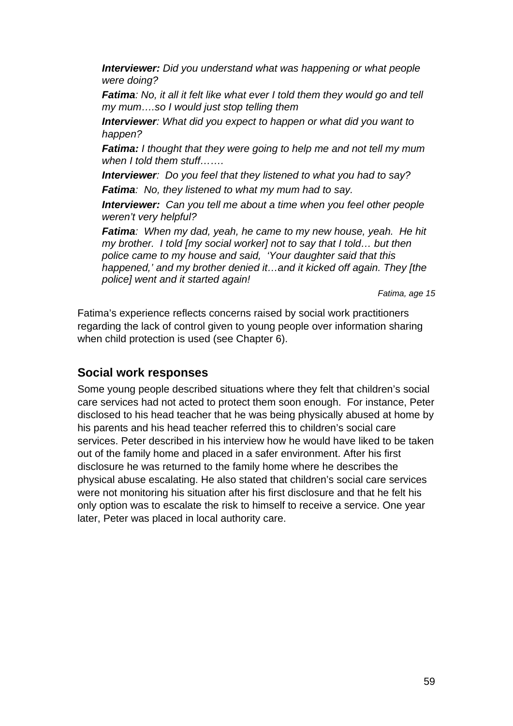*Interviewer: Did you understand what was happening or what people were doing?* 

*Fatima: No, it all it felt like what ever I told them they would go and tell my mum….so I would just stop telling them* 

*Interviewer: What did you expect to happen or what did you want to happen?* 

*Fatima: I thought that they were going to help me and not tell my mum when I told them stuff…….* 

*Interviewer: Do you feel that they listened to what you had to say? Fatima: No, they listened to what my mum had to say.* 

*Interviewer: Can you tell me about a time when you feel other people weren't very helpful?* 

*Fatima: When my dad, yeah, he came to my new house, yeah. He hit my brother. I told [my social worker] not to say that I told… but then police came to my house and said, 'Your daughter said that this happened,' and my brother denied it…and it kicked off again. They [the police] went and it started again!* 

*Fatima, age 15* 

Fatima's experience reflects concerns raised by social work practitioners regarding the lack of control given to young people over information sharing when child protection is used (see Chapter 6).

# **Social work responses**

Some young people described situations where they felt that children's social care services had not acted to protect them soon enough. For instance, Peter disclosed to his head teacher that he was being physically abused at home by his parents and his head teacher referred this to children's social care services. Peter described in his interview how he would have liked to be taken out of the family home and placed in a safer environment. After his first disclosure he was returned to the family home where he describes the physical abuse escalating. He also stated that children's social care services were not monitoring his situation after his first disclosure and that he felt his only option was to escalate the risk to himself to receive a service. One year later, Peter was placed in local authority care.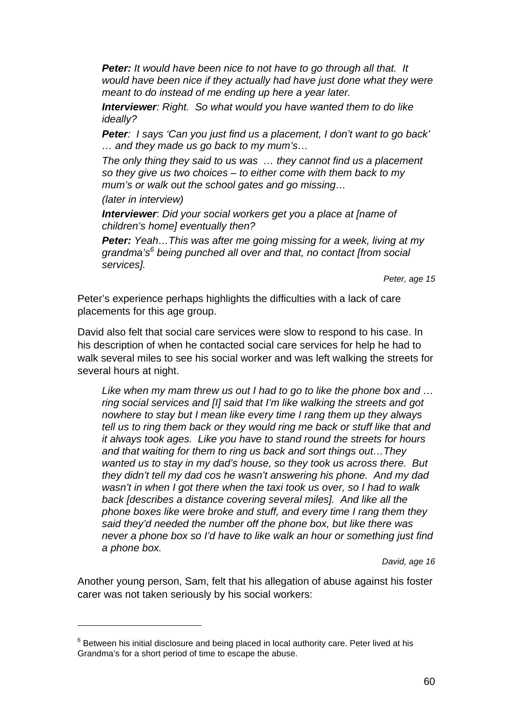*Peter: It would have been nice to not have to go through all that. It would have been nice if they actually had have just done what they were meant to do instead of me ending up here a year later.* 

*Interviewer: Right. So what would you have wanted them to do like ideally?* 

*Peter: I says 'Can you just find us a placement, I don't want to go back' … and they made us go back to my mum's…* 

*The only thing they said to us was … they cannot find us a placement so they give us two choices – to either come with them back to my mum's or walk out the school gates and go missing…* 

*(later in interview)* 

1

*Interviewer*: *Did your social workers get you a place at [name of children's home] eventually then?* 

*Peter: Yeah…This was after me going missing for a week, living at my grandma's<sup>6</sup> being punched all over and that, no contact [from social services].* 

*Peter, age 15* 

Peter's experience perhaps highlights the difficulties with a lack of care placements for this age group.

David also felt that social care services were slow to respond to his case. In his description of when he contacted social care services for help he had to walk several miles to see his social worker and was left walking the streets for several hours at night.

*Like when my mam threw us out I had to go to like the phone box and … ring social services and [I] said that I'm like walking the streets and got nowhere to stay but I mean like every time I rang them up they always tell us to ring them back or they would ring me back or stuff like that and it always took ages. Like you have to stand round the streets for hours and that waiting for them to ring us back and sort things out…They wanted us to stay in my dad's house, so they took us across there. But they didn't tell my dad cos he wasn't answering his phone. And my dad wasn't in when I got there when the taxi took us over, so I had to walk back [describes a distance covering several miles]. And like all the phone boxes like were broke and stuff, and every time I rang them they said they'd needed the number off the phone box, but like there was never a phone box so I'd have to like walk an hour or something just find a phone box.* 

*David, age 16* 

Another young person, Sam, felt that his allegation of abuse against his foster carer was not taken seriously by his social workers:

 $6$  Between his initial disclosure and being placed in local authority care. Peter lived at his Grandma's for a short period of time to escape the abuse.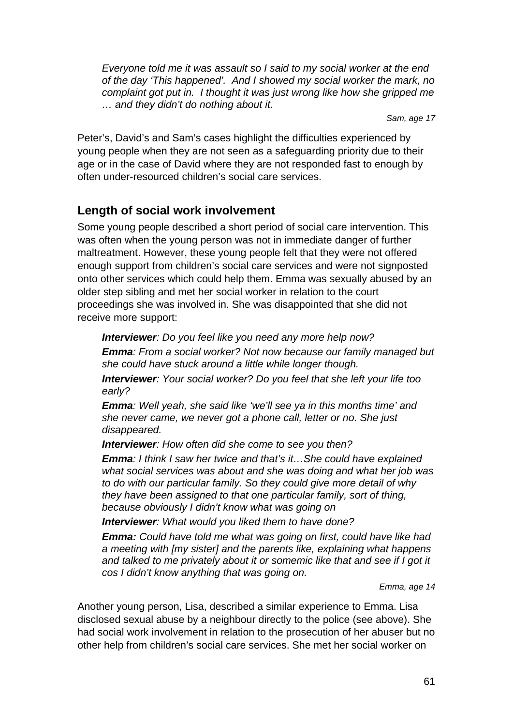*Everyone told me it was assault so I said to my social worker at the end of the day 'This happened'. And I showed my social worker the mark, no complaint got put in. I thought it was just wrong like how she gripped me … and they didn't do nothing about it.* 

*Sam, age 17* 

Peter's, David's and Sam's cases highlight the difficulties experienced by young people when they are not seen as a safeguarding priority due to their age or in the case of David where they are not responded fast to enough by often under-resourced children's social care services.

# **Length of social work involvement**

Some young people described a short period of social care intervention. This was often when the young person was not in immediate danger of further maltreatment. However, these young people felt that they were not offered enough support from children's social care services and were not signposted onto other services which could help them. Emma was sexually abused by an older step sibling and met her social worker in relation to the court proceedings she was involved in. She was disappointed that she did not receive more support:

*Interviewer: Do you feel like you need any more help now? Emma: From a social worker? Not now because our family managed but she could have stuck around a little while longer though.* 

*Interviewer: Your social worker? Do you feel that she left your life too early?* 

*Emma: Well yeah, she said like 'we'll see ya in this months time' and she never came, we never got a phone call, letter or no. She just disappeared.* 

*Interviewer: How often did she come to see you then?* 

*Emma: I think I saw her twice and that's it…She could have explained what social services was about and she was doing and what her job was to do with our particular family. So they could give more detail of why they have been assigned to that one particular family, sort of thing, because obviously I didn't know what was going on* 

*Interviewer: What would you liked them to have done?* 

*Emma: Could have told me what was going on first, could have like had a meeting with [my sister] and the parents like, explaining what happens*  and talked to me privately about it or somemic like that and see if I got it *cos I didn't know anything that was going on.* 

*Emma, age 14* 

Another young person, Lisa, described a similar experience to Emma. Lisa disclosed sexual abuse by a neighbour directly to the police (see above). She had social work involvement in relation to the prosecution of her abuser but no other help from children's social care services. She met her social worker on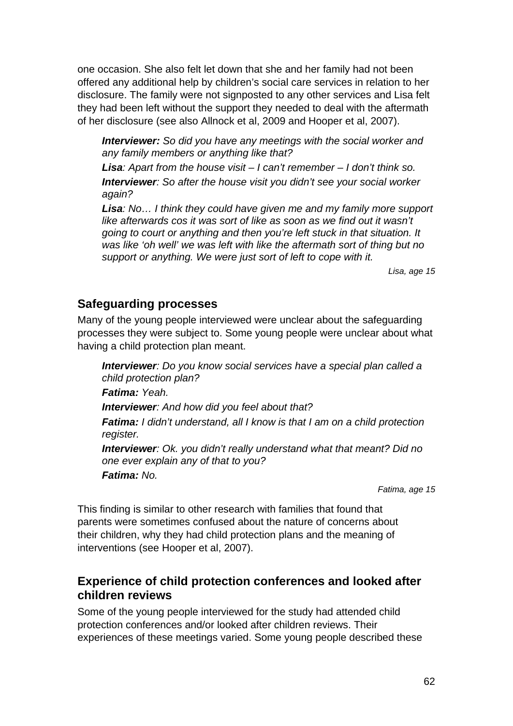one occasion. She also felt let down that she and her family had not been offered any additional help by children's social care services in relation to her disclosure. The family were not signposted to any other services and Lisa felt they had been left without the support they needed to deal with the aftermath of her disclosure (see also Allnock et al, 2009 and Hooper et al, 2007).

*Interviewer: So did you have any meetings with the social worker and any family members or anything like that?* 

*Lisa: Apart from the house visit – I can't remember – I don't think so. Interviewer: So after the house visit you didn't see your social worker again?* 

*Lisa: No… I think they could have given me and my family more support like afterwards cos it was sort of like as soon as we find out it wasn't going to court or anything and then you're left stuck in that situation. It was like 'oh well' we was left with like the aftermath sort of thing but no support or anything. We were just sort of left to cope with it.* 

*Lisa, age 15* 

#### **Safeguarding processes**

Many of the young people interviewed were unclear about the safeguarding processes they were subject to. Some young people were unclear about what having a child protection plan meant.

*Interviewer: Do you know social services have a special plan called a child protection plan?* 

*Fatima: Yeah.* 

*Interviewer: And how did you feel about that?* 

*Fatima: I didn't understand, all I know is that I am on a child protection register.* 

*Interviewer: Ok. you didn't really understand what that meant? Did no one ever explain any of that to you?* 

*Fatima: No.* 

*Fatima, age 15* 

This finding is similar to other research with families that found that parents were sometimes confused about the nature of concerns about their children, why they had child protection plans and the meaning of interventions (see Hooper et al, 2007).

# **Experience of child protection conferences and looked after children reviews**

Some of the young people interviewed for the study had attended child protection conferences and/or looked after children reviews. Their experiences of these meetings varied. Some young people described these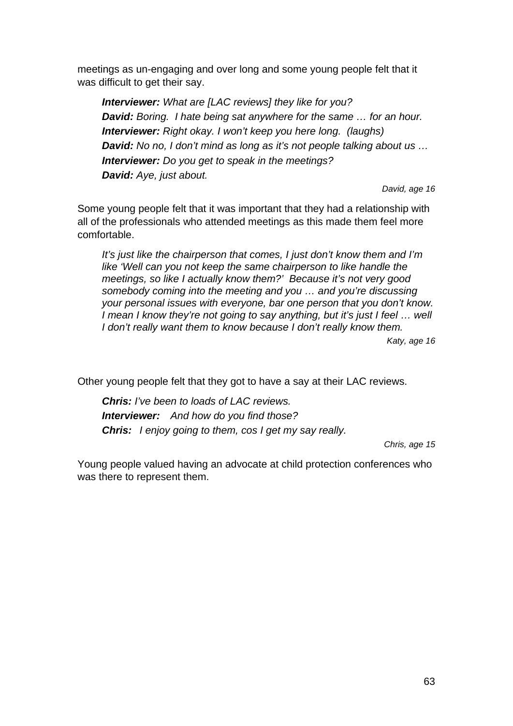meetings as un-engaging and over long and some young people felt that it was difficult to get their say.

*Interviewer: What are [LAC reviews] they like for you? David: Boring. I hate being sat anywhere for the same … for an hour. Interviewer: Right okay. I won't keep you here long. (laughs) David: No no, I don't mind as long as it's not people talking about us … Interviewer: Do you get to speak in the meetings? David: Aye, just about.* 

*David, age 16* 

Some young people felt that it was important that they had a relationship with all of the professionals who attended meetings as this made them feel more comfortable.

*It's just like the chairperson that comes, I just don't know them and I'm like 'Well can you not keep the same chairperson to like handle the meetings, so like I actually know them?' Because it's not very good somebody coming into the meeting and you … and you're discussing your personal issues with everyone, bar one person that you don't know. I* mean *I* know they're not going to say anything, but it's just *I* feel ... well *I don't really want them to know because I don't really know them.* 

*Katy, age 16* 

Other young people felt that they got to have a say at their LAC reviews.

*Chris: I've been to loads of LAC reviews. Interviewer: And how do you find those? Chris: I enjoy going to them, cos I get my say really.* 

*Chris, age 15* 

Young people valued having an advocate at child protection conferences who was there to represent them.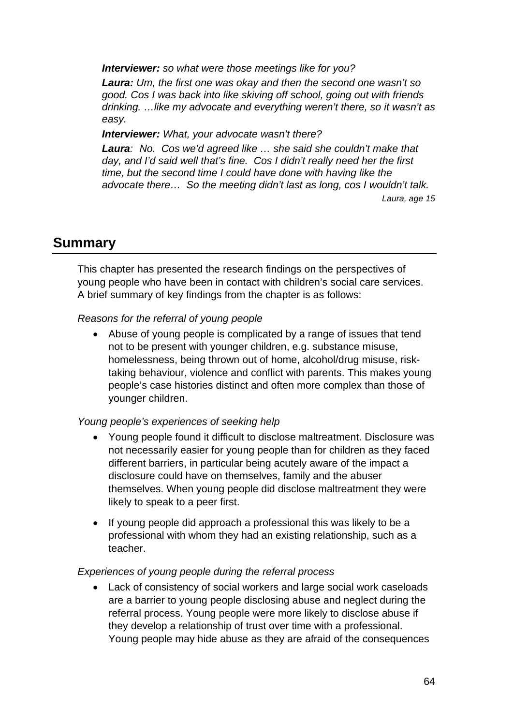*Interviewer: so what were those meetings like for you?* 

*Laura: Um, the first one was okay and then the second one wasn't so good. Cos I was back into like skiving off school, going out with friends drinking. …like my advocate and everything weren't there, so it wasn't as easy.* 

*Interviewer: What, your advocate wasn't there?* 

*Laura: No. Cos we'd agreed like … she said she couldn't make that day, and I'd said well that's fine. Cos I didn't really need her the first time, but the second time I could have done with having like the advocate there… So the meeting didn't last as long, cos I wouldn't talk. Laura, age 15* 

# **Summary**

This chapter has presented the research findings on the perspectives of young people who have been in contact with children's social care services. A brief summary of key findings from the chapter is as follows:

#### *Reasons for the referral of young people*

 Abuse of young people is complicated by a range of issues that tend not to be present with younger children, e.g. substance misuse, homelessness, being thrown out of home, alcohol/drug misuse, risktaking behaviour, violence and conflict with parents. This makes young people's case histories distinct and often more complex than those of younger children.

#### *Young people's experiences of seeking help*

- Young people found it difficult to disclose maltreatment. Disclosure was not necessarily easier for young people than for children as they faced different barriers, in particular being acutely aware of the impact a disclosure could have on themselves, family and the abuser themselves. When young people did disclose maltreatment they were likely to speak to a peer first.
- If young people did approach a professional this was likely to be a professional with whom they had an existing relationship, such as a teacher.

#### *Experiences of young people during the referral process*

 Lack of consistency of social workers and large social work caseloads are a barrier to young people disclosing abuse and neglect during the referral process. Young people were more likely to disclose abuse if they develop a relationship of trust over time with a professional. Young people may hide abuse as they are afraid of the consequences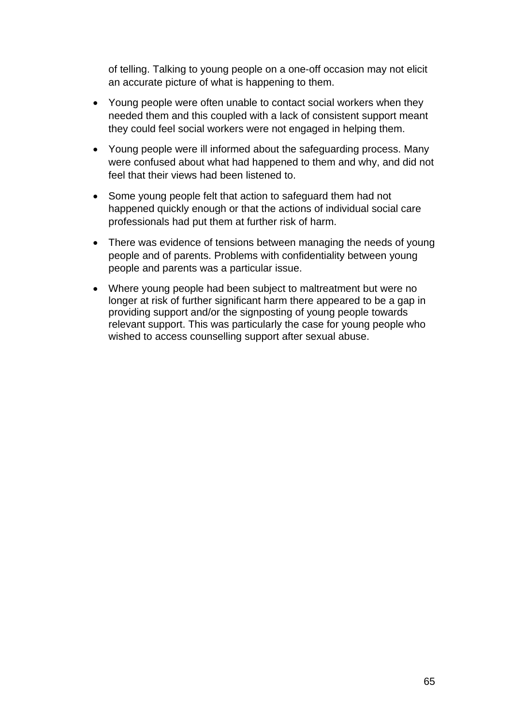of telling. Talking to young people on a one-off occasion may not elicit an accurate picture of what is happening to them.

- Young people were often unable to contact social workers when they needed them and this coupled with a lack of consistent support meant they could feel social workers were not engaged in helping them.
- Young people were ill informed about the safeguarding process. Many were confused about what had happened to them and why, and did not feel that their views had been listened to.
- Some young people felt that action to safeguard them had not happened quickly enough or that the actions of individual social care professionals had put them at further risk of harm.
- There was evidence of tensions between managing the needs of young people and of parents. Problems with confidentiality between young people and parents was a particular issue.
- Where young people had been subject to maltreatment but were no longer at risk of further significant harm there appeared to be a gap in providing support and/or the signposting of young people towards relevant support. This was particularly the case for young people who wished to access counselling support after sexual abuse.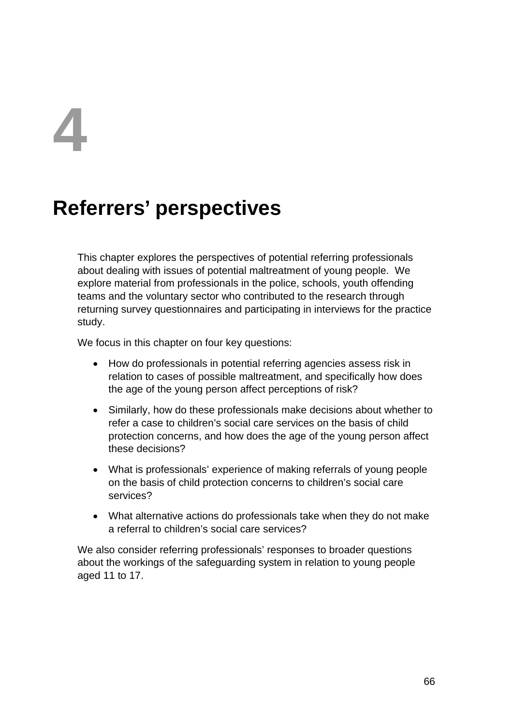# **4**

# **Referrers' perspectives**

This chapter explores the perspectives of potential referring professionals about dealing with issues of potential maltreatment of young people. We explore material from professionals in the police, schools, youth offending teams and the voluntary sector who contributed to the research through returning survey questionnaires and participating in interviews for the practice study.

We focus in this chapter on four key questions:

- How do professionals in potential referring agencies assess risk in relation to cases of possible maltreatment, and specifically how does the age of the young person affect perceptions of risk?
- Similarly, how do these professionals make decisions about whether to refer a case to children's social care services on the basis of child protection concerns, and how does the age of the young person affect these decisions?
- What is professionals' experience of making referrals of young people on the basis of child protection concerns to children's social care services?
- What alternative actions do professionals take when they do not make a referral to children's social care services?

We also consider referring professionals' responses to broader questions about the workings of the safeguarding system in relation to young people aged 11 to 17.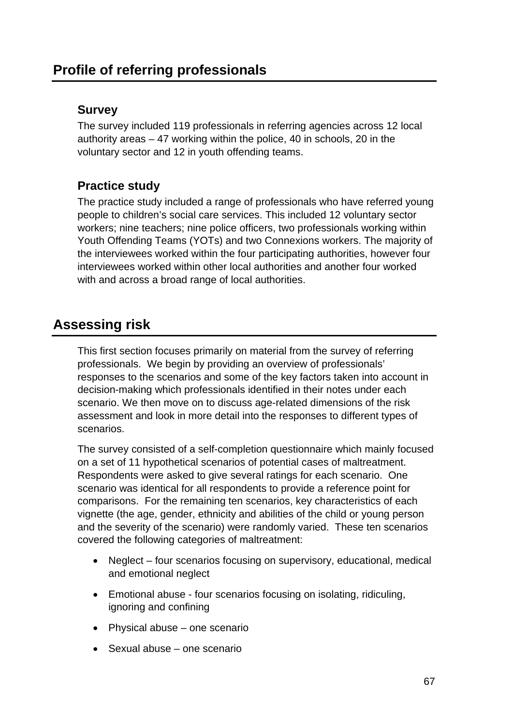# **Survey**

The survey included 119 professionals in referring agencies across 12 local authority areas – 47 working within the police, 40 in schools, 20 in the voluntary sector and 12 in youth offending teams.

# **Practice study**

The practice study included a range of professionals who have referred young people to children's social care services. This included 12 voluntary sector workers; nine teachers; nine police officers, two professionals working within Youth Offending Teams (YOTs) and two Connexions workers. The majority of the interviewees worked within the four participating authorities, however four interviewees worked within other local authorities and another four worked with and across a broad range of local authorities.

# **Assessing risk**

This first section focuses primarily on material from the survey of referring professionals. We begin by providing an overview of professionals' responses to the scenarios and some of the key factors taken into account in decision-making which professionals identified in their notes under each scenario. We then move on to discuss age-related dimensions of the risk assessment and look in more detail into the responses to different types of scenarios.

The survey consisted of a self-completion questionnaire which mainly focused on a set of 11 hypothetical scenarios of potential cases of maltreatment. Respondents were asked to give several ratings for each scenario. One scenario was identical for all respondents to provide a reference point for comparisons. For the remaining ten scenarios, key characteristics of each vignette (the age, gender, ethnicity and abilities of the child or young person and the severity of the scenario) were randomly varied. These ten scenarios covered the following categories of maltreatment:

- Neglect four scenarios focusing on supervisory, educational, medical and emotional neglect
- Emotional abuse four scenarios focusing on isolating, ridiculing, ignoring and confining
- Physical abuse one scenario
- Sexual abuse one scenario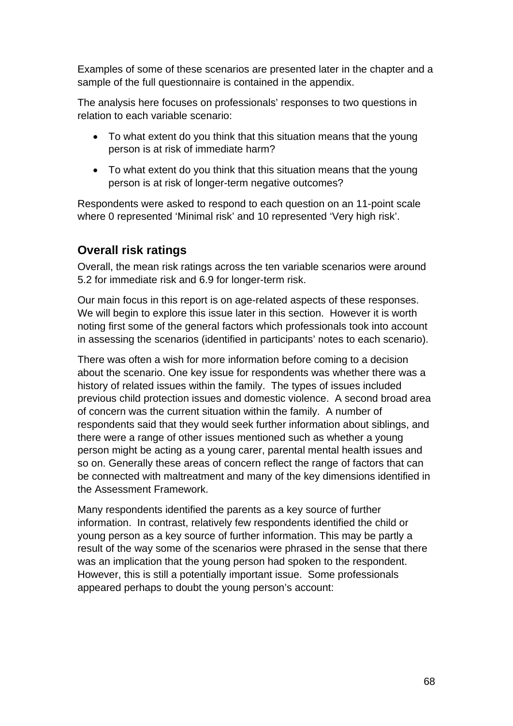Examples of some of these scenarios are presented later in the chapter and a sample of the full questionnaire is contained in the appendix.

The analysis here focuses on professionals' responses to two questions in relation to each variable scenario:

- To what extent do you think that this situation means that the young person is at risk of immediate harm?
- To what extent do you think that this situation means that the young person is at risk of longer-term negative outcomes?

Respondents were asked to respond to each question on an 11-point scale where 0 represented 'Minimal risk' and 10 represented 'Very high risk'.

# **Overall risk ratings**

Overall, the mean risk ratings across the ten variable scenarios were around 5.2 for immediate risk and 6.9 for longer-term risk.

Our main focus in this report is on age-related aspects of these responses. We will begin to explore this issue later in this section. However it is worth noting first some of the general factors which professionals took into account in assessing the scenarios (identified in participants' notes to each scenario).

There was often a wish for more information before coming to a decision about the scenario. One key issue for respondents was whether there was a history of related issues within the family. The types of issues included previous child protection issues and domestic violence. A second broad area of concern was the current situation within the family. A number of respondents said that they would seek further information about siblings, and there were a range of other issues mentioned such as whether a young person might be acting as a young carer, parental mental health issues and so on. Generally these areas of concern reflect the range of factors that can be connected with maltreatment and many of the key dimensions identified in the Assessment Framework.

Many respondents identified the parents as a key source of further information. In contrast, relatively few respondents identified the child or young person as a key source of further information. This may be partly a result of the way some of the scenarios were phrased in the sense that there was an implication that the young person had spoken to the respondent. However, this is still a potentially important issue. Some professionals appeared perhaps to doubt the young person's account: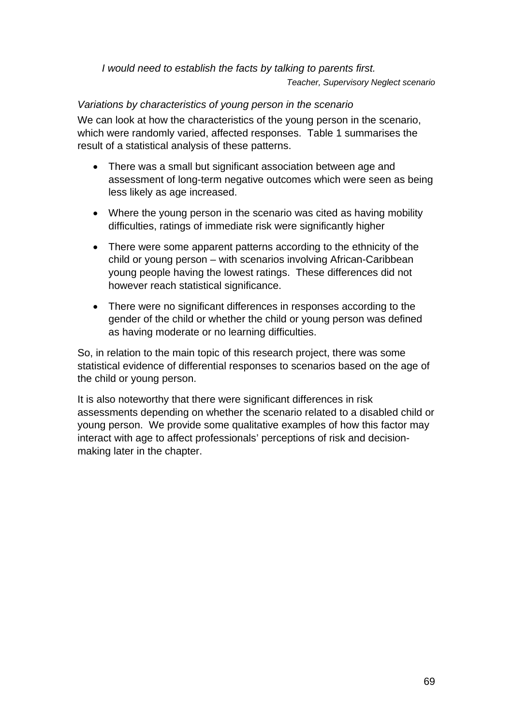*I would need to establish the facts by talking to parents first. Teacher, Supervisory Neglect scenario* 

*Variations by characteristics of young person in the scenario* 

We can look at how the characteristics of the young person in the scenario, which were randomly varied, affected responses. Table 1 summarises the result of a statistical analysis of these patterns.

- There was a small but significant association between age and assessment of long-term negative outcomes which were seen as being less likely as age increased.
- Where the young person in the scenario was cited as having mobility difficulties, ratings of immediate risk were significantly higher
- There were some apparent patterns according to the ethnicity of the child or young person – with scenarios involving African-Caribbean young people having the lowest ratings. These differences did not however reach statistical significance.
- There were no significant differences in responses according to the gender of the child or whether the child or young person was defined as having moderate or no learning difficulties.

So, in relation to the main topic of this research project, there was some statistical evidence of differential responses to scenarios based on the age of the child or young person.

It is also noteworthy that there were significant differences in risk assessments depending on whether the scenario related to a disabled child or young person. We provide some qualitative examples of how this factor may interact with age to affect professionals' perceptions of risk and decisionmaking later in the chapter.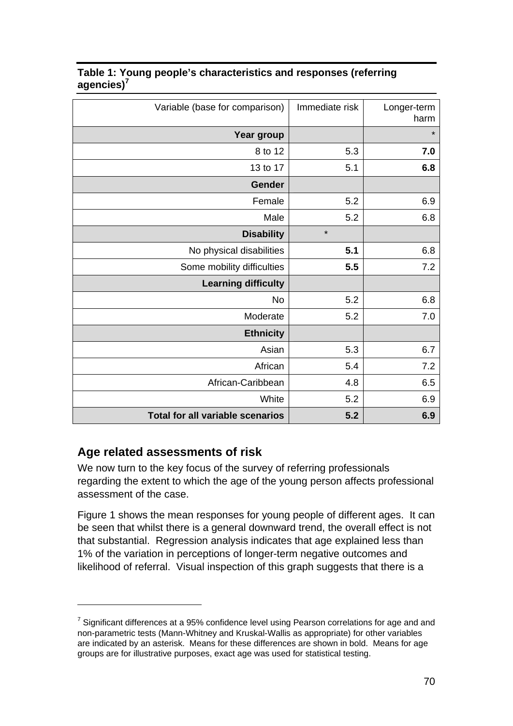| Variable (base for comparison)          | Immediate risk | Longer-term<br>harm |
|-----------------------------------------|----------------|---------------------|
| Year group                              |                | $\star$             |
| 8 to 12                                 | 5.3            | 7.0                 |
| 13 to 17                                | 5.1            | 6.8                 |
| <b>Gender</b>                           |                |                     |
| Female                                  | 5.2            | 6.9                 |
| Male                                    | 5.2            | 6.8                 |
| <b>Disability</b>                       | $\star$        |                     |
| No physical disabilities                | 5.1            | 6.8                 |
| Some mobility difficulties              | 5.5            | 7.2                 |
| <b>Learning difficulty</b>              |                |                     |
| <b>No</b>                               | 5.2            | 6.8                 |
| Moderate                                | 5.2            | 7.0                 |
| <b>Ethnicity</b>                        |                |                     |
| Asian                                   | 5.3            | 6.7                 |
| African                                 | 5.4            | 7.2                 |
| African-Caribbean                       | 4.8            | 6.5                 |
| White                                   | 5.2            | 6.9                 |
| <b>Total for all variable scenarios</b> | 5.2            | 6.9                 |

#### **Table 1: Young people's characteristics and responses (referring agencies)<sup>7</sup>**

# **Age related assessments of risk**

1

We now turn to the key focus of the survey of referring professionals regarding the extent to which the age of the young person affects professional assessment of the case.

Figure 1 shows the mean responses for young people of different ages. It can be seen that whilst there is a general downward trend, the overall effect is not that substantial. Regression analysis indicates that age explained less than 1% of the variation in perceptions of longer-term negative outcomes and likelihood of referral. Visual inspection of this graph suggests that there is a

 $7$  Significant differences at a 95% confidence level using Pearson correlations for age and and non-parametric tests (Mann-Whitney and Kruskal-Wallis as appropriate) for other variables are indicated by an asterisk. Means for these differences are shown in bold. Means for age groups are for illustrative purposes, exact age was used for statistical testing.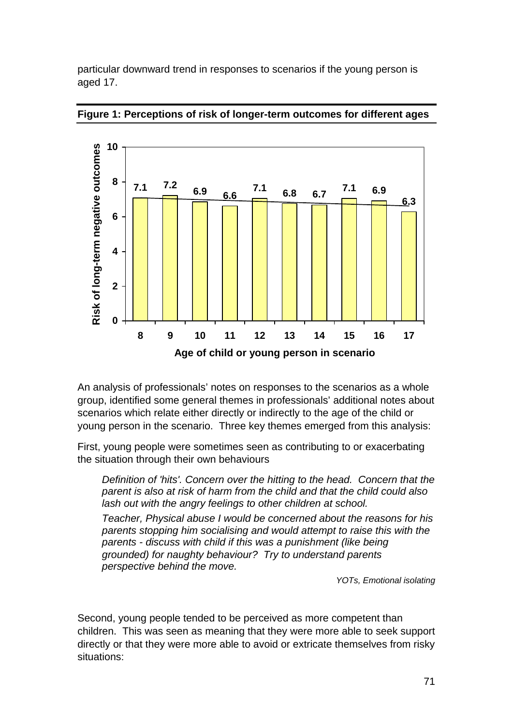particular downward trend in responses to scenarios if the young person is aged 17.



#### **Figure 1: Perceptions of risk of longer-term outcomes for different ages**

An analysis of professionals' notes on responses to the scenarios as a whole group, identified some general themes in professionals' additional notes about scenarios which relate either directly or indirectly to the age of the child or young person in the scenario. Three key themes emerged from this analysis:

First, young people were sometimes seen as contributing to or exacerbating the situation through their own behaviours

*Definition of 'hits'. Concern over the hitting to the head. Concern that the parent is also at risk of harm from the child and that the child could also lash out with the angry feelings to other children at school.*

*Teacher, Physical abuse I would be concerned about the reasons for his parents stopping him socialising and would attempt to raise this with the parents - discuss with child if this was a punishment (like being grounded) for naughty behaviour? Try to understand parents perspective behind the move.* 

*YOTs, Emotional isolating* 

Second, young people tended to be perceived as more competent than children. This was seen as meaning that they were more able to seek support directly or that they were more able to avoid or extricate themselves from risky situations: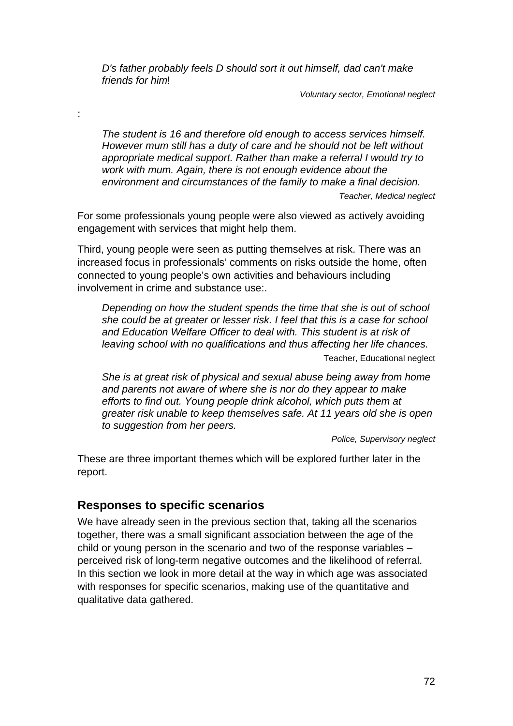*D's father probably feels D should sort it out himself, dad can't make friends for him*!

*Voluntary sector, Emotional neglect* 

*The student is 16 and therefore old enough to access services himself. However mum still has a duty of care and he should not be left without appropriate medical support. Rather than make a referral I would try to work with mum. Again, there is not enough evidence about the environment and circumstances of the family to make a final decision.* 

*Teacher, Medical neglect* 

For some professionals young people were also viewed as actively avoiding engagement with services that might help them.

Third, young people were seen as putting themselves at risk. There was an increased focus in professionals' comments on risks outside the home, often connected to young people's own activities and behaviours including involvement in crime and substance use:.

*Depending on how the student spends the time that she is out of school she could be at greater or lesser risk. I feel that this is a case for school and Education Welfare Officer to deal with. This student is at risk of leaving school with no qualifications and thus affecting her life chances.*  Teacher, Educational neglect

*She is at great risk of physical and sexual abuse being away from home and parents not aware of where she is nor do they appear to make efforts to find out. Young people drink alcohol, which puts them at greater risk unable to keep themselves safe. At 11 years old she is open to suggestion from her peers.* 

*Police, Supervisory neglect* 

These are three important themes which will be explored further later in the report.

# **Responses to specific scenarios**

:

We have already seen in the previous section that, taking all the scenarios together, there was a small significant association between the age of the child or young person in the scenario and two of the response variables – perceived risk of long-term negative outcomes and the likelihood of referral. In this section we look in more detail at the way in which age was associated with responses for specific scenarios, making use of the quantitative and qualitative data gathered.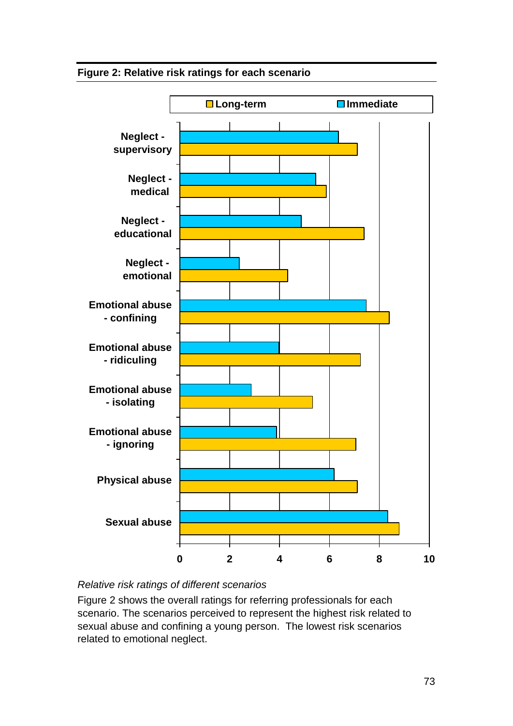### **Figure 2: Relative risk ratings for each scenario**



### *Relative risk ratings of different scenarios*

Figure 2 shows the overall ratings for referring professionals for each scenario. The scenarios perceived to represent the highest risk related to sexual abuse and confining a young person. The lowest risk scenarios related to emotional neglect.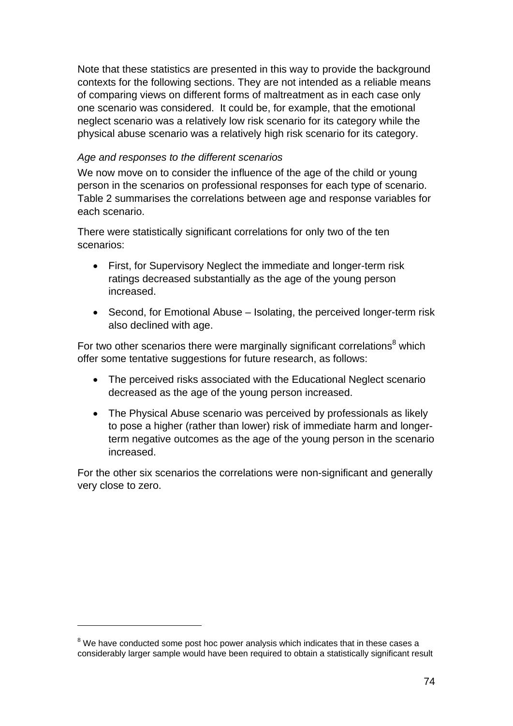Note that these statistics are presented in this way to provide the background contexts for the following sections. They are not intended as a reliable means of comparing views on different forms of maltreatment as in each case only one scenario was considered. It could be, for example, that the emotional neglect scenario was a relatively low risk scenario for its category while the physical abuse scenario was a relatively high risk scenario for its category.

#### *Age and responses to the different scenarios*

We now move on to consider the influence of the age of the child or young person in the scenarios on professional responses for each type of scenario. Table 2 summarises the correlations between age and response variables for each scenario.

There were statistically significant correlations for only two of the ten scenarios:

- First, for Supervisory Neglect the immediate and longer-term risk ratings decreased substantially as the age of the young person increased.
- Second, for Emotional Abuse Isolating, the perceived longer-term risk also declined with age.

For two other scenarios there were marginally significant correlations<sup>8</sup> which offer some tentative suggestions for future research, as follows:

- The perceived risks associated with the Educational Neglect scenario decreased as the age of the young person increased.
- The Physical Abuse scenario was perceived by professionals as likely to pose a higher (rather than lower) risk of immediate harm and longerterm negative outcomes as the age of the young person in the scenario increased.

For the other six scenarios the correlations were non-significant and generally very close to zero.

1

 $8$  We have conducted some post hoc power analysis which indicates that in these cases a considerably larger sample would have been required to obtain a statistically significant result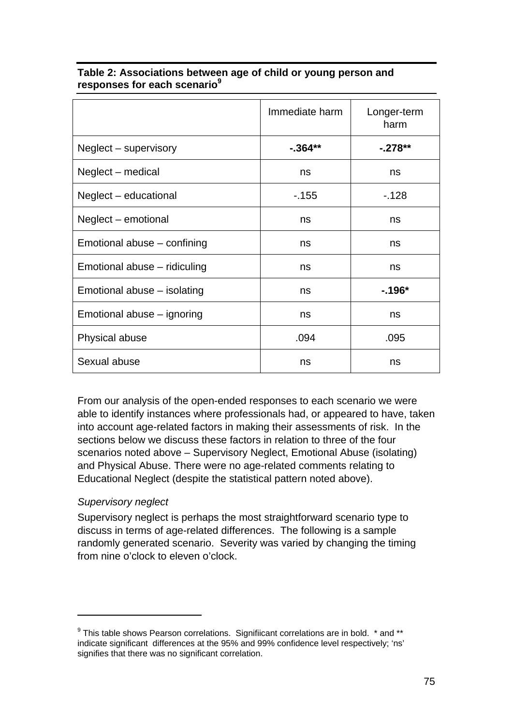|                              | Immediate harm | Longer-term<br>harm |
|------------------------------|----------------|---------------------|
| Neglect – supervisory        | $-0.364**$     | $-.278**$           |
| Neglect – medical            | ns             | ns                  |
| Neglect – educational        | $-155$         | $-128$              |
| Neglect – emotional          | ns             | ns                  |
| Emotional abuse – confining  | ns             | ns                  |
| Emotional abuse – ridiculing | ns             | ns                  |
| Emotional abuse – isolating  | ns             | $-196*$             |
| Emotional abuse – ignoring   | ns             | ns                  |
| Physical abuse               | .094           | .095                |
| Sexual abuse                 | ns             | ns                  |

#### **Table 2: Associations between age of child or young person and responses for each scenario9**

From our analysis of the open-ended responses to each scenario we were able to identify instances where professionals had, or appeared to have, taken into account age-related factors in making their assessments of risk. In the sections below we discuss these factors in relation to three of the four scenarios noted above – Supervisory Neglect, Emotional Abuse (isolating) and Physical Abuse. There were no age-related comments relating to Educational Neglect (despite the statistical pattern noted above).

### *Supervisory neglect*

1

Supervisory neglect is perhaps the most straightforward scenario type to discuss in terms of age-related differences. The following is a sample randomly generated scenario. Severity was varied by changing the timing from nine o'clock to eleven o'clock.

 $9$  This table shows Pearson correlations. Signifiicant correlations are in bold.  $*$  and  $**$ indicate significant differences at the 95% and 99% confidence level respectively; 'ns' signifies that there was no significant correlation.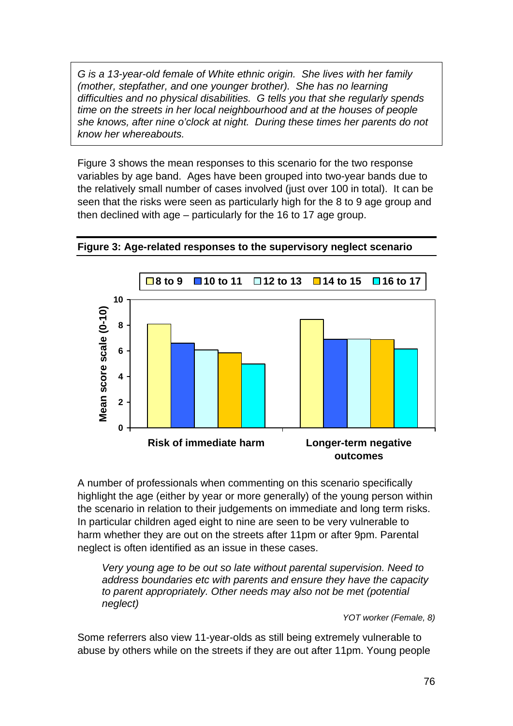*G is a 13-year-old female of White ethnic origin. She lives with her family (mother, stepfather, and one younger brother). She has no learning difficulties and no physical disabilities. G tells you that she regularly spends time on the streets in her local neighbourhood and at the houses of people she knows, after nine o'clock at night. During these times her parents do not know her whereabouts.* 

Figure 3 shows the mean responses to this scenario for the two response variables by age band. Ages have been grouped into two-year bands due to the relatively small number of cases involved (just over 100 in total). It can be seen that the risks were seen as particularly high for the 8 to 9 age group and then declined with age – particularly for the 16 to 17 age group.



#### **Figure 3: Age-related responses to the supervisory neglect scenario**

A number of professionals when commenting on this scenario specifically highlight the age (either by year or more generally) of the young person within the scenario in relation to their judgements on immediate and long term risks. In particular children aged eight to nine are seen to be very vulnerable to harm whether they are out on the streets after 11pm or after 9pm. Parental neglect is often identified as an issue in these cases.

*Very young age to be out so late without parental supervision. Need to address boundaries etc with parents and ensure they have the capacity to parent appropriately. Other needs may also not be met (potential neglect)* 

 *YOT worker (Female, 8)* 

Some referrers also view 11-year-olds as still being extremely vulnerable to abuse by others while on the streets if they are out after 11pm. Young people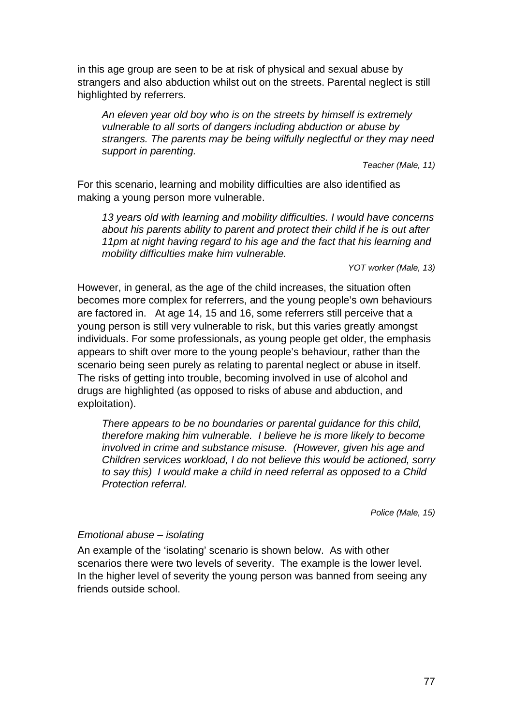in this age group are seen to be at risk of physical and sexual abuse by strangers and also abduction whilst out on the streets. Parental neglect is still highlighted by referrers.

*An eleven year old boy who is on the streets by himself is extremely vulnerable to all sorts of dangers including abduction or abuse by strangers. The parents may be being wilfully neglectful or they may need support in parenting.* 

*Teacher (Male, 11)* 

For this scenario, learning and mobility difficulties are also identified as making a young person more vulnerable.

*13 years old with learning and mobility difficulties. I would have concerns about his parents ability to parent and protect their child if he is out after 11pm at night having regard to his age and the fact that his learning and mobility difficulties make him vulnerable.* 

*YOT worker (Male, 13)* 

However, in general, as the age of the child increases, the situation often becomes more complex for referrers, and the young people's own behaviours are factored in. At age 14, 15 and 16, some referrers still perceive that a young person is still very vulnerable to risk, but this varies greatly amongst individuals. For some professionals, as young people get older, the emphasis appears to shift over more to the young people's behaviour, rather than the scenario being seen purely as relating to parental neglect or abuse in itself. The risks of getting into trouble, becoming involved in use of alcohol and drugs are highlighted (as opposed to risks of abuse and abduction, and exploitation).

*There appears to be no boundaries or parental guidance for this child, therefore making him vulnerable. I believe he is more likely to become involved in crime and substance misuse. (However, given his age and Children services workload, I do not believe this would be actioned, sorry to say this) I would make a child in need referral as opposed to a Child Protection referral.* 

*Police (Male, 15)* 

#### *Emotional abuse – isolating*

An example of the 'isolating' scenario is shown below. As with other scenarios there were two levels of severity. The example is the lower level. In the higher level of severity the young person was banned from seeing any friends outside school.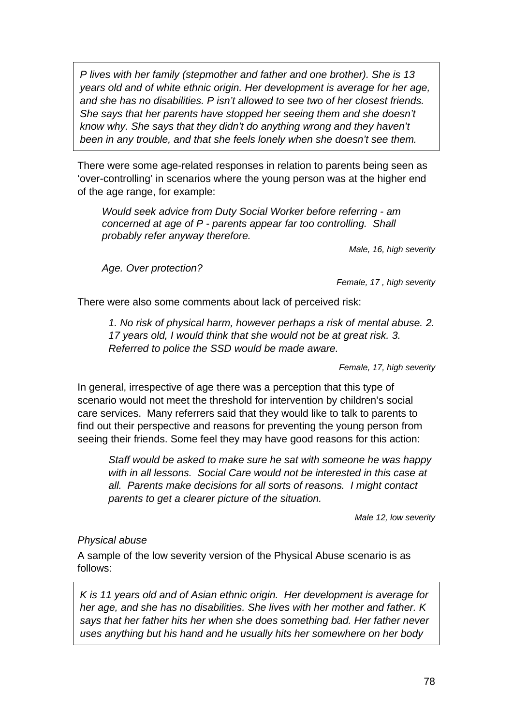*P lives with her family (stepmother and father and one brother). She is 13 years old and of white ethnic origin. Her development is average for her age, and she has no disabilities. P isn't allowed to see two of her closest friends. She says that her parents have stopped her seeing them and she doesn't know why. She says that they didn't do anything wrong and they haven't been in any trouble, and that she feels lonely when she doesn't see them.* 

There were some age-related responses in relation to parents being seen as 'over-controlling' in scenarios where the young person was at the higher end of the age range, for example:

*Would seek advice from Duty Social Worker before referring - am concerned at age of P - parents appear far too controlling. Shall probably refer anyway therefore.* 

*Male, 16, high severity* 

*Age. Over protection?* 

*Female, 17 , high severity*

There were also some comments about lack of perceived risk:

*1. No risk of physical harm, however perhaps a risk of mental abuse. 2. 17 years old, I would think that she would not be at great risk. 3. Referred to police the SSD would be made aware.* 

*Female, 17, high severity* 

In general, irrespective of age there was a perception that this type of scenario would not meet the threshold for intervention by children's social care services. Many referrers said that they would like to talk to parents to find out their perspective and reasons for preventing the young person from seeing their friends. Some feel they may have good reasons for this action:

*Staff would be asked to make sure he sat with someone he was happy with in all lessons. Social Care would not be interested in this case at all. Parents make decisions for all sorts of reasons. I might contact parents to get a clearer picture of the situation.* 

 *Male 12, low severity* 

#### *Physical abuse*

A sample of the low severity version of the Physical Abuse scenario is as follows:

*K is 11 years old and of Asian ethnic origin. Her development is average for her age, and she has no disabilities. She lives with her mother and father. K says that her father hits her when she does something bad. Her father never uses anything but his hand and he usually hits her somewhere on her body*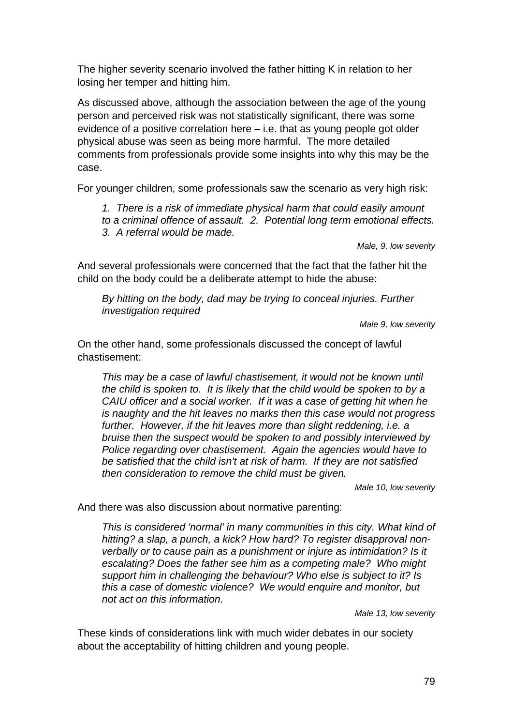The higher severity scenario involved the father hitting K in relation to her losing her temper and hitting him.

As discussed above, although the association between the age of the young person and perceived risk was not statistically significant, there was some evidence of a positive correlation here – i.e. that as young people got older physical abuse was seen as being more harmful. The more detailed comments from professionals provide some insights into why this may be the case.

For younger children, some professionals saw the scenario as very high risk:

*1. There is a risk of immediate physical harm that could easily amount to a criminal offence of assault. 2. Potential long term emotional effects. 3. A referral would be made.* 

*Male, 9, low severity* 

And several professionals were concerned that the fact that the father hit the child on the body could be a deliberate attempt to hide the abuse:

*By hitting on the body, dad may be trying to conceal injuries. Further investigation required* 

*Male 9, low severity* 

On the other hand, some professionals discussed the concept of lawful chastisement:

*This may be a case of lawful chastisement, it would not be known until the child is spoken to. It is likely that the child would be spoken to by a CAIU officer and a social worker. If it was a case of getting hit when he is naughty and the hit leaves no marks then this case would not progress*  further. However, if the hit leaves more than slight reddening, *i.e. a bruise then the suspect would be spoken to and possibly interviewed by Police regarding over chastisement. Again the agencies would have to be satisfied that the child isn't at risk of harm. If they are not satisfied then consideration to remove the child must be given.* 

*Male 10, low severity* 

And there was also discussion about normative parenting:

*This is considered 'normal' in many communities in this city. What kind of hitting? a slap, a punch, a kick? How hard? To register disapproval nonverbally or to cause pain as a punishment or injure as intimidation? Is it escalating? Does the father see him as a competing male? Who might support him in challenging the behaviour? Who else is subject to it? Is this a case of domestic violence? We would enquire and monitor, but not act on this information.* 

*Male 13, low severity* 

These kinds of considerations link with much wider debates in our society about the acceptability of hitting children and young people.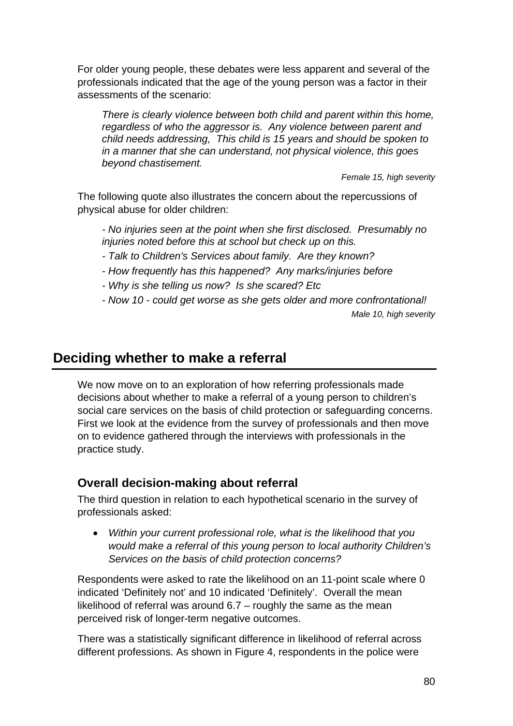For older young people, these debates were less apparent and several of the professionals indicated that the age of the young person was a factor in their assessments of the scenario:

*There is clearly violence between both child and parent within this home, regardless of who the aggressor is. Any violence between parent and child needs addressing, This child is 15 years and should be spoken to in a manner that she can understand, not physical violence, this goes beyond chastisement.* 

*Female 15, high severity* 

The following quote also illustrates the concern about the repercussions of physical abuse for older children:

*- No injuries seen at the point when she first disclosed. Presumably no injuries noted before this at school but check up on this.* 

*- Talk to Children's Services about family. Are they known?* 

*- How frequently has this happened? Any marks/injuries before* 

*- Why is she telling us now? Is she scared? Etc* 

*- Now 10 - could get worse as she gets older and more confrontational! Male 10, high severity* 

# **Deciding whether to make a referral**

We now move on to an exploration of how referring professionals made decisions about whether to make a referral of a young person to children's social care services on the basis of child protection or safeguarding concerns. First we look at the evidence from the survey of professionals and then move on to evidence gathered through the interviews with professionals in the practice study.

# **Overall decision-making about referral**

The third question in relation to each hypothetical scenario in the survey of professionals asked:

 *Within your current professional role, what is the likelihood that you would make a referral of this young person to local authority Children's Services on the basis of child protection concerns?* 

Respondents were asked to rate the likelihood on an 11-point scale where 0 indicated 'Definitely not' and 10 indicated 'Definitely'. Overall the mean likelihood of referral was around  $6.7 -$  roughly the same as the mean perceived risk of longer-term negative outcomes.

There was a statistically significant difference in likelihood of referral across different professions. As shown in Figure 4, respondents in the police were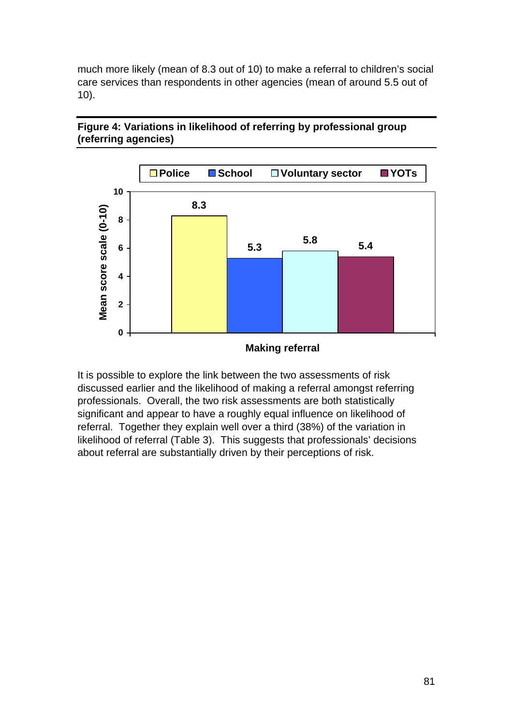much more likely (mean of 8.3 out of 10) to make a referral to children's social care services than respondents in other agencies (mean of around 5.5 out of 10).



### **Figure 4: Variations in likelihood of referring by professional group (referring agencies)**

It is possible to explore the link between the two assessments of risk discussed earlier and the likelihood of making a referral amongst referring professionals. Overall, the two risk assessments are both statistically significant and appear to have a roughly equal influence on likelihood of referral. Together they explain well over a third (38%) of the variation in likelihood of referral (Table 3). This suggests that professionals' decisions about referral are substantially driven by their perceptions of risk.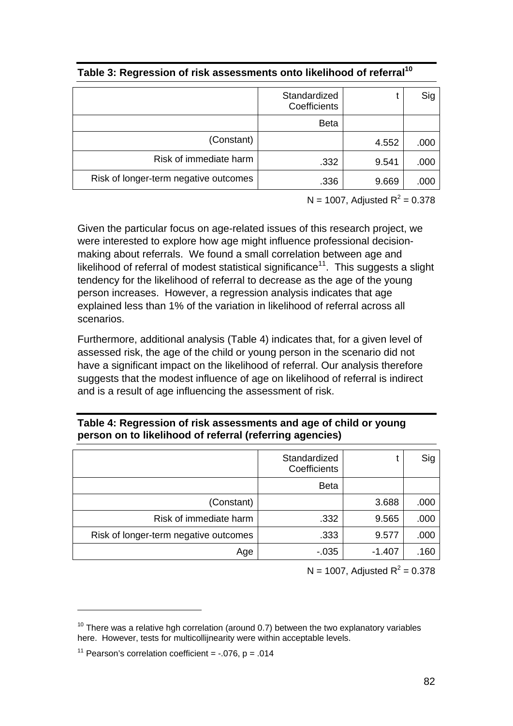|                                       | Standardized<br>Coefficients |       | Sig  |
|---------------------------------------|------------------------------|-------|------|
|                                       | <b>Beta</b>                  |       |      |
| (Constant)                            |                              | 4.552 | .000 |
| Risk of immediate harm                | .332                         | 9.541 | .000 |
| Risk of longer-term negative outcomes | .336                         | 9.669 | .000 |

| Table 3: Regression of risk assessments onto likelihood of referral $^{\mathsf{10}}$ |  |
|--------------------------------------------------------------------------------------|--|
|--------------------------------------------------------------------------------------|--|

 $N = 1007$ , Adjusted  $R^2 = 0.378$ 

Given the particular focus on age-related issues of this research project, we were interested to explore how age might influence professional decisionmaking about referrals. We found a small correlation between age and likelihood of referral of modest statistical significance<sup>11</sup>. This suggests a slight tendency for the likelihood of referral to decrease as the age of the young person increases. However, a regression analysis indicates that age explained less than 1% of the variation in likelihood of referral across all scenarios.

Furthermore, additional analysis (Table 4) indicates that, for a given level of assessed risk, the age of the child or young person in the scenario did not have a significant impact on the likelihood of referral. Our analysis therefore suggests that the modest influence of age on likelihood of referral is indirect and is a result of age influencing the assessment of risk.

| Table 4: Regression of risk assessments and age of child or young |  |
|-------------------------------------------------------------------|--|
| person on to likelihood of referral (referring agencies)          |  |

|                                       | Standardized<br>Coefficients |          | Sig  |
|---------------------------------------|------------------------------|----------|------|
|                                       | <b>Beta</b>                  |          |      |
| (Constant)                            |                              | 3.688    | .000 |
| Risk of immediate harm                | .332                         | 9.565    | .000 |
| Risk of longer-term negative outcomes | .333                         | 9.577    | .000 |
| Age                                   | $-0.035$                     | $-1.407$ | .160 |

 $N = 1007$ , Adjusted  $R^2 = 0.378$ 

1

 $10$  There was a relative hgh correlation (around 0.7) between the two explanatory variables here. However, tests for multicollijnearity were within acceptable levels.

<sup>&</sup>lt;sup>11</sup> Pearson's correlation coefficient =  $-.076$ , p =  $.014$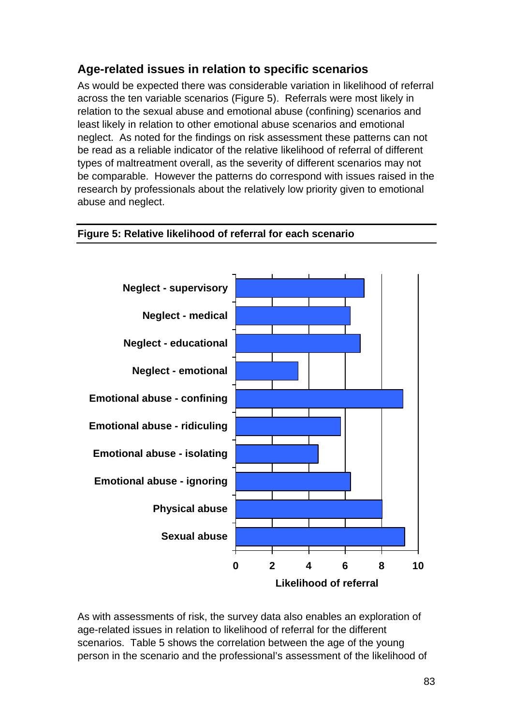# **Age-related issues in relation to specific scenarios**

As would be expected there was considerable variation in likelihood of referral across the ten variable scenarios (Figure 5). Referrals were most likely in relation to the sexual abuse and emotional abuse (confining) scenarios and least likely in relation to other emotional abuse scenarios and emotional neglect. As noted for the findings on risk assessment these patterns can not be read as a reliable indicator of the relative likelihood of referral of different types of maltreatment overall, as the severity of different scenarios may not be comparable. However the patterns do correspond with issues raised in the research by professionals about the relatively low priority given to emotional abuse and neglect.

### **Figure 5: Relative likelihood of referral for each scenario**



As with assessments of risk, the survey data also enables an exploration of age-related issues in relation to likelihood of referral for the different scenarios. Table 5 shows the correlation between the age of the young person in the scenario and the professional's assessment of the likelihood of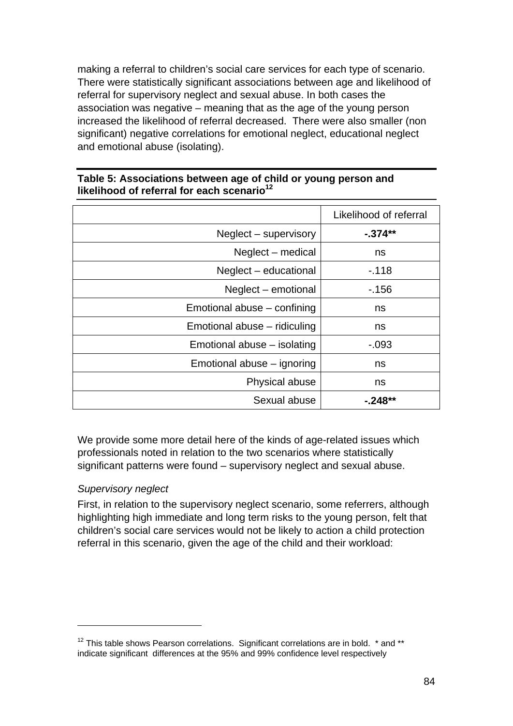making a referral to children's social care services for each type of scenario. There were statistically significant associations between age and likelihood of referral for supervisory neglect and sexual abuse. In both cases the association was negative – meaning that as the age of the young person increased the likelihood of referral decreased. There were also smaller (non significant) negative correlations for emotional neglect, educational neglect and emotional abuse (isolating).

#### **Table 5: Associations between age of child or young person and**  likelihood of referral for each scenario<sup>12</sup>

|                              | Likelihood of referral |
|------------------------------|------------------------|
| Neglect – supervisory        | -.374**                |
| Neglect – medical            | ns                     |
| Neglect – educational        | $-118$                 |
| Neglect – emotional          | - 156                  |
| Emotional abuse – confining  | ns                     |
| Emotional abuse - ridiculing | ns                     |
| Emotional abuse – isolating  | $-0.093$               |
| Emotional abuse – ignoring   | ns                     |
| Physical abuse               | ns                     |
| Sexual abuse                 | -.248**                |

We provide some more detail here of the kinds of age-related issues which professionals noted in relation to the two scenarios where statistically significant patterns were found – supervisory neglect and sexual abuse.

### *Supervisory neglect*

1

First, in relation to the supervisory neglect scenario, some referrers, although highlighting high immediate and long term risks to the young person, felt that children's social care services would not be likely to action a child protection referral in this scenario, given the age of the child and their workload:

 $12$  This table shows Pearson correlations. Significant correlations are in bold.  $*$  and  $**$ indicate significant differences at the 95% and 99% confidence level respectively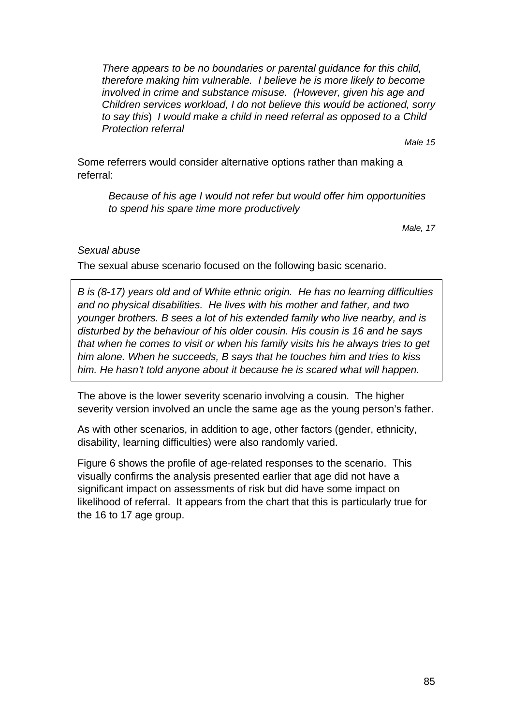*There appears to be no boundaries or parental guidance for this child, therefore making him vulnerable. I believe he is more likely to become involved in crime and substance misuse. (However, given his age and Children services workload, I do not believe this would be actioned, sorry to say this*) *I would make a child in need referral as opposed to a Child Protection referral* 

*Male 15* 

Some referrers would consider alternative options rather than making a referral:

*Because of his age I would not refer but would offer him opportunities to spend his spare time more productively* 

 *Male, 17* 

#### *Sexual abuse*

The sexual abuse scenario focused on the following basic scenario.

*B is (8-17) years old and of White ethnic origin. He has no learning difficulties and no physical disabilities. He lives with his mother and father, and two younger brothers. B sees a lot of his extended family who live nearby, and is disturbed by the behaviour of his older cousin. His cousin is 16 and he says that when he comes to visit or when his family visits his he always tries to get him alone. When he succeeds, B says that he touches him and tries to kiss him. He hasn't told anyone about it because he is scared what will happen.* 

The above is the lower severity scenario involving a cousin. The higher severity version involved an uncle the same age as the young person's father.

As with other scenarios, in addition to age, other factors (gender, ethnicity, disability, learning difficulties) were also randomly varied.

Figure 6 shows the profile of age-related responses to the scenario. This visually confirms the analysis presented earlier that age did not have a significant impact on assessments of risk but did have some impact on likelihood of referral. It appears from the chart that this is particularly true for the 16 to 17 age group.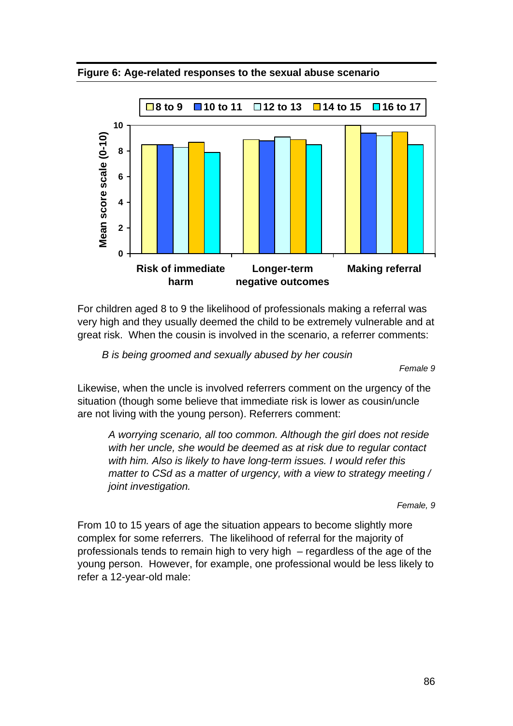**Figure 6: Age-related responses to the sexual abuse scenario** 



For children aged 8 to 9 the likelihood of professionals making a referral was very high and they usually deemed the child to be extremely vulnerable and at great risk. When the cousin is involved in the scenario, a referrer comments:

*B is being groomed and sexually abused by her cousin* 

 *Female 9* 

Likewise, when the uncle is involved referrers comment on the urgency of the situation (though some believe that immediate risk is lower as cousin/uncle are not living with the young person). Referrers comment:

*A worrying scenario, all too common. Although the girl does not reside with her uncle, she would be deemed as at risk due to regular contact with him. Also is likely to have long-term issues. I would refer this matter to CSd as a matter of urgency, with a view to strategy meeting / joint investigation.* 

*Female, 9* 

From 10 to 15 years of age the situation appears to become slightly more complex for some referrers. The likelihood of referral for the majority of professionals tends to remain high to very high – regardless of the age of the young person. However, for example, one professional would be less likely to refer a 12-year-old male: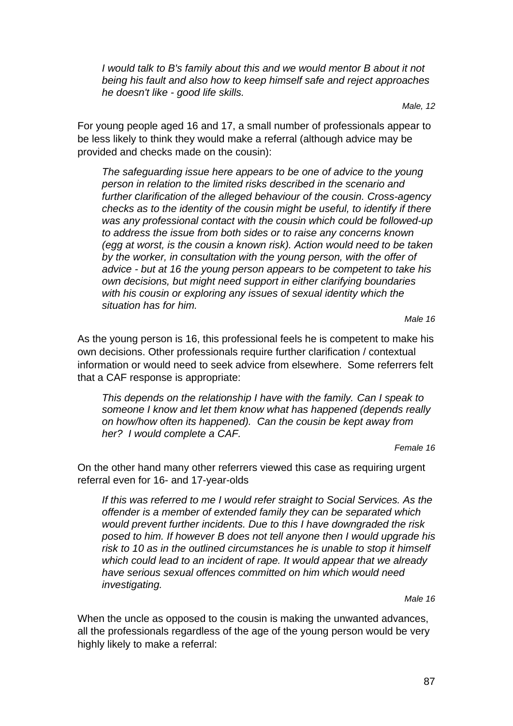*I would talk to B's family about this and we would mentor B about it not being his fault and also how to keep himself safe and reject approaches he doesn't like - good life skills.* 

*Male, 12*

For young people aged 16 and 17, a small number of professionals appear to be less likely to think they would make a referral (although advice may be provided and checks made on the cousin):

*The safeguarding issue here appears to be one of advice to the young person in relation to the limited risks described in the scenario and further clarification of the alleged behaviour of the cousin. Cross-agency checks as to the identity of the cousin might be useful, to identify if there was any professional contact with the cousin which could be followed-up to address the issue from both sides or to raise any concerns known (egg at worst, is the cousin a known risk). Action would need to be taken by the worker, in consultation with the young person, with the offer of advice - but at 16 the young person appears to be competent to take his own decisions, but might need support in either clarifying boundaries with his cousin or exploring any issues of sexual identity which the situation has for him.* 

 *Male 16* 

As the young person is 16, this professional feels he is competent to make his own decisions. Other professionals require further clarification / contextual information or would need to seek advice from elsewhere. Some referrers felt that a CAF response is appropriate:

*This depends on the relationship I have with the family. Can I speak to someone I know and let them know what has happened (depends really on how/how often its happened). Can the cousin be kept away from her? I would complete a CAF.* 

*Female 16* 

On the other hand many other referrers viewed this case as requiring urgent referral even for 16- and 17-year-olds

*If this was referred to me I would refer straight to Social Services. As the offender is a member of extended family they can be separated which would prevent further incidents. Due to this I have downgraded the risk posed to him. If however B does not tell anyone then I would upgrade his risk to 10 as in the outlined circumstances he is unable to stop it himself which could lead to an incident of rape. It would appear that we already have serious sexual offences committed on him which would need investigating.*

*Male 16* 

When the uncle as opposed to the cousin is making the unwanted advances, all the professionals regardless of the age of the young person would be very highly likely to make a referral: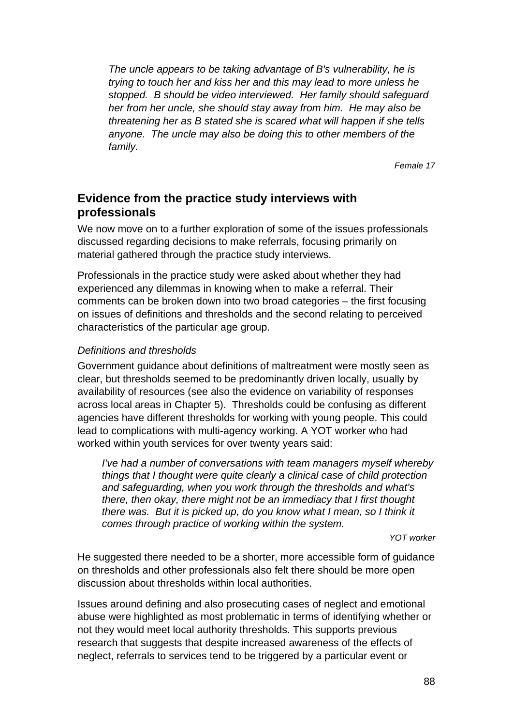*The uncle appears to be taking advantage of B's vulnerability, he is trying to touch her and kiss her and this may lead to more unless he stopped. B should be video interviewed. Her family should safeguard her from her uncle, she should stay away from him. He may also be threatening her as B stated she is scared what will happen if she tells anyone. The uncle may also be doing this to other members of the family.* 

*Female 17* 

# **Evidence from the practice study interviews with professionals**

We now move on to a further exploration of some of the issues professionals discussed regarding decisions to make referrals, focusing primarily on material gathered through the practice study interviews.

Professionals in the practice study were asked about whether they had experienced any dilemmas in knowing when to make a referral. Their comments can be broken down into two broad categories – the first focusing on issues of definitions and thresholds and the second relating to perceived characteristics of the particular age group.

#### *Definitions and thresholds*

Government guidance about definitions of maltreatment were mostly seen as clear, but thresholds seemed to be predominantly driven locally, usually by availability of resources (see also the evidence on variability of responses across local areas in Chapter 5). Thresholds could be confusing as different agencies have different thresholds for working with young people. This could lead to complications with multi-agency working. A YOT worker who had worked within youth services for over twenty years said:

*I've had a number of conversations with team managers myself whereby things that I thought were quite clearly a clinical case of child protection and safeguarding, when you work through the thresholds and what's there, then okay, there might not be an immediacy that I first thought there was. But it is picked up, do you know what I mean, so I think it comes through practice of working within the system.* 

*YOT worker* 

He suggested there needed to be a shorter, more accessible form of guidance on thresholds and other professionals also felt there should be more open discussion about thresholds within local authorities.

Issues around defining and also prosecuting cases of neglect and emotional abuse were highlighted as most problematic in terms of identifying whether or not they would meet local authority thresholds. This supports previous research that suggests that despite increased awareness of the effects of neglect, referrals to services tend to be triggered by a particular event or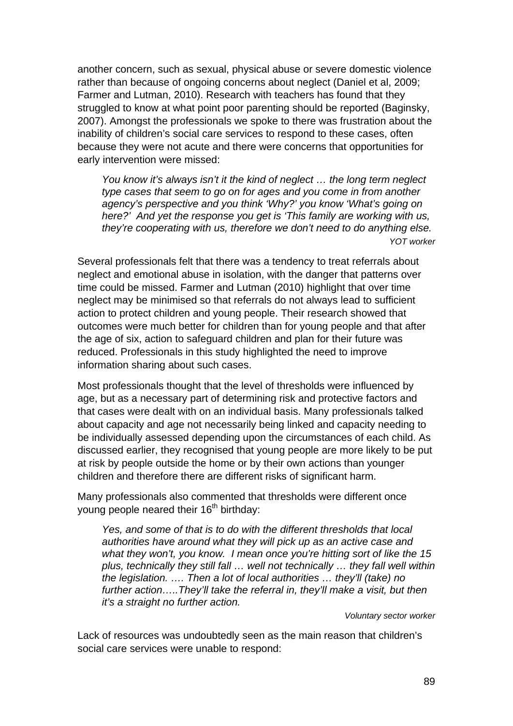another concern, such as sexual, physical abuse or severe domestic violence rather than because of ongoing concerns about neglect (Daniel et al, 2009; Farmer and Lutman, 2010). Research with teachers has found that they struggled to know at what point poor parenting should be reported (Baginsky, 2007). Amongst the professionals we spoke to there was frustration about the inability of children's social care services to respond to these cases, often because they were not acute and there were concerns that opportunities for early intervention were missed:

*You know it's always isn't it the kind of neglect … the long term neglect type cases that seem to go on for ages and you come in from another agency's perspective and you think 'Why?' you know 'What's going on here?' And yet the response you get is 'This family are working with us, they're cooperating with us, therefore we don't need to do anything else. YOT worker* 

Several professionals felt that there was a tendency to treat referrals about neglect and emotional abuse in isolation, with the danger that patterns over time could be missed. Farmer and Lutman (2010) highlight that over time neglect may be minimised so that referrals do not always lead to sufficient action to protect children and young people. Their research showed that outcomes were much better for children than for young people and that after the age of six, action to safeguard children and plan for their future was reduced. Professionals in this study highlighted the need to improve information sharing about such cases.

Most professionals thought that the level of thresholds were influenced by age, but as a necessary part of determining risk and protective factors and that cases were dealt with on an individual basis. Many professionals talked about capacity and age not necessarily being linked and capacity needing to be individually assessed depending upon the circumstances of each child. As discussed earlier, they recognised that young people are more likely to be put at risk by people outside the home or by their own actions than younger children and therefore there are different risks of significant harm.

Many professionals also commented that thresholds were different once young people neared their  $16<sup>th</sup>$  birthday:

*Yes, and some of that is to do with the different thresholds that local authorities have around what they will pick up as an active case and what they won't, you know. I mean once you're hitting sort of like the 15 plus, technically they still fall … well not technically … they fall well within the legislation. …. Then a lot of local authorities … they'll (take) no*  further action.....They'll take the referral in, they'll make a visit, but then *it's a straight no further action.* 

*Voluntary sector worker* 

Lack of resources was undoubtedly seen as the main reason that children's social care services were unable to respond: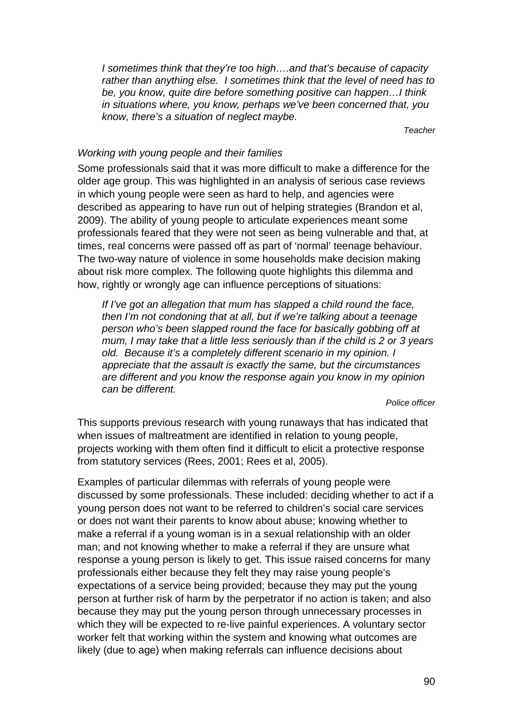*I sometimes think that they're too high….and that's because of capacity rather than anything else. I sometimes think that the level of need has to be, you know, quite dire before something positive can happen…I think in situations where, you know, perhaps we've been concerned that, you know, there's a situation of neglect maybe.* 

*Teacher* 

#### *Working with young people and their families*

Some professionals said that it was more difficult to make a difference for the older age group. This was highlighted in an analysis of serious case reviews in which young people were seen as hard to help, and agencies were described as appearing to have run out of helping strategies (Brandon et al, 2009). The ability of young people to articulate experiences meant some professionals feared that they were not seen as being vulnerable and that, at times, real concerns were passed off as part of 'normal' teenage behaviour. The two-way nature of violence in some households make decision making about risk more complex. The following quote highlights this dilemma and how, rightly or wrongly age can influence perceptions of situations:

*If I've got an allegation that mum has slapped a child round the face, then I'm not condoning that at all, but if we're talking about a teenage person who's been slapped round the face for basically gobbing off at mum, I may take that a little less seriously than if the child is 2 or 3 years old. Because it's a completely different scenario in my opinion. I appreciate that the assault is exactly the same, but the circumstances are different and you know the response again you know in my opinion can be different.* 

#### *Police officer*

This supports previous research with young runaways that has indicated that when issues of maltreatment are identified in relation to young people, projects working with them often find it difficult to elicit a protective response from statutory services (Rees, 2001; Rees et al, 2005).

Examples of particular dilemmas with referrals of young people were discussed by some professionals. These included: deciding whether to act if a young person does not want to be referred to children's social care services or does not want their parents to know about abuse; knowing whether to make a referral if a young woman is in a sexual relationship with an older man; and not knowing whether to make a referral if they are unsure what response a young person is likely to get. This issue raised concerns for many professionals either because they felt they may raise young people's expectations of a service being provided; because they may put the young person at further risk of harm by the perpetrator if no action is taken; and also because they may put the young person through unnecessary processes in which they will be expected to re-live painful experiences. A voluntary sector worker felt that working within the system and knowing what outcomes are likely (due to age) when making referrals can influence decisions about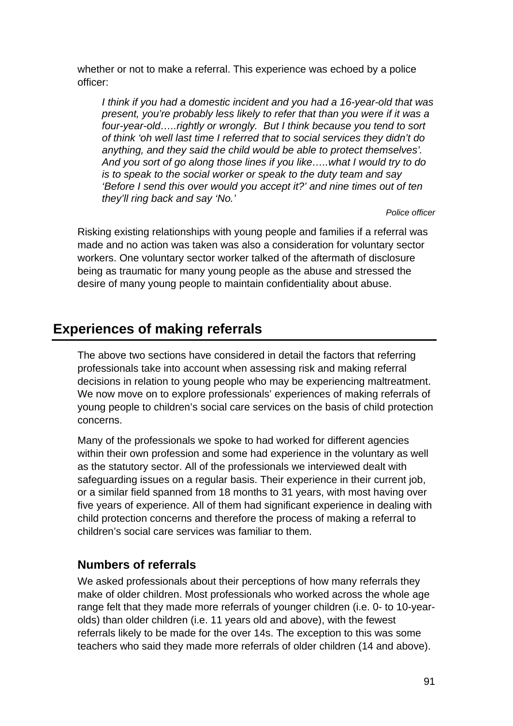whether or not to make a referral. This experience was echoed by a police officer:

*I think if you had a domestic incident and you had a 16-year-old that was present, you're probably less likely to refer that than you were if it was a four-year-old…..rightly or wrongly. But I think because you tend to sort of think 'oh well last time I referred that to social services they didn't do anything, and they said the child would be able to protect themselves'. And you sort of go along those lines if you like…..what I would try to do is to speak to the social worker or speak to the duty team and say 'Before I send this over would you accept it?' and nine times out of ten they'll ring back and say 'No.'* 

*Police officer* 

Risking existing relationships with young people and families if a referral was made and no action was taken was also a consideration for voluntary sector workers. One voluntary sector worker talked of the aftermath of disclosure being as traumatic for many young people as the abuse and stressed the desire of many young people to maintain confidentiality about abuse.

# **Experiences of making referrals**

The above two sections have considered in detail the factors that referring professionals take into account when assessing risk and making referral decisions in relation to young people who may be experiencing maltreatment. We now move on to explore professionals' experiences of making referrals of young people to children's social care services on the basis of child protection concerns.

Many of the professionals we spoke to had worked for different agencies within their own profession and some had experience in the voluntary as well as the statutory sector. All of the professionals we interviewed dealt with safeguarding issues on a regular basis. Their experience in their current job, or a similar field spanned from 18 months to 31 years, with most having over five years of experience. All of them had significant experience in dealing with child protection concerns and therefore the process of making a referral to children's social care services was familiar to them.

# **Numbers of referrals**

We asked professionals about their perceptions of how many referrals they make of older children. Most professionals who worked across the whole age range felt that they made more referrals of younger children (i.e. 0- to 10-yearolds) than older children (i.e. 11 years old and above), with the fewest referrals likely to be made for the over 14s. The exception to this was some teachers who said they made more referrals of older children (14 and above).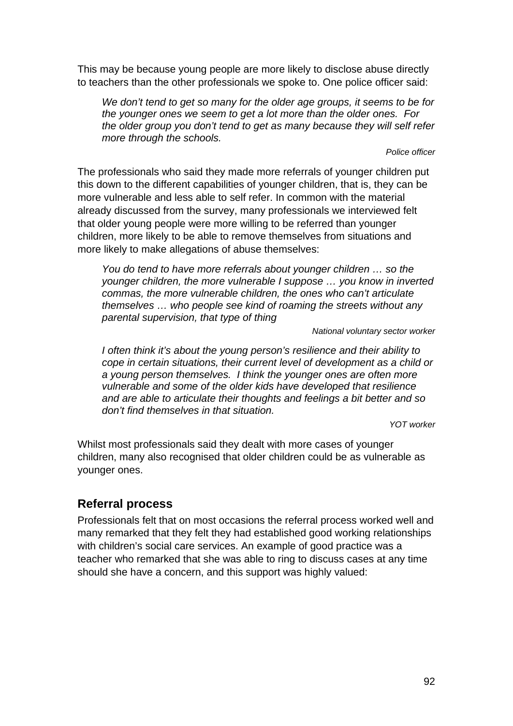This may be because young people are more likely to disclose abuse directly to teachers than the other professionals we spoke to. One police officer said:

*We don't tend to get so many for the older age groups, it seems to be for the younger ones we seem to get a lot more than the older ones. For the older group you don't tend to get as many because they will self refer more through the schools.* 

#### *Police officer*

The professionals who said they made more referrals of younger children put this down to the different capabilities of younger children, that is, they can be more vulnerable and less able to self refer. In common with the material already discussed from the survey, many professionals we interviewed felt that older young people were more willing to be referred than younger children, more likely to be able to remove themselves from situations and more likely to make allegations of abuse themselves:

*You do tend to have more referrals about younger children … so the younger children, the more vulnerable I suppose … you know in inverted commas, the more vulnerable children, the ones who can't articulate themselves … who people see kind of roaming the streets without any parental supervision, that type of thing* 

*National voluntary sector worker* 

*I often think it's about the young person's resilience and their ability to cope in certain situations, their current level of development as a child or a young person themselves. I think the younger ones are often more vulnerable and some of the older kids have developed that resilience and are able to articulate their thoughts and feelings a bit better and so don't find themselves in that situation.* 

*YOT worker* 

Whilst most professionals said they dealt with more cases of younger children, many also recognised that older children could be as vulnerable as younger ones.

### **Referral process**

Professionals felt that on most occasions the referral process worked well and many remarked that they felt they had established good working relationships with children's social care services. An example of good practice was a teacher who remarked that she was able to ring to discuss cases at any time should she have a concern, and this support was highly valued: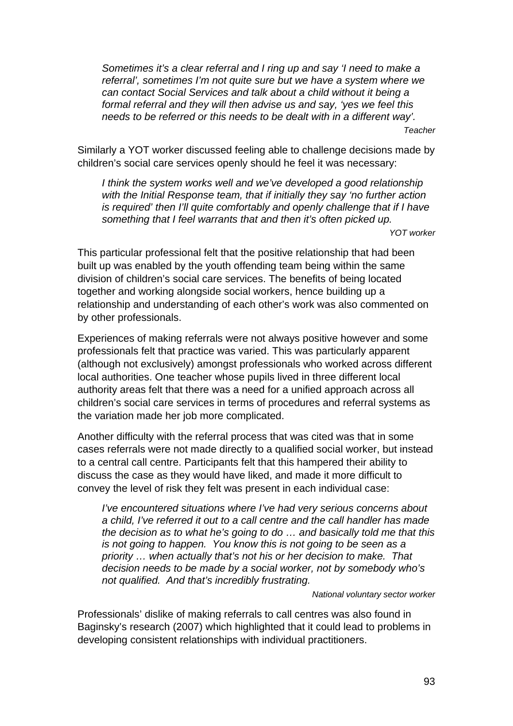*Sometimes it's a clear referral and I ring up and say 'I need to make a referral', sometimes I'm not quite sure but we have a system where we can contact Social Services and talk about a child without it being a formal referral and they will then advise us and say, 'yes we feel this needs to be referred or this needs to be dealt with in a different way'.* 

*Teacher* 

Similarly a YOT worker discussed feeling able to challenge decisions made by children's social care services openly should he feel it was necessary:

*I think the system works well and we've developed a good relationship with the Initial Response team, that if initially they say 'no further action is required' then I'll quite comfortably and openly challenge that if I have something that I feel warrants that and then it's often picked up.* 

*YOT worker* 

This particular professional felt that the positive relationship that had been built up was enabled by the youth offending team being within the same division of children's social care services. The benefits of being located together and working alongside social workers, hence building up a relationship and understanding of each other's work was also commented on by other professionals.

Experiences of making referrals were not always positive however and some professionals felt that practice was varied. This was particularly apparent (although not exclusively) amongst professionals who worked across different local authorities. One teacher whose pupils lived in three different local authority areas felt that there was a need for a unified approach across all children's social care services in terms of procedures and referral systems as the variation made her job more complicated.

Another difficulty with the referral process that was cited was that in some cases referrals were not made directly to a qualified social worker, but instead to a central call centre. Participants felt that this hampered their ability to discuss the case as they would have liked, and made it more difficult to convey the level of risk they felt was present in each individual case:

*I've encountered situations where I've had very serious concerns about a child, I've referred it out to a call centre and the call handler has made the decision as to what he's going to do … and basically told me that this is not going to happen. You know this is not going to be seen as a priority … when actually that's not his or her decision to make. That decision needs to be made by a social worker, not by somebody who's not qualified. And that's incredibly frustrating.* 

#### *National voluntary sector worker*

Professionals' dislike of making referrals to call centres was also found in Baginsky's research (2007) which highlighted that it could lead to problems in developing consistent relationships with individual practitioners.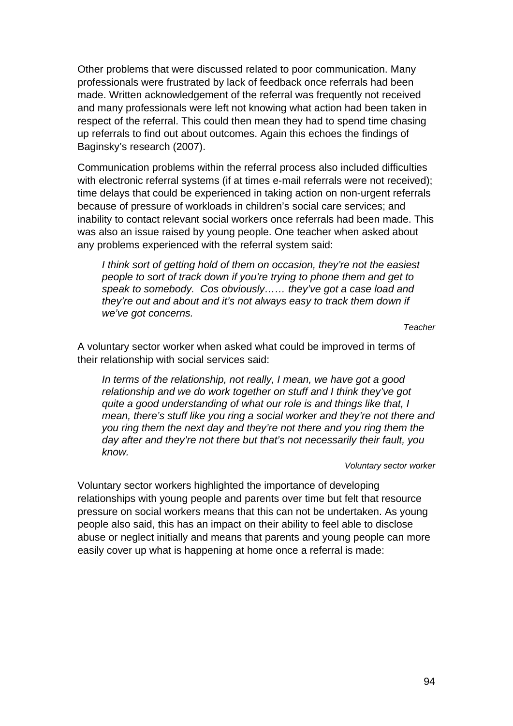Other problems that were discussed related to poor communication. Many professionals were frustrated by lack of feedback once referrals had been made. Written acknowledgement of the referral was frequently not received and many professionals were left not knowing what action had been taken in respect of the referral. This could then mean they had to spend time chasing up referrals to find out about outcomes. Again this echoes the findings of Baginsky's research (2007).

Communication problems within the referral process also included difficulties with electronic referral systems (if at times e-mail referrals were not received); time delays that could be experienced in taking action on non-urgent referrals because of pressure of workloads in children's social care services; and inability to contact relevant social workers once referrals had been made. This was also an issue raised by young people. One teacher when asked about any problems experienced with the referral system said:

*I think sort of getting hold of them on occasion, they're not the easiest people to sort of track down if you're trying to phone them and get to speak to somebody. Cos obviously…… they've got a case load and they're out and about and it's not always easy to track them down if we've got concerns.* 

 *Teacher* 

A voluntary sector worker when asked what could be improved in terms of their relationship with social services said:

*In terms of the relationship, not really, I mean, we have got a good relationship and we do work together on stuff and I think they've got quite a good understanding of what our role is and things like that, I mean, there's stuff like you ring a social worker and they're not there and you ring them the next day and they're not there and you ring them the day after and they're not there but that's not necessarily their fault, you know.* 

*Voluntary sector worker* 

Voluntary sector workers highlighted the importance of developing relationships with young people and parents over time but felt that resource pressure on social workers means that this can not be undertaken. As young people also said, this has an impact on their ability to feel able to disclose abuse or neglect initially and means that parents and young people can more easily cover up what is happening at home once a referral is made: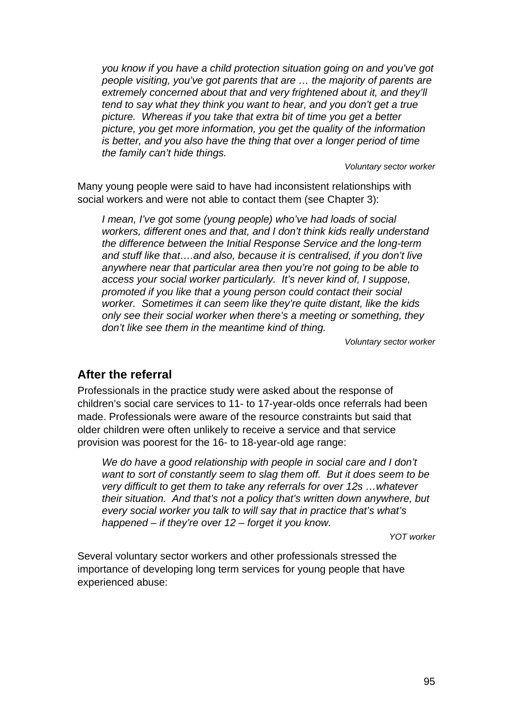*you know if you have a child protection situation going on and you've got people visiting, you've got parents that are … the majority of parents are extremely concerned about that and very frightened about it, and they'll tend to say what they think you want to hear, and you don't get a true picture. Whereas if you take that extra bit of time you get a better picture, you get more information, you get the quality of the information is better, and you also have the thing that over a longer period of time the family can't hide things.* 

 *Voluntary sector worker* 

Many young people were said to have had inconsistent relationships with social workers and were not able to contact them (see Chapter 3):

*I mean, I've got some (young people) who've had loads of social workers, different ones and that, and I don't think kids really understand the difference between the Initial Response Service and the long-term and stuff like that….and also, because it is centralised, if you don't live anywhere near that particular area then you're not going to be able to access your social worker particularly. It's never kind of, I suppose, promoted if you like that a young person could contact their social worker. Sometimes it can seem like they're quite distant, like the kids only see their social worker when there's a meeting or something, they don't like see them in the meantime kind of thing.* 

 *Voluntary sector worker* 

### **After the referral**

Professionals in the practice study were asked about the response of children's social care services to 11- to 17-year-olds once referrals had been made. Professionals were aware of the resource constraints but said that older children were often unlikely to receive a service and that service provision was poorest for the 16- to 18-year-old age range:

*We do have a good relationship with people in social care and I don't want to sort of constantly seem to slag them off. But it does seem to be very difficult to get them to take any referrals for over 12s …whatever their situation. And that's not a policy that's written down anywhere, but every social worker you talk to will say that in practice that's what's happened – if they're over 12 – forget it you know.* 

 *YOT worker* 

Several voluntary sector workers and other professionals stressed the importance of developing long term services for young people that have experienced abuse: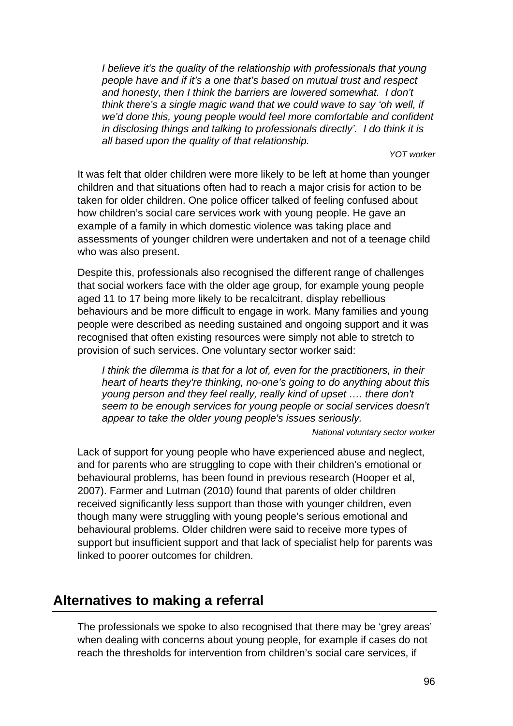*I* believe it's the quality of the relationship with professionals that young *people have and if it's a one that's based on mutual trust and respect and honesty, then I think the barriers are lowered somewhat. I don't think there's a single magic wand that we could wave to say 'oh well, if we'd done this, young people would feel more comfortable and confident in disclosing things and talking to professionals directly'. I do think it is all based upon the quality of that relationship.* 

 *YOT worker* 

It was felt that older children were more likely to be left at home than younger children and that situations often had to reach a major crisis for action to be taken for older children. One police officer talked of feeling confused about how children's social care services work with young people. He gave an example of a family in which domestic violence was taking place and assessments of younger children were undertaken and not of a teenage child who was also present.

Despite this, professionals also recognised the different range of challenges that social workers face with the older age group, for example young people aged 11 to 17 being more likely to be recalcitrant, display rebellious behaviours and be more difficult to engage in work. Many families and young people were described as needing sustained and ongoing support and it was recognised that often existing resources were simply not able to stretch to provision of such services. One voluntary sector worker said:

*I think the dilemma is that for a lot of, even for the practitioners, in their heart of hearts they're thinking, no-one's going to do anything about this young person and they feel really, really kind of upset …. there don't seem to be enough services for young people or social services doesn't appear to take the older young people's issues seriously.* 

 *National voluntary sector worker* 

Lack of support for young people who have experienced abuse and neglect, and for parents who are struggling to cope with their children's emotional or behavioural problems, has been found in previous research (Hooper et al, 2007). Farmer and Lutman (2010) found that parents of older children received significantly less support than those with younger children, even though many were struggling with young people's serious emotional and behavioural problems. Older children were said to receive more types of support but insufficient support and that lack of specialist help for parents was linked to poorer outcomes for children.

# **Alternatives to making a referral**

The professionals we spoke to also recognised that there may be 'grey areas' when dealing with concerns about young people, for example if cases do not reach the thresholds for intervention from children's social care services, if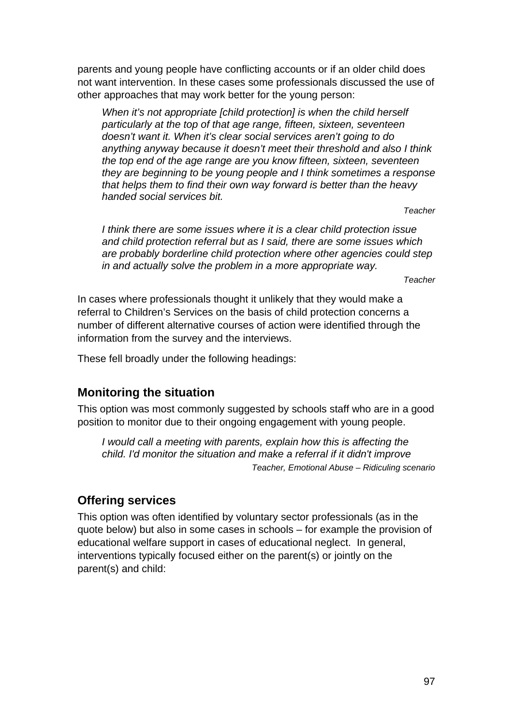parents and young people have conflicting accounts or if an older child does not want intervention. In these cases some professionals discussed the use of other approaches that may work better for the young person:

*When it's not appropriate [child protection] is when the child herself particularly at the top of that age range, fifteen, sixteen, seventeen doesn't want it. When it's clear social services aren't going to do anything anyway because it doesn't meet their threshold and also I think the top end of the age range are you know fifteen, sixteen, seventeen they are beginning to be young people and I think sometimes a response that helps them to find their own way forward is better than the heavy handed social services bit.* 

 *Teacher* 

*I think there are some issues where it is a clear child protection issue and child protection referral but as I said, there are some issues which are probably borderline child protection where other agencies could step in and actually solve the problem in a more appropriate way.* 

 *Teacher* 

In cases where professionals thought it unlikely that they would make a referral to Children's Services on the basis of child protection concerns a number of different alternative courses of action were identified through the information from the survey and the interviews.

These fell broadly under the following headings:

# **Monitoring the situation**

This option was most commonly suggested by schools staff who are in a good position to monitor due to their ongoing engagement with young people.

*I would call a meeting with parents, explain how this is affecting the child. I'd monitor the situation and make a referral if it didn't improve Teacher, Emotional Abuse – Ridiculing scenario* 

### **Offering services**

This option was often identified by voluntary sector professionals (as in the quote below) but also in some cases in schools – for example the provision of educational welfare support in cases of educational neglect. In general, interventions typically focused either on the parent(s) or jointly on the parent(s) and child: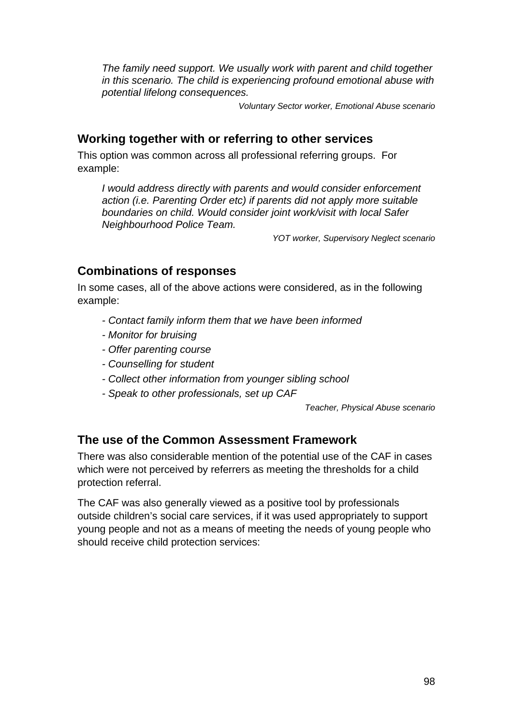*The family need support. We usually work with parent and child together in this scenario. The child is experiencing profound emotional abuse with potential lifelong consequences.* 

*Voluntary Sector worker, Emotional Abuse scenario* 

# **Working together with or referring to other services**

This option was common across all professional referring groups. For example:

*I would address directly with parents and would consider enforcement action (i.e. Parenting Order etc) if parents did not apply more suitable boundaries on child. Would consider joint work/visit with local Safer Neighbourhood Police Team.* 

*YOT worker, Supervisory Neglect scenario* 

# **Combinations of responses**

In some cases, all of the above actions were considered, as in the following example:

- *Contact family inform them that we have been informed*
- *Monitor for bruising*
- *Offer parenting course*
- *Counselling for student*
- *Collect other information from younger sibling school*
- *Speak to other professionals, set up CAF*

*Teacher, Physical Abuse scenario* 

# **The use of the Common Assessment Framework**

There was also considerable mention of the potential use of the CAF in cases which were not perceived by referrers as meeting the thresholds for a child protection referral.

The CAF was also generally viewed as a positive tool by professionals outside children's social care services, if it was used appropriately to support young people and not as a means of meeting the needs of young people who should receive child protection services: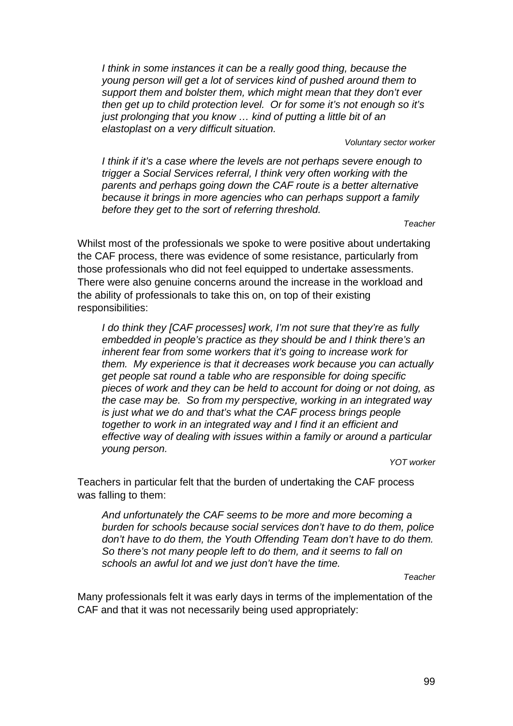*I think in some instances it can be a really good thing, because the young person will get a lot of services kind of pushed around them to support them and bolster them, which might mean that they don't ever then get up to child protection level. Or for some it's not enough so it's just prolonging that you know … kind of putting a little bit of an elastoplast on a very difficult situation.* 

#### *Voluntary sector worker*

*I think if it's a case where the levels are not perhaps severe enough to trigger a Social Services referral, I think very often working with the parents and perhaps going down the CAF route is a better alternative because it brings in more agencies who can perhaps support a family before they get to the sort of referring threshold.* 

 *Teacher* 

Whilst most of the professionals we spoke to were positive about undertaking the CAF process, there was evidence of some resistance, particularly from those professionals who did not feel equipped to undertake assessments. There were also genuine concerns around the increase in the workload and the ability of professionals to take this on, on top of their existing responsibilities:

*I do think they [CAF processes] work, I'm not sure that they're as fully embedded in people's practice as they should be and I think there's an inherent fear from some workers that it's going to increase work for them. My experience is that it decreases work because you can actually get people sat round a table who are responsible for doing specific pieces of work and they can be held to account for doing or not doing, as the case may be. So from my perspective, working in an integrated way is just what we do and that's what the CAF process brings people together to work in an integrated way and I find it an efficient and effective way of dealing with issues within a family or around a particular young person.* 

 *YOT worker* 

Teachers in particular felt that the burden of undertaking the CAF process was falling to them:

*And unfortunately the CAF seems to be more and more becoming a burden for schools because social services don't have to do them, police don't have to do them, the Youth Offending Team don't have to do them. So there's not many people left to do them, and it seems to fall on schools an awful lot and we just don't have the time.* 

 *Teacher* 

Many professionals felt it was early days in terms of the implementation of the CAF and that it was not necessarily being used appropriately: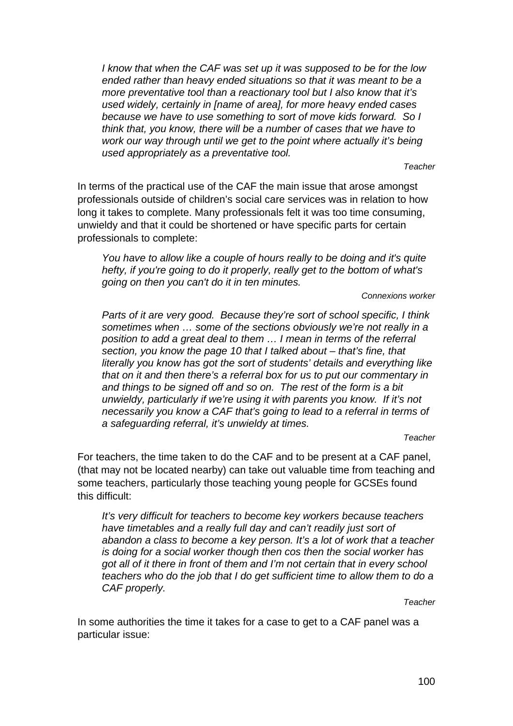*I know that when the CAF was set up it was supposed to be for the low ended rather than heavy ended situations so that it was meant to be a more preventative tool than a reactionary tool but I also know that it's used widely, certainly in [name of area], for more heavy ended cases because we have to use something to sort of move kids forward. So I think that, you know, there will be a number of cases that we have to work our way through until we get to the point where actually it's being used appropriately as a preventative tool.* 

 *Teacher* 

In terms of the practical use of the CAF the main issue that arose amongst professionals outside of children's social care services was in relation to how long it takes to complete. Many professionals felt it was too time consuming, unwieldy and that it could be shortened or have specific parts for certain professionals to complete:

*You have to allow like a couple of hours really to be doing and it's quite hefty, if you're going to do it properly, really get to the bottom of what's going on then you can't do it in ten minutes.* 

 *Connexions worker* 

*Parts of it are very good. Because they're sort of school specific, I think sometimes when … some of the sections obviously we're not really in a position to add a great deal to them … I mean in terms of the referral section, you know the page 10 that I talked about – that's fine, that literally you know has got the sort of students' details and everything like that on it and then there's a referral box for us to put our commentary in and things to be signed off and so on. The rest of the form is a bit unwieldy, particularly if we're using it with parents you know. If it's not necessarily you know a CAF that's going to lead to a referral in terms of a safeguarding referral, it's unwieldy at times.* 

 *Teacher* 

For teachers, the time taken to do the CAF and to be present at a CAF panel, (that may not be located nearby) can take out valuable time from teaching and some teachers, particularly those teaching young people for GCSEs found this difficult:

*It's very difficult for teachers to become key workers because teachers have timetables and a really full day and can't readily just sort of abandon a class to become a key person. It's a lot of work that a teacher is doing for a social worker though then cos then the social worker has got all of it there in front of them and I'm not certain that in every school teachers who do the job that I do get sufficient time to allow them to do a CAF properly.* 

 *Teacher* 

In some authorities the time it takes for a case to get to a CAF panel was a particular issue: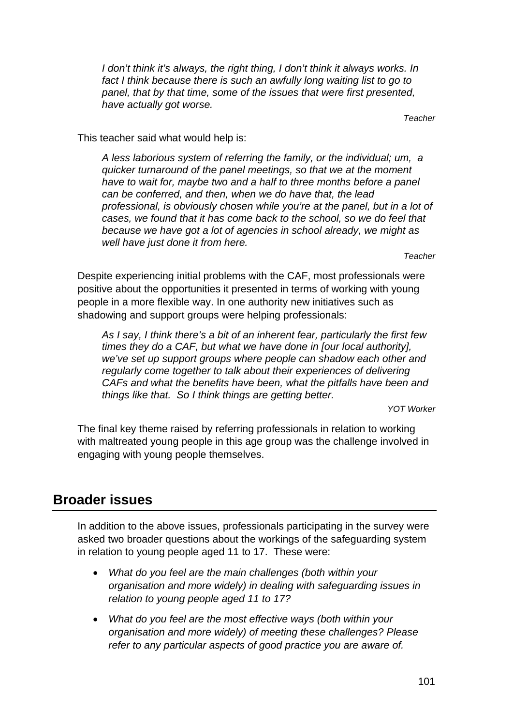*I don't think it's always, the right thing, I don't think it always works. In* fact I think because there is such an awfully long waiting list to go to *panel, that by that time, some of the issues that were first presented, have actually got worse.* 

 *Teacher* 

This teacher said what would help is:

*A less laborious system of referring the family, or the individual; um, a quicker turnaround of the panel meetings, so that we at the moment have to wait for, maybe two and a half to three months before a panel can be conferred, and then, when we do have that, the lead professional, is obviously chosen while you're at the panel, but in a lot of cases, we found that it has come back to the school, so we do feel that because we have got a lot of agencies in school already, we might as well have just done it from here.* 

*Teacher* 

Despite experiencing initial problems with the CAF, most professionals were positive about the opportunities it presented in terms of working with young people in a more flexible way. In one authority new initiatives such as shadowing and support groups were helping professionals:

*As I say, I think there's a bit of an inherent fear, particularly the first few times they do a CAF, but what we have done in [our local authority], we've set up support groups where people can shadow each other and regularly come together to talk about their experiences of delivering CAFs and what the benefits have been, what the pitfalls have been and things like that. So I think things are getting better.* 

 *YOT Worker* 

The final key theme raised by referring professionals in relation to working with maltreated young people in this age group was the challenge involved in engaging with young people themselves.

# **Broader issues**

In addition to the above issues, professionals participating in the survey were asked two broader questions about the workings of the safeguarding system in relation to young people aged 11 to 17. These were:

- *What do you feel are the main challenges (both within your organisation and more widely) in dealing with safeguarding issues in relation to young people aged 11 to 17?*
- *What do you feel are the most effective ways (both within your organisation and more widely) of meeting these challenges? Please refer to any particular aspects of good practice you are aware of.*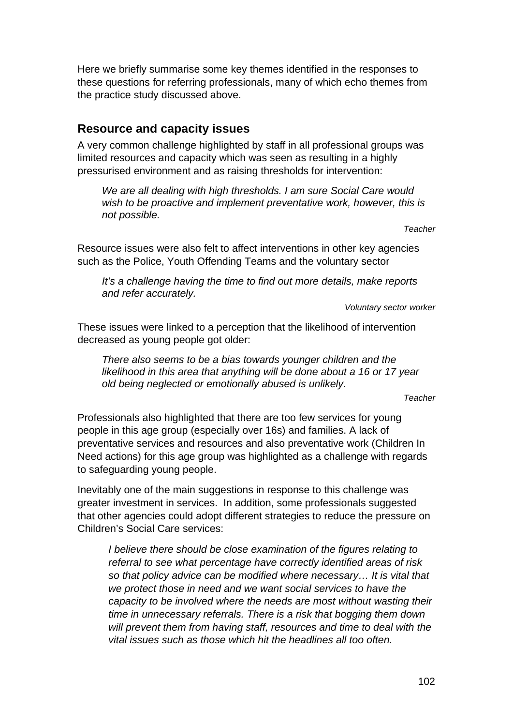Here we briefly summarise some key themes identified in the responses to these questions for referring professionals, many of which echo themes from the practice study discussed above.

# **Resource and capacity issues**

A very common challenge highlighted by staff in all professional groups was limited resources and capacity which was seen as resulting in a highly pressurised environment and as raising thresholds for intervention:

*We are all dealing with high thresholds. I am sure Social Care would*  wish to be proactive and implement preventative work, however, this is *not possible.* 

*Teacher* 

Resource issues were also felt to affect interventions in other key agencies such as the Police, Youth Offending Teams and the voluntary sector

*It's a challenge having the time to find out more details, make reports and refer accurately.* 

*Voluntary sector worker* 

These issues were linked to a perception that the likelihood of intervention decreased as young people got older:

*There also seems to be a bias towards younger children and the likelihood in this area that anything will be done about a 16 or 17 year old being neglected or emotionally abused is unlikely.* 

*Teacher* 

Professionals also highlighted that there are too few services for young people in this age group (especially over 16s) and families. A lack of preventative services and resources and also preventative work (Children In Need actions) for this age group was highlighted as a challenge with regards to safeguarding young people.

Inevitably one of the main suggestions in response to this challenge was greater investment in services. In addition, some professionals suggested that other agencies could adopt different strategies to reduce the pressure on Children's Social Care services:

*I believe there should be close examination of the figures relating to referral to see what percentage have correctly identified areas of risk so that policy advice can be modified where necessary… It is vital that we protect those in need and we want social services to have the capacity to be involved where the needs are most without wasting their time in unnecessary referrals. There is a risk that bogging them down will prevent them from having staff, resources and time to deal with the vital issues such as those which hit the headlines all too often.*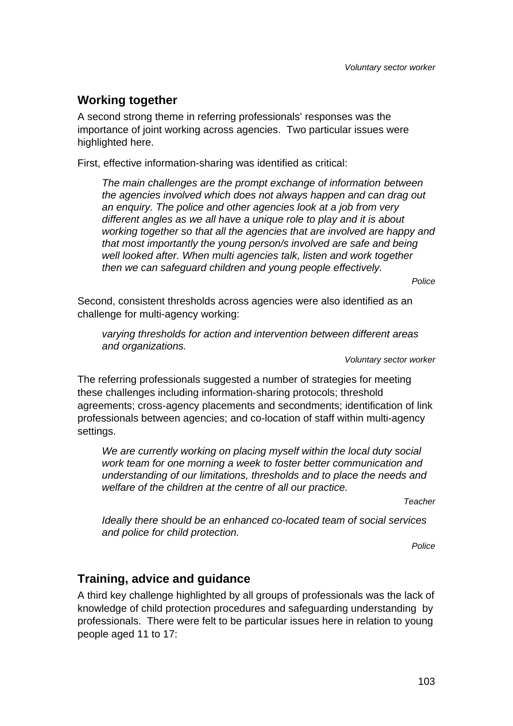# **Working together**

A second strong theme in referring professionals' responses was the importance of joint working across agencies. Two particular issues were highlighted here.

First, effective information-sharing was identified as critical:

*The main challenges are the prompt exchange of information between the agencies involved which does not always happen and can drag out an enquiry. The police and other agencies look at a job from very different angles as we all have a unique role to play and it is about working together so that all the agencies that are involved are happy and that most importantly the young person/s involved are safe and being well looked after. When multi agencies talk, listen and work together then we can safeguard children and young people effectively.* 

*Police* 

Second, consistent thresholds across agencies were also identified as an challenge for multi-agency working:

*varying thresholds for action and intervention between different areas and organizations.* 

*Voluntary sector worker* 

The referring professionals suggested a number of strategies for meeting these challenges including information-sharing protocols; threshold agreements; cross-agency placements and secondments; identification of link professionals between agencies; and co-location of staff within multi-agency settings.

*We are currently working on placing myself within the local duty social work team for one morning a week to foster better communication and understanding of our limitations, thresholds and to place the needs and welfare of the children at the centre of all our practice.* 

*Teacher* 

*Ideally there should be an enhanced co-located team of social services and police for child protection.* 

*Police* 

### **Training, advice and guidance**

A third key challenge highlighted by all groups of professionals was the lack of knowledge of child protection procedures and safeguarding understanding by professionals. There were felt to be particular issues here in relation to young people aged 11 to 17: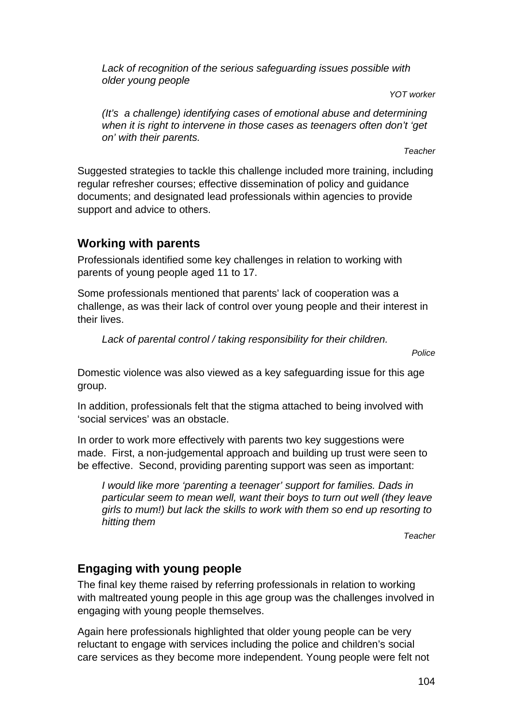*Lack of recognition of the serious safeguarding issues possible with older young people* 

*YOT worker* 

*(It's a challenge) identifying cases of emotional abuse and determining when it is right to intervene in those cases as teenagers often don't 'get on' with their parents.* 

*Teacher* 

Suggested strategies to tackle this challenge included more training, including regular refresher courses; effective dissemination of policy and guidance documents; and designated lead professionals within agencies to provide support and advice to others.

# **Working with parents**

Professionals identified some key challenges in relation to working with parents of young people aged 11 to 17.

Some professionals mentioned that parents' lack of cooperation was a challenge, as was their lack of control over young people and their interest in their lives.

*Lack of parental control / taking responsibility for their children.* 

*Police* 

Domestic violence was also viewed as a key safeguarding issue for this age group.

In addition, professionals felt that the stigma attached to being involved with 'social services' was an obstacle.

In order to work more effectively with parents two key suggestions were made. First, a non-judgemental approach and building up trust were seen to be effective. Second, providing parenting support was seen as important:

*I would like more 'parenting a teenager' support for families. Dads in particular seem to mean well, want their boys to turn out well (they leave girls to mum!) but lack the skills to work with them so end up resorting to hitting them* 

*Teacher* 

# **Engaging with young people**

The final key theme raised by referring professionals in relation to working with maltreated young people in this age group was the challenges involved in engaging with young people themselves.

Again here professionals highlighted that older young people can be very reluctant to engage with services including the police and children's social care services as they become more independent. Young people were felt not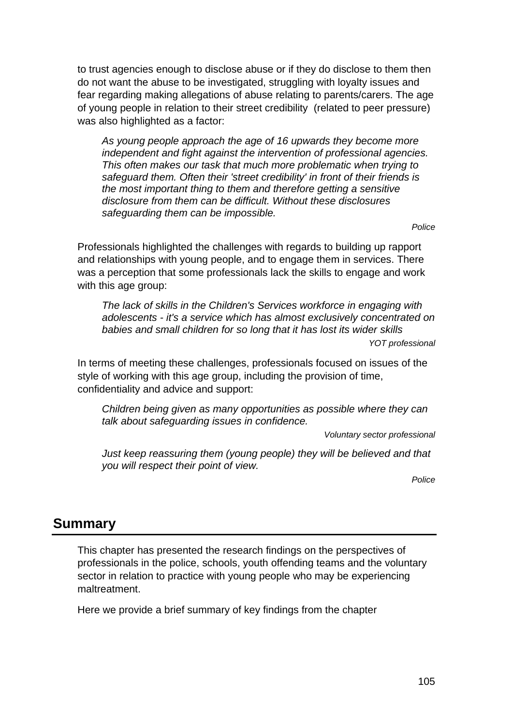to trust agencies enough to disclose abuse or if they do disclose to them then do not want the abuse to be investigated, struggling with loyalty issues and fear regarding making allegations of abuse relating to parents/carers. The age of young people in relation to their street credibility (related to peer pressure) was also highlighted as a factor:

*As young people approach the age of 16 upwards they become more independent and fight against the intervention of professional agencies. This often makes our task that much more problematic when trying to safeguard them. Often their 'street credibility' in front of their friends is the most important thing to them and therefore getting a sensitive disclosure from them can be difficult. Without these disclosures safeguarding them can be impossible.* 

*Police* 

Professionals highlighted the challenges with regards to building up rapport and relationships with young people, and to engage them in services. There was a perception that some professionals lack the skills to engage and work with this age group:

*The lack of skills in the Children's Services workforce in engaging with adolescents - it's a service which has almost exclusively concentrated on babies and small children for so long that it has lost its wider skills* 

*YOT professional* 

In terms of meeting these challenges, professionals focused on issues of the style of working with this age group, including the provision of time, confidentiality and advice and support:

*Children being given as many opportunities as possible where they can talk about safeguarding issues in confidence.* 

*Voluntary sector professional* 

*Just keep reassuring them (young people) they will be believed and that you will respect their point of view.* 

*Police* 

# **Summary**

This chapter has presented the research findings on the perspectives of professionals in the police, schools, youth offending teams and the voluntary sector in relation to practice with young people who may be experiencing maltreatment.

Here we provide a brief summary of key findings from the chapter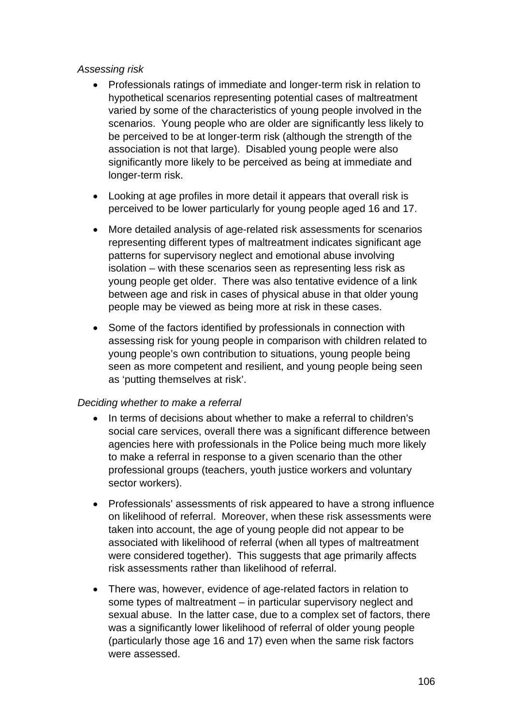#### *Assessing risk*

- Professionals ratings of immediate and longer-term risk in relation to hypothetical scenarios representing potential cases of maltreatment varied by some of the characteristics of young people involved in the scenarios. Young people who are older are significantly less likely to be perceived to be at longer-term risk (although the strength of the association is not that large). Disabled young people were also significantly more likely to be perceived as being at immediate and longer-term risk.
- Looking at age profiles in more detail it appears that overall risk is perceived to be lower particularly for young people aged 16 and 17.
- More detailed analysis of age-related risk assessments for scenarios representing different types of maltreatment indicates significant age patterns for supervisory neglect and emotional abuse involving isolation – with these scenarios seen as representing less risk as young people get older. There was also tentative evidence of a link between age and risk in cases of physical abuse in that older young people may be viewed as being more at risk in these cases.
- Some of the factors identified by professionals in connection with assessing risk for young people in comparison with children related to young people's own contribution to situations, young people being seen as more competent and resilient, and young people being seen as 'putting themselves at risk'.

### *Deciding whether to make a referral*

- In terms of decisions about whether to make a referral to children's social care services, overall there was a significant difference between agencies here with professionals in the Police being much more likely to make a referral in response to a given scenario than the other professional groups (teachers, youth justice workers and voluntary sector workers).
- Professionals' assessments of risk appeared to have a strong influence on likelihood of referral. Moreover, when these risk assessments were taken into account, the age of young people did not appear to be associated with likelihood of referral (when all types of maltreatment were considered together). This suggests that age primarily affects risk assessments rather than likelihood of referral.
- There was, however, evidence of age-related factors in relation to some types of maltreatment – in particular supervisory neglect and sexual abuse. In the latter case, due to a complex set of factors, there was a significantly lower likelihood of referral of older young people (particularly those age 16 and 17) even when the same risk factors were assessed.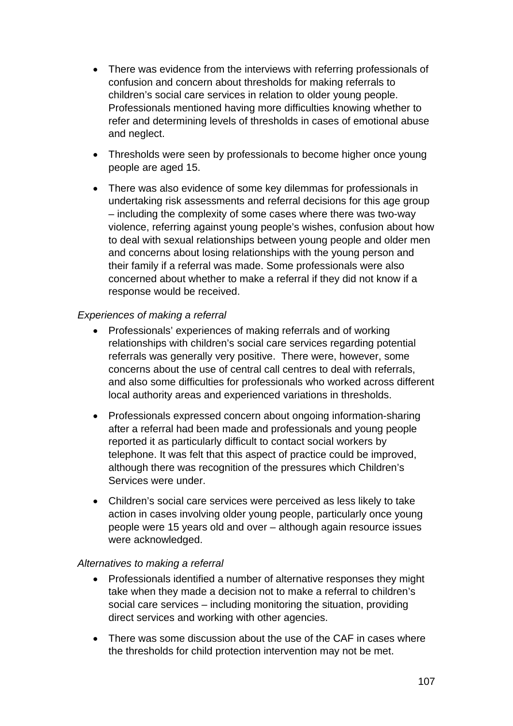- There was evidence from the interviews with referring professionals of confusion and concern about thresholds for making referrals to children's social care services in relation to older young people. Professionals mentioned having more difficulties knowing whether to refer and determining levels of thresholds in cases of emotional abuse and neglect.
- Thresholds were seen by professionals to become higher once young people are aged 15.
- There was also evidence of some key dilemmas for professionals in undertaking risk assessments and referral decisions for this age group – including the complexity of some cases where there was two-way violence, referring against young people's wishes, confusion about how to deal with sexual relationships between young people and older men and concerns about losing relationships with the young person and their family if a referral was made. Some professionals were also concerned about whether to make a referral if they did not know if a response would be received.

#### *Experiences of making a referral*

- Professionals' experiences of making referrals and of working relationships with children's social care services regarding potential referrals was generally very positive. There were, however, some concerns about the use of central call centres to deal with referrals, and also some difficulties for professionals who worked across different local authority areas and experienced variations in thresholds.
- Professionals expressed concern about ongoing information-sharing after a referral had been made and professionals and young people reported it as particularly difficult to contact social workers by telephone. It was felt that this aspect of practice could be improved, although there was recognition of the pressures which Children's Services were under.
- Children's social care services were perceived as less likely to take action in cases involving older young people, particularly once young people were 15 years old and over – although again resource issues were acknowledged.

#### *Alternatives to making a referral*

- Professionals identified a number of alternative responses they might take when they made a decision not to make a referral to children's social care services – including monitoring the situation, providing direct services and working with other agencies.
- There was some discussion about the use of the CAF in cases where the thresholds for child protection intervention may not be met.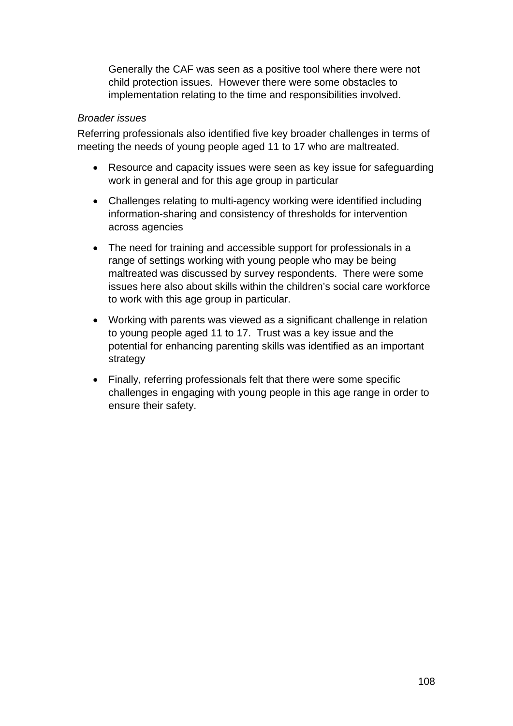Generally the CAF was seen as a positive tool where there were not child protection issues. However there were some obstacles to implementation relating to the time and responsibilities involved.

#### *Broader issues*

Referring professionals also identified five key broader challenges in terms of meeting the needs of young people aged 11 to 17 who are maltreated.

- Resource and capacity issues were seen as key issue for safeguarding work in general and for this age group in particular
- Challenges relating to multi-agency working were identified including information-sharing and consistency of thresholds for intervention across agencies
- The need for training and accessible support for professionals in a range of settings working with young people who may be being maltreated was discussed by survey respondents. There were some issues here also about skills within the children's social care workforce to work with this age group in particular.
- Working with parents was viewed as a significant challenge in relation to young people aged 11 to 17. Trust was a key issue and the potential for enhancing parenting skills was identified as an important strategy
- Finally, referring professionals felt that there were some specific challenges in engaging with young people in this age range in order to ensure their safety.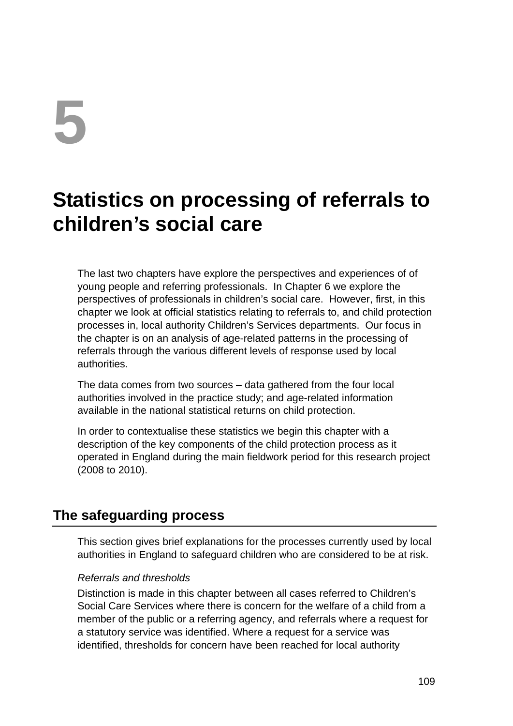# **5**

# **Statistics on processing of referrals to children's social care**

The last two chapters have explore the perspectives and experiences of of young people and referring professionals. In Chapter 6 we explore the perspectives of professionals in children's social care. However, first, in this chapter we look at official statistics relating to referrals to, and child protection processes in, local authority Children's Services departments. Our focus in the chapter is on an analysis of age-related patterns in the processing of referrals through the various different levels of response used by local authorities.

The data comes from two sources – data gathered from the four local authorities involved in the practice study; and age-related information available in the national statistical returns on child protection.

In order to contextualise these statistics we begin this chapter with a description of the key components of the child protection process as it operated in England during the main fieldwork period for this research project (2008 to 2010).

# **The safeguarding process**

This section gives brief explanations for the processes currently used by local authorities in England to safeguard children who are considered to be at risk.

# *Referrals and thresholds*

Distinction is made in this chapter between all cases referred to Children's Social Care Services where there is concern for the welfare of a child from a member of the public or a referring agency, and referrals where a request for a statutory service was identified. Where a request for a service was identified, thresholds for concern have been reached for local authority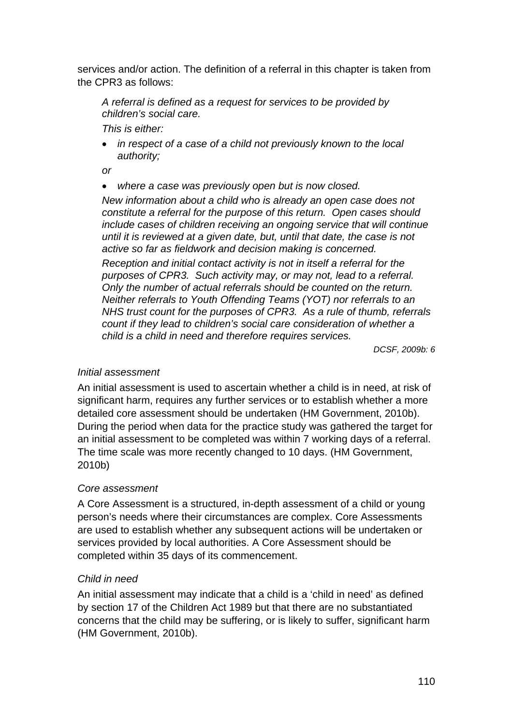services and/or action. The definition of a referral in this chapter is taken from the CPR3 as follows:

*A referral is defined as a request for services to be provided by children's social care.* 

*This is either:* 

 *in respect of a case of a child not previously known to the local authority;* 

*or* 

*where a case was previously open but is now closed.* 

*New information about a child who is already an open case does not constitute a referral for the purpose of this return. Open cases should include cases of children receiving an ongoing service that will continue until it is reviewed at a given date, but, until that date, the case is not active so far as fieldwork and decision making is concerned.* 

*Reception and initial contact activity is not in itself a referral for the purposes of CPR3. Such activity may, or may not, lead to a referral. Only the number of actual referrals should be counted on the return. Neither referrals to Youth Offending Teams (YOT) nor referrals to an NHS trust count for the purposes of CPR3. As a rule of thumb, referrals count if they lead to children's social care consideration of whether a child is a child in need and therefore requires services.* 

*DCSF, 2009b: 6* 

#### *Initial assessment*

An initial assessment is used to ascertain whether a child is in need, at risk of significant harm, requires any further services or to establish whether a more detailed core assessment should be undertaken (HM Government, 2010b). During the period when data for the practice study was gathered the target for an initial assessment to be completed was within 7 working days of a referral. The time scale was more recently changed to 10 days. (HM Government, 2010b)

## *Core assessment*

A Core Assessment is a structured, in-depth assessment of a child or young person's needs where their circumstances are complex. Core Assessments are used to establish whether any subsequent actions will be undertaken or services provided by local authorities. A Core Assessment should be completed within 35 days of its commencement.

## *Child in need*

An initial assessment may indicate that a child is a 'child in need' as defined by section 17 of the Children Act 1989 but that there are no substantiated concerns that the child may be suffering, or is likely to suffer, significant harm (HM Government, 2010b).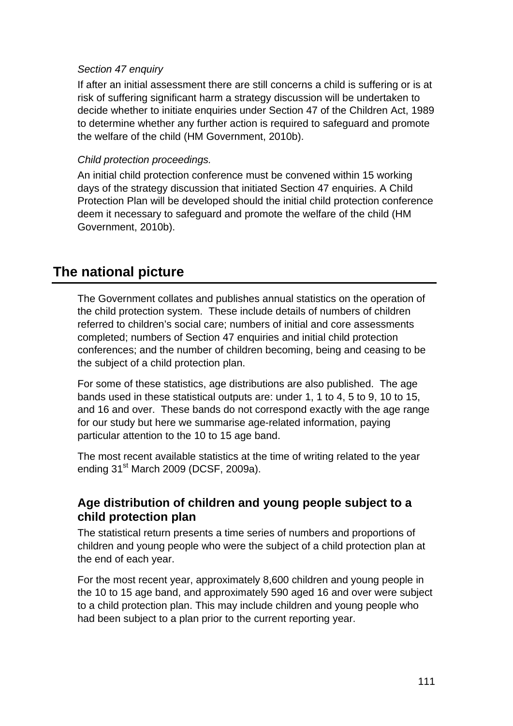#### *Section 47 enquiry*

If after an initial assessment there are still concerns a child is suffering or is at risk of suffering significant harm a strategy discussion will be undertaken to decide whether to initiate enquiries under Section 47 of the Children Act, 1989 to determine whether any further action is required to safeguard and promote the welfare of the child (HM Government, 2010b).

## *Child protection proceedings.*

An initial child protection conference must be convened within 15 working days of the strategy discussion that initiated Section 47 enquiries. A Child Protection Plan will be developed should the initial child protection conference deem it necessary to safeguard and promote the welfare of the child (HM Government, 2010b).

# **The national picture**

The Government collates and publishes annual statistics on the operation of the child protection system. These include details of numbers of children referred to children's social care; numbers of initial and core assessments completed; numbers of Section 47 enquiries and initial child protection conferences; and the number of children becoming, being and ceasing to be the subject of a child protection plan.

For some of these statistics, age distributions are also published. The age bands used in these statistical outputs are: under 1, 1 to 4, 5 to 9, 10 to 15, and 16 and over. These bands do not correspond exactly with the age range for our study but here we summarise age-related information, paying particular attention to the 10 to 15 age band.

The most recent available statistics at the time of writing related to the year ending 31st March 2009 (DCSF, 2009a).

# **Age distribution of children and young people subject to a child protection plan**

The statistical return presents a time series of numbers and proportions of children and young people who were the subject of a child protection plan at the end of each year.

For the most recent year, approximately 8,600 children and young people in the 10 to 15 age band, and approximately 590 aged 16 and over were subject to a child protection plan. This may include children and young people who had been subject to a plan prior to the current reporting year.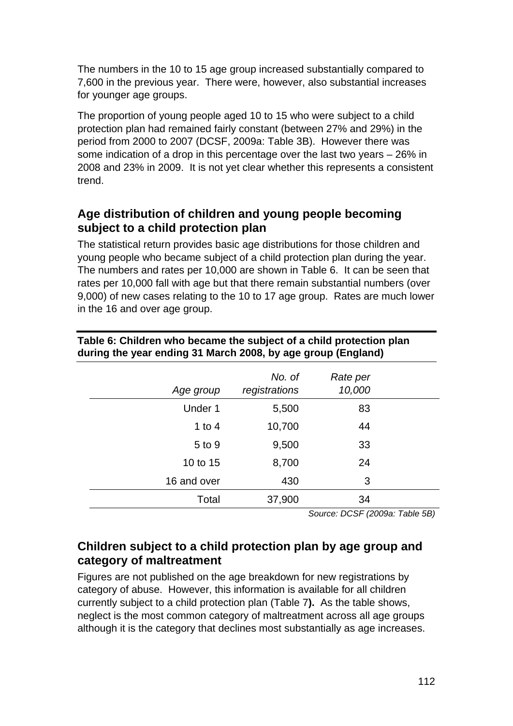The numbers in the 10 to 15 age group increased substantially compared to 7,600 in the previous year. There were, however, also substantial increases for younger age groups.

The proportion of young people aged 10 to 15 who were subject to a child protection plan had remained fairly constant (between 27% and 29%) in the period from 2000 to 2007 (DCSF, 2009a: Table 3B). However there was some indication of a drop in this percentage over the last two years – 26% in 2008 and 23% in 2009. It is not yet clear whether this represents a consistent trend.

# **Age distribution of children and young people becoming subject to a child protection plan**

The statistical return provides basic age distributions for those children and young people who became subject of a child protection plan during the year. The numbers and rates per 10,000 are shown in Table 6. It can be seen that rates per 10,000 fall with age but that there remain substantial numbers (over 9,000) of new cases relating to the 10 to 17 age group. Rates are much lower in the 16 and over age group.

| Age group   | No. of<br>registrations | Rate per<br>10,000 |  |
|-------------|-------------------------|--------------------|--|
| Under 1     | 5,500                   | 83                 |  |
| 1 to $4$    | 10,700                  | 44                 |  |
| 5 to 9      | 9,500                   | 33                 |  |
| 10 to 15    | 8,700                   | 24                 |  |
| 16 and over | 430                     | 3                  |  |
| Total       | 37,900                  | 34                 |  |

#### **Table 6: Children who became the subject of a child protection plan during the year ending 31 March 2008, by age group (England)**

*Source: DCSF (2009a: Table 5B)* 

# **Children subject to a child protection plan by age group and category of maltreatment**

Figures are not published on the age breakdown for new registrations by category of abuse. However, this information is available for all children currently subject to a child protection plan (Table 7**).** As the table shows, neglect is the most common category of maltreatment across all age groups although it is the category that declines most substantially as age increases.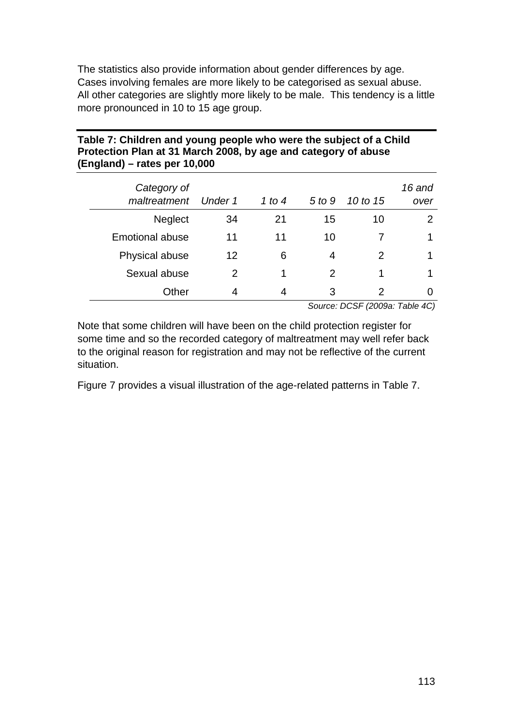The statistics also provide information about gender differences by age. Cases involving females are more likely to be categorised as sexual abuse. All other categories are slightly more likely to be male. This tendency is a little more pronounced in 10 to 15 age group.

## **Table 7: Children and young people who were the subject of a Child Protection Plan at 31 March 2008, by age and category of abuse (England) – rates per 10,000**

| Category of<br>maltreatment | Under 1 | 1 to 4 | 5 to 9        | 10 to 15 | 16 and<br>over |
|-----------------------------|---------|--------|---------------|----------|----------------|
| <b>Neglect</b>              | 34      | 21     | 15            | 10       | $\overline{2}$ |
| <b>Emotional abuse</b>      | 11      | 11     | 10            |          | 1              |
| Physical abuse              | 12      | 6      | 4             | 2        |                |
| Sexual abuse                | 2       | 1      | $\mathcal{P}$ |          |                |
| Other                       | 4       | 4      | 3             | 2        | $\mathcal{L}$  |
|                             |         |        |               |          |                |

*Source: DCSF (2009a: Table 4C)* 

Note that some children will have been on the child protection register for some time and so the recorded category of maltreatment may well refer back to the original reason for registration and may not be reflective of the current situation.

Figure 7 provides a visual illustration of the age-related patterns in Table 7.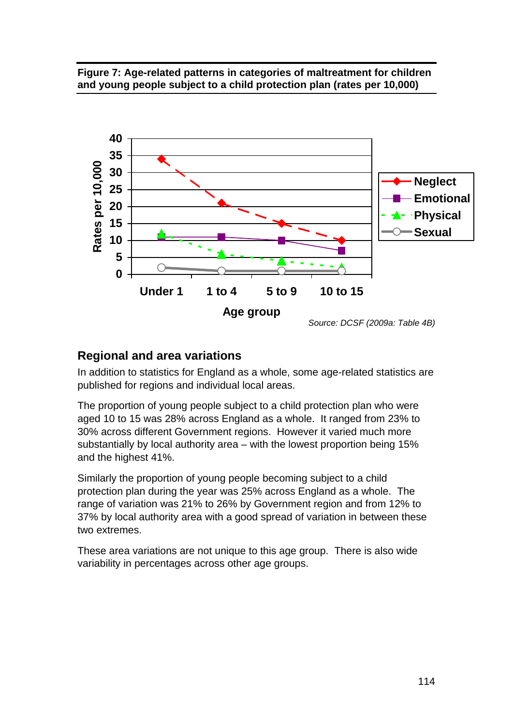## **Figure 7: Age-related patterns in categories of maltreatment for children and young people subject to a child protection plan (rates per 10,000)**



# **Regional and area variations**

In addition to statistics for England as a whole, some age-related statistics are published for regions and individual local areas.

The proportion of young people subject to a child protection plan who were aged 10 to 15 was 28% across England as a whole. It ranged from 23% to 30% across different Government regions. However it varied much more substantially by local authority area – with the lowest proportion being 15% and the highest 41%.

Similarly the proportion of young people becoming subject to a child protection plan during the year was 25% across England as a whole. The range of variation was 21% to 26% by Government region and from 12% to 37% by local authority area with a good spread of variation in between these two extremes.

These area variations are not unique to this age group. There is also wide variability in percentages across other age groups.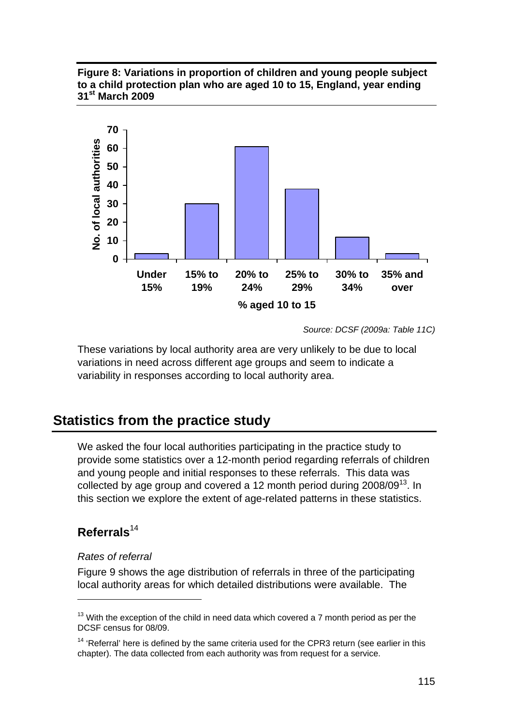**Figure 8: Variations in proportion of children and young people subject to a child protection plan who are aged 10 to 15, England, year ending 31st March 2009** 



 *Source: DCSF (2009a: Table 11C)* 

These variations by local authority area are very unlikely to be due to local variations in need across different age groups and seem to indicate a variability in responses according to local authority area.

# **Statistics from the practice study**

We asked the four local authorities participating in the practice study to provide some statistics over a 12-month period regarding referrals of children and young people and initial responses to these referrals. This data was collected by age group and covered a 12 month period during  $2008/09^{13}$ . In this section we explore the extent of age-related patterns in these statistics.

# **Referrals**<sup>14</sup>

1

#### *Rates of referral*

Figure 9 shows the age distribution of referrals in three of the participating local authority areas for which detailed distributions were available. The

 $13$  With the exception of the child in need data which covered a 7 month period as per the DCSF census for 08/09.

 $14$  'Referral' here is defined by the same criteria used for the CPR3 return (see earlier in this chapter). The data collected from each authority was from request for a service.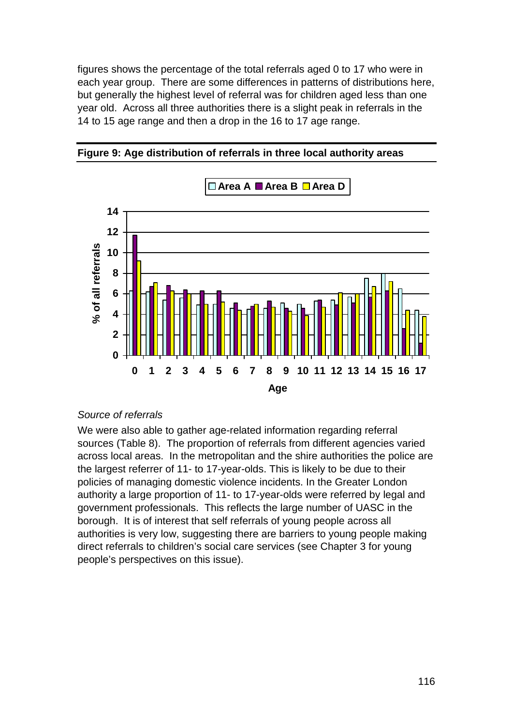figures shows the percentage of the total referrals aged 0 to 17 who were in each year group. There are some differences in patterns of distributions here, but generally the highest level of referral was for children aged less than one year old. Across all three authorities there is a slight peak in referrals in the 14 to 15 age range and then a drop in the 16 to 17 age range.



**Figure 9: Age distribution of referrals in three local authority areas** 

#### *Source of referrals*

We were also able to gather age-related information regarding referral sources (Table 8). The proportion of referrals from different agencies varied across local areas. In the metropolitan and the shire authorities the police are the largest referrer of 11- to 17-year-olds. This is likely to be due to their policies of managing domestic violence incidents. In the Greater London authority a large proportion of 11- to 17-year-olds were referred by legal and government professionals. This reflects the large number of UASC in the borough. It is of interest that self referrals of young people across all authorities is very low, suggesting there are barriers to young people making direct referrals to children's social care services (see Chapter 3 for young people's perspectives on this issue).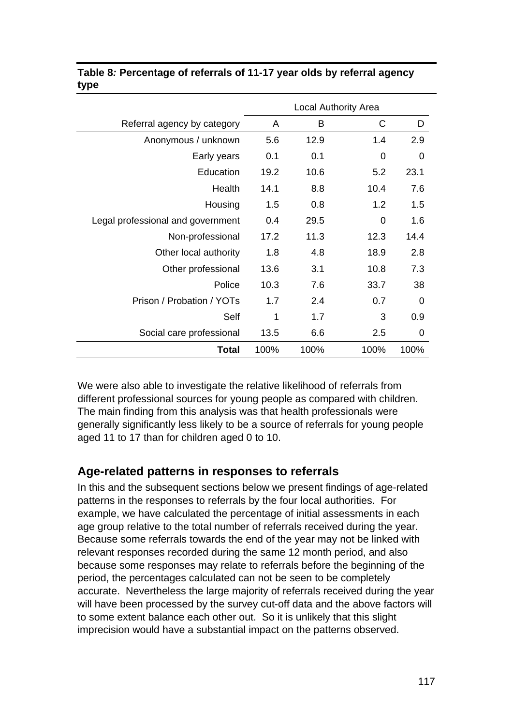|                                   | <b>Local Authority Area</b> |      |              |          |
|-----------------------------------|-----------------------------|------|--------------|----------|
| Referral agency by category       | A                           | B    | $\mathsf{C}$ | D        |
| Anonymous / unknown               | 5.6                         | 12.9 | 1.4          | 2.9      |
| Early years                       | 0.1                         | 0.1  | 0            | $\Omega$ |
| Education                         | 19.2                        | 10.6 | 5.2          | 23.1     |
| Health                            | 14.1                        | 8.8  | 10.4         | 7.6      |
| Housing                           | 1.5                         | 0.8  | 1.2          | 1.5      |
| Legal professional and government | 0.4                         | 29.5 | 0            | 1.6      |
| Non-professional                  | 17.2                        | 11.3 | 12.3         | 14.4     |
| Other local authority             | 1.8                         | 4.8  | 18.9         | 2.8      |
| Other professional                | 13.6                        | 3.1  | 10.8         | 7.3      |
| Police                            | 10.3                        | 7.6  | 33.7         | 38       |
| Prison / Probation / YOTs         | 1.7                         | 2.4  | 0.7          | $\Omega$ |
| Self                              | 1                           | 1.7  | 3            | 0.9      |
| Social care professional          | 13.5                        | 6.6  | 2.5          | 0        |
| Total                             | 100%                        | 100% | 100%         | 100%     |

## **Table 8***:* **Percentage of referrals of 11-17 year olds by referral agency type**

We were also able to investigate the relative likelihood of referrals from different professional sources for young people as compared with children. The main finding from this analysis was that health professionals were generally significantly less likely to be a source of referrals for young people aged 11 to 17 than for children aged 0 to 10.

# **Age-related patterns in responses to referrals**

In this and the subsequent sections below we present findings of age-related patterns in the responses to referrals by the four local authorities. For example, we have calculated the percentage of initial assessments in each age group relative to the total number of referrals received during the year. Because some referrals towards the end of the year may not be linked with relevant responses recorded during the same 12 month period, and also because some responses may relate to referrals before the beginning of the period, the percentages calculated can not be seen to be completely accurate. Nevertheless the large majority of referrals received during the year will have been processed by the survey cut-off data and the above factors will to some extent balance each other out. So it is unlikely that this slight imprecision would have a substantial impact on the patterns observed.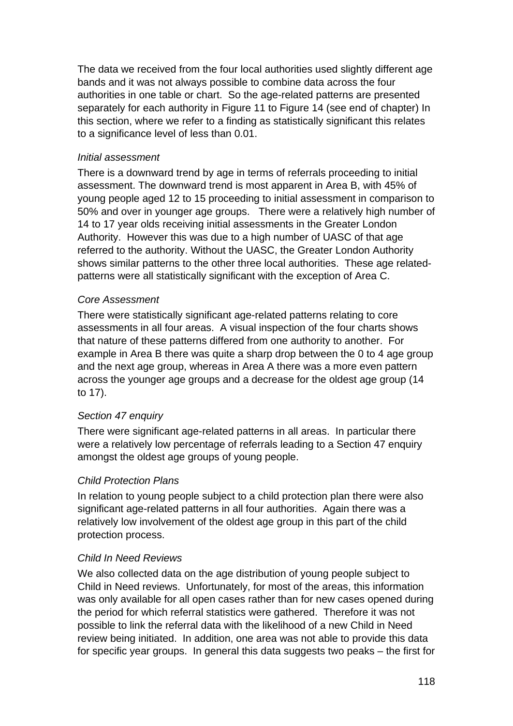The data we received from the four local authorities used slightly different age bands and it was not always possible to combine data across the four authorities in one table or chart. So the age-related patterns are presented separately for each authority in Figure 11 to Figure 14 (see end of chapter) In this section, where we refer to a finding as statistically significant this relates to a significance level of less than 0.01.

#### *Initial assessment*

There is a downward trend by age in terms of referrals proceeding to initial assessment. The downward trend is most apparent in Area B, with 45% of young people aged 12 to 15 proceeding to initial assessment in comparison to 50% and over in younger age groups. There were a relatively high number of 14 to 17 year olds receiving initial assessments in the Greater London Authority. However this was due to a high number of UASC of that age referred to the authority. Without the UASC, the Greater London Authority shows similar patterns to the other three local authorities. These age relatedpatterns were all statistically significant with the exception of Area C.

#### *Core Assessment*

There were statistically significant age-related patterns relating to core assessments in all four areas. A visual inspection of the four charts shows that nature of these patterns differed from one authority to another. For example in Area B there was quite a sharp drop between the 0 to 4 age group and the next age group, whereas in Area A there was a more even pattern across the younger age groups and a decrease for the oldest age group (14 to 17).

#### *Section 47 enquiry*

There were significant age-related patterns in all areas. In particular there were a relatively low percentage of referrals leading to a Section 47 enquiry amongst the oldest age groups of young people.

#### *Child Protection Plans*

In relation to young people subject to a child protection plan there were also significant age-related patterns in all four authorities. Again there was a relatively low involvement of the oldest age group in this part of the child protection process.

#### *Child In Need Reviews*

We also collected data on the age distribution of young people subject to Child in Need reviews. Unfortunately, for most of the areas, this information was only available for all open cases rather than for new cases opened during the period for which referral statistics were gathered. Therefore it was not possible to link the referral data with the likelihood of a new Child in Need review being initiated. In addition, one area was not able to provide this data for specific year groups. In general this data suggests two peaks – the first for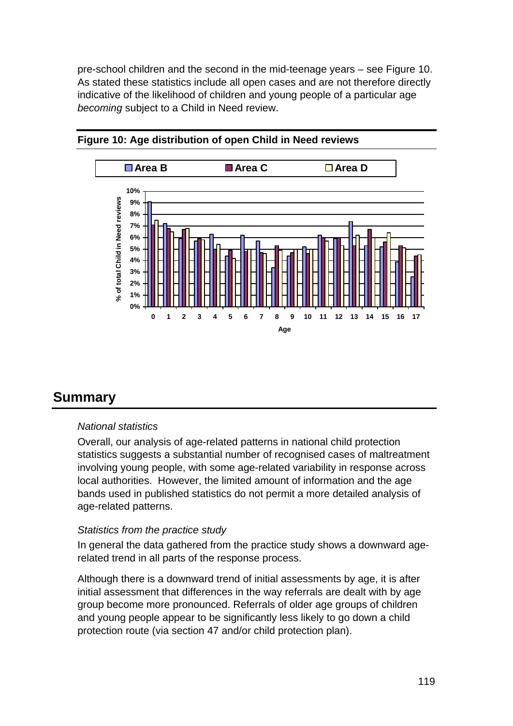pre-school children and the second in the mid-teenage years – see Figure 10. As stated these statistics include all open cases and are not therefore directly indicative of the likelihood of children and young people of a particular age *becoming* subject to a Child in Need review.





# **Summary**

## *National statistics*

Overall, our analysis of age-related patterns in national child protection statistics suggests a substantial number of recognised cases of maltreatment involving young people, with some age-related variability in response across local authorities. However, the limited amount of information and the age bands used in published statistics do not permit a more detailed analysis of age-related patterns.

## *Statistics from the practice study*

In general the data gathered from the practice study shows a downward agerelated trend in all parts of the response process.

Although there is a downward trend of initial assessments by age, it is after initial assessment that differences in the way referrals are dealt with by age group become more pronounced. Referrals of older age groups of children and young people appear to be significantly less likely to go down a child protection route (via section 47 and/or child protection plan).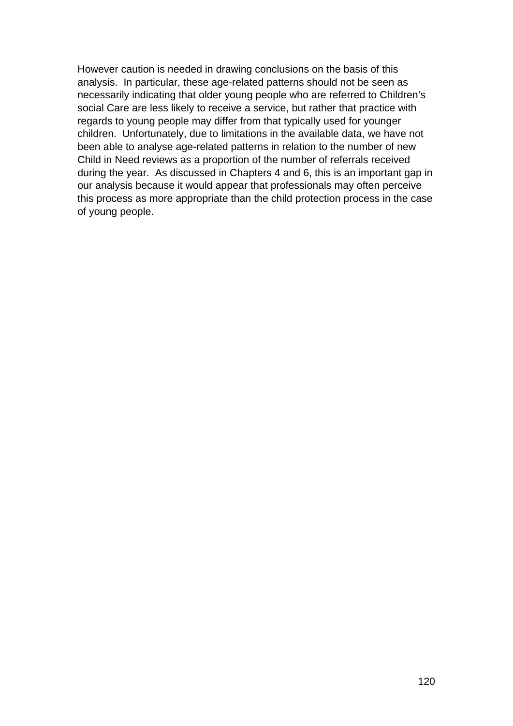However caution is needed in drawing conclusions on the basis of this analysis. In particular, these age-related patterns should not be seen as necessarily indicating that older young people who are referred to Children's social Care are less likely to receive a service, but rather that practice with regards to young people may differ from that typically used for younger children. Unfortunately, due to limitations in the available data, we have not been able to analyse age-related patterns in relation to the number of new Child in Need reviews as a proportion of the number of referrals received during the year. As discussed in Chapters 4 and 6, this is an important gap in our analysis because it would appear that professionals may often perceive this process as more appropriate than the child protection process in the case of young people.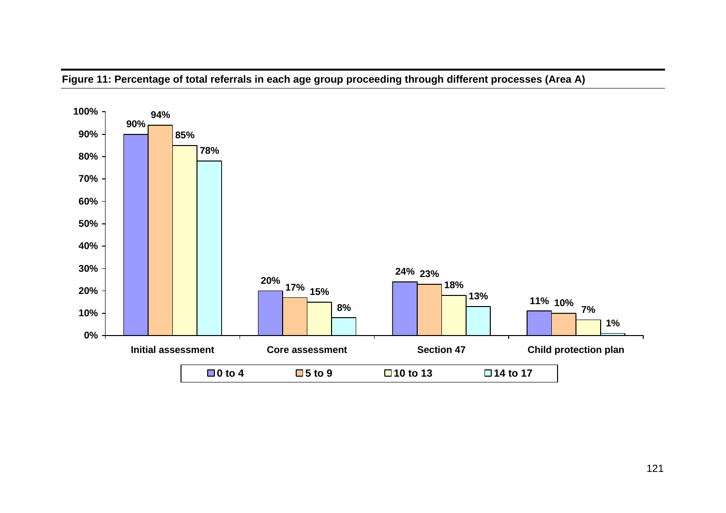

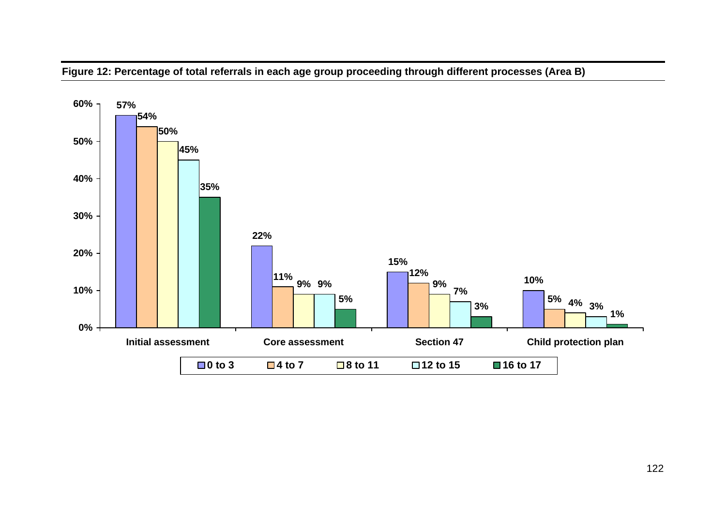

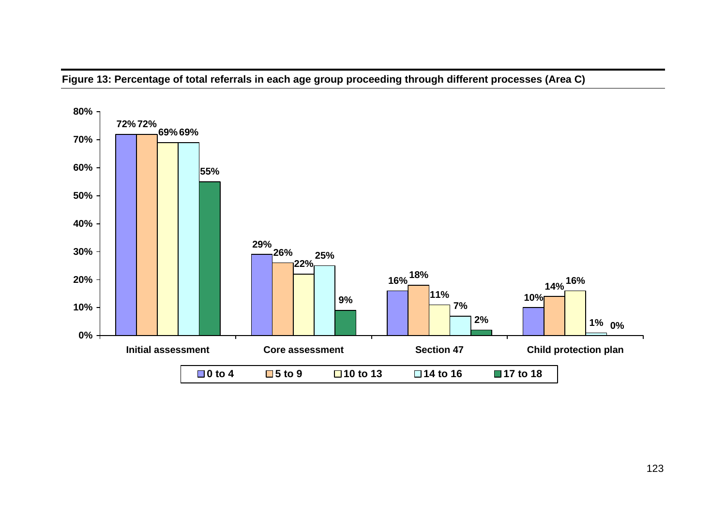

**Figure 13: Percentage of total referrals in each age group proceeding through different processes (Area C)**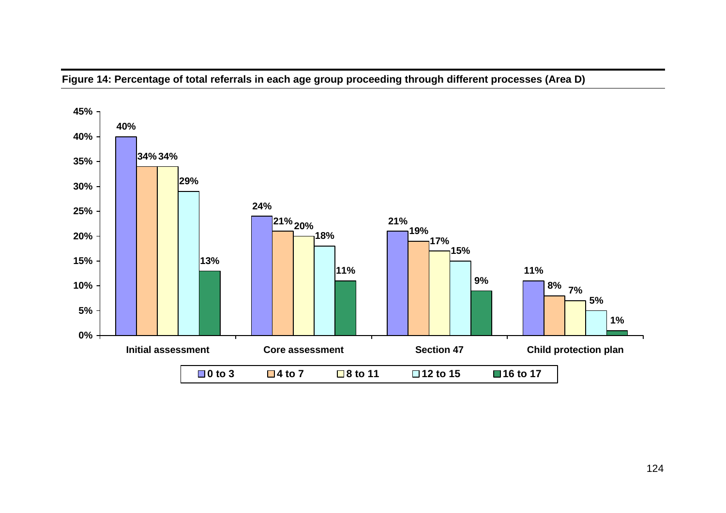

**Figure 14: Percentage of total referrals in each age group proceeding through different processes (Area D)**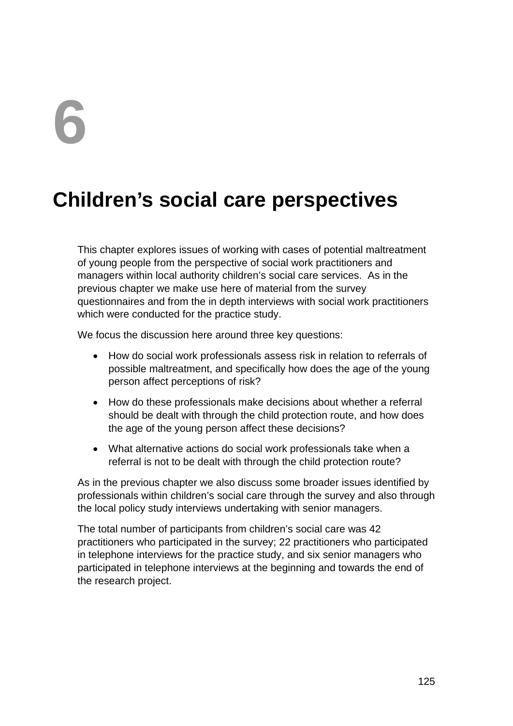# **6**

# **Children's social care perspectives**

This chapter explores issues of working with cases of potential maltreatment of young people from the perspective of social work practitioners and managers within local authority children's social care services. As in the previous chapter we make use here of material from the survey questionnaires and from the in depth interviews with social work practitioners which were conducted for the practice study.

We focus the discussion here around three key questions:

- How do social work professionals assess risk in relation to referrals of possible maltreatment, and specifically how does the age of the young person affect perceptions of risk?
- How do these professionals make decisions about whether a referral should be dealt with through the child protection route, and how does the age of the young person affect these decisions?
- What alternative actions do social work professionals take when a referral is not to be dealt with through the child protection route?

As in the previous chapter we also discuss some broader issues identified by professionals within children's social care through the survey and also through the local policy study interviews undertaking with senior managers.

The total number of participants from children's social care was 42 practitioners who participated in the survey; 22 practitioners who participated in telephone interviews for the practice study, and six senior managers who participated in telephone interviews at the beginning and towards the end of the research project.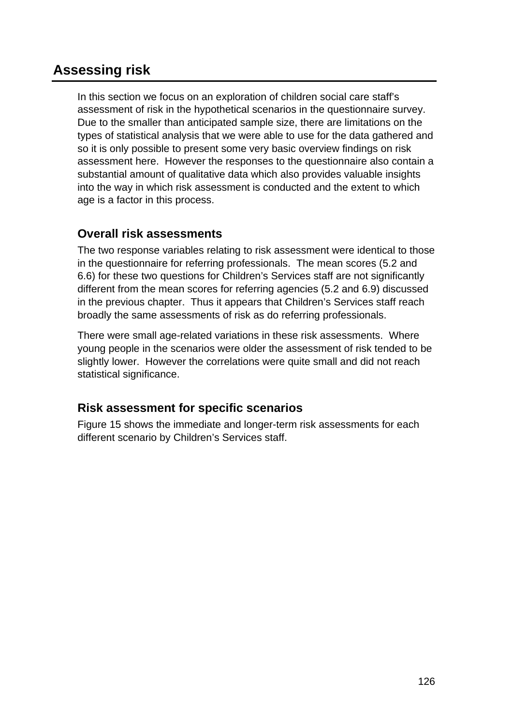# **Assessing risk**

In this section we focus on an exploration of children social care staff's assessment of risk in the hypothetical scenarios in the questionnaire survey. Due to the smaller than anticipated sample size, there are limitations on the types of statistical analysis that we were able to use for the data gathered and so it is only possible to present some very basic overview findings on risk assessment here. However the responses to the questionnaire also contain a substantial amount of qualitative data which also provides valuable insights into the way in which risk assessment is conducted and the extent to which age is a factor in this process.

# **Overall risk assessments**

The two response variables relating to risk assessment were identical to those in the questionnaire for referring professionals. The mean scores (5.2 and 6.6) for these two questions for Children's Services staff are not significantly different from the mean scores for referring agencies (5.2 and 6.9) discussed in the previous chapter. Thus it appears that Children's Services staff reach broadly the same assessments of risk as do referring professionals.

There were small age-related variations in these risk assessments. Where young people in the scenarios were older the assessment of risk tended to be slightly lower. However the correlations were quite small and did not reach statistical significance.

# **Risk assessment for specific scenarios**

Figure 15 shows the immediate and longer-term risk assessments for each different scenario by Children's Services staff.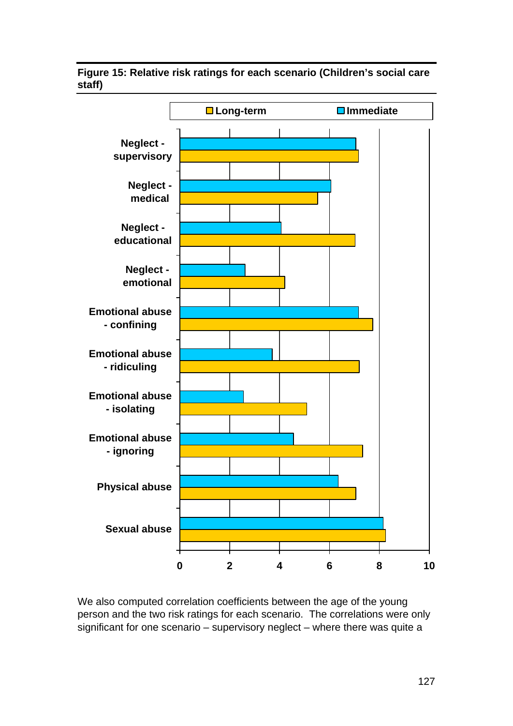**Figure 15: Relative risk ratings for each scenario (Children's social care staff)** 



We also computed correlation coefficients between the age of the young person and the two risk ratings for each scenario. The correlations were only significant for one scenario – supervisory neglect – where there was quite a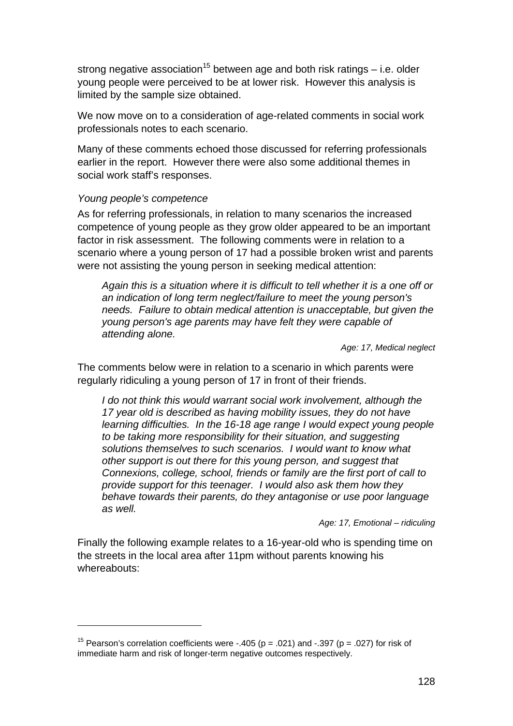strong negative association<sup>15</sup> between age and both risk ratings  $-$  i.e. older young people were perceived to be at lower risk. However this analysis is limited by the sample size obtained.

We now move on to a consideration of age-related comments in social work professionals notes to each scenario.

Many of these comments echoed those discussed for referring professionals earlier in the report. However there were also some additional themes in social work staff's responses.

#### *Young people's competence*

1

As for referring professionals, in relation to many scenarios the increased competence of young people as they grow older appeared to be an important factor in risk assessment. The following comments were in relation to a scenario where a young person of 17 had a possible broken wrist and parents were not assisting the young person in seeking medical attention:

*Again this is a situation where it is difficult to tell whether it is a one off or an indication of long term neglect/failure to meet the young person's needs. Failure to obtain medical attention is unacceptable, but given the young person's age parents may have felt they were capable of attending alone.* 

*Age: 17, Medical neglect* 

The comments below were in relation to a scenario in which parents were regularly ridiculing a young person of 17 in front of their friends.

*I do not think this would warrant social work involvement, although the 17 year old is described as having mobility issues, they do not have learning difficulties. In the 16-18 age range I would expect young people to be taking more responsibility for their situation, and suggesting solutions themselves to such scenarios. I would want to know what other support is out there for this young person, and suggest that Connexions, college, school, friends or family are the first port of call to provide support for this teenager. I would also ask them how they behave towards their parents, do they antagonise or use poor language as well.* 

*Age: 17, Emotional – ridiculing* 

Finally the following example relates to a 16-year-old who is spending time on the streets in the local area after 11pm without parents knowing his whereabouts:

<sup>&</sup>lt;sup>15</sup> Pearson's correlation coefficients were -.405 ( $p = .021$ ) and -.397 ( $p = .027$ ) for risk of immediate harm and risk of longer-term negative outcomes respectively.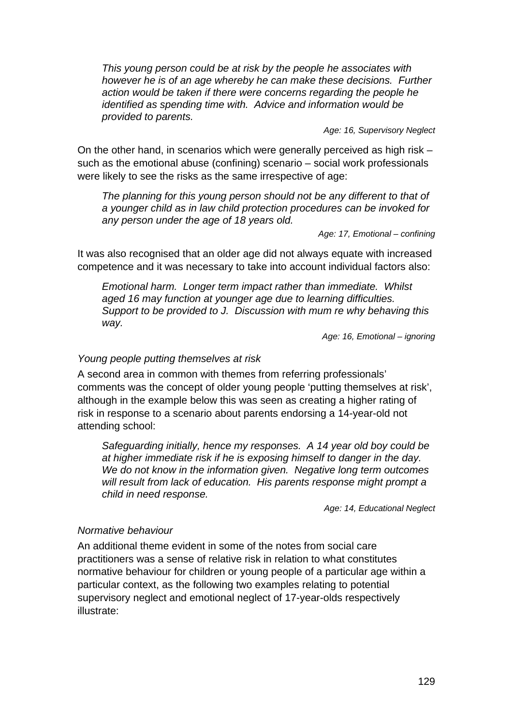*This young person could be at risk by the people he associates with however he is of an age whereby he can make these decisions. Further action would be taken if there were concerns regarding the people he identified as spending time with. Advice and information would be provided to parents.* 

*Age: 16, Supervisory Neglect* 

On the other hand, in scenarios which were generally perceived as high risk – such as the emotional abuse (confining) scenario – social work professionals were likely to see the risks as the same irrespective of age:

*The planning for this young person should not be any different to that of a younger child as in law child protection procedures can be invoked for any person under the age of 18 years old.* 

*Age: 17, Emotional – confining* 

It was also recognised that an older age did not always equate with increased competence and it was necessary to take into account individual factors also:

*Emotional harm. Longer term impact rather than immediate. Whilst aged 16 may function at younger age due to learning difficulties. Support to be provided to J. Discussion with mum re why behaving this way.* 

*Age: 16, Emotional – ignoring* 

#### *Young people putting themselves at risk*

A second area in common with themes from referring professionals' comments was the concept of older young people 'putting themselves at risk', although in the example below this was seen as creating a higher rating of risk in response to a scenario about parents endorsing a 14-year-old not attending school:

*Safeguarding initially, hence my responses. A 14 year old boy could be at higher immediate risk if he is exposing himself to danger in the day. We do not know in the information given. Negative long term outcomes will result from lack of education. His parents response might prompt a child in need response.* 

*Age: 14, Educational Neglect* 

#### *Normative behaviour*

An additional theme evident in some of the notes from social care practitioners was a sense of relative risk in relation to what constitutes normative behaviour for children or young people of a particular age within a particular context, as the following two examples relating to potential supervisory neglect and emotional neglect of 17-year-olds respectively illustrate: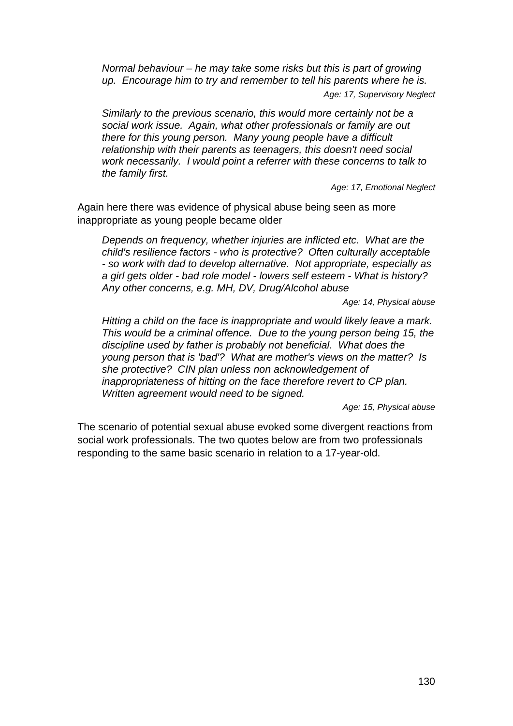*Normal behaviour – he may take some risks but this is part of growing up. Encourage him to try and remember to tell his parents where he is. Age: 17, Supervisory Neglect* 

*Similarly to the previous scenario, this would more certainly not be a social work issue. Again, what other professionals or family are out there for this young person. Many young people have a difficult relationship with their parents as teenagers, this doesn't need social work necessarily. I would point a referrer with these concerns to talk to the family first.* 

*Age: 17, Emotional Neglect* 

Again here there was evidence of physical abuse being seen as more inappropriate as young people became older

*Depends on frequency, whether injuries are inflicted etc. What are the child's resilience factors - who is protective? Often culturally acceptable - so work with dad to develop alternative. Not appropriate, especially as a girl gets older - bad role model - lowers self esteem - What is history? Any other concerns, e.g. MH, DV, Drug/Alcohol abuse* 

*Age: 14, Physical abuse* 

*Hitting a child on the face is inappropriate and would likely leave a mark. This would be a criminal offence. Due to the young person being 15, the discipline used by father is probably not beneficial. What does the young person that is 'bad'? What are mother's views on the matter? Is she protective? CIN plan unless non acknowledgement of inappropriateness of hitting on the face therefore revert to CP plan. Written agreement would need to be signed.* 

*Age: 15, Physical abuse* 

The scenario of potential sexual abuse evoked some divergent reactions from social work professionals. The two quotes below are from two professionals responding to the same basic scenario in relation to a 17-year-old.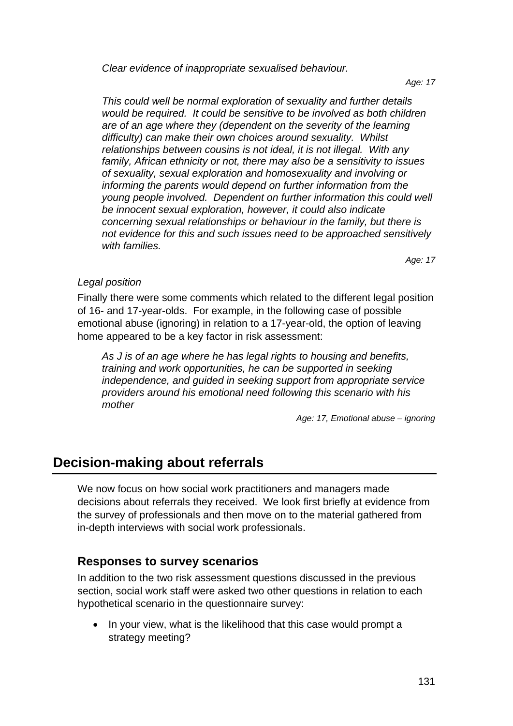*Clear evidence of inappropriate sexualised behaviour.* 

*Age: 17* 

*This could well be normal exploration of sexuality and further details would be required. It could be sensitive to be involved as both children are of an age where they (dependent on the severity of the learning difficulty) can make their own choices around sexuality. Whilst relationships between cousins is not ideal, it is not illegal. With any family, African ethnicity or not, there may also be a sensitivity to issues of sexuality, sexual exploration and homosexuality and involving or informing the parents would depend on further information from the young people involved. Dependent on further information this could well be innocent sexual exploration, however, it could also indicate concerning sexual relationships or behaviour in the family, but there is not evidence for this and such issues need to be approached sensitively with families.* 

*Age: 17* 

## *Legal position*

Finally there were some comments which related to the different legal position of 16- and 17-year-olds. For example, in the following case of possible emotional abuse (ignoring) in relation to a 17-year-old, the option of leaving home appeared to be a key factor in risk assessment:

*As J is of an age where he has legal rights to housing and benefits, training and work opportunities, he can be supported in seeking independence, and guided in seeking support from appropriate service providers around his emotional need following this scenario with his mother* 

*Age: 17, Emotional abuse – ignoring* 

# **Decision-making about referrals**

We now focus on how social work practitioners and managers made decisions about referrals they received. We look first briefly at evidence from the survey of professionals and then move on to the material gathered from in-depth interviews with social work professionals.

# **Responses to survey scenarios**

In addition to the two risk assessment questions discussed in the previous section, social work staff were asked two other questions in relation to each hypothetical scenario in the questionnaire survey:

• In your view, what is the likelihood that this case would prompt a strategy meeting?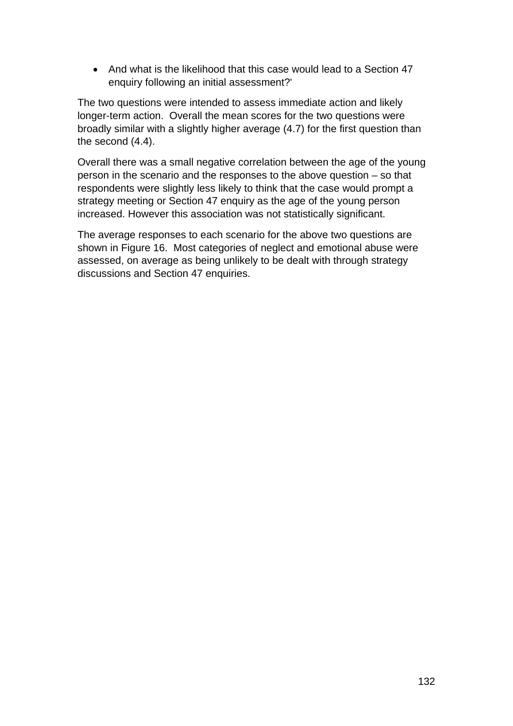• And what is the likelihood that this case would lead to a Section 47 enquiry following an initial assessment?'

The two questions were intended to assess immediate action and likely longer-term action. Overall the mean scores for the two questions were broadly similar with a slightly higher average (4.7) for the first question than the second (4.4).

Overall there was a small negative correlation between the age of the young person in the scenario and the responses to the above question – so that respondents were slightly less likely to think that the case would prompt a strategy meeting or Section 47 enquiry as the age of the young person increased. However this association was not statistically significant.

The average responses to each scenario for the above two questions are shown in Figure 16. Most categories of neglect and emotional abuse were assessed, on average as being unlikely to be dealt with through strategy discussions and Section 47 enquiries.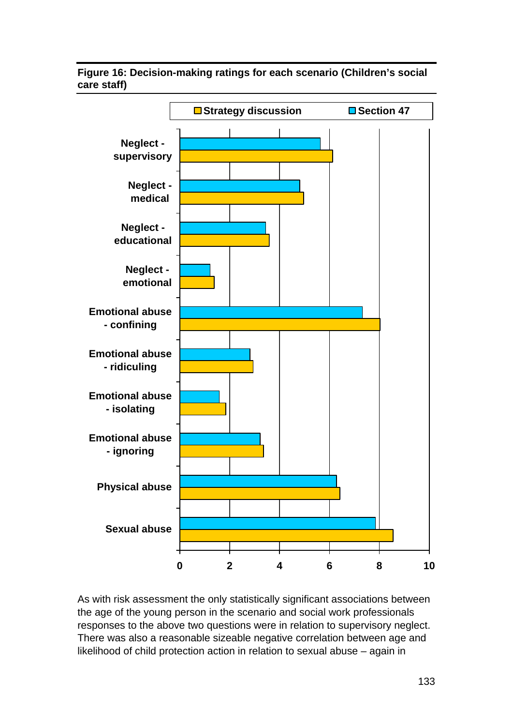#### **Figure 16: Decision-making ratings for each scenario (Children's social care staff)**



As with risk assessment the only statistically significant associations between the age of the young person in the scenario and social work professionals responses to the above two questions were in relation to supervisory neglect. There was also a reasonable sizeable negative correlation between age and likelihood of child protection action in relation to sexual abuse – again in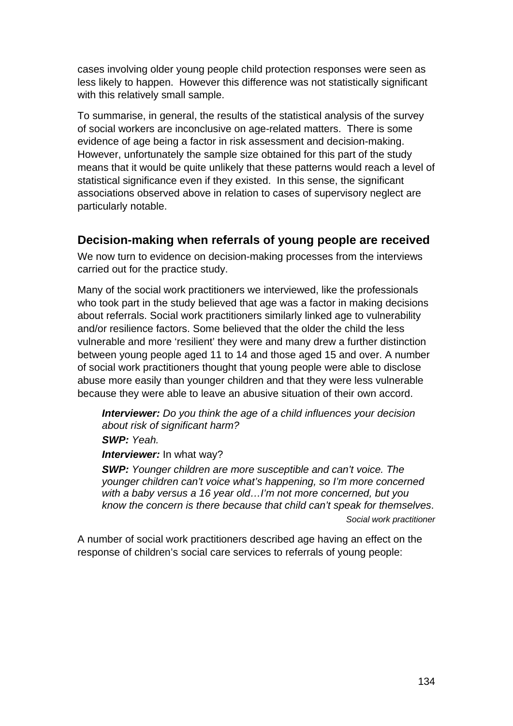cases involving older young people child protection responses were seen as less likely to happen. However this difference was not statistically significant with this relatively small sample.

To summarise, in general, the results of the statistical analysis of the survey of social workers are inconclusive on age-related matters. There is some evidence of age being a factor in risk assessment and decision-making. However, unfortunately the sample size obtained for this part of the study means that it would be quite unlikely that these patterns would reach a level of statistical significance even if they existed. In this sense, the significant associations observed above in relation to cases of supervisory neglect are particularly notable.

## **Decision-making when referrals of young people are received**

We now turn to evidence on decision-making processes from the interviews carried out for the practice study.

Many of the social work practitioners we interviewed, like the professionals who took part in the study believed that age was a factor in making decisions about referrals. Social work practitioners similarly linked age to vulnerability and/or resilience factors. Some believed that the older the child the less vulnerable and more 'resilient' they were and many drew a further distinction between young people aged 11 to 14 and those aged 15 and over. A number of social work practitioners thought that young people were able to disclose abuse more easily than younger children and that they were less vulnerable because they were able to leave an abusive situation of their own accord.

*Interviewer: Do you think the age of a child influences your decision about risk of significant harm?* 

*SWP: Yeah.* 

*Interviewer:* In what way?

*SWP: Younger children are more susceptible and can't voice. The younger children can't voice what's happening, so I'm more concerned with a baby versus a 16 year old…I'm not more concerned, but you know the concern is there because that child can't speak for themselves*. *Social work practitioner* 

A number of social work practitioners described age having an effect on the response of children's social care services to referrals of young people: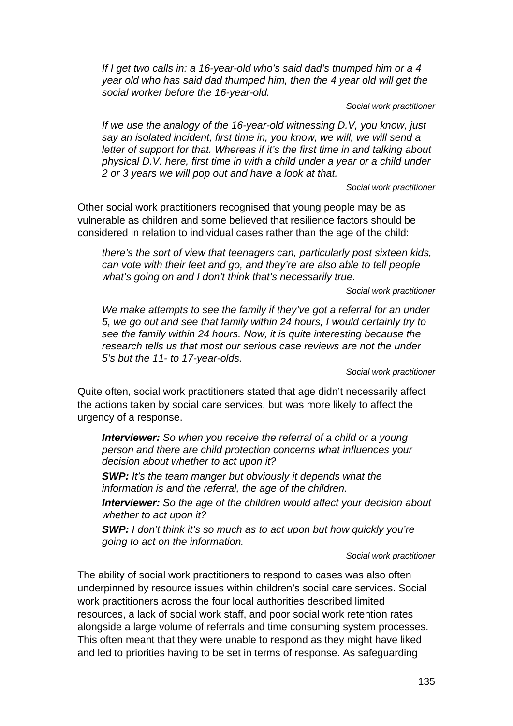*If I get two calls in: a 16-year-old who's said dad's thumped him or a 4 year old who has said dad thumped him, then the 4 year old will get the social worker before the 16-year-old.* 

*Social work practitioner* 

*If we use the analogy of the 16-year-old witnessing D.V, you know, just say an isolated incident, first time in, you know, we will, we will send a letter of support for that. Whereas if it's the first time in and talking about physical D.V. here, first time in with a child under a year or a child under 2 or 3 years we will pop out and have a look at that.* 

*Social work practitioner* 

Other social work practitioners recognised that young people may be as vulnerable as children and some believed that resilience factors should be considered in relation to individual cases rather than the age of the child:

*there's the sort of view that teenagers can, particularly post sixteen kids, can vote with their feet and go, and they're are also able to tell people what's going on and I don't think that's necessarily true.* 

*Social work practitioner* 

*We make attempts to see the family if they've got a referral for an under 5, we go out and see that family within 24 hours, I would certainly try to see the family within 24 hours. Now, it is quite interesting because the research tells us that most our serious case reviews are not the under 5's but the 11- to 17-year-olds.* 

*Social work practitioner* 

Quite often, social work practitioners stated that age didn't necessarily affect the actions taken by social care services, but was more likely to affect the urgency of a response.

*Interviewer: So when you receive the referral of a child or a young person and there are child protection concerns what influences your decision about whether to act upon it?* 

*SWP: It's the team manger but obviously it depends what the information is and the referral, the age of the children.* 

*Interviewer: So the age of the children would affect your decision about whether to act upon it?* 

*SWP: I don't think it's so much as to act upon but how quickly you're going to act on the information.* 

*Social work practitioner* 

The ability of social work practitioners to respond to cases was also often underpinned by resource issues within children's social care services. Social work practitioners across the four local authorities described limited resources, a lack of social work staff, and poor social work retention rates alongside a large volume of referrals and time consuming system processes. This often meant that they were unable to respond as they might have liked and led to priorities having to be set in terms of response. As safeguarding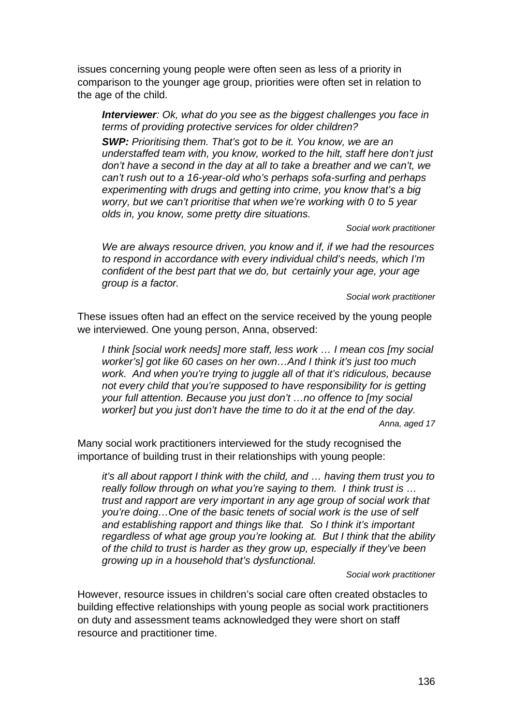issues concerning young people were often seen as less of a priority in comparison to the younger age group, priorities were often set in relation to the age of the child.

*Interviewer: Ok, what do you see as the biggest challenges you face in terms of providing protective services for older children?* 

*SWP: Prioritising them. That's got to be it. You know, we are an understaffed team with, you know, worked to the hilt, staff here don't just don't have a second in the day at all to take a breather and we can't, we can't rush out to a 16-year-old who's perhaps sofa-surfing and perhaps experimenting with drugs and getting into crime, you know that's a big worry, but we can't prioritise that when we're working with 0 to 5 year olds in, you know, some pretty dire situations.* 

*Social work practitioner* 

*We are always resource driven, you know and if, if we had the resources to respond in accordance with every individual child's needs, which I'm confident of the best part that we do, but certainly your age, your age group is a factor.* 

*Social work practitioner* 

These issues often had an effect on the service received by the young people we interviewed. One young person, Anna, observed:

*I think [social work needs] more staff, less work … I mean cos [my social worker's] got like 60 cases on her own…And I think it's just too much work. And when you're trying to juggle all of that it's ridiculous, because not every child that you're supposed to have responsibility for is getting your full attention. Because you just don't …no offence to [my social worker] but you just don't have the time to do it at the end of the day.* 

*Anna, aged 17* 

Many social work practitioners interviewed for the study recognised the importance of building trust in their relationships with young people:

*it's all about rapport I think with the child, and … having them trust you to really follow through on what you're saying to them. I think trust is … trust and rapport are very important in any age group of social work that you're doing…One of the basic tenets of social work is the use of self and establishing rapport and things like that. So I think it's important regardless of what age group you're looking at. But I think that the ability of the child to trust is harder as they grow up, especially if they've been growing up in a household that's dysfunctional.* 

*Social work practitioner* 

However, resource issues in children's social care often created obstacles to building effective relationships with young people as social work practitioners on duty and assessment teams acknowledged they were short on staff resource and practitioner time.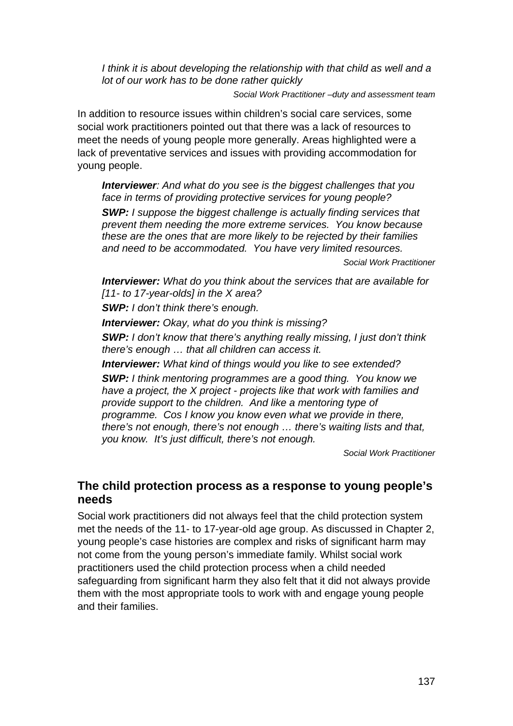*I think it is about developing the relationship with that child as well and a lot of our work has to be done rather quickly* 

*Social Work Practitioner –duty and assessment team* 

In addition to resource issues within children's social care services, some social work practitioners pointed out that there was a lack of resources to meet the needs of young people more generally. Areas highlighted were a lack of preventative services and issues with providing accommodation for young people.

*Interviewer: And what do you see is the biggest challenges that you face in terms of providing protective services for young people?* 

*SWP: I suppose the biggest challenge is actually finding services that prevent them needing the more extreme services. You know because these are the ones that are more likely to be rejected by their families and need to be accommodated. You have very limited resources.* 

*Social Work Practitioner* 

*Interviewer: What do you think about the services that are available for [11- to 17-year-olds] in the X area?* 

*SWP: I don't think there's enough.* 

*Interviewer: Okay, what do you think is missing?* 

*SWP: I don't know that there's anything really missing, I just don't think there's enough … that all children can access it.* 

*Interviewer: What kind of things would you like to see extended? SWP: I think mentoring programmes are a good thing. You know we have a project, the X project - projects like that work with families and provide support to the children. And like a mentoring type of programme. Cos I know you know even what we provide in there, there's not enough, there's not enough … there's waiting lists and that, you know. It's just difficult, there's not enough.*

*Social Work Practitioner* 

# **The child protection process as a response to young people's needs**

Social work practitioners did not always feel that the child protection system met the needs of the 11- to 17-year-old age group. As discussed in Chapter 2, young people's case histories are complex and risks of significant harm may not come from the young person's immediate family. Whilst social work practitioners used the child protection process when a child needed safeguarding from significant harm they also felt that it did not always provide them with the most appropriate tools to work with and engage young people and their families.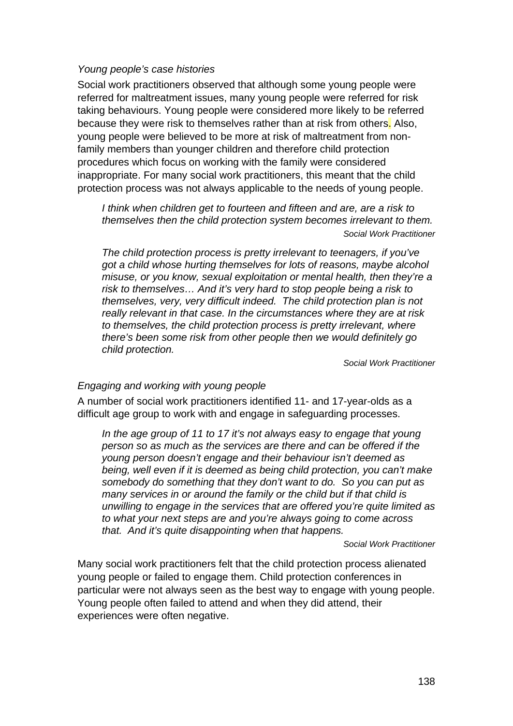#### *Young people's case histories*

Social work practitioners observed that although some young people were referred for maltreatment issues, many young people were referred for risk taking behaviours. Young people were considered more likely to be referred because they were risk to themselves rather than at risk from others. Also, young people were believed to be more at risk of maltreatment from nonfamily members than younger children and therefore child protection procedures which focus on working with the family were considered inappropriate. For many social work practitioners, this meant that the child protection process was not always applicable to the needs of young people.

*I think when children get to fourteen and fifteen and are, are a risk to themselves then the child protection system becomes irrelevant to them. Social Work Practitioner* 

*The child protection process is pretty irrelevant to teenagers, if you've got a child whose hurting themselves for lots of reasons, maybe alcohol misuse, or you know, sexual exploitation or mental health, then they're a risk to themselves… And it's very hard to stop people being a risk to themselves, very, very difficult indeed. The child protection plan is not really relevant in that case. In the circumstances where they are at risk to themselves, the child protection process is pretty irrelevant, where there's been some risk from other people then we would definitely go child protection.* 

*Social Work Practitioner* 

#### *Engaging and working with young people*

A number of social work practitioners identified 11- and 17-year-olds as a difficult age group to work with and engage in safeguarding processes.

*In the age group of 11 to 17 it's not always easy to engage that young person so as much as the services are there and can be offered if the young person doesn't engage and their behaviour isn't deemed as being, well even if it is deemed as being child protection, you can't make somebody do something that they don't want to do. So you can put as many services in or around the family or the child but if that child is unwilling to engage in the services that are offered you're quite limited as to what your next steps are and you're always going to come across that. And it's quite disappointing when that happens.* 

*Social Work Practitioner* 

Many social work practitioners felt that the child protection process alienated young people or failed to engage them. Child protection conferences in particular were not always seen as the best way to engage with young people. Young people often failed to attend and when they did attend, their experiences were often negative.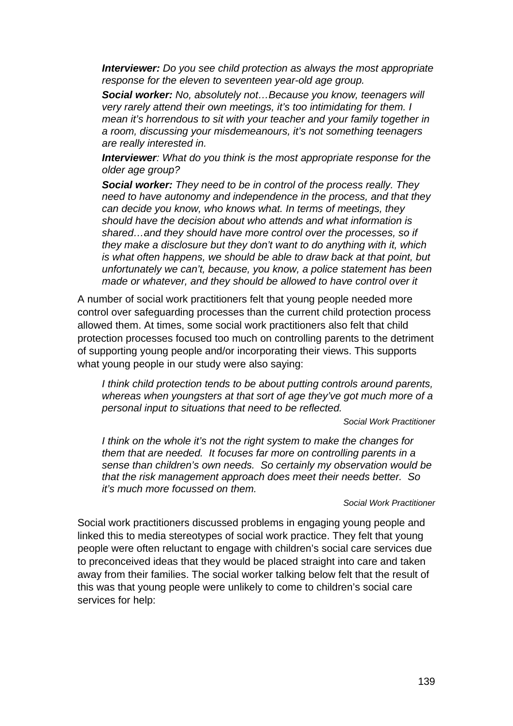*Interviewer: Do you see child protection as always the most appropriate response for the eleven to seventeen year-old age group.* 

*Social worker: No, absolutely not…Because you know, teenagers will very rarely attend their own meetings, it's too intimidating for them. I mean it's horrendous to sit with your teacher and your family together in a room, discussing your misdemeanours, it's not something teenagers are really interested in.* 

*Interviewer: What do you think is the most appropriate response for the older age group?* 

*Social worker: They need to be in control of the process really. They need to have autonomy and independence in the process, and that they can decide you know, who knows what. In terms of meetings, they should have the decision about who attends and what information is shared…and they should have more control over the processes, so if they make a disclosure but they don't want to do anything with it, which is what often happens, we should be able to draw back at that point, but unfortunately we can't, because, you know, a police statement has been made or whatever, and they should be allowed to have control over it* 

A number of social work practitioners felt that young people needed more control over safeguarding processes than the current child protection process allowed them. At times, some social work practitioners also felt that child protection processes focused too much on controlling parents to the detriment of supporting young people and/or incorporating their views. This supports what young people in our study were also saying:

*I think child protection tends to be about putting controls around parents, whereas when youngsters at that sort of age they've got much more of a personal input to situations that need to be reflected.* 

*Social Work Practitioner* 

*I think on the whole it's not the right system to make the changes for them that are needed. It focuses far more on controlling parents in a sense than children's own needs. So certainly my observation would be that the risk management approach does meet their needs better. So it's much more focussed on them.* 

#### *Social Work Practitioner*

Social work practitioners discussed problems in engaging young people and linked this to media stereotypes of social work practice. They felt that young people were often reluctant to engage with children's social care services due to preconceived ideas that they would be placed straight into care and taken away from their families. The social worker talking below felt that the result of this was that young people were unlikely to come to children's social care services for help: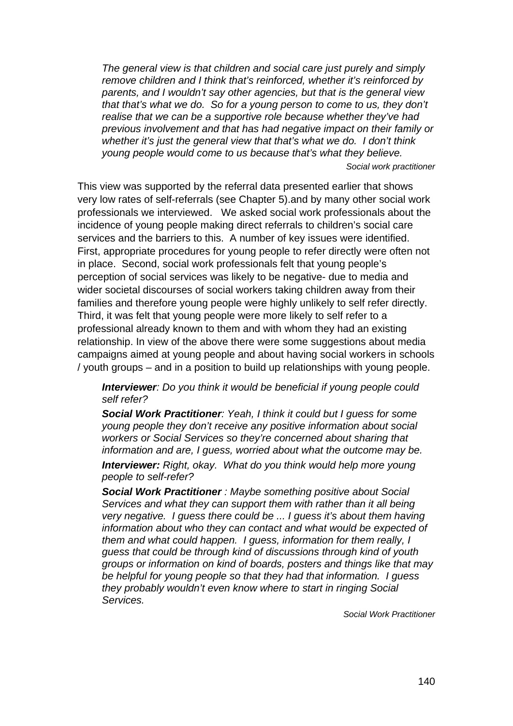*The general view is that children and social care just purely and simply remove children and I think that's reinforced, whether it's reinforced by parents, and I wouldn't say other agencies, but that is the general view that that's what we do. So for a young person to come to us, they don't realise that we can be a supportive role because whether they've had previous involvement and that has had negative impact on their family or whether it's just the general view that that's what we do. I don't think young people would come to us because that's what they believe.* 

*Social work practitioner* 

This view was supported by the referral data presented earlier that shows very low rates of self-referrals (see Chapter 5).and by many other social work professionals we interviewed. We asked social work professionals about the incidence of young people making direct referrals to children's social care services and the barriers to this. A number of key issues were identified. First, appropriate procedures for young people to refer directly were often not in place. Second, social work professionals felt that young people's perception of social services was likely to be negative- due to media and wider societal discourses of social workers taking children away from their families and therefore young people were highly unlikely to self refer directly. Third, it was felt that young people were more likely to self refer to a professional already known to them and with whom they had an existing relationship. In view of the above there were some suggestions about media campaigns aimed at young people and about having social workers in schools / youth groups – and in a position to build up relationships with young people.

*Interviewer: Do you think it would be beneficial if young people could self refer?* 

*Social Work Practitioner: Yeah, I think it could but I guess for some young people they don't receive any positive information about social workers or Social Services so they're concerned about sharing that information and are, I guess, worried about what the outcome may be.* 

*Interviewer: Right, okay. What do you think would help more young people to self-refer?* 

*Social Work Practitioner : Maybe something positive about Social Services and what they can support them with rather than it all being very negative. I guess there could be ... I guess it's about them having information about who they can contact and what would be expected of them and what could happen. I guess, information for them really, I guess that could be through kind of discussions through kind of youth groups or information on kind of boards, posters and things like that may be helpful for young people so that they had that information. I guess they probably wouldn't even know where to start in ringing Social Services.* 

*Social Work Practitioner*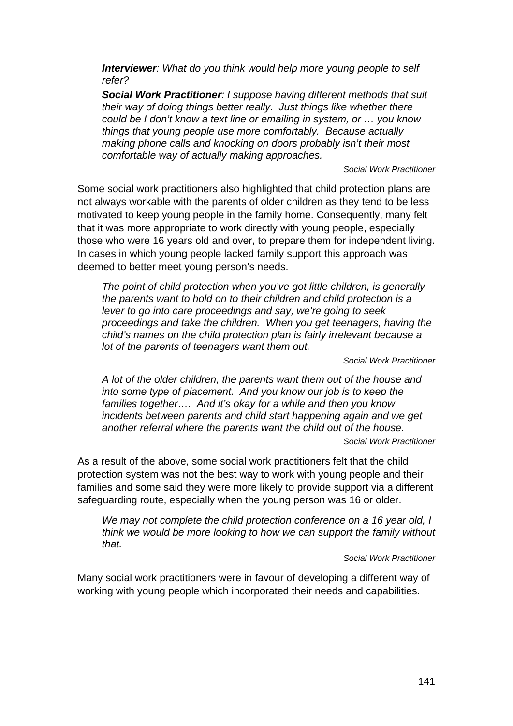*Interviewer: What do you think would help more young people to self refer?* 

*Social Work Practitioner: I suppose having different methods that suit their way of doing things better really. Just things like whether there could be I don't know a text line or emailing in system, or … you know things that young people use more comfortably. Because actually making phone calls and knocking on doors probably isn't their most comfortable way of actually making approaches.* 

*Social Work Practitioner* 

Some social work practitioners also highlighted that child protection plans are not always workable with the parents of older children as they tend to be less motivated to keep young people in the family home. Consequently, many felt that it was more appropriate to work directly with young people, especially those who were 16 years old and over, to prepare them for independent living. In cases in which young people lacked family support this approach was deemed to better meet young person's needs.

*The point of child protection when you've got little children, is generally the parents want to hold on to their children and child protection is a lever to go into care proceedings and say, we're going to seek proceedings and take the children. When you get teenagers, having the child's names on the child protection plan is fairly irrelevant because a lot of the parents of teenagers want them out.* 

*Social Work Practitioner* 

*A lot of the older children, the parents want them out of the house and into some type of placement. And you know our job is to keep the families together…. And it's okay for a while and then you know incidents between parents and child start happening again and we get another referral where the parents want the child out of the house.* 

*Social Work Practitioner* 

As a result of the above, some social work practitioners felt that the child protection system was not the best way to work with young people and their families and some said they were more likely to provide support via a different safeguarding route, especially when the young person was 16 or older.

*We may not complete the child protection conference on a 16 year old, I think we would be more looking to how we can support the family without that.* 

#### *Social Work Practitioner*

Many social work practitioners were in favour of developing a different way of working with young people which incorporated their needs and capabilities.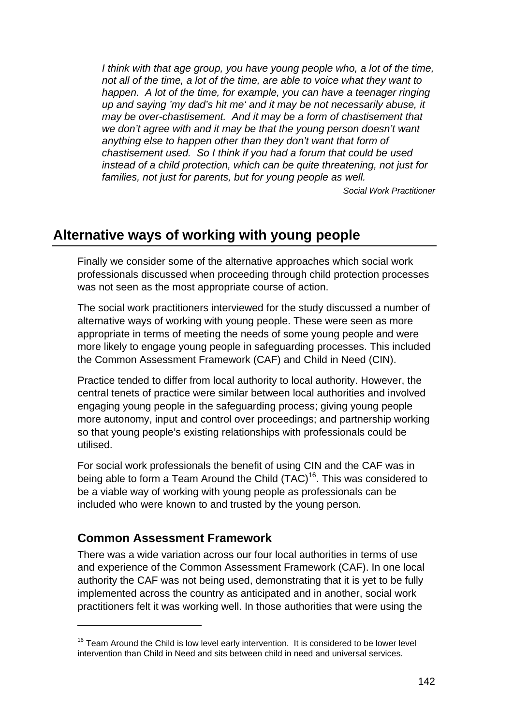I think with that age group, you have young people who, a lot of the time, *not all of the time, a lot of the time, are able to voice what they want to happen. A lot of the time, for example, you can have a teenager ringing up and saying 'my dad's hit me' and it may be not necessarily abuse, it may be over-chastisement. And it may be a form of chastisement that we don't agree with and it may be that the young person doesn't want anything else to happen other than they don't want that form of chastisement used. So I think if you had a forum that could be used instead of a child protection, which can be quite threatening, not just for*  families, not just for parents, but for young people as well.

 *Social Work Practitioner* 

# **Alternative ways of working with young people**

Finally we consider some of the alternative approaches which social work professionals discussed when proceeding through child protection processes was not seen as the most appropriate course of action.

The social work practitioners interviewed for the study discussed a number of alternative ways of working with young people. These were seen as more appropriate in terms of meeting the needs of some young people and were more likely to engage young people in safeguarding processes. This included the Common Assessment Framework (CAF) and Child in Need (CIN).

Practice tended to differ from local authority to local authority. However, the central tenets of practice were similar between local authorities and involved engaging young people in the safeguarding process; giving young people more autonomy, input and control over proceedings; and partnership working so that young people's existing relationships with professionals could be utilised.

For social work professionals the benefit of using CIN and the CAF was in being able to form a Team Around the Child  $(TAC)^{16}$ . This was considered to be a viable way of working with young people as professionals can be included who were known to and trusted by the young person.

# **Common Assessment Framework**

1

There was a wide variation across our four local authorities in terms of use and experience of the Common Assessment Framework (CAF). In one local authority the CAF was not being used, demonstrating that it is yet to be fully implemented across the country as anticipated and in another, social work practitioners felt it was working well. In those authorities that were using the

 $16$  Team Around the Child is low level early intervention. It is considered to be lower level intervention than Child in Need and sits between child in need and universal services.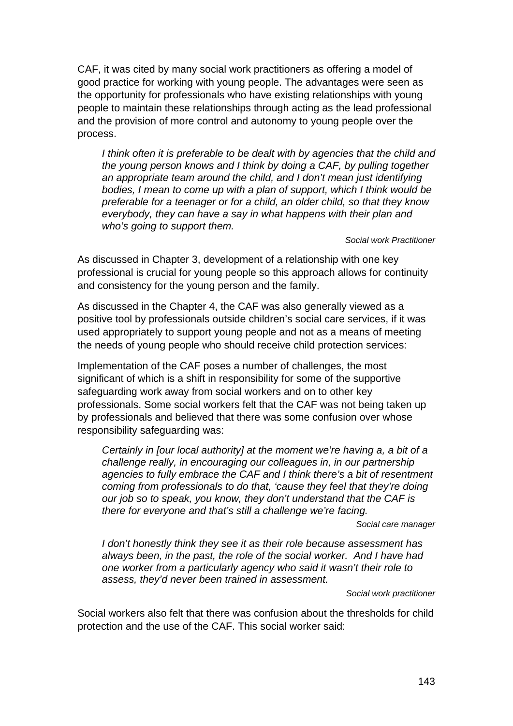CAF, it was cited by many social work practitioners as offering a model of good practice for working with young people. The advantages were seen as the opportunity for professionals who have existing relationships with young people to maintain these relationships through acting as the lead professional and the provision of more control and autonomy to young people over the process.

I think often it is preferable to be dealt with by agencies that the child and *the young person knows and I think by doing a CAF, by pulling together an appropriate team around the child, and I don't mean just identifying bodies, I mean to come up with a plan of support, which I think would be preferable for a teenager or for a child, an older child, so that they know everybody, they can have a say in what happens with their plan and who's going to support them.* 

*Social work Practitioner* 

As discussed in Chapter 3, development of a relationship with one key professional is crucial for young people so this approach allows for continuity and consistency for the young person and the family.

As discussed in the Chapter 4, the CAF was also generally viewed as a positive tool by professionals outside children's social care services, if it was used appropriately to support young people and not as a means of meeting the needs of young people who should receive child protection services:

Implementation of the CAF poses a number of challenges, the most significant of which is a shift in responsibility for some of the supportive safeguarding work away from social workers and on to other key professionals. Some social workers felt that the CAF was not being taken up by professionals and believed that there was some confusion over whose responsibility safeguarding was:

*Certainly in [our local authority] at the moment we're having a, a bit of a challenge really, in encouraging our colleagues in, in our partnership agencies to fully embrace the CAF and I think there's a bit of resentment coming from professionals to do that, 'cause they feel that they're doing our job so to speak, you know, they don't understand that the CAF is there for everyone and that's still a challenge we're facing.* 

*Social care manager* 

*I don't honestly think they see it as their role because assessment has always been, in the past, the role of the social worker. And I have had one worker from a particularly agency who said it wasn't their role to assess, they'd never been trained in assessment.* 

*Social work practitioner* 

Social workers also felt that there was confusion about the thresholds for child protection and the use of the CAF. This social worker said: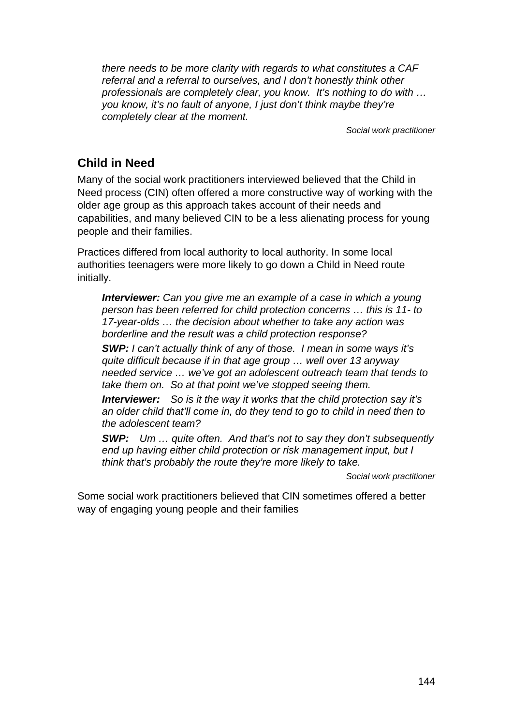*there needs to be more clarity with regards to what constitutes a CAF referral and a referral to ourselves, and I don't honestly think other professionals are completely clear, you know. It's nothing to do with … you know, it's no fault of anyone, I just don't think maybe they're completely clear at the moment.* 

*Social work practitioner* 

## **Child in Need**

Many of the social work practitioners interviewed believed that the Child in Need process (CIN) often offered a more constructive way of working with the older age group as this approach takes account of their needs and capabilities, and many believed CIN to be a less alienating process for young people and their families.

Practices differed from local authority to local authority. In some local authorities teenagers were more likely to go down a Child in Need route initially.

*Interviewer: Can you give me an example of a case in which a young person has been referred for child protection concerns … this is 11- to 17-year-olds … the decision about whether to take any action was borderline and the result was a child protection response?* 

*SWP: I can't actually think of any of those. I mean in some ways it's quite difficult because if in that age group … well over 13 anyway needed service … we've got an adolescent outreach team that tends to take them on. So at that point we've stopped seeing them.* 

*Interviewer: So is it the way it works that the child protection say it's an older child that'll come in, do they tend to go to child in need then to the adolescent team?* 

*SWP: Um … quite often. And that's not to say they don't subsequently end up having either child protection or risk management input, but I think that's probably the route they're more likely to take.* 

*Social work practitioner* 

Some social work practitioners believed that CIN sometimes offered a better way of engaging young people and their families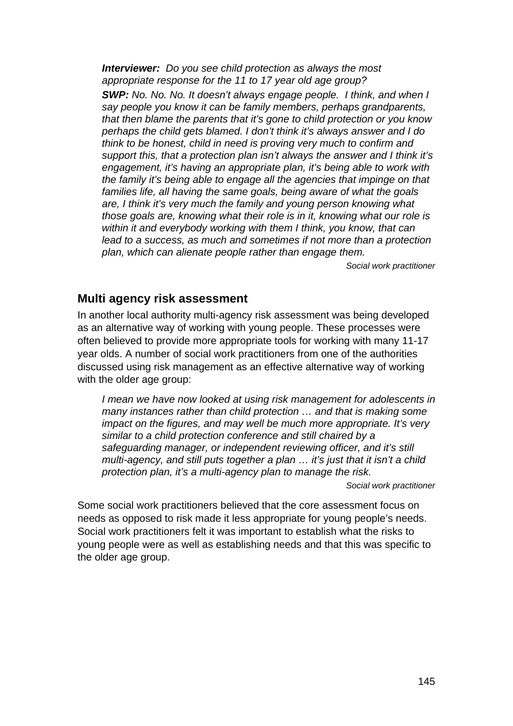*Interviewer: Do you see child protection as always the most appropriate response for the 11 to 17 year old age group?* 

*SWP: No. No. No. It doesn't always engage people. I think, and when I say people you know it can be family members, perhaps grandparents, that then blame the parents that it's gone to child protection or you know perhaps the child gets blamed. I don't think it's always answer and I do think to be honest, child in need is proving very much to confirm and support this, that a protection plan isn't always the answer and I think it's engagement, it's having an appropriate plan, it's being able to work with the family it's being able to engage all the agencies that impinge on that families life, all having the same goals, being aware of what the goals are, I think it's very much the family and young person knowing what those goals are, knowing what their role is in it, knowing what our role is within it and everybody working with them I think, you know, that can*  lead to a success, as much and sometimes if not more than a protection *plan, which can alienate people rather than engage them.* 

*Social work practitioner* 

### **Multi agency risk assessment**

In another local authority multi-agency risk assessment was being developed as an alternative way of working with young people. These processes were often believed to provide more appropriate tools for working with many 11-17 year olds. A number of social work practitioners from one of the authorities discussed using risk management as an effective alternative way of working with the older age group:

*I mean we have now looked at using risk management for adolescents in many instances rather than child protection … and that is making some impact on the figures, and may well be much more appropriate. It's very similar to a child protection conference and still chaired by a safeguarding manager, or independent reviewing officer, and it's still multi-agency, and still puts together a plan … it's just that it isn't a child protection plan, it's a multi-agency plan to manage the risk.* 

*Social work practitioner* 

Some social work practitioners believed that the core assessment focus on needs as opposed to risk made it less appropriate for young people's needs. Social work practitioners felt it was important to establish what the risks to young people were as well as establishing needs and that this was specific to the older age group.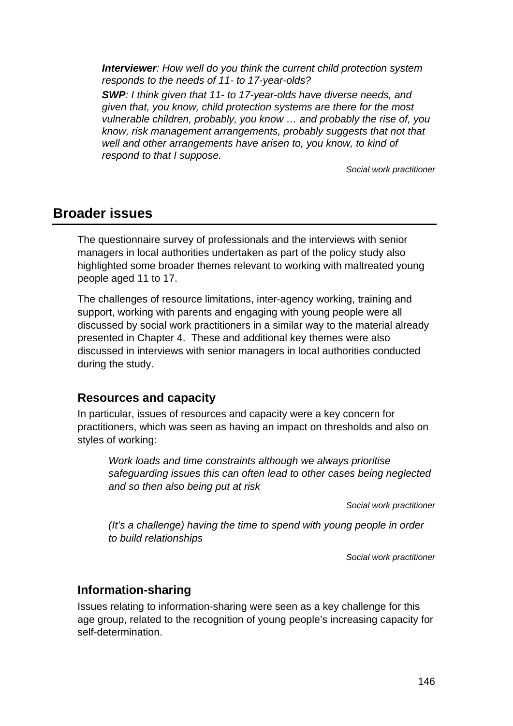*Interviewer: How well do you think the current child protection system responds to the needs of 11- to 17-year-olds?* 

*SWP: I think given that 11- to 17-year-olds have diverse needs, and given that, you know, child protection systems are there for the most vulnerable children, probably, you know … and probably the rise of, you know, risk management arrangements, probably suggests that not that well and other arrangements have arisen to, you know, to kind of respond to that I suppose.* 

*Social work practitioner* 

## **Broader issues**

The questionnaire survey of professionals and the interviews with senior managers in local authorities undertaken as part of the policy study also highlighted some broader themes relevant to working with maltreated young people aged 11 to 17.

The challenges of resource limitations, inter-agency working, training and support, working with parents and engaging with young people were all discussed by social work practitioners in a similar way to the material already presented in Chapter 4. These and additional key themes were also discussed in interviews with senior managers in local authorities conducted during the study.

## **Resources and capacity**

In particular, issues of resources and capacity were a key concern for practitioners, which was seen as having an impact on thresholds and also on styles of working:

*Work loads and time constraints although we always prioritise safeguarding issues this can often lead to other cases being neglected and so then also being put at risk* 

*Social work practitioner* 

*(It's a challenge) having the time to spend with young people in order to build relationships* 

*Social work practitioner* 

## **Information-sharing**

Issues relating to information-sharing were seen as a key challenge for this age group, related to the recognition of young people's increasing capacity for self-determination.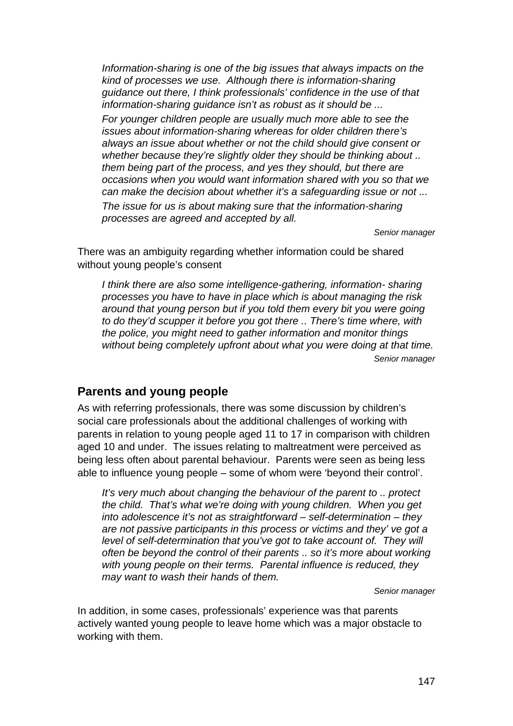*Information-sharing is one of the big issues that always impacts on the kind of processes we use. Although there is information-sharing guidance out there, I think professionals' confidence in the use of that information-sharing guidance isn't as robust as it should be ...* 

*For younger children people are usually much more able to see the issues about information-sharing whereas for older children there's always an issue about whether or not the child should give consent or whether because they're slightly older they should be thinking about .. them being part of the process, and yes they should, but there are occasions when you would want information shared with you so that we can make the decision about whether it's a safeguarding issue or not ...* 

*The issue for us is about making sure that the information-sharing processes are agreed and accepted by all.* 

*Senior manager* 

There was an ambiguity regarding whether information could be shared without young people's consent

*I think there are also some intelligence-gathering, information- sharing processes you have to have in place which is about managing the risk around that young person but if you told them every bit you were going to do they'd scupper it before you got there .. There's time where, with the police, you might need to gather information and monitor things without being completely upfront about what you were doing at that time. Senior manager* 

## **Parents and young people**

As with referring professionals, there was some discussion by children's social care professionals about the additional challenges of working with parents in relation to young people aged 11 to 17 in comparison with children aged 10 and under. The issues relating to maltreatment were perceived as being less often about parental behaviour. Parents were seen as being less able to influence young people – some of whom were 'beyond their control'.

*It's very much about changing the behaviour of the parent to .. protect the child. That's what we're doing with young children. When you get into adolescence it's not as straightforward – self-determination – they are not passive participants in this process or victims and they' ve got a level of self-determination that you've got to take account of. They will often be beyond the control of their parents .. so it's more about working with young people on their terms. Parental influence is reduced, they may want to wash their hands of them.* 

*Senior manager* 

In addition, in some cases, professionals' experience was that parents actively wanted young people to leave home which was a major obstacle to working with them.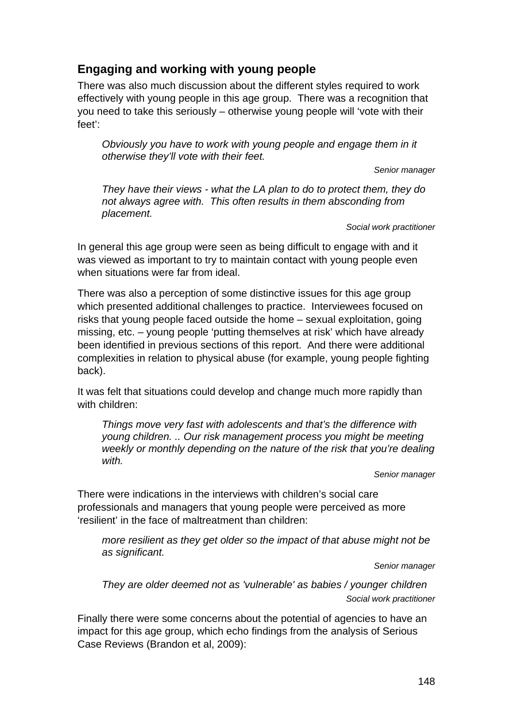## **Engaging and working with young people**

There was also much discussion about the different styles required to work effectively with young people in this age group. There was a recognition that you need to take this seriously – otherwise young people will 'vote with their feet':

*Obviously you have to work with young people and engage them in it otherwise they'll vote with their feet.* 

*Senior manager* 

*They have their views - what the LA plan to do to protect them, they do not always agree with. This often results in them absconding from placement.* 

*Social work practitioner* 

In general this age group were seen as being difficult to engage with and it was viewed as important to try to maintain contact with young people even when situations were far from ideal

There was also a perception of some distinctive issues for this age group which presented additional challenges to practice. Interviewees focused on risks that young people faced outside the home – sexual exploitation, going missing, etc. – young people 'putting themselves at risk' which have already been identified in previous sections of this report. And there were additional complexities in relation to physical abuse (for example, young people fighting back).

It was felt that situations could develop and change much more rapidly than with children:

*Things move very fast with adolescents and that's the difference with young children. .. Our risk management process you might be meeting weekly or monthly depending on the nature of the risk that you're dealing with.* 

*Senior manager* 

There were indications in the interviews with children's social care professionals and managers that young people were perceived as more 'resilient' in the face of maltreatment than children:

*more resilient as they get older so the impact of that abuse might not be as significant.* 

*Senior manager* 

*They are older deemed not as 'vulnerable' as babies / younger children Social work practitioner*

Finally there were some concerns about the potential of agencies to have an impact for this age group, which echo findings from the analysis of Serious Case Reviews (Brandon et al, 2009):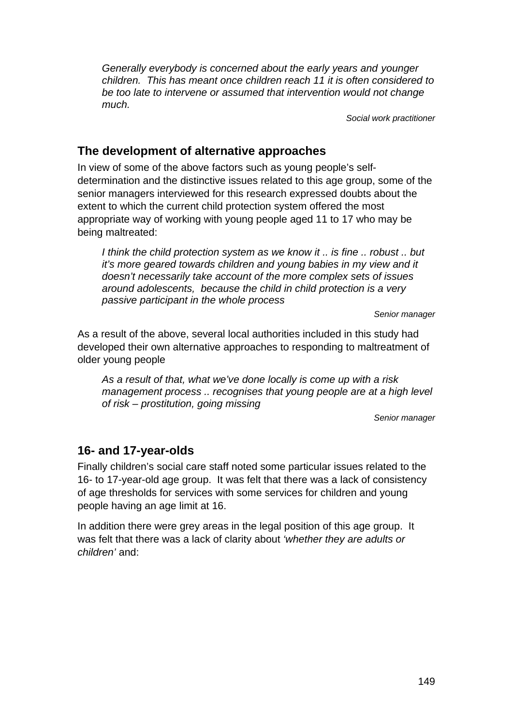*Generally everybody is concerned about the early years and younger children. This has meant once children reach 11 it is often considered to be too late to intervene or assumed that intervention would not change much.* 

*Social work practitioner* 

## **The development of alternative approaches**

In view of some of the above factors such as young people's selfdetermination and the distinctive issues related to this age group, some of the senior managers interviewed for this research expressed doubts about the extent to which the current child protection system offered the most appropriate way of working with young people aged 11 to 17 who may be being maltreated:

*I think the child protection system as we know it .. is fine .. robust .. but it's more geared towards children and young babies in my view and it doesn't necessarily take account of the more complex sets of issues around adolescents, because the child in child protection is a very passive participant in the whole process* 

*Senior manager* 

As a result of the above, several local authorities included in this study had developed their own alternative approaches to responding to maltreatment of older young people

*As a result of that, what we've done locally is come up with a risk management process .. recognises that young people are at a high level of risk – prostitution, going missing* 

*Senior manager* 

## **16- and 17-year-olds**

Finally children's social care staff noted some particular issues related to the 16- to 17-year-old age group. It was felt that there was a lack of consistency of age thresholds for services with some services for children and young people having an age limit at 16.

In addition there were grey areas in the legal position of this age group. It was felt that there was a lack of clarity about *'whether they are adults or children'* and: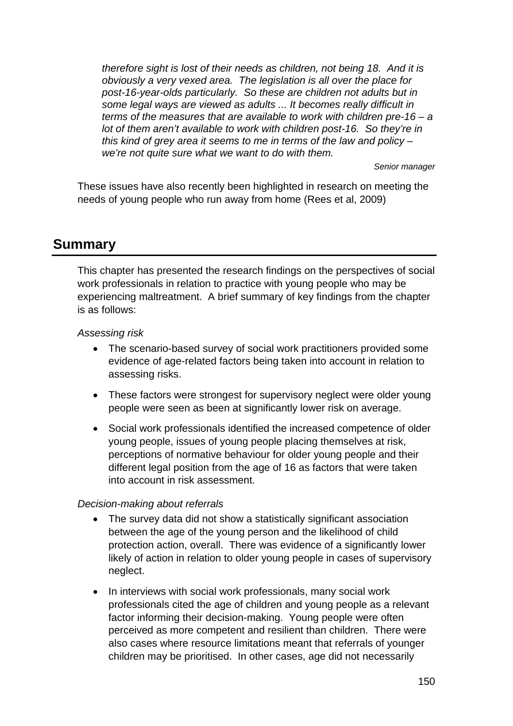*therefore sight is lost of their needs as children, not being 18. And it is obviously a very vexed area. The legislation is all over the place for post-16-year-olds particularly. So these are children not adults but in some legal ways are viewed as adults ... It becomes really difficult in terms of the measures that are available to work with children pre-16 – a lot of them aren't available to work with children post-16. So they're in this kind of grey area it seems to me in terms of the law and policy – we're not quite sure what we want to do with them.* 

*Senior manager* 

These issues have also recently been highlighted in research on meeting the needs of young people who run away from home (Rees et al, 2009)

## **Summary**

This chapter has presented the research findings on the perspectives of social work professionals in relation to practice with young people who may be experiencing maltreatment. A brief summary of key findings from the chapter is as follows:

#### *Assessing risk*

- The scenario-based survey of social work practitioners provided some evidence of age-related factors being taken into account in relation to assessing risks.
- These factors were strongest for supervisory neglect were older young people were seen as been at significantly lower risk on average.
- Social work professionals identified the increased competence of older young people, issues of young people placing themselves at risk, perceptions of normative behaviour for older young people and their different legal position from the age of 16 as factors that were taken into account in risk assessment.

#### *Decision-making about referrals*

- The survey data did not show a statistically significant association between the age of the young person and the likelihood of child protection action, overall. There was evidence of a significantly lower likely of action in relation to older young people in cases of supervisory neglect.
- In interviews with social work professionals, many social work professionals cited the age of children and young people as a relevant factor informing their decision-making. Young people were often perceived as more competent and resilient than children. There were also cases where resource limitations meant that referrals of younger children may be prioritised. In other cases, age did not necessarily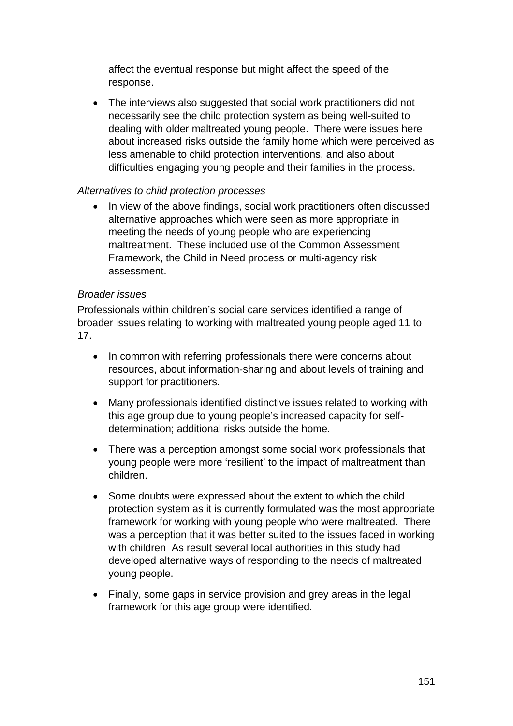affect the eventual response but might affect the speed of the response.

• The interviews also suggested that social work practitioners did not necessarily see the child protection system as being well-suited to dealing with older maltreated young people. There were issues here about increased risks outside the family home which were perceived as less amenable to child protection interventions, and also about difficulties engaging young people and their families in the process.

#### *Alternatives to child protection processes*

 In view of the above findings, social work practitioners often discussed alternative approaches which were seen as more appropriate in meeting the needs of young people who are experiencing maltreatment. These included use of the Common Assessment Framework, the Child in Need process or multi-agency risk assessment.

#### *Broader issues*

Professionals within children's social care services identified a range of broader issues relating to working with maltreated young people aged 11 to 17.

- In common with referring professionals there were concerns about resources, about information-sharing and about levels of training and support for practitioners.
- Many professionals identified distinctive issues related to working with this age group due to young people's increased capacity for selfdetermination; additional risks outside the home.
- There was a perception amongst some social work professionals that young people were more 'resilient' to the impact of maltreatment than children.
- Some doubts were expressed about the extent to which the child protection system as it is currently formulated was the most appropriate framework for working with young people who were maltreated. There was a perception that it was better suited to the issues faced in working with children As result several local authorities in this study had developed alternative ways of responding to the needs of maltreated young people.
- Finally, some gaps in service provision and grey areas in the legal framework for this age group were identified.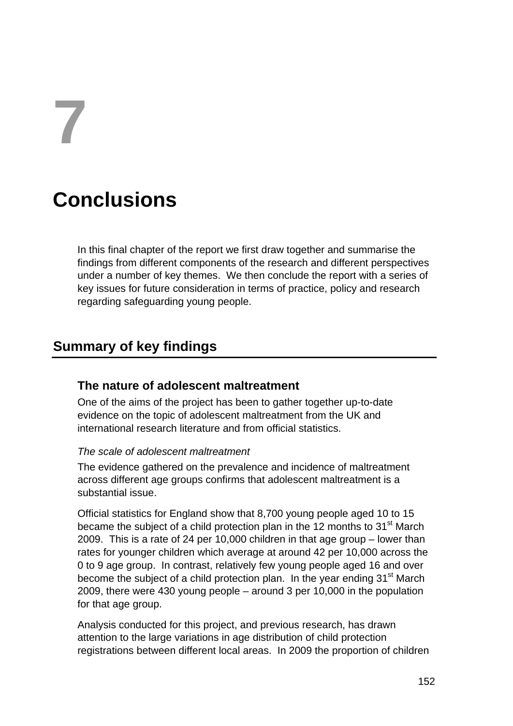**7** 

## **Conclusions**

In this final chapter of the report we first draw together and summarise the findings from different components of the research and different perspectives under a number of key themes. We then conclude the report with a series of key issues for future consideration in terms of practice, policy and research regarding safeguarding young people.

## **Summary of key findings**

## **The nature of adolescent maltreatment**

One of the aims of the project has been to gather together up-to-date evidence on the topic of adolescent maltreatment from the UK and international research literature and from official statistics.

#### *The scale of adolescent maltreatment*

The evidence gathered on the prevalence and incidence of maltreatment across different age groups confirms that adolescent maltreatment is a substantial issue.

Official statistics for England show that 8,700 young people aged 10 to 15 became the subject of a child protection plan in the 12 months to 31<sup>st</sup> March 2009. This is a rate of 24 per 10,000 children in that age group – lower than rates for younger children which average at around 42 per 10,000 across the 0 to 9 age group. In contrast, relatively few young people aged 16 and over become the subject of a child protection plan. In the year ending  $31<sup>st</sup>$  March 2009, there were 430 young people – around 3 per 10,000 in the population for that age group.

Analysis conducted for this project, and previous research, has drawn attention to the large variations in age distribution of child protection registrations between different local areas. In 2009 the proportion of children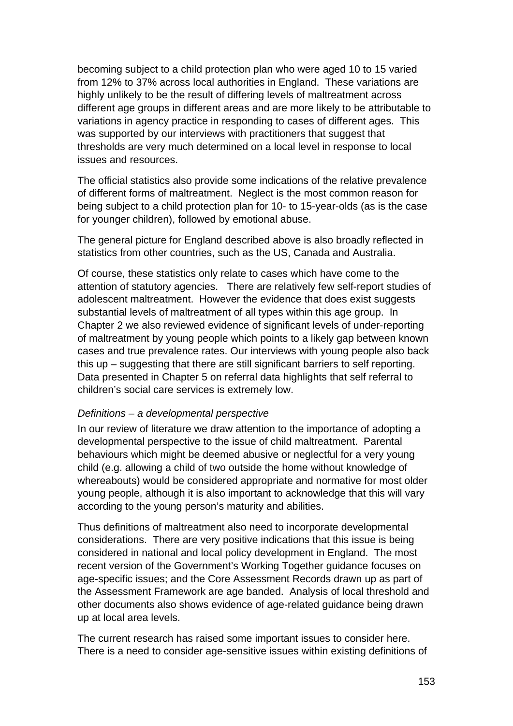becoming subject to a child protection plan who were aged 10 to 15 varied from 12% to 37% across local authorities in England. These variations are highly unlikely to be the result of differing levels of maltreatment across different age groups in different areas and are more likely to be attributable to variations in agency practice in responding to cases of different ages. This was supported by our interviews with practitioners that suggest that thresholds are very much determined on a local level in response to local issues and resources.

The official statistics also provide some indications of the relative prevalence of different forms of maltreatment. Neglect is the most common reason for being subject to a child protection plan for 10- to 15-year-olds (as is the case for younger children), followed by emotional abuse.

The general picture for England described above is also broadly reflected in statistics from other countries, such as the US, Canada and Australia.

Of course, these statistics only relate to cases which have come to the attention of statutory agencies. There are relatively few self-report studies of adolescent maltreatment. However the evidence that does exist suggests substantial levels of maltreatment of all types within this age group. In Chapter 2 we also reviewed evidence of significant levels of under-reporting of maltreatment by young people which points to a likely gap between known cases and true prevalence rates. Our interviews with young people also back this up – suggesting that there are still significant barriers to self reporting. Data presented in Chapter 5 on referral data highlights that self referral to children's social care services is extremely low.

#### *Definitions – a developmental perspective*

In our review of literature we draw attention to the importance of adopting a developmental perspective to the issue of child maltreatment. Parental behaviours which might be deemed abusive or neglectful for a very young child (e.g. allowing a child of two outside the home without knowledge of whereabouts) would be considered appropriate and normative for most older young people, although it is also important to acknowledge that this will vary according to the young person's maturity and abilities.

Thus definitions of maltreatment also need to incorporate developmental considerations. There are very positive indications that this issue is being considered in national and local policy development in England. The most recent version of the Government's Working Together guidance focuses on age-specific issues; and the Core Assessment Records drawn up as part of the Assessment Framework are age banded. Analysis of local threshold and other documents also shows evidence of age-related guidance being drawn up at local area levels.

The current research has raised some important issues to consider here. There is a need to consider age-sensitive issues within existing definitions of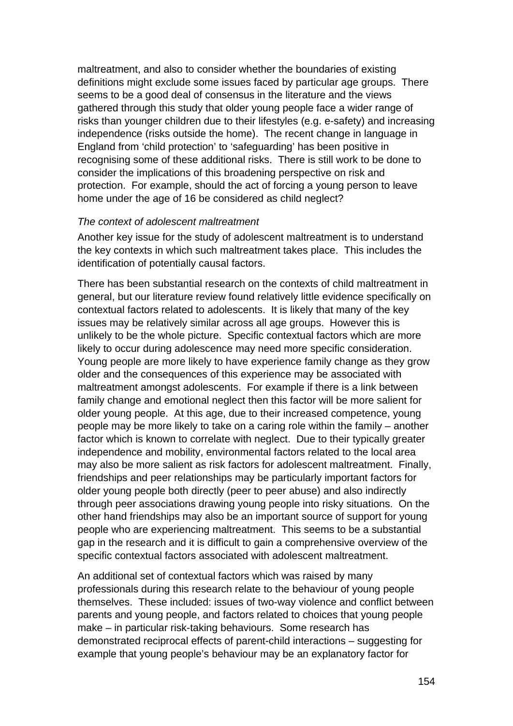maltreatment, and also to consider whether the boundaries of existing definitions might exclude some issues faced by particular age groups. There seems to be a good deal of consensus in the literature and the views gathered through this study that older young people face a wider range of risks than younger children due to their lifestyles (e.g. e-safety) and increasing independence (risks outside the home). The recent change in language in England from 'child protection' to 'safeguarding' has been positive in recognising some of these additional risks. There is still work to be done to consider the implications of this broadening perspective on risk and protection. For example, should the act of forcing a young person to leave home under the age of 16 be considered as child neglect?

#### *The context of adolescent maltreatment*

Another key issue for the study of adolescent maltreatment is to understand the key contexts in which such maltreatment takes place. This includes the identification of potentially causal factors.

There has been substantial research on the contexts of child maltreatment in general, but our literature review found relatively little evidence specifically on contextual factors related to adolescents. It is likely that many of the key issues may be relatively similar across all age groups. However this is unlikely to be the whole picture. Specific contextual factors which are more likely to occur during adolescence may need more specific consideration. Young people are more likely to have experience family change as they grow older and the consequences of this experience may be associated with maltreatment amongst adolescents. For example if there is a link between family change and emotional neglect then this factor will be more salient for older young people. At this age, due to their increased competence, young people may be more likely to take on a caring role within the family – another factor which is known to correlate with neglect. Due to their typically greater independence and mobility, environmental factors related to the local area may also be more salient as risk factors for adolescent maltreatment. Finally, friendships and peer relationships may be particularly important factors for older young people both directly (peer to peer abuse) and also indirectly through peer associations drawing young people into risky situations. On the other hand friendships may also be an important source of support for young people who are experiencing maltreatment. This seems to be a substantial gap in the research and it is difficult to gain a comprehensive overview of the specific contextual factors associated with adolescent maltreatment.

An additional set of contextual factors which was raised by many professionals during this research relate to the behaviour of young people themselves. These included: issues of two-way violence and conflict between parents and young people, and factors related to choices that young people make – in particular risk-taking behaviours. Some research has demonstrated reciprocal effects of parent-child interactions – suggesting for example that young people's behaviour may be an explanatory factor for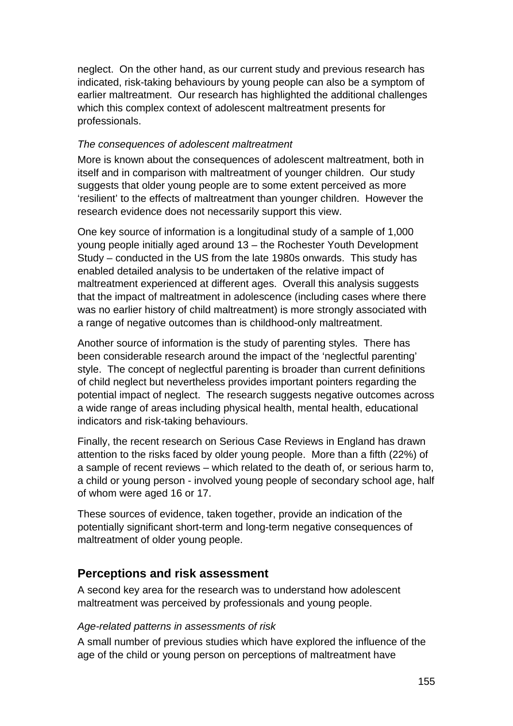neglect. On the other hand, as our current study and previous research has indicated, risk-taking behaviours by young people can also be a symptom of earlier maltreatment. Our research has highlighted the additional challenges which this complex context of adolescent maltreatment presents for professionals.

#### *The consequences of adolescent maltreatment*

More is known about the consequences of adolescent maltreatment, both in itself and in comparison with maltreatment of younger children. Our study suggests that older young people are to some extent perceived as more 'resilient' to the effects of maltreatment than younger children. However the research evidence does not necessarily support this view.

One key source of information is a longitudinal study of a sample of 1,000 young people initially aged around 13 – the Rochester Youth Development Study – conducted in the US from the late 1980s onwards. This study has enabled detailed analysis to be undertaken of the relative impact of maltreatment experienced at different ages. Overall this analysis suggests that the impact of maltreatment in adolescence (including cases where there was no earlier history of child maltreatment) is more strongly associated with a range of negative outcomes than is childhood-only maltreatment.

Another source of information is the study of parenting styles. There has been considerable research around the impact of the 'neglectful parenting' style. The concept of neglectful parenting is broader than current definitions of child neglect but nevertheless provides important pointers regarding the potential impact of neglect. The research suggests negative outcomes across a wide range of areas including physical health, mental health, educational indicators and risk-taking behaviours.

Finally, the recent research on Serious Case Reviews in England has drawn attention to the risks faced by older young people. More than a fifth (22%) of a sample of recent reviews – which related to the death of, or serious harm to, a child or young person - involved young people of secondary school age, half of whom were aged 16 or 17.

These sources of evidence, taken together, provide an indication of the potentially significant short-term and long-term negative consequences of maltreatment of older young people.

## **Perceptions and risk assessment**

A second key area for the research was to understand how adolescent maltreatment was perceived by professionals and young people.

#### *Age-related patterns in assessments of risk*

A small number of previous studies which have explored the influence of the age of the child or young person on perceptions of maltreatment have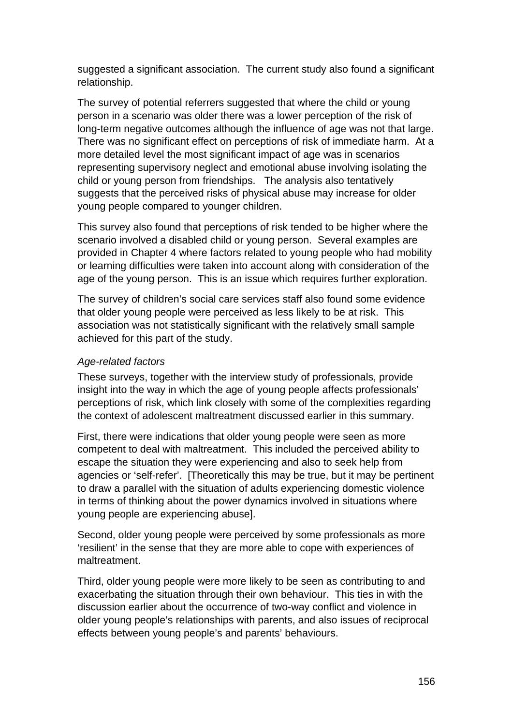suggested a significant association. The current study also found a significant relationship.

The survey of potential referrers suggested that where the child or young person in a scenario was older there was a lower perception of the risk of long-term negative outcomes although the influence of age was not that large. There was no significant effect on perceptions of risk of immediate harm. At a more detailed level the most significant impact of age was in scenarios representing supervisory neglect and emotional abuse involving isolating the child or young person from friendships. The analysis also tentatively suggests that the perceived risks of physical abuse may increase for older young people compared to younger children.

This survey also found that perceptions of risk tended to be higher where the scenario involved a disabled child or young person. Several examples are provided in Chapter 4 where factors related to young people who had mobility or learning difficulties were taken into account along with consideration of the age of the young person. This is an issue which requires further exploration.

The survey of children's social care services staff also found some evidence that older young people were perceived as less likely to be at risk. This association was not statistically significant with the relatively small sample achieved for this part of the study.

#### *Age-related factors*

These surveys, together with the interview study of professionals, provide insight into the way in which the age of young people affects professionals' perceptions of risk, which link closely with some of the complexities regarding the context of adolescent maltreatment discussed earlier in this summary.

First, there were indications that older young people were seen as more competent to deal with maltreatment. This included the perceived ability to escape the situation they were experiencing and also to seek help from agencies or 'self-refer'. [Theoretically this may be true, but it may be pertinent to draw a parallel with the situation of adults experiencing domestic violence in terms of thinking about the power dynamics involved in situations where young people are experiencing abuse].

Second, older young people were perceived by some professionals as more 'resilient' in the sense that they are more able to cope with experiences of maltreatment.

Third, older young people were more likely to be seen as contributing to and exacerbating the situation through their own behaviour. This ties in with the discussion earlier about the occurrence of two-way conflict and violence in older young people's relationships with parents, and also issues of reciprocal effects between young people's and parents' behaviours.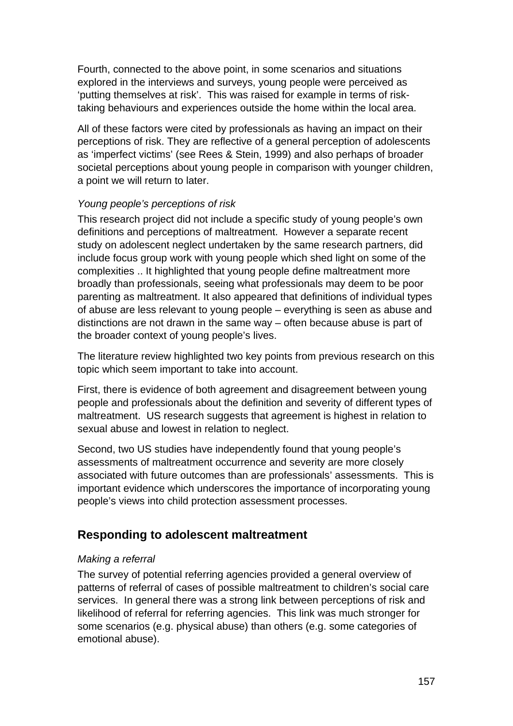Fourth, connected to the above point, in some scenarios and situations explored in the interviews and surveys, young people were perceived as 'putting themselves at risk'. This was raised for example in terms of risktaking behaviours and experiences outside the home within the local area.

All of these factors were cited by professionals as having an impact on their perceptions of risk. They are reflective of a general perception of adolescents as 'imperfect victims' (see Rees & Stein, 1999) and also perhaps of broader societal perceptions about young people in comparison with younger children, a point we will return to later.

#### *Young people's perceptions of risk*

This research project did not include a specific study of young people's own definitions and perceptions of maltreatment. However a separate recent study on adolescent neglect undertaken by the same research partners, did include focus group work with young people which shed light on some of the complexities .. It highlighted that young people define maltreatment more broadly than professionals, seeing what professionals may deem to be poor parenting as maltreatment. It also appeared that definitions of individual types of abuse are less relevant to young people – everything is seen as abuse and distinctions are not drawn in the same way – often because abuse is part of the broader context of young people's lives.

The literature review highlighted two key points from previous research on this topic which seem important to take into account.

First, there is evidence of both agreement and disagreement between young people and professionals about the definition and severity of different types of maltreatment. US research suggests that agreement is highest in relation to sexual abuse and lowest in relation to neglect.

Second, two US studies have independently found that young people's assessments of maltreatment occurrence and severity are more closely associated with future outcomes than are professionals' assessments. This is important evidence which underscores the importance of incorporating young people's views into child protection assessment processes.

## **Responding to adolescent maltreatment**

#### *Making a referral*

The survey of potential referring agencies provided a general overview of patterns of referral of cases of possible maltreatment to children's social care services. In general there was a strong link between perceptions of risk and likelihood of referral for referring agencies. This link was much stronger for some scenarios (e.g. physical abuse) than others (e.g. some categories of emotional abuse).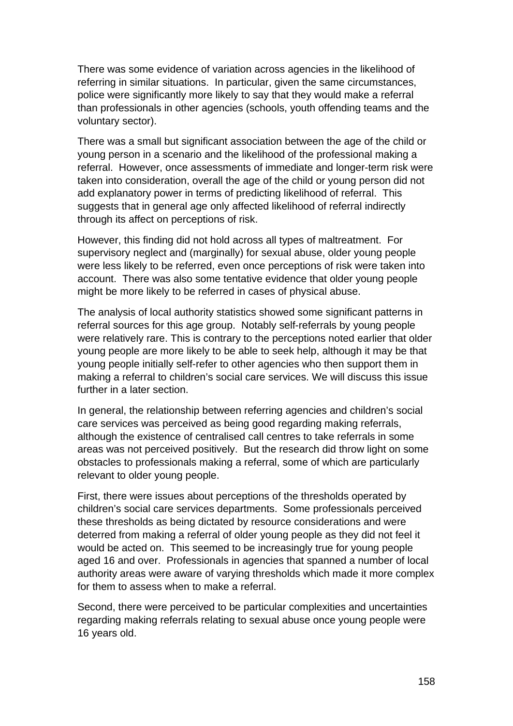There was some evidence of variation across agencies in the likelihood of referring in similar situations. In particular, given the same circumstances, police were significantly more likely to say that they would make a referral than professionals in other agencies (schools, youth offending teams and the voluntary sector).

There was a small but significant association between the age of the child or young person in a scenario and the likelihood of the professional making a referral. However, once assessments of immediate and longer-term risk were taken into consideration, overall the age of the child or young person did not add explanatory power in terms of predicting likelihood of referral. This suggests that in general age only affected likelihood of referral indirectly through its affect on perceptions of risk.

However, this finding did not hold across all types of maltreatment. For supervisory neglect and (marginally) for sexual abuse, older young people were less likely to be referred, even once perceptions of risk were taken into account. There was also some tentative evidence that older young people might be more likely to be referred in cases of physical abuse.

The analysis of local authority statistics showed some significant patterns in referral sources for this age group. Notably self-referrals by young people were relatively rare. This is contrary to the perceptions noted earlier that older young people are more likely to be able to seek help, although it may be that young people initially self-refer to other agencies who then support them in making a referral to children's social care services. We will discuss this issue further in a later section.

In general, the relationship between referring agencies and children's social care services was perceived as being good regarding making referrals, although the existence of centralised call centres to take referrals in some areas was not perceived positively. But the research did throw light on some obstacles to professionals making a referral, some of which are particularly relevant to older young people.

First, there were issues about perceptions of the thresholds operated by children's social care services departments. Some professionals perceived these thresholds as being dictated by resource considerations and were deterred from making a referral of older young people as they did not feel it would be acted on. This seemed to be increasingly true for young people aged 16 and over. Professionals in agencies that spanned a number of local authority areas were aware of varying thresholds which made it more complex for them to assess when to make a referral.

Second, there were perceived to be particular complexities and uncertainties regarding making referrals relating to sexual abuse once young people were 16 years old.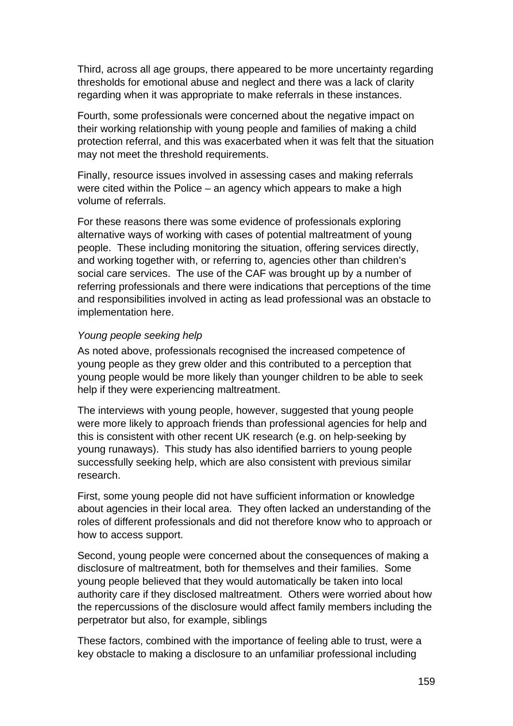Third, across all age groups, there appeared to be more uncertainty regarding thresholds for emotional abuse and neglect and there was a lack of clarity regarding when it was appropriate to make referrals in these instances.

Fourth, some professionals were concerned about the negative impact on their working relationship with young people and families of making a child protection referral, and this was exacerbated when it was felt that the situation may not meet the threshold requirements.

Finally, resource issues involved in assessing cases and making referrals were cited within the Police – an agency which appears to make a high volume of referrals.

For these reasons there was some evidence of professionals exploring alternative ways of working with cases of potential maltreatment of young people. These including monitoring the situation, offering services directly, and working together with, or referring to, agencies other than children's social care services. The use of the CAF was brought up by a number of referring professionals and there were indications that perceptions of the time and responsibilities involved in acting as lead professional was an obstacle to implementation here.

#### *Young people seeking help*

As noted above, professionals recognised the increased competence of young people as they grew older and this contributed to a perception that young people would be more likely than younger children to be able to seek help if they were experiencing maltreatment.

The interviews with young people, however, suggested that young people were more likely to approach friends than professional agencies for help and this is consistent with other recent UK research (e.g. on help-seeking by young runaways). This study has also identified barriers to young people successfully seeking help, which are also consistent with previous similar research.

First, some young people did not have sufficient information or knowledge about agencies in their local area. They often lacked an understanding of the roles of different professionals and did not therefore know who to approach or how to access support.

Second, young people were concerned about the consequences of making a disclosure of maltreatment, both for themselves and their families. Some young people believed that they would automatically be taken into local authority care if they disclosed maltreatment. Others were worried about how the repercussions of the disclosure would affect family members including the perpetrator but also, for example, siblings

These factors, combined with the importance of feeling able to trust, were a key obstacle to making a disclosure to an unfamiliar professional including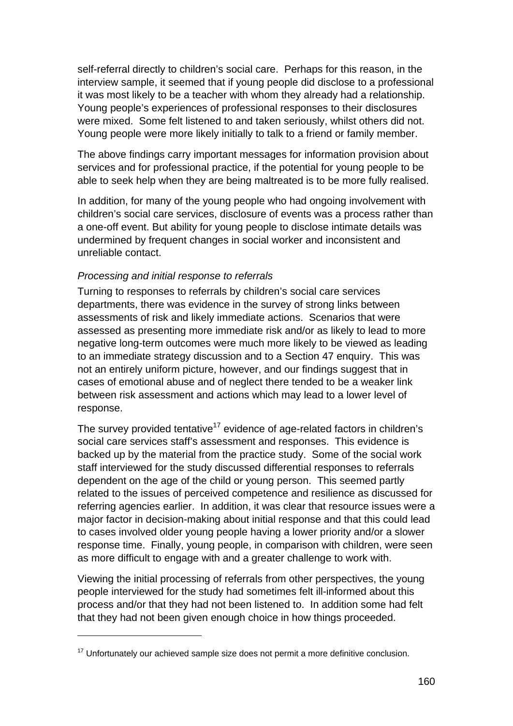self-referral directly to children's social care. Perhaps for this reason, in the interview sample, it seemed that if young people did disclose to a professional it was most likely to be a teacher with whom they already had a relationship. Young people's experiences of professional responses to their disclosures were mixed. Some felt listened to and taken seriously, whilst others did not. Young people were more likely initially to talk to a friend or family member.

The above findings carry important messages for information provision about services and for professional practice, if the potential for young people to be able to seek help when they are being maltreated is to be more fully realised.

In addition, for many of the young people who had ongoing involvement with children's social care services, disclosure of events was a process rather than a one-off event. But ability for young people to disclose intimate details was undermined by frequent changes in social worker and inconsistent and unreliable contact.

#### *Processing and initial response to referrals*

1

Turning to responses to referrals by children's social care services departments, there was evidence in the survey of strong links between assessments of risk and likely immediate actions. Scenarios that were assessed as presenting more immediate risk and/or as likely to lead to more negative long-term outcomes were much more likely to be viewed as leading to an immediate strategy discussion and to a Section 47 enquiry. This was not an entirely uniform picture, however, and our findings suggest that in cases of emotional abuse and of neglect there tended to be a weaker link between risk assessment and actions which may lead to a lower level of response.

The survey provided tentative<sup>17</sup> evidence of age-related factors in children's social care services staff's assessment and responses. This evidence is backed up by the material from the practice study. Some of the social work staff interviewed for the study discussed differential responses to referrals dependent on the age of the child or young person. This seemed partly related to the issues of perceived competence and resilience as discussed for referring agencies earlier. In addition, it was clear that resource issues were a major factor in decision-making about initial response and that this could lead to cases involved older young people having a lower priority and/or a slower response time. Finally, young people, in comparison with children, were seen as more difficult to engage with and a greater challenge to work with.

Viewing the initial processing of referrals from other perspectives, the young people interviewed for the study had sometimes felt ill-informed about this process and/or that they had not been listened to. In addition some had felt that they had not been given enough choice in how things proceeded.

 $17$  Unfortunately our achieved sample size does not permit a more definitive conclusion.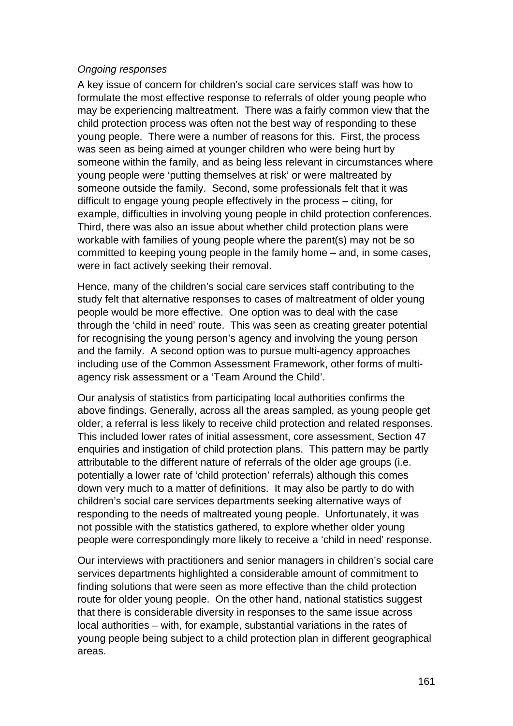#### *Ongoing responses*

A key issue of concern for children's social care services staff was how to formulate the most effective response to referrals of older young people who may be experiencing maltreatment. There was a fairly common view that the child protection process was often not the best way of responding to these young people. There were a number of reasons for this. First, the process was seen as being aimed at younger children who were being hurt by someone within the family, and as being less relevant in circumstances where young people were 'putting themselves at risk' or were maltreated by someone outside the family. Second, some professionals felt that it was difficult to engage young people effectively in the process – citing, for example, difficulties in involving young people in child protection conferences. Third, there was also an issue about whether child protection plans were workable with families of young people where the parent(s) may not be so committed to keeping young people in the family home – and, in some cases, were in fact actively seeking their removal.

Hence, many of the children's social care services staff contributing to the study felt that alternative responses to cases of maltreatment of older young people would be more effective. One option was to deal with the case through the 'child in need' route. This was seen as creating greater potential for recognising the young person's agency and involving the young person and the family. A second option was to pursue multi-agency approaches including use of the Common Assessment Framework, other forms of multiagency risk assessment or a 'Team Around the Child'.

Our analysis of statistics from participating local authorities confirms the above findings. Generally, across all the areas sampled, as young people get older, a referral is less likely to receive child protection and related responses. This included lower rates of initial assessment, core assessment, Section 47 enquiries and instigation of child protection plans. This pattern may be partly attributable to the different nature of referrals of the older age groups (i.e. potentially a lower rate of 'child protection' referrals) although this comes down very much to a matter of definitions. It may also be partly to do with children's social care services departments seeking alternative ways of responding to the needs of maltreated young people. Unfortunately, it was not possible with the statistics gathered, to explore whether older young people were correspondingly more likely to receive a 'child in need' response.

Our interviews with practitioners and senior managers in children's social care services departments highlighted a considerable amount of commitment to finding solutions that were seen as more effective than the child protection route for older young people. On the other hand, national statistics suggest that there is considerable diversity in responses to the same issue across local authorities – with, for example, substantial variations in the rates of young people being subject to a child protection plan in different geographical areas.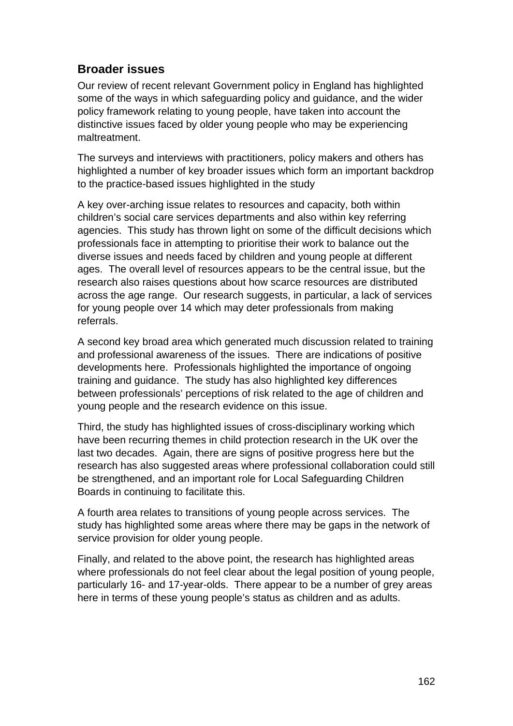## **Broader issues**

Our review of recent relevant Government policy in England has highlighted some of the ways in which safeguarding policy and guidance, and the wider policy framework relating to young people, have taken into account the distinctive issues faced by older young people who may be experiencing maltreatment.

The surveys and interviews with practitioners, policy makers and others has highlighted a number of key broader issues which form an important backdrop to the practice-based issues highlighted in the study

A key over-arching issue relates to resources and capacity, both within children's social care services departments and also within key referring agencies. This study has thrown light on some of the difficult decisions which professionals face in attempting to prioritise their work to balance out the diverse issues and needs faced by children and young people at different ages. The overall level of resources appears to be the central issue, but the research also raises questions about how scarce resources are distributed across the age range. Our research suggests, in particular, a lack of services for young people over 14 which may deter professionals from making referrals.

A second key broad area which generated much discussion related to training and professional awareness of the issues. There are indications of positive developments here. Professionals highlighted the importance of ongoing training and guidance. The study has also highlighted key differences between professionals' perceptions of risk related to the age of children and young people and the research evidence on this issue.

Third, the study has highlighted issues of cross-disciplinary working which have been recurring themes in child protection research in the UK over the last two decades. Again, there are signs of positive progress here but the research has also suggested areas where professional collaboration could still be strengthened, and an important role for Local Safeguarding Children Boards in continuing to facilitate this.

A fourth area relates to transitions of young people across services. The study has highlighted some areas where there may be gaps in the network of service provision for older young people.

Finally, and related to the above point, the research has highlighted areas where professionals do not feel clear about the legal position of young people, particularly 16- and 17-year-olds. There appear to be a number of grey areas here in terms of these young people's status as children and as adults.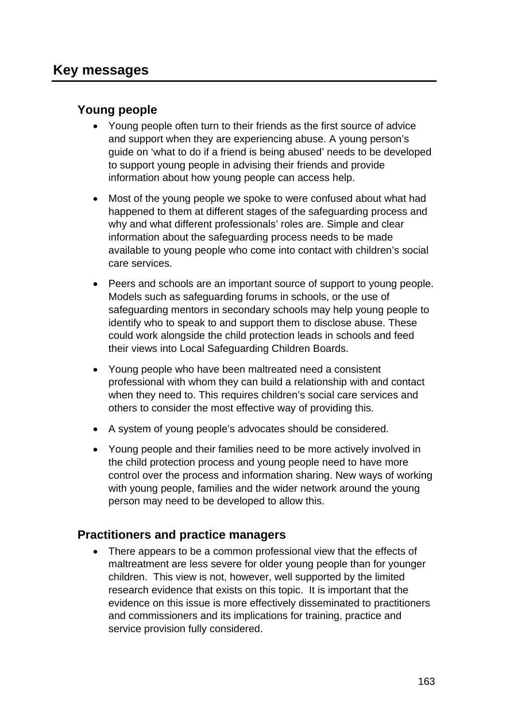## **Young people**

- Young people often turn to their friends as the first source of advice and support when they are experiencing abuse. A young person's guide on 'what to do if a friend is being abused' needs to be developed to support young people in advising their friends and provide information about how young people can access help.
- Most of the young people we spoke to were confused about what had happened to them at different stages of the safeguarding process and why and what different professionals' roles are. Simple and clear information about the safeguarding process needs to be made available to young people who come into contact with children's social care services.
- Peers and schools are an important source of support to young people. Models such as safeguarding forums in schools, or the use of safeguarding mentors in secondary schools may help young people to identify who to speak to and support them to disclose abuse. These could work alongside the child protection leads in schools and feed their views into Local Safeguarding Children Boards.
- Young people who have been maltreated need a consistent professional with whom they can build a relationship with and contact when they need to. This requires children's social care services and others to consider the most effective way of providing this.
- A system of young people's advocates should be considered.
- Young people and their families need to be more actively involved in the child protection process and young people need to have more control over the process and information sharing. New ways of working with young people, families and the wider network around the young person may need to be developed to allow this.

## **Practitioners and practice managers**

 There appears to be a common professional view that the effects of maltreatment are less severe for older young people than for younger children. This view is not, however, well supported by the limited research evidence that exists on this topic. It is important that the evidence on this issue is more effectively disseminated to practitioners and commissioners and its implications for training, practice and service provision fully considered.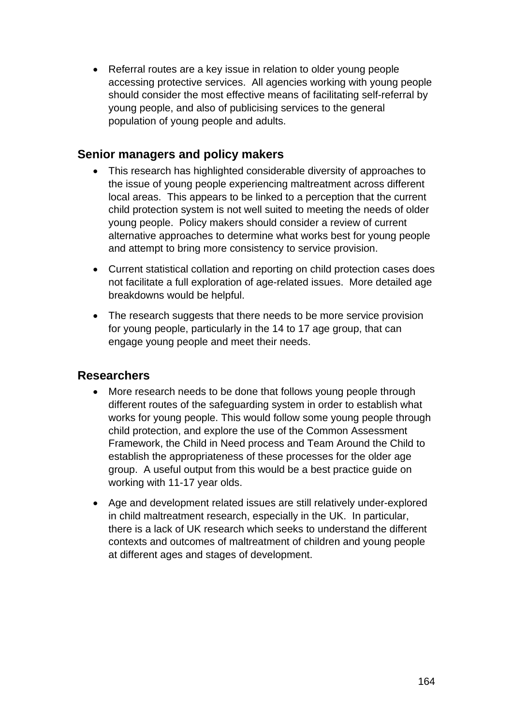• Referral routes are a key issue in relation to older young people accessing protective services. All agencies working with young people should consider the most effective means of facilitating self-referral by young people, and also of publicising services to the general population of young people and adults.

## **Senior managers and policy makers**

- This research has highlighted considerable diversity of approaches to the issue of young people experiencing maltreatment across different local areas. This appears to be linked to a perception that the current child protection system is not well suited to meeting the needs of older young people. Policy makers should consider a review of current alternative approaches to determine what works best for young people and attempt to bring more consistency to service provision.
- Current statistical collation and reporting on child protection cases does not facilitate a full exploration of age-related issues. More detailed age breakdowns would be helpful.
- The research suggests that there needs to be more service provision for young people, particularly in the 14 to 17 age group, that can engage young people and meet their needs.

## **Researchers**

- More research needs to be done that follows young people through different routes of the safeguarding system in order to establish what works for young people. This would follow some young people through child protection, and explore the use of the Common Assessment Framework, the Child in Need process and Team Around the Child to establish the appropriateness of these processes for the older age group. A useful output from this would be a best practice guide on working with 11-17 year olds.
- Age and development related issues are still relatively under-explored in child maltreatment research, especially in the UK. In particular, there is a lack of UK research which seeks to understand the different contexts and outcomes of maltreatment of children and young people at different ages and stages of development.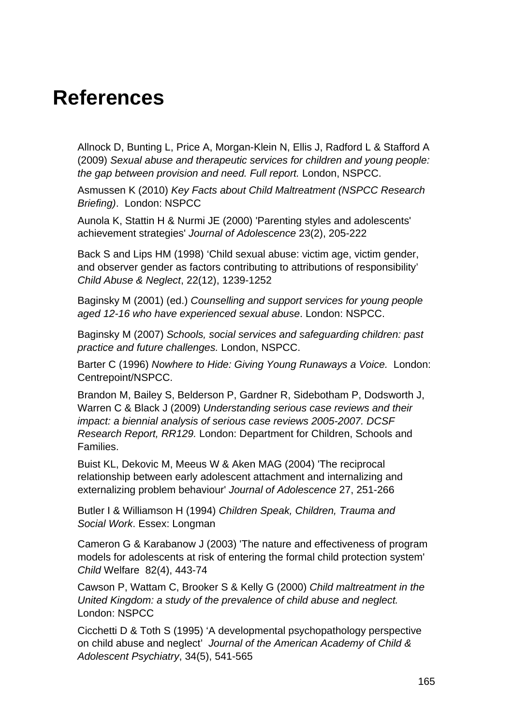## **References**

Allnock D, Bunting L, Price A, Morgan-Klein N, Ellis J, Radford L & Stafford A (2009) *Sexual abuse and therapeutic services for children and young people: the gap between provision and need. Full report.* London, NSPCC.

Asmussen K (2010) *Key Facts about Child Maltreatment (NSPCC Research Briefing)*. London: NSPCC

Aunola K, Stattin H & Nurmi JE (2000) 'Parenting styles and adolescents' achievement strategies' *Journal of Adolescence* 23(2), 205-222

Back S and Lips HM (1998) 'Child sexual abuse: victim age, victim gender, and observer gender as factors contributing to attributions of responsibility' *Child Abuse & Neglect*, 22(12), 1239-1252

Baginsky M (2001) (ed.) *Counselling and support services for young people aged 12-16 who have experienced sexual abuse*. London: NSPCC.

Baginsky M (2007) *Schools, social services and safeguarding children: past practice and future challenges.* London, NSPCC.

Barter C (1996) *Nowhere to Hide: Giving Young Runaways a Voice.* London: Centrepoint/NSPCC.

Brandon M, Bailey S, Belderson P, Gardner R, Sidebotham P, Dodsworth J, Warren C & Black J (2009) *Understanding serious case reviews and their impact: a biennial analysis of serious case reviews 2005-2007. DCSF Research Report, RR129.* London: Department for Children, Schools and Families.

Buist KL, Dekovic M, Meeus W & Aken MAG (2004) 'The reciprocal relationship between early adolescent attachment and internalizing and externalizing problem behaviour' *Journal of Adolescence* 27, 251-266

Butler I & Williamson H (1994) *Children Speak, Children, Trauma and Social Work*. Essex: Longman

Cameron G & Karabanow J (2003) 'The nature and effectiveness of program models for adolescents at risk of entering the formal child protection system' *Child* Welfare 82(4), 443-74

Cawson P, Wattam C, Brooker S & Kelly G (2000) *Child maltreatment in the United Kingdom: a study of the prevalence of child abuse and neglect.*  London: NSPCC

Cicchetti D & Toth S (1995) 'A developmental psychopathology perspective on child abuse and neglect' *Journal of the American Academy of Child & Adolescent Psychiatry*, 34(5), 541-565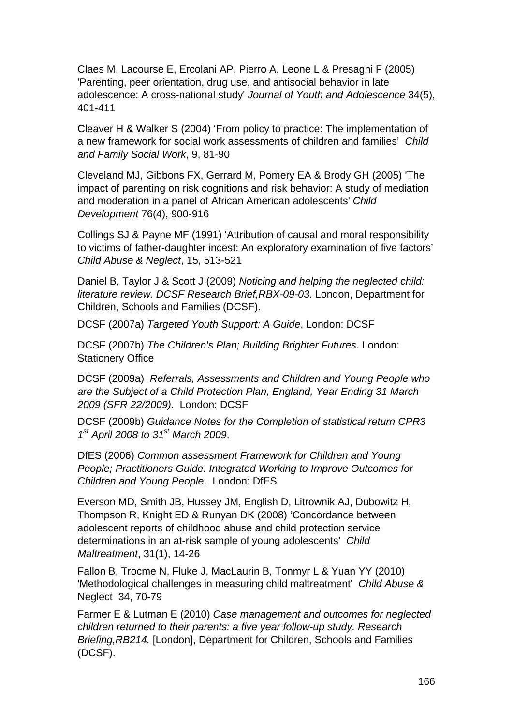Claes M, Lacourse E, Ercolani AP, Pierro A, Leone L & Presaghi F (2005) 'Parenting, peer orientation, drug use, and antisocial behavior in late adolescence: A cross-national study' *Journal of Youth and Adolescence* 34(5), 401-411

Cleaver H & Walker S (2004) 'From policy to practice: The implementation of a new framework for social work assessments of children and families' *Child and Family Social Work*, 9, 81-90

Cleveland MJ, Gibbons FX, Gerrard M, Pomery EA & Brody GH (2005) 'The impact of parenting on risk cognitions and risk behavior: A study of mediation and moderation in a panel of African American adolescents' *Child Development* 76(4), 900-916

Collings SJ & Payne MF (1991) 'Attribution of causal and moral responsibility to victims of father-daughter incest: An exploratory examination of five factors' *Child Abuse & Neglect*, 15, 513-521

Daniel B, Taylor J & Scott J (2009) *Noticing and helping the neglected child: literature review. DCSF Research Brief,RBX-09-03.* London, Department for Children, Schools and Families (DCSF).

DCSF (2007a) *Targeted Youth Support: A Guide*, London: DCSF

DCSF (2007b) *The Children's Plan; Building Brighter Futures*. London: Stationery Office

DCSF (2009a) *Referrals, Assessments and Children and Young People who are the Subject of a Child Protection Plan, England, Year Ending 31 March 2009 (SFR 22/2009).* London: DCSF

DCSF (2009b) *Guidance Notes for the Completion of statistical return CPR3 1st April 2008 to 31st March 2009*.

DfES (2006) *Common assessment Framework for Children and Young People; Practitioners Guide. Integrated Working to Improve Outcomes for Children and Young People*. London: DfES

Everson MD, Smith JB, Hussey JM, English D, Litrownik AJ, Dubowitz H, Thompson R, Knight ED & Runyan DK (2008) 'Concordance between adolescent reports of childhood abuse and child protection service determinations in an at-risk sample of young adolescents' *Child Maltreatment*, 31(1), 14-26

Fallon B, Trocme N, Fluke J, MacLaurin B, Tonmyr L & Yuan YY (2010) 'Methodological challenges in measuring child maltreatment' *Child Abuse &*  Neglect 34, 70-79

Farmer E & Lutman E (2010) *Case management and outcomes for neglected children returned to their parents: a five year follow-up study. Research Briefing,RB214.* [London], Department for Children, Schools and Families (DCSF).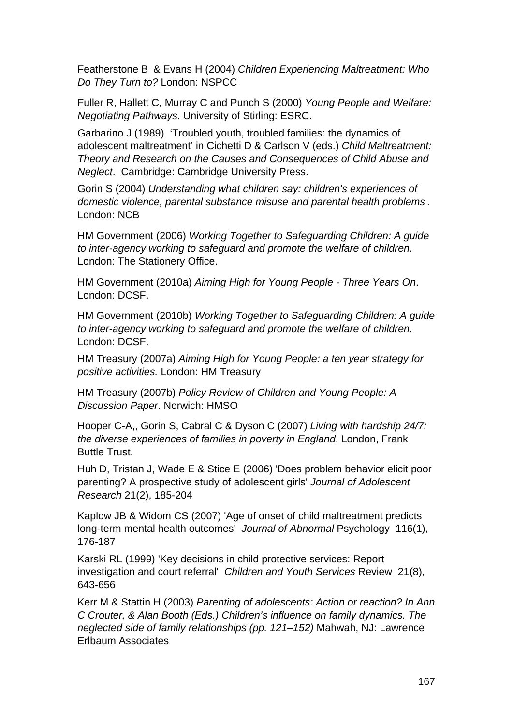Featherstone B & Evans H (2004) *Children Experiencing Maltreatment: Who Do They Turn to?* London: NSPCC

Fuller R, Hallett C, Murray C and Punch S (2000) *Young People and Welfare: Negotiating Pathways.* University of Stirling: ESRC.

Garbarino J (1989) 'Troubled youth, troubled families: the dynamics of adolescent maltreatment' in Cichetti D & Carlson V (eds.) *Child Maltreatment: Theory and Research on the Causes and Consequences of Child Abuse and Neglect*. Cambridge: Cambridge University Press.

Gorin S (2004) *Understanding what children say: children's experiences of domestic violence, parental substance misuse and parental health problems* . London: NCB

HM Government (2006) *Working Together to Safeguarding Children: A guide to inter-agency working to safeguard and promote the welfare of children.* London: The Stationery Office.

HM Government (2010a) *Aiming High for Young People - Three Years On*. London: DCSF.

HM Government (2010b) *Working Together to Safeguarding Children: A guide to inter-agency working to safeguard and promote the welfare of children.* London: DCSF.

HM Treasury (2007a) *Aiming High for Young People: a ten year strategy for positive activities.* London: HM Treasury

HM Treasury (2007b) *Policy Review of Children and Young People: A Discussion Paper*. Norwich: HMSO

Hooper C-A,, Gorin S, Cabral C & Dyson C (2007) *Living with hardship 24/7: the diverse experiences of families in poverty in England*. London, Frank Buttle Trust.

Huh D, Tristan J, Wade E & Stice E (2006) 'Does problem behavior elicit poor parenting? A prospective study of adolescent girls' *Journal of Adolescent Research* 21(2), 185-204

Kaplow JB & Widom CS (2007) 'Age of onset of child maltreatment predicts long-term mental health outcomes' *Journal of Abnormal* Psychology 116(1), 176-187

Karski RL (1999) 'Key decisions in child protective services: Report investigation and court referral' *Children and Youth Services* Review 21(8), 643-656

Kerr M & Stattin H (2003) *Parenting of adolescents: Action or reaction? In Ann C Crouter, & Alan Booth (Eds.) Children's influence on family dynamics. The neglected side of family relationships (pp. 121–152)* Mahwah, NJ: Lawrence Erlbaum Associates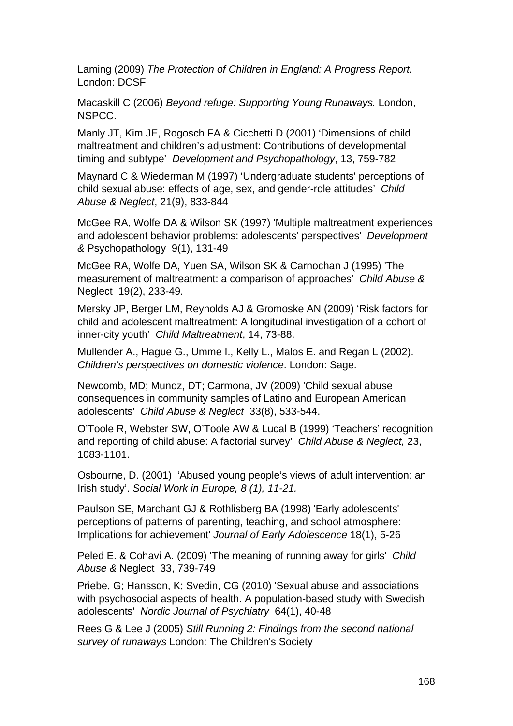Laming (2009) *The Protection of Children in England: A Progress Report*. London: DCSF

Macaskill C (2006) *Beyond refuge: Supporting Young Runaways.* London, NSPCC.

Manly JT, Kim JE, Rogosch FA & Cicchetti D (2001) 'Dimensions of child maltreatment and children's adjustment: Contributions of developmental timing and subtype' *Development and Psychopathology*, 13, 759-782

Maynard C & Wiederman M (1997) 'Undergraduate students' perceptions of child sexual abuse: effects of age, sex, and gender-role attitudes' *Child Abuse & Neglect*, 21(9), 833-844

McGee RA, Wolfe DA & Wilson SK (1997) 'Multiple maltreatment experiences and adolescent behavior problems: adolescents' perspectives' *Development &* Psychopathology 9(1), 131-49

McGee RA, Wolfe DA, Yuen SA, Wilson SK & Carnochan J (1995) 'The measurement of maltreatment: a comparison of approaches' *Child Abuse &*  Neglect 19(2), 233-49.

Mersky JP, Berger LM, Reynolds AJ & Gromoske AN (2009) 'Risk factors for child and adolescent maltreatment: A longitudinal investigation of a cohort of inner-city youth' *Child Maltreatment*, 14, 73-88.

Mullender A., Hague G., Umme I., Kelly L., Malos E. and Regan L (2002). *Children's perspectives on domestic violence*. London: Sage.

Newcomb, MD; Munoz, DT; Carmona, JV (2009) 'Child sexual abuse consequences in community samples of Latino and European American adolescents' *Child Abuse & Neglect* 33(8), 533-544.

O'Toole R, Webster SW, O'Toole AW & Lucal B (1999) 'Teachers' recognition and reporting of child abuse: A factorial survey' *Child Abuse & Neglect,* 23, 1083-1101.

Osbourne, D. (2001) 'Abused young people's views of adult intervention: an Irish study'. *Social Work in Europe, 8 (1), 11-21.* 

Paulson SE, Marchant GJ & Rothlisberg BA (1998) 'Early adolescents' perceptions of patterns of parenting, teaching, and school atmosphere: Implications for achievement' *Journal of Early Adolescence* 18(1), 5-26

Peled E. & Cohavi A. (2009) 'The meaning of running away for girls' *Child Abuse &* Neglect 33, 739-749

Priebe, G; Hansson, K; Svedin, CG (2010) 'Sexual abuse and associations with psychosocial aspects of health. A population-based study with Swedish adolescents' *Nordic Journal of Psychiatry* 64(1), 40-48

Rees G & Lee J (2005) *Still Running 2: Findings from the second national survey of runaways* London: The Children's Society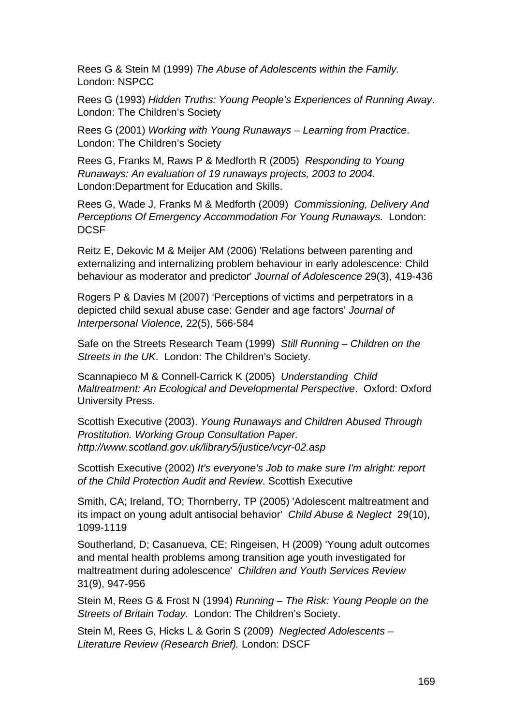Rees G & Stein M (1999) *The Abuse of Adolescents within the Family.*  London: NSPCC

Rees G (1993) *Hidden Truths: Young People's Experiences of Running Away*. London: The Children's Society

Rees G (2001) *Working with Young Runaways – Learning from Practice*. London: The Children's Society

Rees G, Franks M, Raws P & Medforth R (2005) *Responding to Young Runaways: An evaluation of 19 runaways projects, 2003 to 2004.*  London:Department for Education and Skills.

Rees G, Wade J, Franks M & Medforth (2009) *Commissioning, Delivery And Perceptions Of Emergency Accommodation For Young Runaways.* London: **DCSF** 

Reitz E, Dekovic M & Meijer AM (2006) 'Relations between parenting and externalizing and internalizing problem behaviour in early adolescence: Child behaviour as moderator and predictor' *Journal of Adolescence* 29(3), 419-436

Rogers P & Davies M (2007) 'Perceptions of victims and perpetrators in a depicted child sexual abuse case: Gender and age factors' *Journal of Interpersonal Violence,* 22(5), 566-584

Safe on the Streets Research Team (1999) *Still Running – Children on the Streets in the UK*. London: The Children's Society.

Scannapieco M & Connell-Carrick K (2005) *Understanding Child Maltreatment: An Ecological and Developmental Perspective*. Oxford: Oxford University Press.

Scottish Executive (2003). *Young Runaways and Children Abused Through Prostitution. Working Group Consultation Paper. http://www.scotland.gov.uk/library5/justice/vcyr-02.asp* 

Scottish Executive (2002) *It's everyone's Job to make sure I'm alright: report of the Child Protection Audit and Review*. Scottish Executive

Smith, CA; Ireland, TO; Thornberry, TP (2005) 'Adolescent maltreatment and its impact on young adult antisocial behavior' *Child Abuse & Neglect* 29(10), 1099-1119

Southerland, D; Casanueva, CE; Ringeisen, H (2009) 'Young adult outcomes and mental health problems among transition age youth investigated for maltreatment during adolescence' *Children and Youth Services Review*  31(9), 947-956

Stein M, Rees G & Frost N (1994) *Running – The Risk: Young People on the Streets of Britain Today.* London: The Children's Society.

Stein M, Rees G, Hicks L & Gorin S (2009) *Neglected Adolescents – Literature Review (Research Brief).* London: DSCF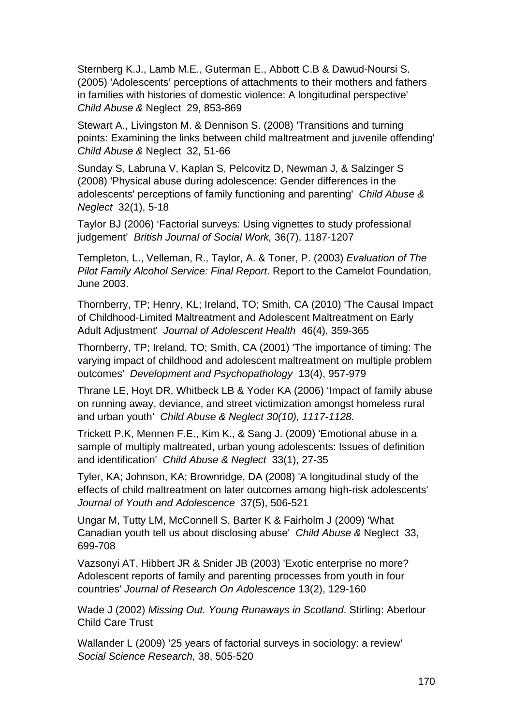Sternberg K.J., Lamb M.E., Guterman E., Abbott C.B & Dawud-Noursi S. (2005) 'Adolescents' perceptions of attachments to their mothers and fathers in families with histories of domestic violence: A longitudinal perspective' *Child Abuse &* Neglect 29, 853-869

Stewart A., Livingston M. & Dennison S. (2008) 'Transitions and turning points: Examining the links between child maltreatment and juvenile offending' *Child Abuse &* Neglect 32, 51-66

Sunday S, Labruna V, Kaplan S, Pelcovitz D, Newman J, & Salzinger S (2008) 'Physical abuse during adolescence: Gender differences in the adolescents' perceptions of family functioning and parenting' *Child Abuse & Neglect* 32(1), 5-18

Taylor BJ (2006) 'Factorial surveys: Using vignettes to study professional judgement' *British Journal of Social Work,* 36(7), 1187-1207

Templeton, L., Velleman, R., Taylor, A. & Toner, P. (2003) *Evaluation of The Pilot Family Alcohol Service: Final Report*. Report to the Camelot Foundation, June 2003.

Thornberry, TP; Henry, KL; Ireland, TO; Smith, CA (2010) 'The Causal Impact of Childhood-Limited Maltreatment and Adolescent Maltreatment on Early Adult Adjustment' *Journal of Adolescent Health* 46(4), 359-365

Thornberry, TP; Ireland, TO; Smith, CA (2001) 'The importance of timing: The varying impact of childhood and adolescent maltreatment on multiple problem outcomes' *Development and Psychopathology* 13(4), 957-979

Thrane LE, Hoyt DR, Whitbeck LB & Yoder KA (2006) 'Impact of family abuse on running away, deviance, and street victimization amongst homeless rural and urban youth' *Child Abuse & Neglect 30(10), 1117-1128.* 

Trickett P.K, Mennen F.E., Kim K., & Sang J. (2009) 'Emotional abuse in a sample of multiply maltreated, urban young adolescents: Issues of definition and identification' *Child Abuse & Neglect* 33(1), 27-35

Tyler, KA; Johnson, KA; Brownridge, DA (2008) 'A longitudinal study of the effects of child maltreatment on later outcomes among high-risk adolescents' *Journal of Youth and Adolescence* 37(5), 506-521

Ungar M, Tutty LM, McConnell S, Barter K & Fairholm J (2009) 'What Canadian youth tell us about disclosing abuse' *Child Abuse &* Neglect 33, 699-708

Vazsonyi AT, Hibbert JR & Snider JB (2003) 'Exotic enterprise no more? Adolescent reports of family and parenting processes from youth in four countries' *Journal of Research On Adolescence* 13(2), 129-160

Wade J (2002) *Missing Out. Young Runaways in Scotland*. Stirling: Aberlour Child Care Trust

Wallander L (2009) '25 years of factorial surveys in sociology: a review' *Social Science Research*, 38, 505-520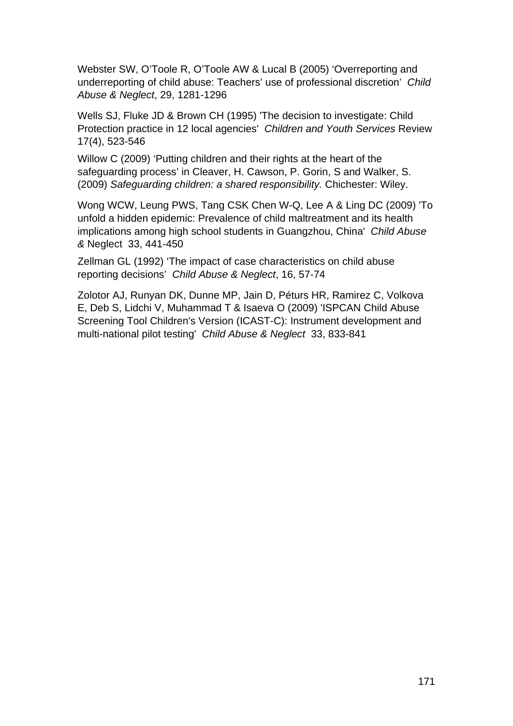Webster SW, O'Toole R, O'Toole AW & Lucal B (2005) 'Overreporting and underreporting of child abuse: Teachers' use of professional discretion' *Child Abuse & Neglect*, 29, 1281-1296

Wells SJ, Fluke JD & Brown CH (1995) 'The decision to investigate: Child Protection practice in 12 local agencies' *Children and Youth Services* Review 17(4), 523-546

Willow C (2009) 'Putting children and their rights at the heart of the safeguarding process' in Cleaver, H. Cawson, P. Gorin, S and Walker, S. (2009) *Safeguarding children: a shared responsibility.* Chichester: Wiley.

Wong WCW, Leung PWS, Tang CSK Chen W-Q, Lee A & Ling DC (2009) 'To unfold a hidden epidemic: Prevalence of child maltreatment and its health implications among high school students in Guangzhou, China' *Child Abuse &* Neglect 33, 441-450

Zellman GL (1992) 'The impact of case characteristics on child abuse reporting decisions' *Child Abuse & Neglect*, 16, 57-74

Zolotor AJ, Runyan DK, Dunne MP, Jain D, Péturs HR, Ramirez C, Volkova E, Deb S, Lidchi V, Muhammad T & Isaeva O (2009) 'ISPCAN Child Abuse Screening Tool Children's Version (ICAST-C): Instrument development and multi-national pilot testing' *Child Abuse & Neglect* 33, 833-841